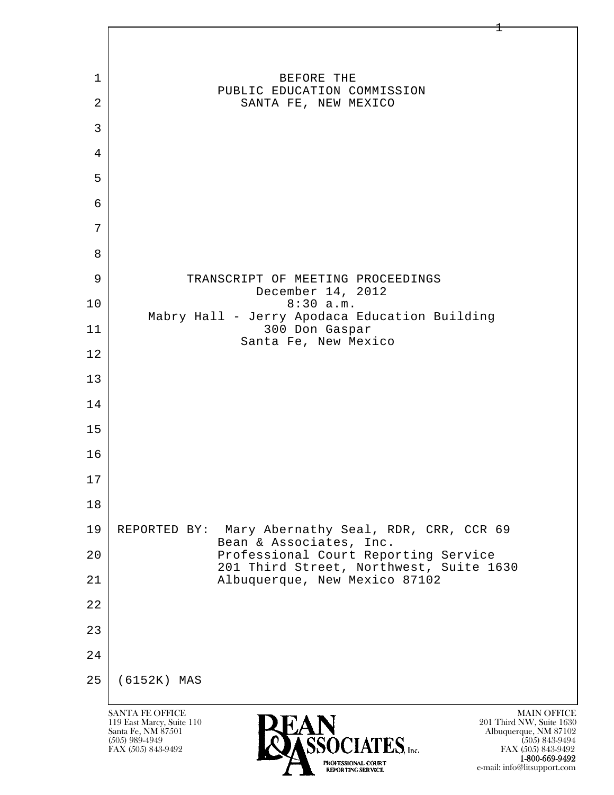

 1-800-669-9492 e-mail: info@litsupport.com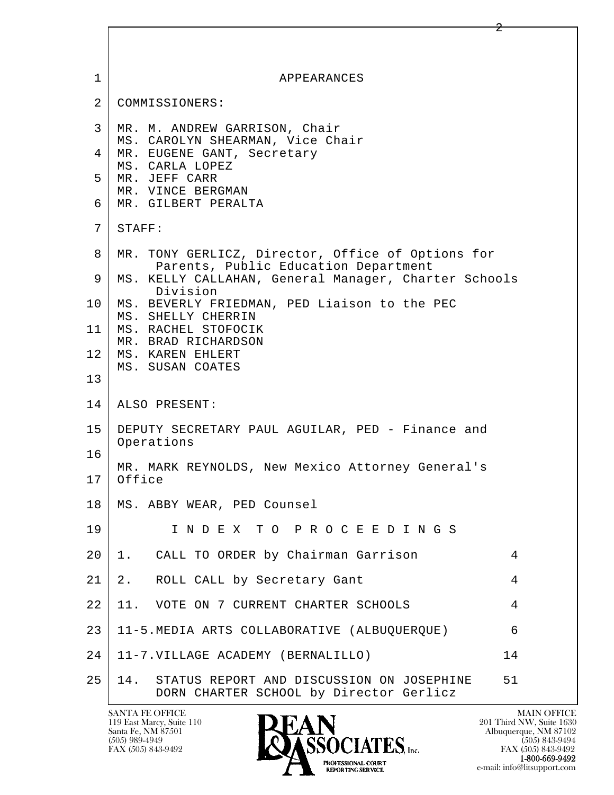| $\mathbf{1}$    | APPEARANCES                                                                                       |
|-----------------|---------------------------------------------------------------------------------------------------|
| 2               | COMMISSIONERS:                                                                                    |
| 3<br>4          | MR. M. ANDREW GARRISON, Chair<br>MS. CAROLYN SHEARMAN, Vice Chair<br>MR. EUGENE GANT, Secretary   |
| 5               | MS. CARLA LOPEZ<br>MR. JEFF CARR<br>MR. VINCE BERGMAN                                             |
| б.              | MR. GILBERT PERALTA                                                                               |
| 7               | STAFF:                                                                                            |
| 8               | MR. TONY GERLICZ, Director, Office of Options for<br>Parents, Public Education Department         |
| 9               | MS. KELLY CALLAHAN, General Manager, Charter Schools<br>Division                                  |
| 10 <sub>1</sub> | MS. BEVERLY FRIEDMAN, PED Liaison to the PEC<br>MS. SHELLY CHERRIN                                |
| 11 <sub>1</sub> | MS. RACHEL STOFOCIK<br>MR. BRAD RICHARDSON                                                        |
| 12              | MS. KAREN EHLERT<br>MS. SUSAN COATES                                                              |
| 13              |                                                                                                   |
| 14              | ALSO PRESENT:                                                                                     |
| 15<br>16        | DEPUTY SECRETARY PAUL AGUILAR, PED - Finance and<br>Operations                                    |
| 17              | MR. MARK REYNOLDS, New Mexico Attorney General's<br>Office                                        |
| 18              | MS. ABBY WEAR, PED Counsel                                                                        |
| 19              | INDEX TO PROCEEDINGS                                                                              |
| 20              | CALL TO ORDER by Chairman Garrison<br>4<br>1.                                                     |
| 21              | ROLL CALL by Secretary Gant<br>2.<br>4                                                            |
| 22              | 11. VOTE ON 7 CURRENT CHARTER SCHOOLS<br>4                                                        |
| 23              | 11-5. MEDIA ARTS COLLABORATIVE (ALBUQUERQUE)<br>6                                                 |
| 24              | 14<br>11-7. VILLAGE ACADEMY (BERNALILLO)                                                          |
| 25              | 14.<br>STATUS REPORT AND DISCUSSION ON JOSEPHINE<br>51<br>DORN CHARTER SCHOOL by Director Gerlicz |

 $\overline{\phantom{a}}$ 

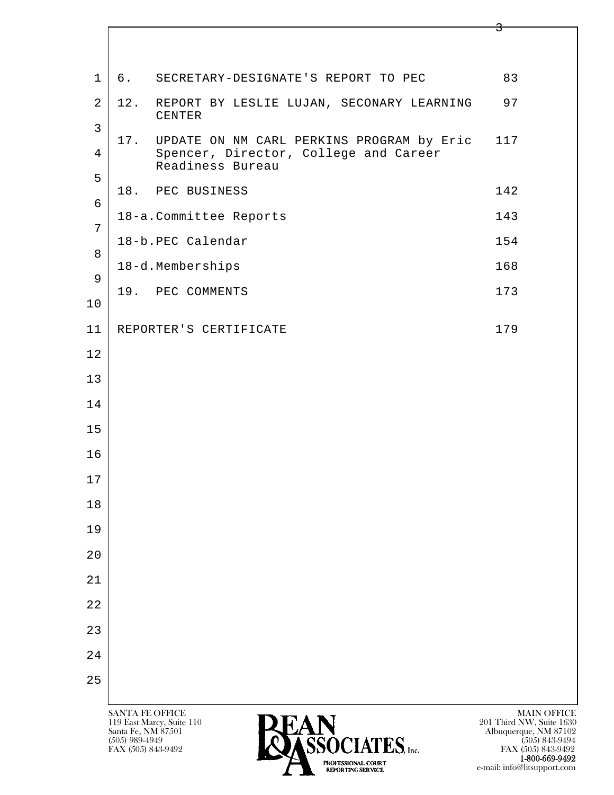|                                  |                                                                                           | 5                                              |
|----------------------------------|-------------------------------------------------------------------------------------------|------------------------------------------------|
| $\mathbf 1$                      | 6.<br>SECRETARY-DESIGNATE'S REPORT TO PEC                                                 | 83                                             |
|                                  |                                                                                           |                                                |
| $\overline{2}$<br>$\mathfrak{Z}$ | 12.<br>REPORT BY LESLIE LUJAN, SECONARY LEARNING<br>CENTER                                | 97                                             |
| $\overline{4}$                   | 17.<br>UPDATE ON NM CARL PERKINS PROGRAM by Eric<br>Spencer, Director, College and Career | 117                                            |
| 5                                | Readiness Bureau                                                                          |                                                |
| 6                                | 18. PEC BUSINESS                                                                          | 142                                            |
| 7                                | 18-a. Committee Reports                                                                   | 143                                            |
| 8                                | 18-b.PEC Calendar                                                                         | 154                                            |
| 9                                | 18-d.Memberships                                                                          | 168                                            |
| $10$                             | 19.<br>PEC COMMENTS                                                                       | 173                                            |
| 11                               | REPORTER'S CERTIFICATE                                                                    | 179                                            |
| 12                               |                                                                                           |                                                |
| 13                               |                                                                                           |                                                |
| 14                               |                                                                                           |                                                |
| 15                               |                                                                                           |                                                |
| 16                               |                                                                                           |                                                |
| $1\,7$                           |                                                                                           |                                                |
| 18                               |                                                                                           |                                                |
| 19                               |                                                                                           |                                                |
| 20                               |                                                                                           |                                                |
| $2\,1$                           |                                                                                           |                                                |
| 22                               |                                                                                           |                                                |
| 23                               |                                                                                           |                                                |
| 24                               |                                                                                           |                                                |
| 25                               |                                                                                           |                                                |
|                                  | SANTA FE OFFICE<br>DEAN<br>119 East Marcy, Suite 110                                      | <b>MAIN OFFICE</b><br>201 Third NW, Suite 1630 |

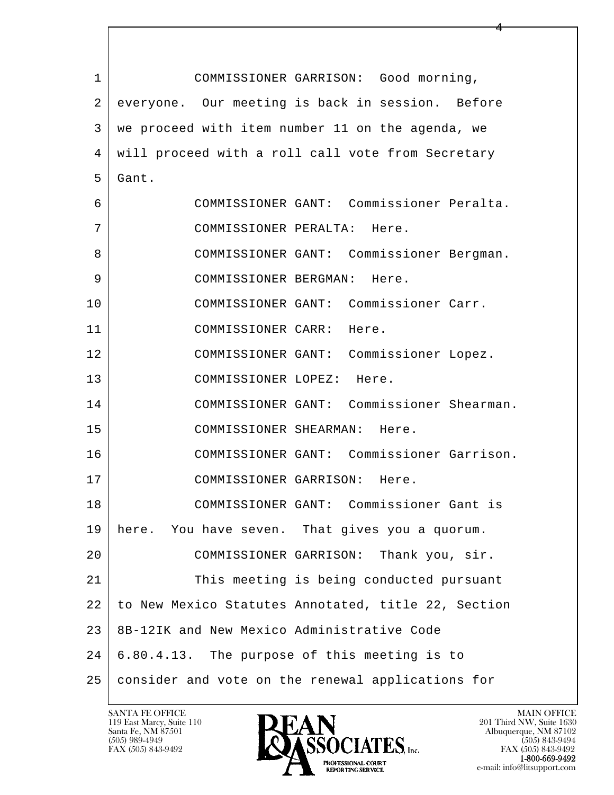| $\mathbf 1$ | COMMISSIONER GARRISON: Good morning,                |
|-------------|-----------------------------------------------------|
| 2           | everyone. Our meeting is back in session. Before    |
| 3           | we proceed with item number 11 on the agenda, we    |
| 4           | will proceed with a roll call vote from Secretary   |
| 5           | Gant.                                               |
| 6           | COMMISSIONER GANT: Commissioner Peralta.            |
| 7           | COMMISSIONER PERALTA: Here.                         |
| 8           | COMMISSIONER GANT: Commissioner Bergman.            |
| 9           | COMMISSIONER BERGMAN: Here.                         |
| 10          | COMMISSIONER GANT: Commissioner Carr.               |
| 11          | COMMISSIONER CARR: Here.                            |
| 12          | COMMISSIONER GANT: Commissioner Lopez.              |
| 13          | COMMISSIONER LOPEZ: Here.                           |
| 14          | COMMISSIONER GANT: Commissioner Shearman.           |
| 15          | COMMISSIONER SHEARMAN: Here.                        |
| 16          | COMMISSIONER GANT: Commissioner Garrison.           |
| 17          | COMMISSIONER GARRISON: Here.                        |
| 18          | COMMISSIONER GANT: Commissioner Gant is             |
| 19          | here. You have seven. That gives you a quorum.      |
| 20          | COMMISSIONER GARRISON: Thank you, sir.              |
| 21          | This meeting is being conducted pursuant            |
| 22          | to New Mexico Statutes Annotated, title 22, Section |
| 23          | 8B-12IK and New Mexico Administrative Code          |
| 24          | 6.80.4.13. The purpose of this meeting is to        |
| 25          | consider and vote on the renewal applications for   |

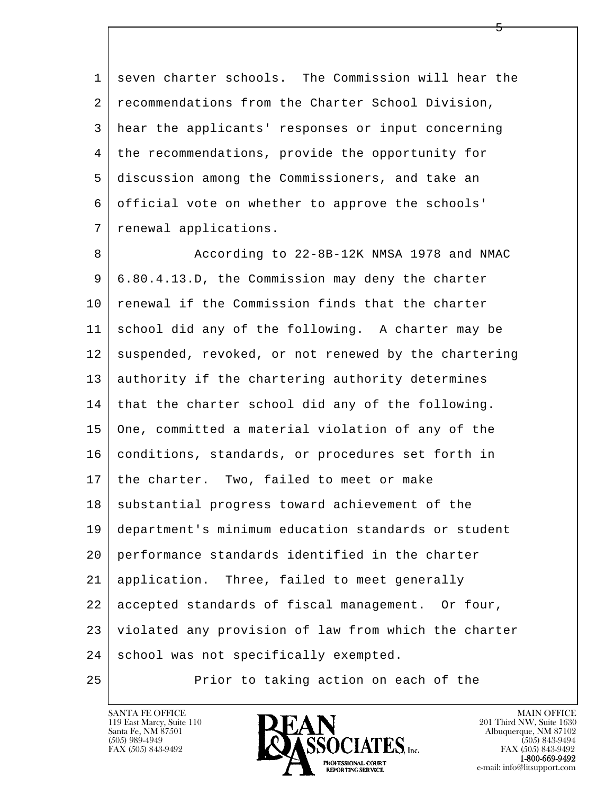1 seven charter schools. The Commission will hear the 2 | recommendations from the Charter School Division, 3 hear the applicants' responses or input concerning 4 the recommendations, provide the opportunity for 5 discussion among the Commissioners, and take an 6 official vote on whether to approve the schools' 7 renewal applications.

l  $\overline{\phantom{a}}$ 8 According to 22-8B-12K NMSA 1978 and NMAC 9 6.80.4.13.D, the Commission may deny the charter 10 | renewal if the Commission finds that the charter 11 school did any of the following. A charter may be 12 suspended, revoked, or not renewed by the chartering 13 authority if the chartering authority determines 14 that the charter school did any of the following. 15 One, committed a material violation of any of the 16 conditions, standards, or procedures set forth in 17 the charter. Two, failed to meet or make 18 substantial progress toward achievement of the 19 department's minimum education standards or student 20 performance standards identified in the charter 21 application. Three, failed to meet generally 22 accepted standards of fiscal management. Or four, 23 violated any provision of law from which the charter 24 school was not specifically exempted.

25 Prior to taking action on each of the

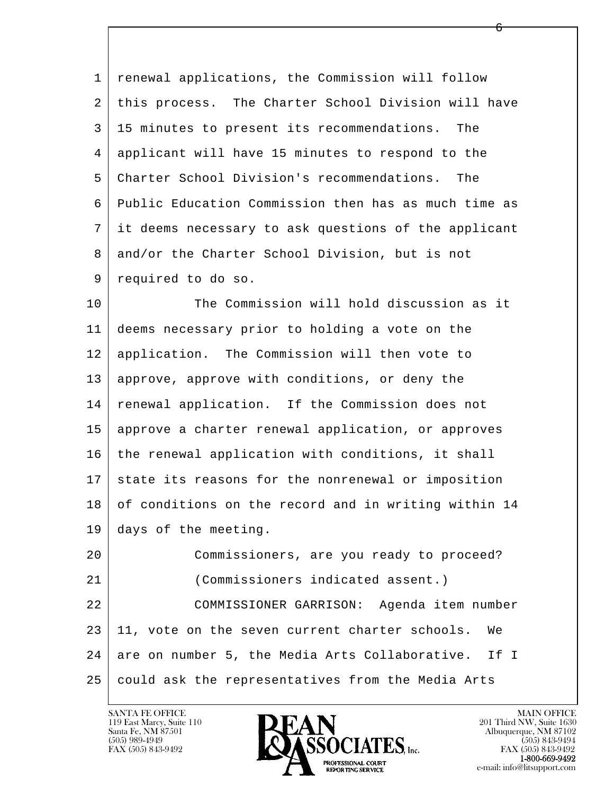| $\mathbf{1}$ | renewal applications, the Commission will follow     |
|--------------|------------------------------------------------------|
| 2            | this process. The Charter School Division will have  |
| 3            | 15 minutes to present its recommendations. The       |
| 4            | applicant will have 15 minutes to respond to the     |
| 5            | Charter School Division's recommendations. The       |
| 6            | Public Education Commission then has as much time as |
| 7            | it deems necessary to ask questions of the applicant |
| 8            | and/or the Charter School Division, but is not       |
| 9            | required to do so.                                   |
| 10           | The Commission will hold discussion as it            |
| 11           | deems necessary prior to holding a vote on the       |
| 12           | application. The Commission will then vote to        |
| 13           | approve, approve with conditions, or deny the        |
| 14           | renewal application. If the Commission does not      |

15 | approve a charter renewal application, or approves 16 the renewal application with conditions, it shall 17 state its reasons for the nonrenewal or imposition 18 of conditions on the record and in writing within 14 19 days of the meeting.

l  $\overline{\phantom{a}}$  20 Commissioners, are you ready to proceed? 21 (Commissioners indicated assent.) 22 COMMISSIONER GARRISON: Agenda item number 23 11, vote on the seven current charter schools. We 24 are on number 5, the Media Arts Collaborative. If I 25 could ask the representatives from the Media Arts

119 East Marcy, Suite 110<br>Santa Fe, NM 87501



 $\overline{6}$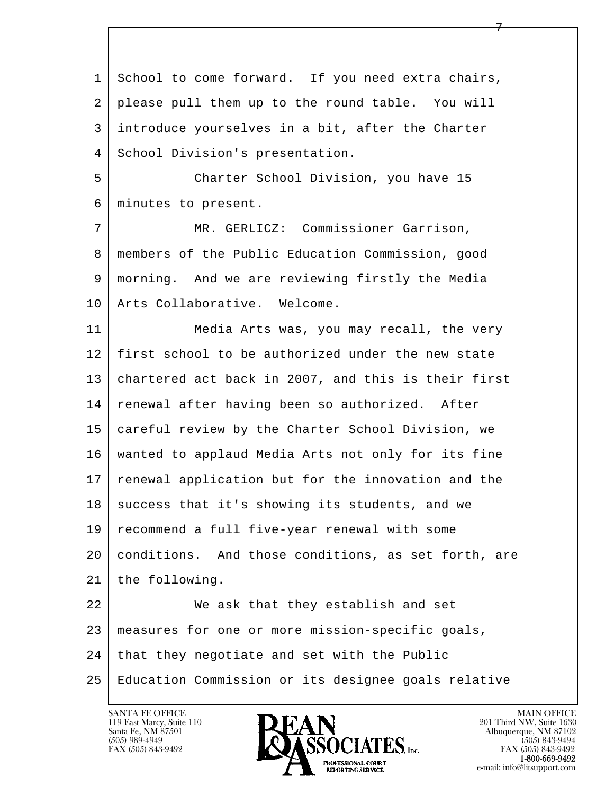l  $\overline{\phantom{a}}$ 1 School to come forward. If you need extra chairs, 2 please pull them up to the round table. You will 3 introduce yourselves in a bit, after the Charter 4 | School Division's presentation. 5 Charter School Division, you have 15 6 minutes to present. 7 MR. GERLICZ: Commissioner Garrison, 8 members of the Public Education Commission, good 9 morning. And we are reviewing firstly the Media 10 | Arts Collaborative. Welcome. 11 Media Arts was, you may recall, the very 12 first school to be authorized under the new state 13 | chartered act back in 2007, and this is their first 14 renewal after having been so authorized. After 15 careful review by the Charter School Division, we 16 wanted to applaud Media Arts not only for its fine 17 | renewal application but for the innovation and the 18 success that it's showing its students, and we 19 recommend a full five-year renewal with some 20 conditions. And those conditions, as set forth, are 21 | the following. 22 We ask that they establish and set 23 measures for one or more mission-specific goals,  $24$  that they negotiate and set with the Public 25 Education Commission or its designee goals relative

119 East Marcy, Suite 110<br>Santa Fe, NM 87501

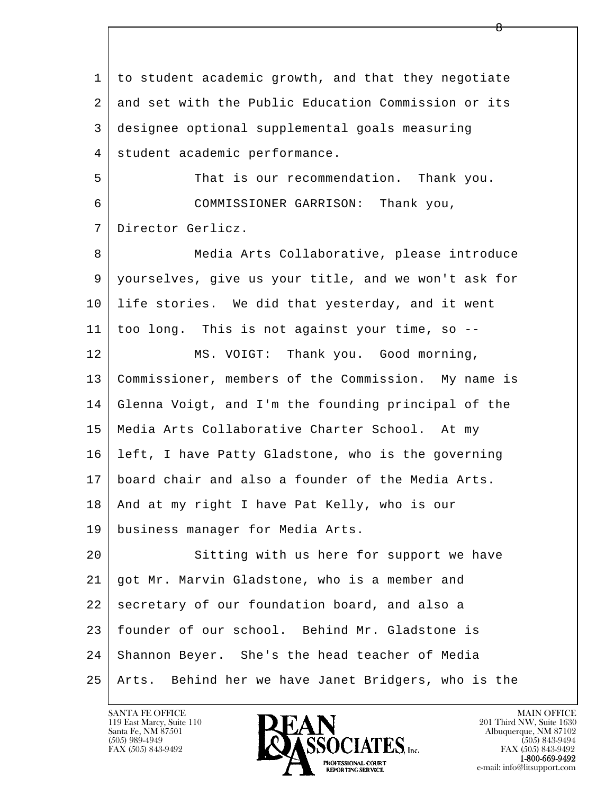l  $\overline{\phantom{a}}$  1 to student academic growth, and that they negotiate 2 and set with the Public Education Commission or its 3 designee optional supplemental goals measuring 4 student academic performance. 5 That is our recommendation. Thank you. 6 COMMISSIONER GARRISON: Thank you, 7 Director Gerlicz. 8 Media Arts Collaborative, please introduce 9 yourselves, give us your title, and we won't ask for 10 life stories. We did that yesterday, and it went 11 too long. This is not against your time, so -- 12 MS. VOIGT: Thank you. Good morning, 13 Commissioner, members of the Commission. My name is 14 Glenna Voigt, and I'm the founding principal of the 15 Media Arts Collaborative Charter School. At my 16 left, I have Patty Gladstone, who is the governing 17 board chair and also a founder of the Media Arts. 18 | And at my right I have Pat Kelly, who is our 19 business manager for Media Arts. 20 Sitting with us here for support we have 21 got Mr. Marvin Gladstone, who is a member and 22 secretary of our foundation board, and also a 23 founder of our school. Behind Mr. Gladstone is 24 Shannon Beyer. She's the head teacher of Media 25 Arts. Behind her we have Janet Bridgers, who is the

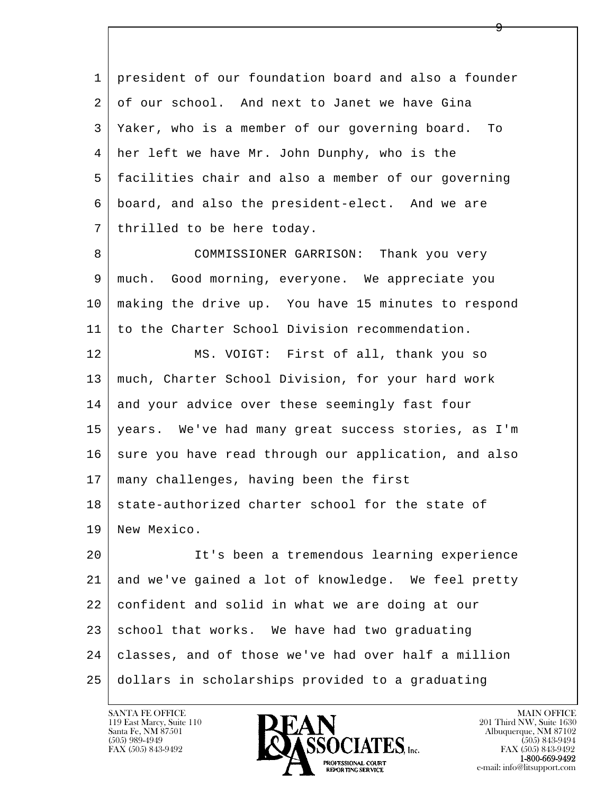l  $\overline{\phantom{a}}$  1 president of our foundation board and also a founder 2 of our school. And next to Janet we have Gina 3 Yaker, who is a member of our governing board. To 4 her left we have Mr. John Dunphy, who is the 5 facilities chair and also a member of our governing 6 board, and also the president-elect. And we are 7 | thrilled to be here today. 8 COMMISSIONER GARRISON: Thank you very 9 | much. Good morning, everyone. We appreciate you 10 making the drive up. You have 15 minutes to respond 11 to the Charter School Division recommendation. 12 MS. VOIGT: First of all, thank you so 13 much, Charter School Division, for your hard work 14 and your advice over these seemingly fast four 15 years. We've had many great success stories, as I'm 16 sure you have read through our application, and also 17 many challenges, having been the first 18 state-authorized charter school for the state of 19 New Mexico. 20 It's been a tremendous learning experience 21 and we've gained a lot of knowledge. We feel pretty 22 confident and solid in what we are doing at our  $23$  school that works. We have had two graduating 24 classes, and of those we've had over half a million 25 dollars in scholarships provided to a graduating

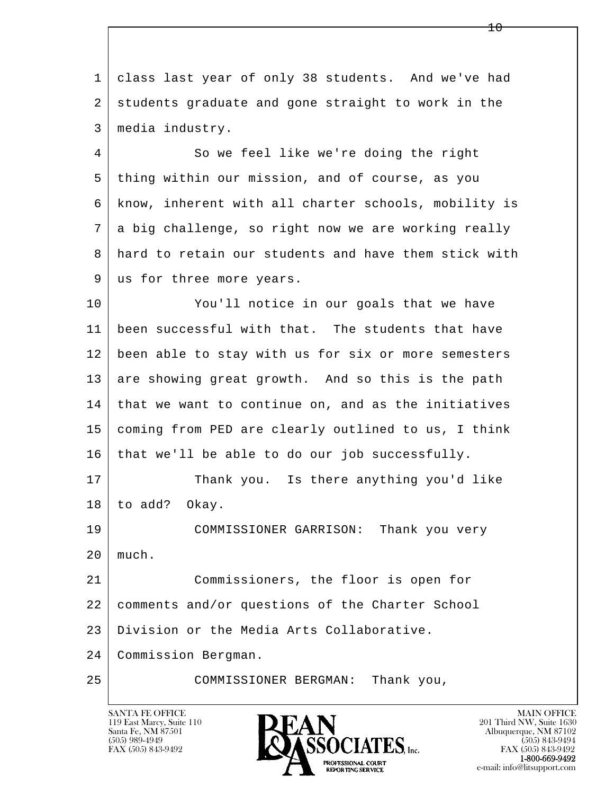1 class last year of only 38 students. And we've had 2 students graduate and gone straight to work in the 3 media industry.

4 So we feel like we're doing the right 5 thing within our mission, and of course, as you 6 know, inherent with all charter schools, mobility is 7 a big challenge, so right now we are working really 8 hard to retain our students and have them stick with 9 us for three more years.

10 You'll notice in our goals that we have 11 been successful with that. The students that have 12 been able to stay with us for six or more semesters 13 are showing great growth. And so this is the path 14 that we want to continue on, and as the initiatives 15 coming from PED are clearly outlined to us, I think  $16$  that we'll be able to do our job successfully.

17 Thank you. Is there anything you'd like 18 to add? Okay.

 19 COMMISSIONER GARRISON: Thank you very 20 much.

 21 Commissioners, the floor is open for 22 comments and/or questions of the Charter School 23 Division or the Media Arts Collaborative.

l  $\overline{\phantom{a}}$ 24 Commission Bergman.

25 COMMISSIONER BERGMAN: Thank you,

119 East Marcy, Suite 110<br>Santa Fe, NM 87501

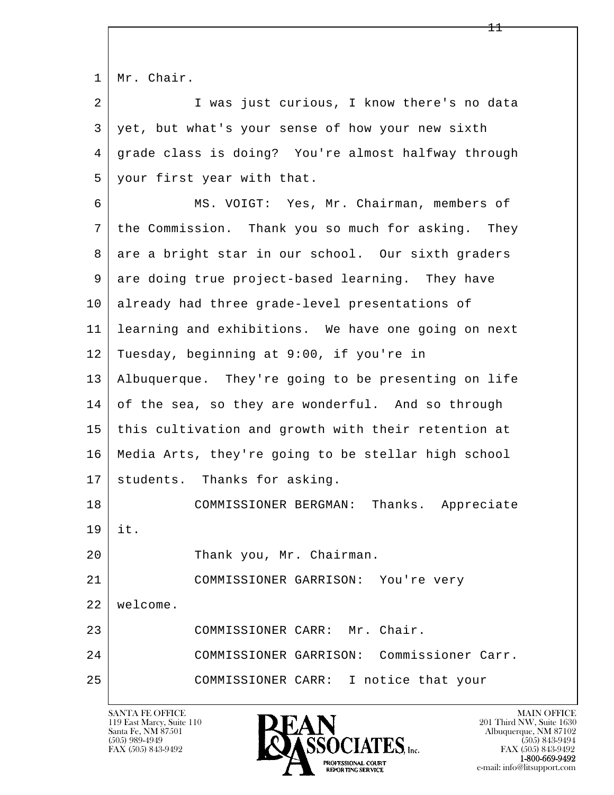|  |  | $1 \mid Mr. Chair.$ |
|--|--|---------------------|
|--|--|---------------------|

2 I was just curious, I know there's no data 3 yet, but what's your sense of how your new sixth 4 grade class is doing? You're almost halfway through 5 your first year with that.

l  $\overline{\phantom{a}}$  6 MS. VOIGT: Yes, Mr. Chairman, members of 7 the Commission. Thank you so much for asking. They 8 are a bright star in our school. Our sixth graders 9 are doing true project-based learning. They have 10 already had three grade-level presentations of 11 learning and exhibitions. We have one going on next 12 Tuesday, beginning at 9:00, if you're in 13 Albuquerque. They're going to be presenting on life 14 of the sea, so they are wonderful. And so through 15 this cultivation and growth with their retention at 16 Media Arts, they're going to be stellar high school 17 | students. Thanks for asking. 18 COMMISSIONER BERGMAN: Thanks. Appreciate 19 it. 20 Thank you, Mr. Chairman. 21 COMMISSIONER GARRISON: You're very 22 welcome. 23 COMMISSIONER CARR: Mr. Chair. 24 COMMISSIONER GARRISON: Commissioner Carr.

25 COMMISSIONER CARR: I notice that your

119 East Marcy, Suite 110<br>Santa Fe, NM 87501



FAX (505) 843-9492<br>**1-800-669-9492**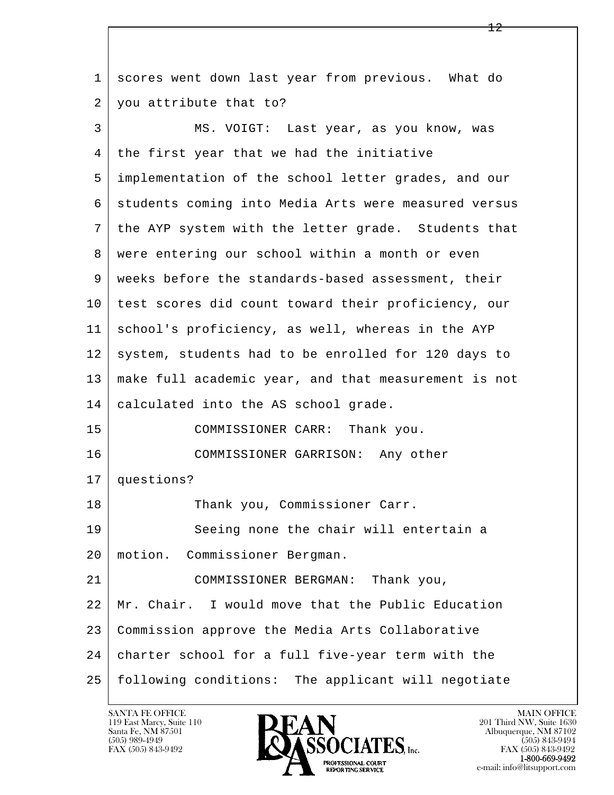l  $\overline{\phantom{a}}$  1 scores went down last year from previous. What do 2 you attribute that to? 3 MS. VOIGT: Last year, as you know, was 4 | the first year that we had the initiative 5 implementation of the school letter grades, and our 6 | students coming into Media Arts were measured versus 7 the AYP system with the letter grade. Students that 8 | were entering our school within a month or even 9 weeks before the standards-based assessment, their 10 test scores did count toward their proficiency, our 11 school's proficiency, as well, whereas in the AYP 12 system, students had to be enrolled for 120 days to 13 make full academic year, and that measurement is not 14 calculated into the AS school grade. 15 COMMISSIONER CARR: Thank you. 16 COMMISSIONER GARRISON: Any other 17 questions? 18 Thank you, Commissioner Carr. 19 Seeing none the chair will entertain a 20 motion. Commissioner Bergman. 21 COMMISSIONER BERGMAN: Thank you, 22 Mr. Chair. I would move that the Public Education 23 Commission approve the Media Arts Collaborative 24 charter school for a full five-year term with the 25 following conditions: The applicant will negotiate

119 East Marcy, Suite 110<br>Santa Fe, NM 87501

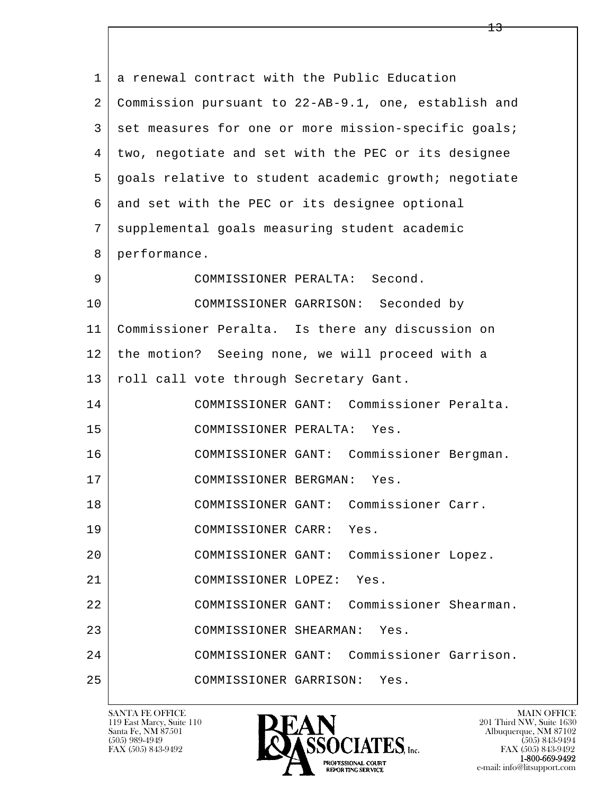| $\mathbf{1}$ | a renewal contract with the Public Education         |
|--------------|------------------------------------------------------|
| 2            | Commission pursuant to 22-AB-9.1, one, establish and |
| 3            | set measures for one or more mission-specific goals; |
| 4            | two, negotiate and set with the PEC or its designee  |
| 5            | goals relative to student academic growth; negotiate |
| 6            | and set with the PEC or its designee optional        |
| 7            | supplemental goals measuring student academic        |
| 8            | performance.                                         |
| 9            | COMMISSIONER PERALTA: Second.                        |
| 10           | COMMISSIONER GARRISON: Seconded by                   |
| 11           | Commissioner Peralta. Is there any discussion on     |
| 12           | the motion? Seeing none, we will proceed with a      |
| 13           | roll call vote through Secretary Gant.               |
| 14           | COMMISSIONER GANT: Commissioner Peralta.             |
| 15           | COMMISSIONER PERALTA:<br>Yes.                        |
| 16           | COMMISSIONER GANT: Commissioner Bergman.             |
| 17           | Yes.<br>COMMISSIONER BERGMAN:                        |
| 18           | COMMISSIONER GANT: Commissioner Carr.                |
| 19           | COMMISSIONER CARR: Yes.                              |
| 20           | COMMISSIONER GANT: Commissioner Lopez.               |
| 21           | COMMISSIONER LOPEZ:<br>Yes.                          |
| 22           | COMMISSIONER GANT: Commissioner Shearman.            |
| 23           | COMMISSIONER SHEARMAN:<br>Yes.                       |
| 24           | COMMISSIONER GANT: Commissioner Garrison.            |
| 25           | COMMISSIONER GARRISON:<br>Yes.                       |

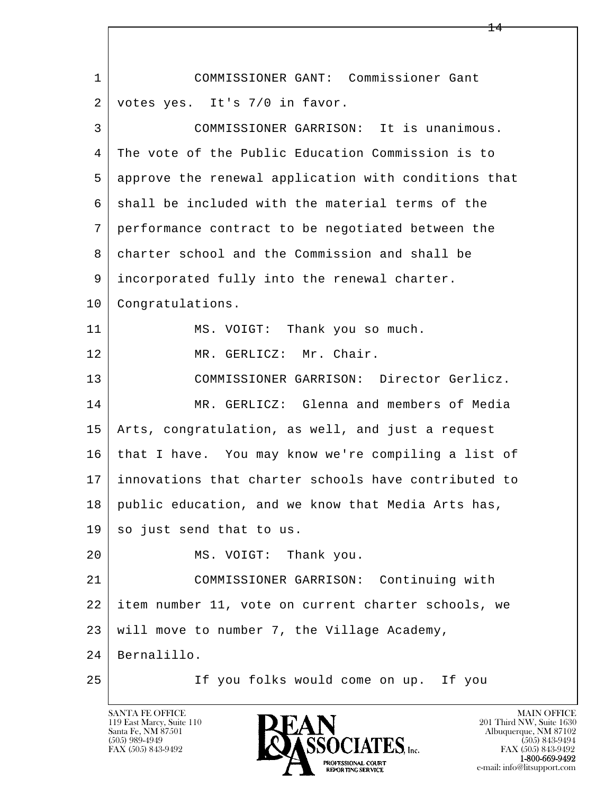l  $\overline{\phantom{a}}$  1 COMMISSIONER GANT: Commissioner Gant 2 votes yes. It's 7/0 in favor. 3 COMMISSIONER GARRISON: It is unanimous. 4 The vote of the Public Education Commission is to 5 approve the renewal application with conditions that 6 | shall be included with the material terms of the 7 performance contract to be negotiated between the 8 charter school and the Commission and shall be 9 incorporated fully into the renewal charter. 10 | Congratulations. 11 | MS. VOIGT: Thank you so much. 12 MR. GERLICZ: Mr. Chair. 13 COMMISSIONER GARRISON: Director Gerlicz. 14 MR. GERLICZ: Glenna and members of Media 15 Arts, congratulation, as well, and just a request 16 that I have. You may know we're compiling a list of 17 innovations that charter schools have contributed to 18 | public education, and we know that Media Arts has, 19 so just send that to us. 20 MS. VOIGT: Thank you. 21 COMMISSIONER GARRISON: Continuing with 22 item number 11, vote on current charter schools, we  $23$  will move to number 7, the Village Academy, 24 Bernalillo. 25 If you folks would come on up. If you

119 East Marcy, Suite 110<br>Santa Fe, NM 87501



FAX (505) 843-9492<br>1-800-669-9492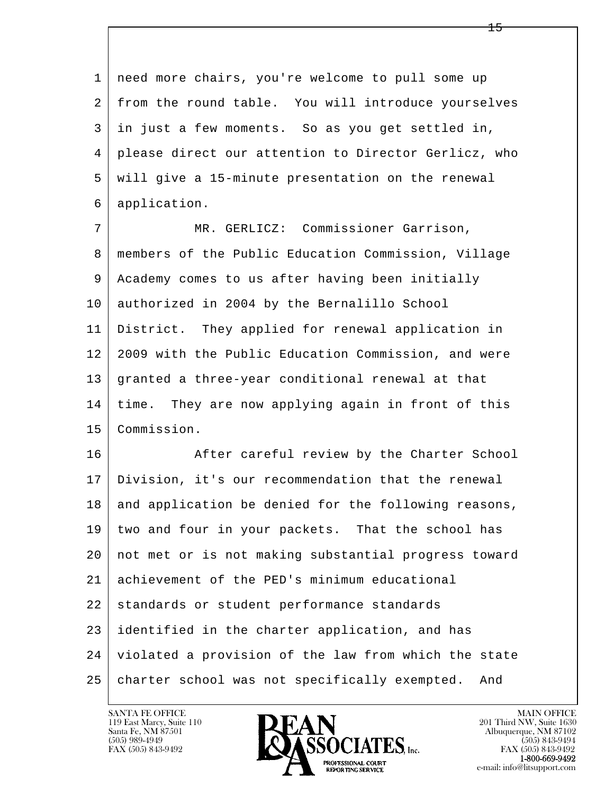l  $\overline{\phantom{a}}$  1 need more chairs, you're welcome to pull some up 2 from the round table. You will introduce yourselves 3 in just a few moments. So as you get settled in, 4 please direct our attention to Director Gerlicz, who 5 will give a 15-minute presentation on the renewal 6 application. 7 MR. GERLICZ: Commissioner Garrison, 8 members of the Public Education Commission, Village 9 Academy comes to us after having been initially 10 authorized in 2004 by the Bernalillo School 11 District. They applied for renewal application in 12 2009 with the Public Education Commission, and were 13 granted a three-year conditional renewal at that 14 time. They are now applying again in front of this 15 Commission. 16 After careful review by the Charter School 17 Division, it's our recommendation that the renewal 18 and application be denied for the following reasons, 19 two and four in your packets. That the school has 20 not met or is not making substantial progress toward 21 achievement of the PED's minimum educational 22 standards or student performance standards 23 identified in the charter application, and has 24 violated a provision of the law from which the state 25 charter school was not specifically exempted. And

119 East Marcy, Suite 110<br>Santa Fe, NM 87501

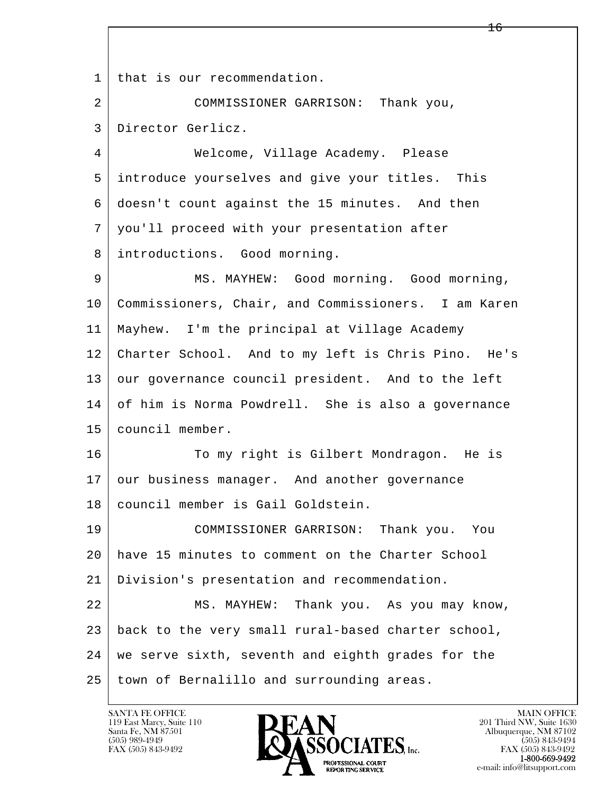l  $\overline{\phantom{a}}$ 1 | that is our recommendation. 2 COMMISSIONER GARRISON: Thank you, 3 Director Gerlicz. 4 Welcome, Village Academy. Please 5 introduce yourselves and give your titles. This 6 doesn't count against the 15 minutes. And then 7 you'll proceed with your presentation after 8 introductions. Good morning. 9 MS. MAYHEW: Good morning. Good morning, 10 Commissioners, Chair, and Commissioners. I am Karen 11 Mayhew. I'm the principal at Village Academy 12 Charter School. And to my left is Chris Pino. He's 13 our governance council president. And to the left 14 of him is Norma Powdrell. She is also a governance 15 council member. 16 To my right is Gilbert Mondragon. He is 17 our business manager. And another governance 18 council member is Gail Goldstein. 19 COMMISSIONER GARRISON: Thank you. You 20 have 15 minutes to comment on the Charter School 21 Division's presentation and recommendation. 22 MS. MAYHEW: Thank you. As you may know, 23 back to the very small rural-based charter school, 24 we serve sixth, seventh and eighth grades for the 25 town of Bernalillo and surrounding areas.

119 East Marcy, Suite 110<br>Santa Fe, NM 87501

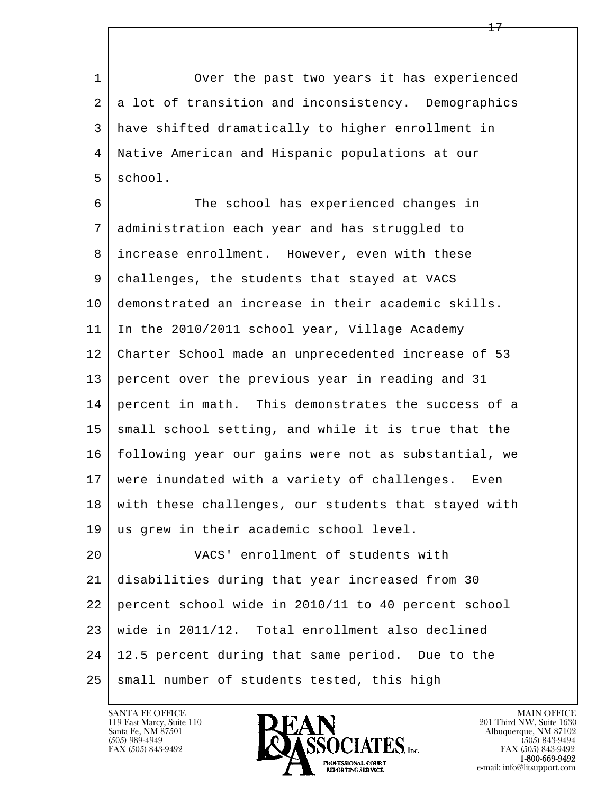1 Over the past two years it has experienced 2 a lot of transition and inconsistency. Demographics 3 have shifted dramatically to higher enrollment in 4 Native American and Hispanic populations at our 5 school.

6 The school has experienced changes in 7 administration each year and has struggled to 8 increase enrollment. However, even with these 9 challenges, the students that stayed at VACS 10 demonstrated an increase in their academic skills. 11 In the 2010/2011 school year, Village Academy 12 Charter School made an unprecedented increase of 53 13 percent over the previous year in reading and 31 14 percent in math. This demonstrates the success of a 15 | small school setting, and while it is true that the 16 following year our gains were not as substantial, we 17 were inundated with a variety of challenges. Even 18 with these challenges, our students that stayed with 19 us grew in their academic school level. 20 VACS' enrollment of students with

l  $\overline{\phantom{a}}$  21 disabilities during that year increased from 30 22 percent school wide in 2010/11 to 40 percent school 23 wide in 2011/12. Total enrollment also declined 24 12.5 percent during that same period. Due to the 25 small number of students tested, this high

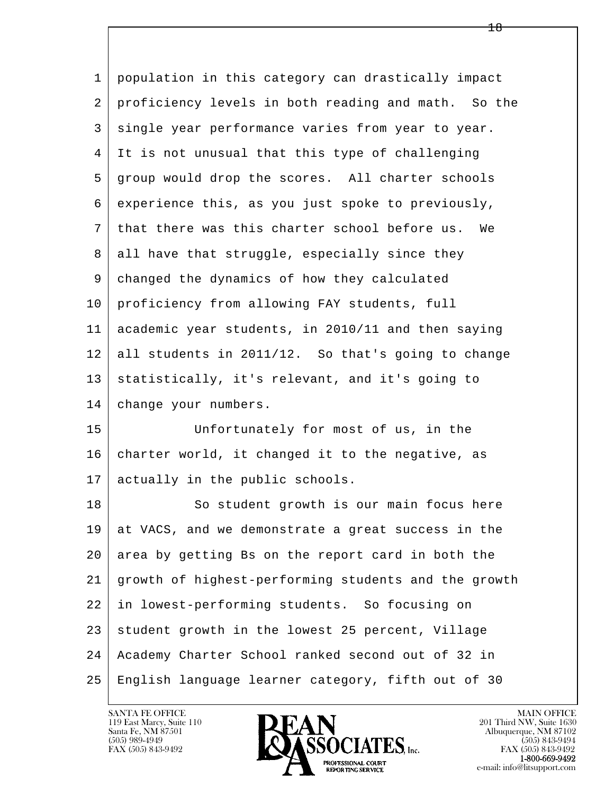| 1  | population in this category can drastically impact   |
|----|------------------------------------------------------|
| 2  | proficiency levels in both reading and math. So the  |
| 3  | single year performance varies from year to year.    |
| 4  | It is not unusual that this type of challenging      |
| 5  | group would drop the scores. All charter schools     |
| 6  | experience this, as you just spoke to previously,    |
| 7  | that there was this charter school before us.<br>We  |
| 8  | all have that struggle, especially since they        |
| 9  | changed the dynamics of how they calculated          |
| 10 | proficiency from allowing FAY students, full         |
| 11 | academic year students, in 2010/11 and then saying   |
| 12 | all students in 2011/12. So that's going to change   |
| 13 | statistically, it's relevant, and it's going to      |
| 14 | change your numbers.                                 |
| 15 | Unfortunately for most of us, in the                 |
| 16 | charter world, it changed it to the negative, as     |
| 17 | actually in the public schools.                      |
| 18 | So student growth is our main focus here             |
| 19 | at VACS, and we demonstrate a great success in the   |
| 20 | area by getting Bs on the report card in both the    |
| 21 | growth of highest-performing students and the growth |
| 22 | in lowest-performing students. So focusing on        |
| 23 | student growth in the lowest 25 percent, Village     |
| 24 | Academy Charter School ranked second out of 32 in    |
| 25 | English language learner category, fifth out of 30   |

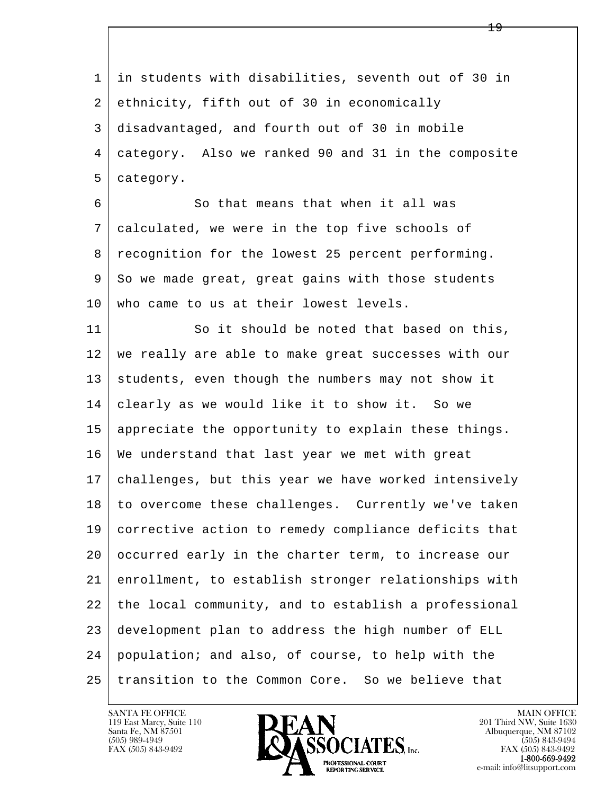l  $\overline{\phantom{a}}$  1 in students with disabilities, seventh out of 30 in 2 ethnicity, fifth out of 30 in economically 3 disadvantaged, and fourth out of 30 in mobile 4 category. Also we ranked 90 and 31 in the composite 5 category. 6 So that means that when it all was 7 calculated, we were in the top five schools of 8 | recognition for the lowest 25 percent performing. 9 So we made great, great gains with those students 10 | who came to us at their lowest levels. 11 So it should be noted that based on this, 12 we really are able to make great successes with our 13 students, even though the numbers may not show it 14 clearly as we would like it to show it. So we 15 appreciate the opportunity to explain these things. 16 We understand that last year we met with great 17 challenges, but this year we have worked intensively 18 to overcome these challenges. Currently we've taken 19 corrective action to remedy compliance deficits that 20 occurred early in the charter term, to increase our 21 enrollment, to establish stronger relationships with 22 the local community, and to establish a professional 23 development plan to address the high number of ELL 24 population; and also, of course, to help with the 25 transition to the Common Core. So we believe that

119 East Marcy, Suite 110<br>Santa Fe, NM 87501

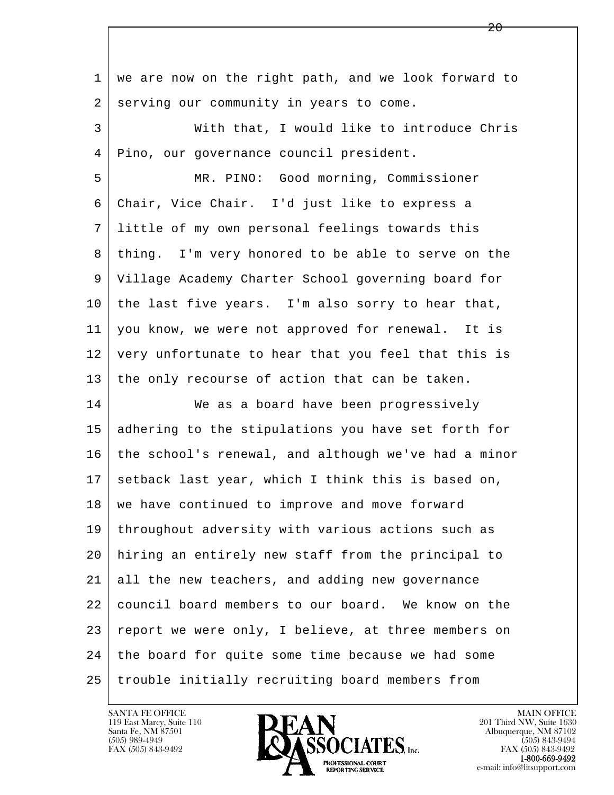| 1  | we are now on the right path, and we look forward to |
|----|------------------------------------------------------|
| 2  | serving our community in years to come.              |
| 3  | With that, I would like to introduce Chris           |
| 4  | Pino, our governance council president.              |
| 5  | MR. PINO: Good morning, Commissioner                 |
| 6  | Chair, Vice Chair. I'd just like to express a        |
| 7  | little of my own personal feelings towards this      |
| 8  | thing. I'm very honored to be able to serve on the   |
| 9  | Village Academy Charter School governing board for   |
| 10 | the last five years. I'm also sorry to hear that,    |
| 11 | you know, we were not approved for renewal. It is    |
| 12 | very unfortunate to hear that you feel that this is  |
| 13 | the only recourse of action that can be taken.       |
| 14 | We as a board have been progressively                |
| 15 | adhering to the stipulations you have set forth for  |
| 16 | the school's renewal, and although we've had a minor |
| 17 | setback last year, which I think this is based on,   |
| 18 | we have continued to improve and move forward        |
| 19 | throughout adversity with various actions such as    |
| 20 | hiring an entirely new staff from the principal to   |
| 21 | all the new teachers, and adding new governance      |
| 22 | council board members to our board. We know on the   |
| 23 | report we were only, I believe, at three members on  |
| 24 | the board for quite some time because we had some    |
| 25 | trouble initially recruiting board members from      |

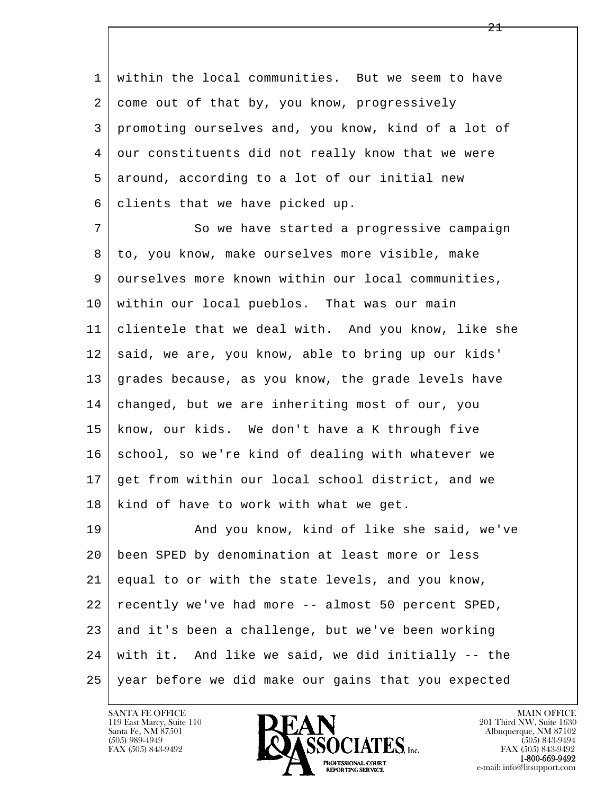1 within the local communities. But we seem to have 2 | come out of that by, you know, progressively 3 promoting ourselves and, you know, kind of a lot of 4 our constituents did not really know that we were 5 | around, according to a lot of our initial new 6 clients that we have picked up.

7 So we have started a progressive campaign 8 to, you know, make ourselves more visible, make 9 ourselves more known within our local communities, 10 within our local pueblos. That was our main 11 clientele that we deal with. And you know, like she 12 said, we are, you know, able to bring up our kids' 13 grades because, as you know, the grade levels have 14 | changed, but we are inheriting most of our, you 15 know, our kids. We don't have a K through five 16 school, so we're kind of dealing with whatever we 17 get from within our local school district, and we 18 kind of have to work with what we get.

l  $\overline{\phantom{a}}$ 19 And you know, kind of like she said, we've 20 been SPED by denomination at least more or less 21 equal to or with the state levels, and you know, 22 recently we've had more -- almost 50 percent SPED, 23 and it's been a challenge, but we've been working 24 with it. And like we said, we did initially -- the 25 year before we did make our gains that you expected

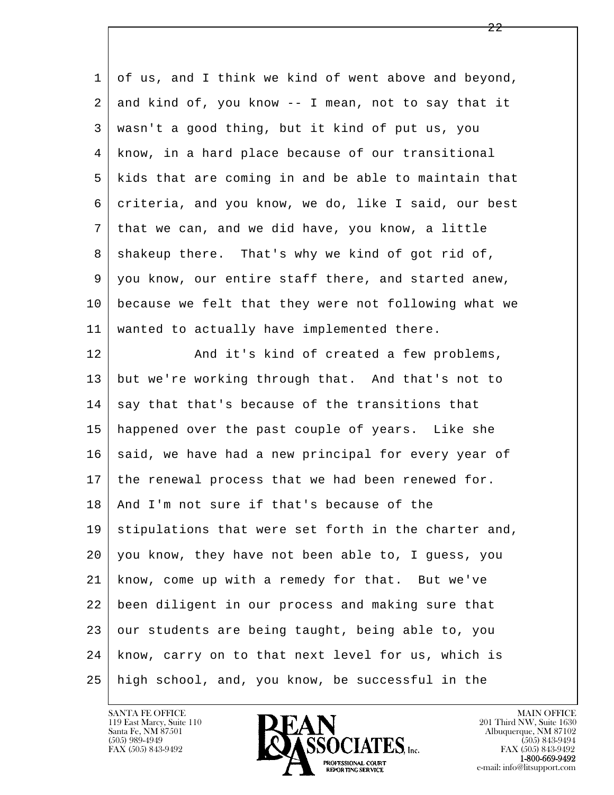| 1  | of us, and I think we kind of went above and beyond, |
|----|------------------------------------------------------|
| 2  | and kind of, you know -- I mean, not to say that it  |
| 3  | wasn't a good thing, but it kind of put us, you      |
| 4  | know, in a hard place because of our transitional    |
| 5  | kids that are coming in and be able to maintain that |
| 6  | criteria, and you know, we do, like I said, our best |
| 7  | that we can, and we did have, you know, a little     |
| 8  | shakeup there. That's why we kind of got rid of,     |
| 9  | you know, our entire staff there, and started anew,  |
| 10 | because we felt that they were not following what we |
| 11 | wanted to actually have implemented there.           |
| 12 | And it's kind of created a few problems,             |
| 13 | but we're working through that. And that's not to    |
| 14 | say that that's because of the transitions that      |
| 15 | happened over the past couple of years. Like she     |
| 16 | said, we have had a new principal for every year of  |
| 17 | the renewal process that we had been renewed for.    |
| 18 | And I'm not sure if that's because of the            |
| 19 | stipulations that were set forth in the charter and, |
| 20 | you know, they have not been able to, I guess, you   |
| 21 | know, come up with a remedy for that. But we've      |
| 22 | been diligent in our process and making sure that    |
| 23 | our students are being taught, being able to, you    |
| 24 | know, carry on to that next level for us, which is   |
| 25 | high school, and, you know, be successful in the     |

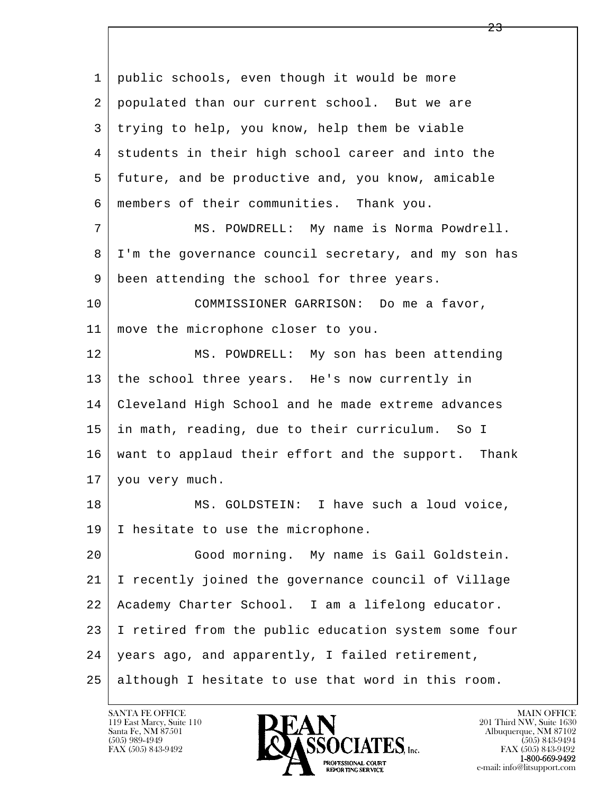l  $\overline{\phantom{a}}$  1 public schools, even though it would be more 2 populated than our current school. But we are 3 trying to help, you know, help them be viable 4 students in their high school career and into the 5 future, and be productive and, you know, amicable 6 members of their communities. Thank you. 7 MS. POWDRELL: My name is Norma Powdrell. 8 I'm the governance council secretary, and my son has 9 | been attending the school for three years. 10 COMMISSIONER GARRISON: Do me a favor, 11 move the microphone closer to you. 12 MS. POWDRELL: My son has been attending 13 the school three years. He's now currently in 14 Cleveland High School and he made extreme advances 15 in math, reading, due to their curriculum. So I 16 want to applaud their effort and the support. Thank 17 you very much. 18 | MS. GOLDSTEIN: I have such a loud voice, 19 | I hesitate to use the microphone. 20 Good morning. My name is Gail Goldstein. 21 I recently joined the governance council of Village 22 Academy Charter School. I am a lifelong educator. 23 I retired from the public education system some four 24 years ago, and apparently, I failed retirement, 25 although I hesitate to use that word in this room.

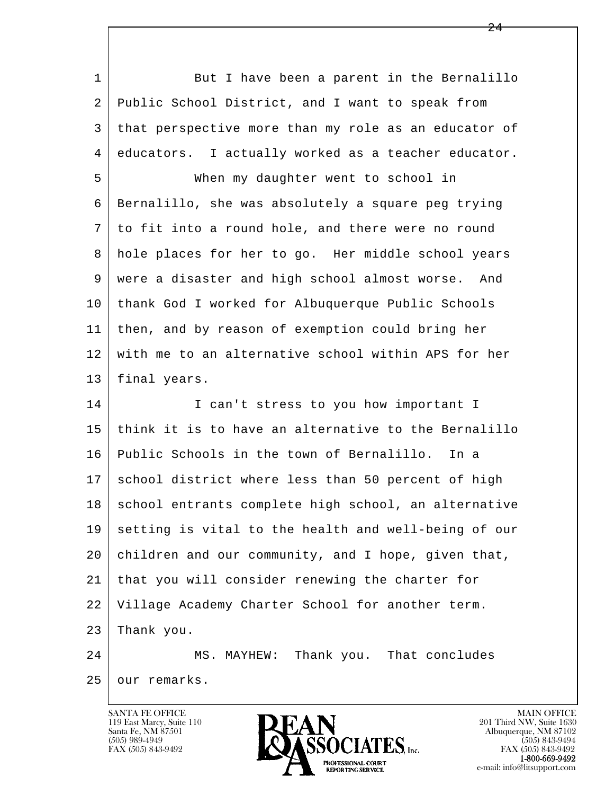| $\mathbf{1}$ | But I have been a parent in the Bernalillo           |
|--------------|------------------------------------------------------|
| 2            | Public School District, and I want to speak from     |
| 3            | that perspective more than my role as an educator of |
| 4            | educators. I actually worked as a teacher educator.  |
| 5            | When my daughter went to school in                   |
| 6            | Bernalillo, she was absolutely a square peg trying   |
| 7            | to fit into a round hole, and there were no round    |
| 8            | hole places for her to go. Her middle school years   |
| 9            | were a disaster and high school almost worse. And    |
| 10           | thank God I worked for Albuquerque Public Schools    |
| 11           | then, and by reason of exemption could bring her     |
| 12           | with me to an alternative school within APS for her  |
| 13           | final years.                                         |
| 14           | I can't stress to you how important I                |
| 15           | think it is to have an alternative to the Bernalillo |
| 16           | Public Schools in the town of Bernalillo.<br>In a    |
| 17           | school district where less than 50 percent of high   |
| 18           | school entrants complete high school, an alternative |
| 19           | setting is vital to the health and well-being of our |
| 20           | children and our community, and I hope, given that,  |
| 21           | that you will consider renewing the charter for      |
| 22           | Village Academy Charter School for another term.     |
| 23           | Thank you.                                           |
| 24           | Thank you. That concludes<br>MS. MAYHEW:             |
| 25           | our remarks.                                         |

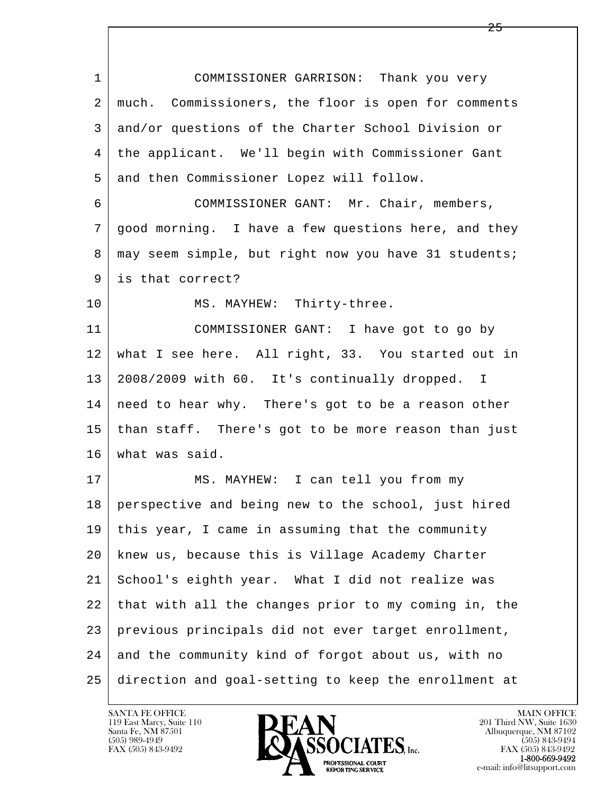l  $\overline{\phantom{a}}$  1 COMMISSIONER GARRISON: Thank you very 2 much. Commissioners, the floor is open for comments 3 and/or questions of the Charter School Division or 4 the applicant. We'll begin with Commissioner Gant 5 and then Commissioner Lopez will follow. 6 COMMISSIONER GANT: Mr. Chair, members, 7 good morning. I have a few questions here, and they 8 | may seem simple, but right now you have 31 students; 9 is that correct? 10 MS. MAYHEW: Thirty-three. 11 COMMISSIONER GANT: I have got to go by 12 what I see here. All right, 33. You started out in 13 2008/2009 with 60. It's continually dropped. I 14 need to hear why. There's got to be a reason other 15 than staff. There's got to be more reason than just 16 what was said. 17 | MS. MAYHEW: I can tell you from my 18 perspective and being new to the school, just hired 19 this year, I came in assuming that the community 20 knew us, because this is Village Academy Charter 21 School's eighth year. What I did not realize was 22 that with all the changes prior to my coming in, the 23 previous principals did not ever target enrollment, 24 and the community kind of forgot about us, with no 25 direction and goal-setting to keep the enrollment at

25

119 East Marcy, Suite 110<br>Santa Fe, NM 87501

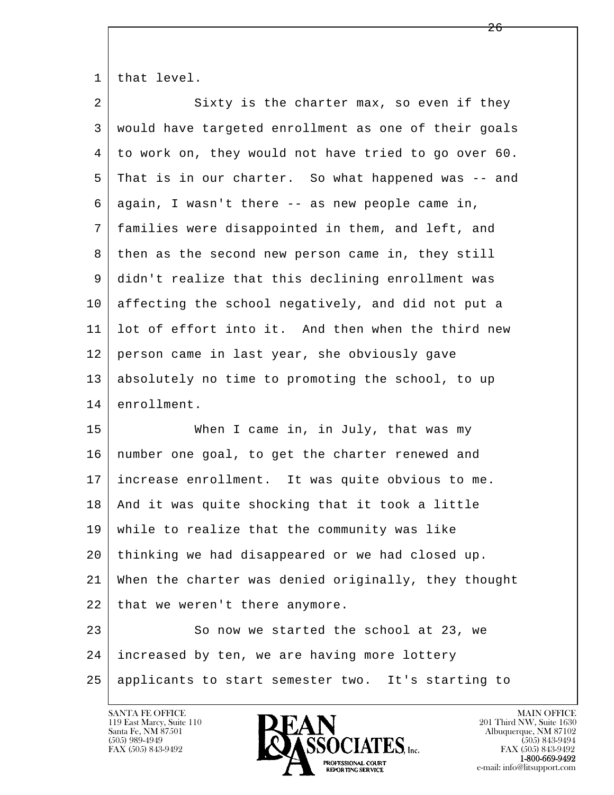1 that level.

| $\overline{a}$ | Sixty is the charter max, so even if they            |
|----------------|------------------------------------------------------|
| 3              | would have targeted enrollment as one of their goals |
| 4              | to work on, they would not have tried to go over 60. |
| 5              | That is in our charter. So what happened was -- and  |
| 6              | again, I wasn't there -- as new people came in,      |
| 7              | families were disappointed in them, and left, and    |
| 8              | then as the second new person came in, they still    |
| 9              | didn't realize that this declining enrollment was    |
| 10             | affecting the school negatively, and did not put a   |
| 11             | lot of effort into it. And then when the third new   |
| 12             | person came in last year, she obviously gave         |
| 13             | absolutely no time to promoting the school, to up    |
| 14             | enrollment.                                          |
| 15             | When I came in, in July, that was my                 |
| 16             | number one goal, to get the charter renewed and      |
| 17             | increase enrollment. It was quite obvious to me.     |
| 18             | And it was quite shocking that it took a little      |
| 19             | while to realize that the community was like         |
| 20             | thinking we had disappeared or we had closed up.     |
| 21             | When the charter was denied originally, they thought |
| 22             | that we weren't there anymore.                       |
| 23             | So now we started the school at 23, we               |
|                |                                                      |
| 24             | increased by ten, we are having more lottery         |

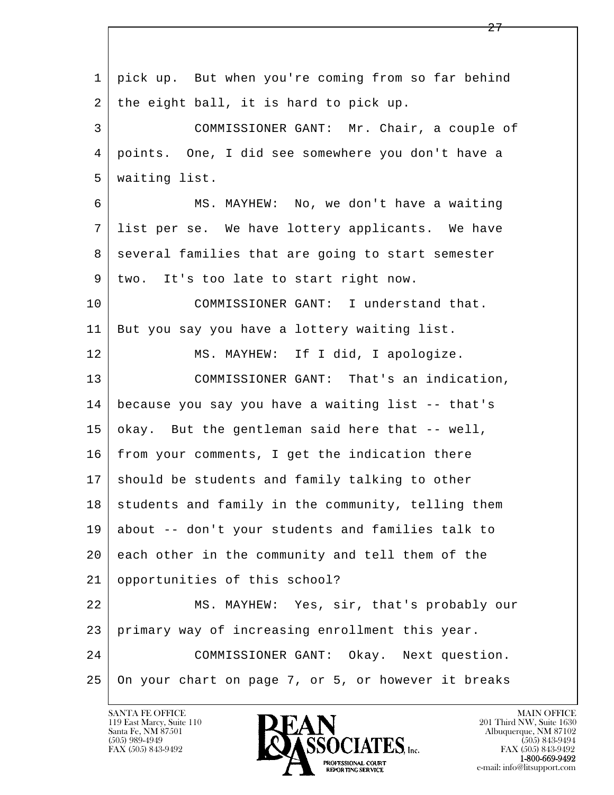l  $\overline{\phantom{a}}$  1 pick up. But when you're coming from so far behind 2 | the eight ball, it is hard to pick up. 3 COMMISSIONER GANT: Mr. Chair, a couple of 4 points. One, I did see somewhere you don't have a 5 waiting list. 6 MS. MAYHEW: No, we don't have a waiting 7 list per se. We have lottery applicants. We have 8 several families that are going to start semester 9 two. It's too late to start right now. 10 COMMISSIONER GANT: I understand that. 11 But you say you have a lottery waiting list. 12 MS. MAYHEW: If I did, I apologize. 13 COMMISSIONER GANT: That's an indication, 14 because you say you have a waiting list -- that's 15 okay. But the gentleman said here that -- well,  $16$  from your comments, I get the indication there 17 should be students and family talking to other  $18$  students and family in the community, telling them 19 about -- don't your students and families talk to 20 each other in the community and tell them of the 21 opportunities of this school? 22 MS. MAYHEW: Yes, sir, that's probably our 23 primary way of increasing enrollment this year. 24 COMMISSIONER GANT: Okay. Next question. 25 On your chart on page 7, or 5, or however it breaks

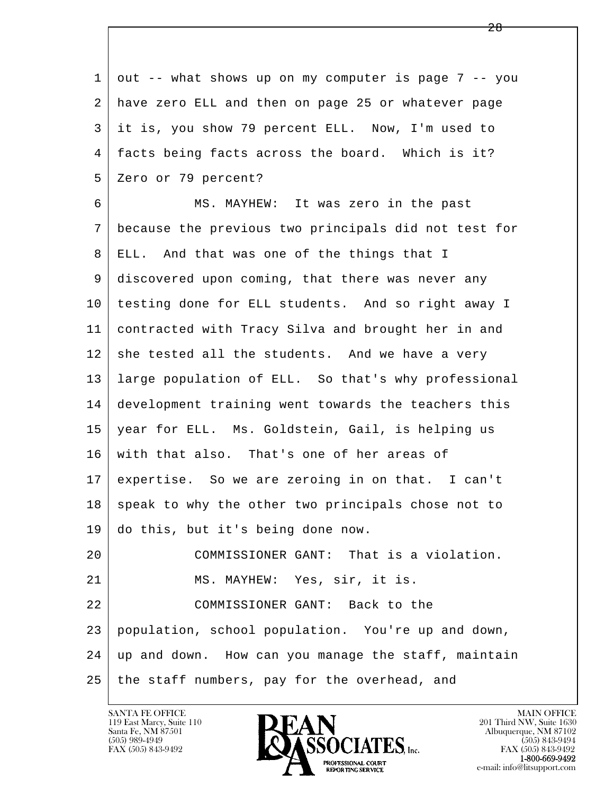l  $\overline{\phantom{a}}$  $1 \mid out$  -- what shows up on my computer is page 7 -- you 2 have zero ELL and then on page 25 or whatever page 3 it is, you show 79 percent ELL. Now, I'm used to 4 facts being facts across the board. Which is it? 5 Zero or 79 percent? 6 MS. MAYHEW: It was zero in the past 7 because the previous two principals did not test for 8 ELL. And that was one of the things that I 9 discovered upon coming, that there was never any 10 testing done for ELL students. And so right away I 11 contracted with Tracy Silva and brought her in and  $12$  she tested all the students. And we have a very 13 large population of ELL. So that's why professional 14 development training went towards the teachers this 15 year for ELL. Ms. Goldstein, Gail, is helping us 16 with that also. That's one of her areas of 17 expertise. So we are zeroing in on that. I can't  $18$  speak to why the other two principals chose not to 19 do this, but it's being done now. 20 COMMISSIONER GANT: That is a violation. 21 | MS. MAYHEW: Yes, sir, it is. 22 COMMISSIONER GANT: Back to the 23 population, school population. You're up and down, 24 up and down. How can you manage the staff, maintain  $25$  the staff numbers, pay for the overhead, and

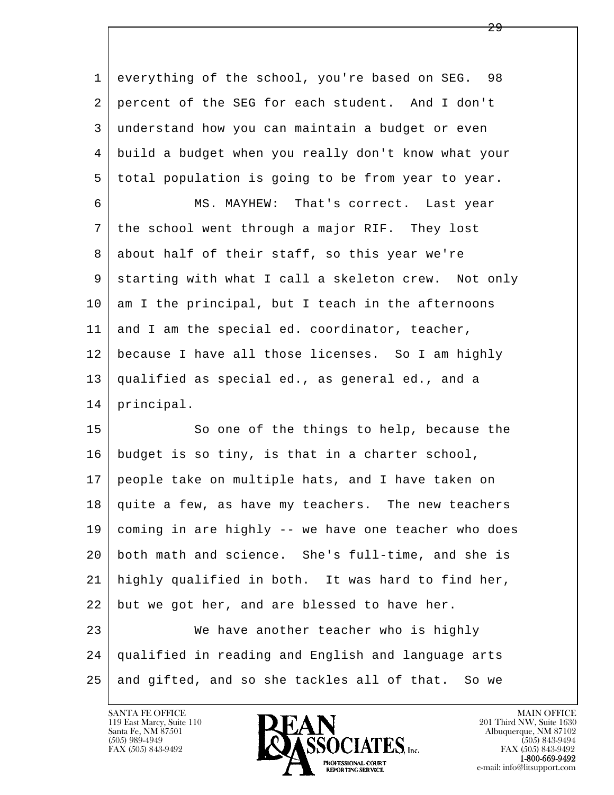1 everything of the school, you're based on SEG. 98 2 percent of the SEG for each student. And I don't 3 understand how you can maintain a budget or even 4 build a budget when you really don't know what your 5 total population is going to be from year to year.

 6 MS. MAYHEW: That's correct. Last year 7 the school went through a major RIF. They lost 8 about half of their staff, so this year we're 9 starting with what I call a skeleton crew. Not only  $10$  am I the principal, but I teach in the afternoons 11 and I am the special ed. coordinator, teacher, 12 because I have all those licenses. So I am highly 13 qualified as special ed., as general ed., and a 14 principal.

l  $\overline{\phantom{a}}$ 15 So one of the things to help, because the 16 budget is so tiny, is that in a charter school, 17 people take on multiple hats, and I have taken on 18 quite a few, as have my teachers. The new teachers 19 coming in are highly -- we have one teacher who does 20 both math and science. She's full-time, and she is 21 highly qualified in both. It was hard to find her,  $22$  but we got her, and are blessed to have her. 23 We have another teacher who is highly 24 qualified in reading and English and language arts 25 and gifted, and so she tackles all of that. So we

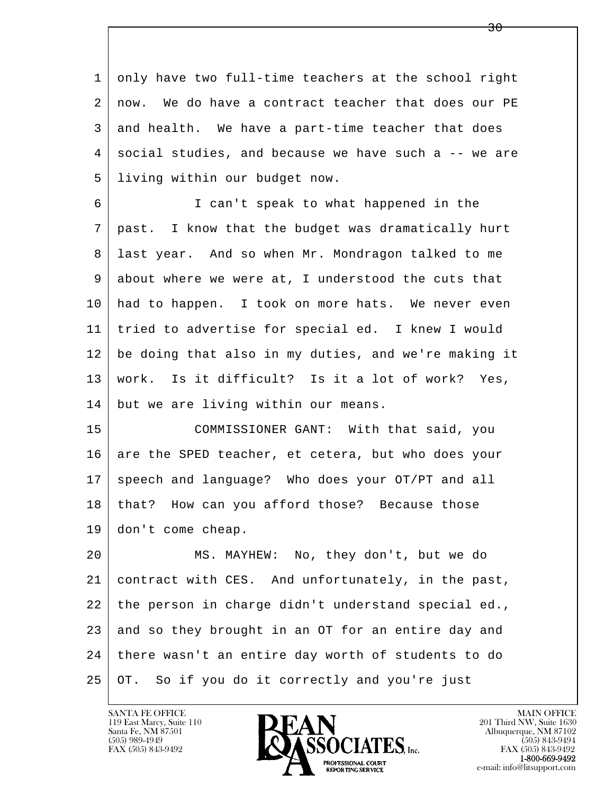1 only have two full-time teachers at the school right 2 now. We do have a contract teacher that does our PE 3 and health. We have a part-time teacher that does 4 social studies, and because we have such a -- we are 5 living within our budget now.

 6 I can't speak to what happened in the 7 past. I know that the budget was dramatically hurt 8 last year. And so when Mr. Mondragon talked to me 9 about where we were at, I understood the cuts that 10 had to happen. I took on more hats. We never even 11 tried to advertise for special ed. I knew I would 12 be doing that also in my duties, and we're making it 13 work. Is it difficult? Is it a lot of work? Yes, 14 but we are living within our means.

 15 COMMISSIONER GANT: With that said, you 16 are the SPED teacher, et cetera, but who does your 17 speech and language? Who does your OT/PT and all 18 | that? How can you afford those? Because those 19 don't come cheap.

l  $\overline{\phantom{a}}$  20 MS. MAYHEW: No, they don't, but we do 21 contract with CES. And unfortunately, in the past, 22 the person in charge didn't understand special ed., 23 and so they brought in an OT for an entire day and 24 there wasn't an entire day worth of students to do 25 OT. So if you do it correctly and you're just

119 East Marcy, Suite 110<br>Santa Fe, NM 87501

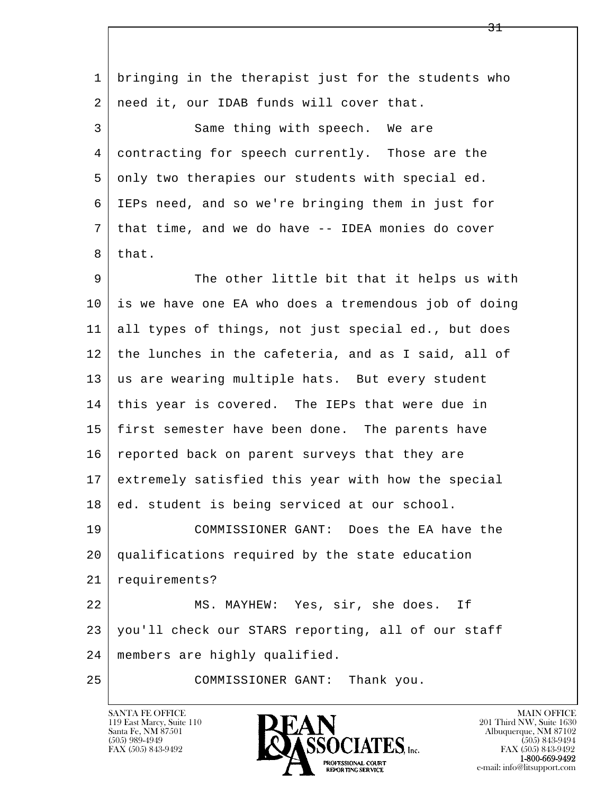l  $\overline{\phantom{a}}$  1 bringing in the therapist just for the students who 2 | need it, our IDAB funds will cover that. 3 Same thing with speech. We are 4 contracting for speech currently. Those are the 5 only two therapies our students with special ed. 6 IEPs need, and so we're bringing them in just for 7 that time, and we do have -- IDEA monies do cover 8 that. 9 The other little bit that it helps us with 10 is we have one EA who does a tremendous job of doing 11 all types of things, not just special ed., but does 12 the lunches in the cafeteria, and as I said, all of 13 us are wearing multiple hats. But every student 14 this year is covered. The IEPs that were due in 15 first semester have been done. The parents have 16 reported back on parent surveys that they are 17 extremely satisfied this year with how the special 18 ed. student is being serviced at our school. 19 COMMISSIONER GANT: Does the EA have the 20 qualifications required by the state education 21 requirements? 22 MS. MAYHEW: Yes, sir, she does. If 23 you'll check our STARS reporting, all of our staff 24 members are highly qualified. 25 COMMISSIONER GANT: Thank you.

119 East Marcy, Suite 110<br>Santa Fe, NM 87501



FAX (505) 843-9492<br>**1-800-669-9492**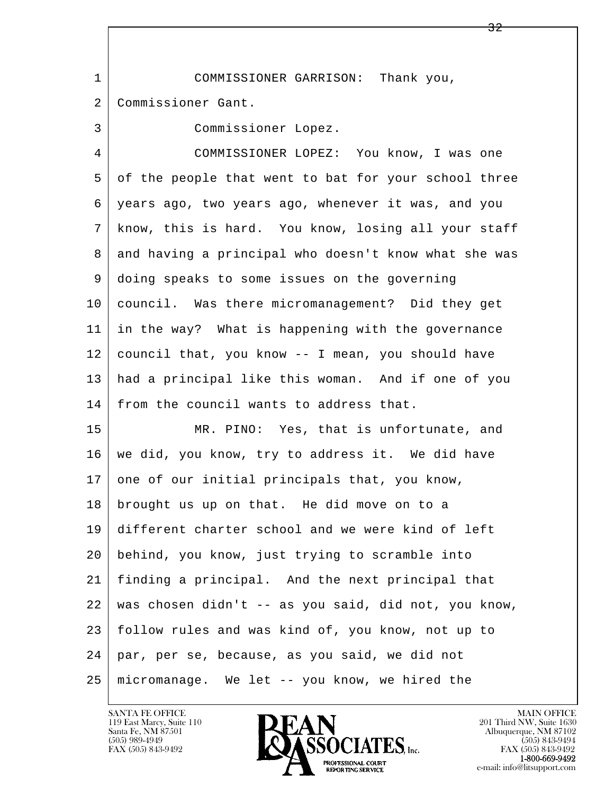l  $\overline{\phantom{a}}$  1 COMMISSIONER GARRISON: Thank you, 2 Commissioner Gant. 3 Commissioner Lopez. 4 COMMISSIONER LOPEZ: You know, I was one 5 of the people that went to bat for your school three 6 years ago, two years ago, whenever it was, and you 7 know, this is hard. You know, losing all your staff 8 and having a principal who doesn't know what she was 9 doing speaks to some issues on the governing 10 council. Was there micromanagement? Did they get 11 in the way? What is happening with the governance 12 council that, you know -- I mean, you should have 13 had a principal like this woman. And if one of you 14 from the council wants to address that. 15 MR. PINO: Yes, that is unfortunate, and 16 | we did, you know, try to address it. We did have 17 one of our initial principals that, you know, 18 brought us up on that. He did move on to a 19 different charter school and we were kind of left 20 behind, you know, just trying to scramble into 21 finding a principal. And the next principal that 22 was chosen didn't -- as you said, did not, you know, 23 follow rules and was kind of, you know, not up to 24 par, per se, because, as you said, we did not 25 micromanage. We let -- you know, we hired the

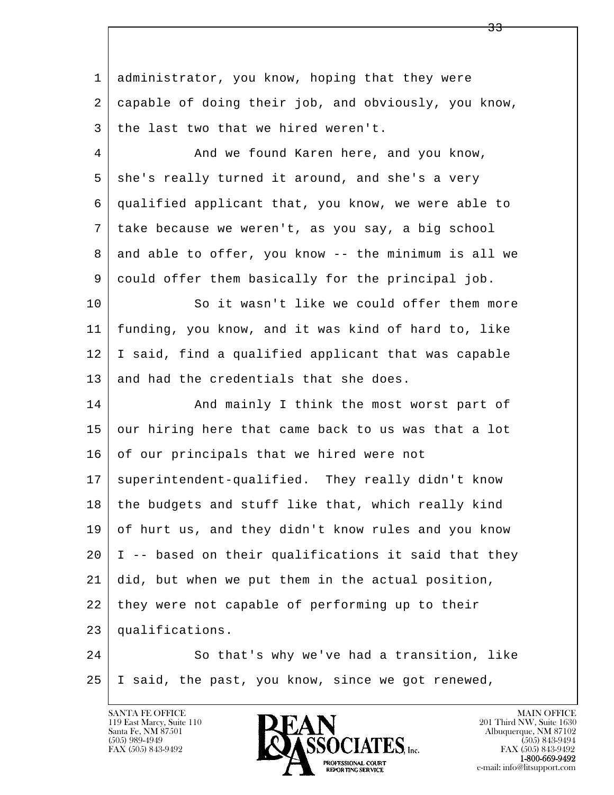l  $\overline{\phantom{a}}$ 1 administrator, you know, hoping that they were 2 capable of doing their job, and obviously, you know,  $3$  the last two that we hired weren't. 4 And we found Karen here, and you know,  $5 \mid$  she's really turned it around, and she's a very 6 qualified applicant that, you know, we were able to 7 take because we weren't, as you say, a big school  $8$  and able to offer, you know -- the minimum is all we 9 could offer them basically for the principal job. 10 So it wasn't like we could offer them more 11 funding, you know, and it was kind of hard to, like 12 I said, find a qualified applicant that was capable 13 and had the credentials that she does. 14 And mainly I think the most worst part of 15 our hiring here that came back to us was that a lot 16 of our principals that we hired were not 17 superintendent-qualified. They really didn't know 18 the budgets and stuff like that, which really kind 19 of hurt us, and they didn't know rules and you know  $20$  | I -- based on their qualifications it said that they 21 did, but when we put them in the actual position, 22 they were not capable of performing up to their 23 qualifications. 24 So that's why we've had a transition, like 25 I said, the past, you know, since we got renewed,

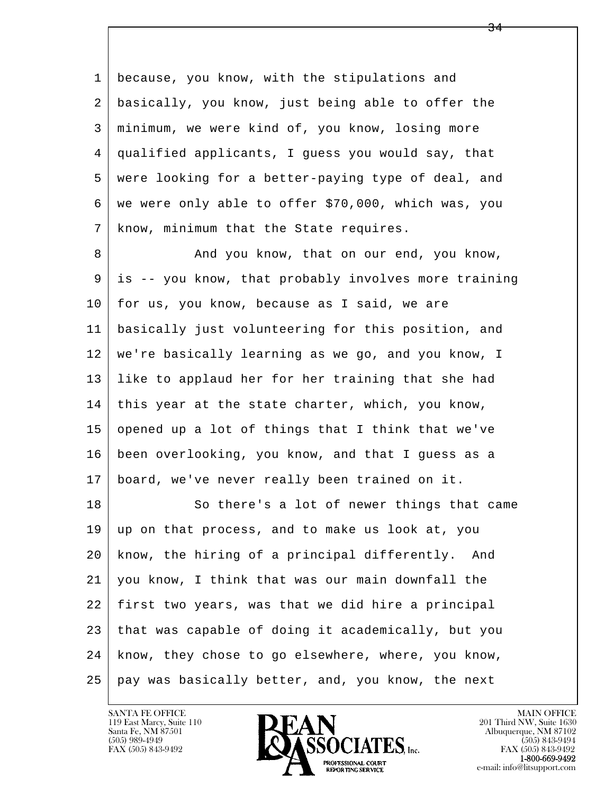l  $\overline{\phantom{a}}$ 1 because, you know, with the stipulations and 2 basically, you know, just being able to offer the 3 minimum, we were kind of, you know, losing more 4 qualified applicants, I guess you would say, that 5 were looking for a better-paying type of deal, and 6 we were only able to offer \$70,000, which was, you 7 | know, minimum that the State requires. 8 And you know, that on our end, you know, 9 is -- you know, that probably involves more training  $10$  for us, you know, because as I said, we are 11 basically just volunteering for this position, and 12 we're basically learning as we go, and you know, I 13 like to applaud her for her training that she had 14 this year at the state charter, which, you know, 15 opened up a lot of things that I think that we've 16 been overlooking, you know, and that I guess as a 17 board, we've never really been trained on it. 18 So there's a lot of newer things that came 19 up on that process, and to make us look at, you 20 know, the hiring of a principal differently. And 21 you know, I think that was our main downfall the 22 first two years, was that we did hire a principal  $23$  that was capable of doing it academically, but you 24 know, they chose to go elsewhere, where, you know, 25 | pay was basically better, and, you know, the next



<u>34</u>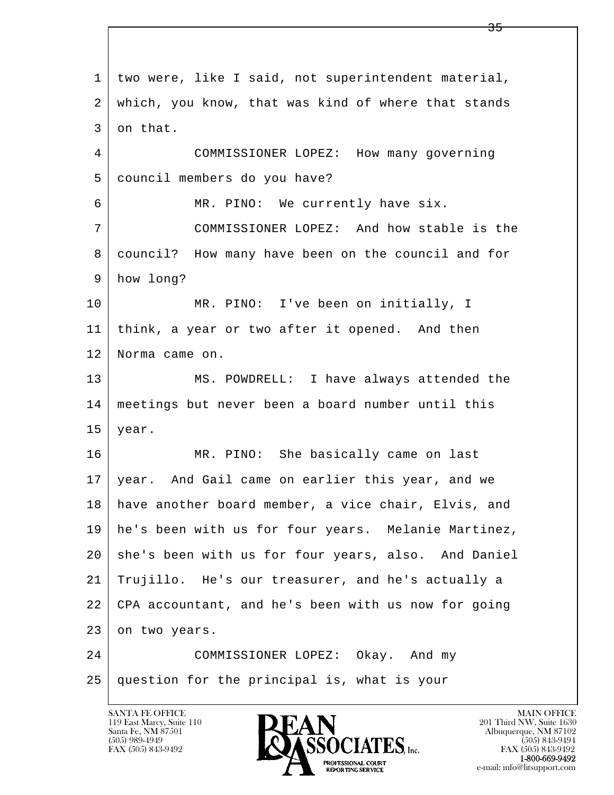l  $\overline{\phantom{a}}$  1 two were, like I said, not superintendent material, 2 which, you know, that was kind of where that stands 3 on that. 4 COMMISSIONER LOPEZ: How many governing 5 council members do you have? 6 MR. PINO: We currently have six. 7 COMMISSIONER LOPEZ: And how stable is the 8 council? How many have been on the council and for 9 how long? 10 | MR. PINO: I've been on initially, I 11 think, a year or two after it opened. And then 12 Norma came on. 13 MS. POWDRELL: I have always attended the 14 meetings but never been a board number until this  $15$  year. 16 | MR. PINO: She basically came on last 17 year. And Gail came on earlier this year, and we 18 have another board member, a vice chair, Elvis, and 19 he's been with us for four years. Melanie Martinez, 20 she's been with us for four years, also. And Daniel 21 Trujillo. He's our treasurer, and he's actually a 22 CPA accountant, and he's been with us now for going 23 on two years. 24 COMMISSIONER LOPEZ: Okay. And my 25 question for the principal is, what is your

119 East Marcy, Suite 110<br>Santa Fe, NM 87501



**EXECUTE EXECUTE:**<br>REPORTING SERVICE e-mail: info@litsupport.com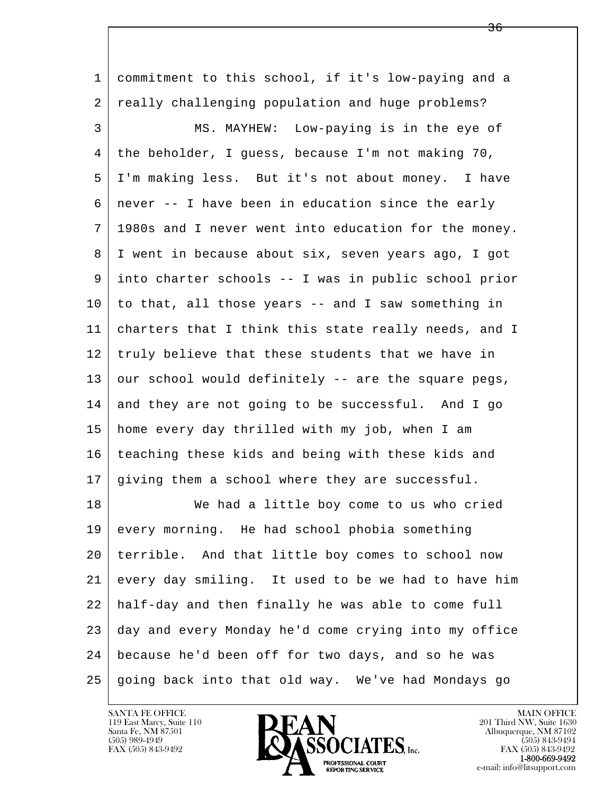l  $\overline{\phantom{a}}$  1 commitment to this school, if it's low-paying and a 2 really challenging population and huge problems? 3 MS. MAYHEW: Low-paying is in the eye of 4 the beholder, I guess, because I'm not making 70, 5 I'm making less. But it's not about money. I have  $6 \mid$  never -- I have been in education since the early 7 1980s and I never went into education for the money. 8 | I went in because about six, seven years ago, I got 9 into charter schools -- I was in public school prior  $10$  to that, all those years -- and I saw something in 11 charters that I think this state really needs, and I 12 truly believe that these students that we have in  $13$  our school would definitely  $-$  are the square pegs,  $14$  and they are not going to be successful. And I go 15 home every day thrilled with my job, when I am 16 teaching these kids and being with these kids and 17 giving them a school where they are successful. 18 We had a little boy come to us who cried 19 every morning. He had school phobia something 20 terrible. And that little boy comes to school now 21 every day smiling. It used to be we had to have him 22 half-day and then finally he was able to come full 23 day and every Monday he'd come crying into my office 24 because he'd been off for two days, and so he was 25 going back into that old way. We've had Mondays go

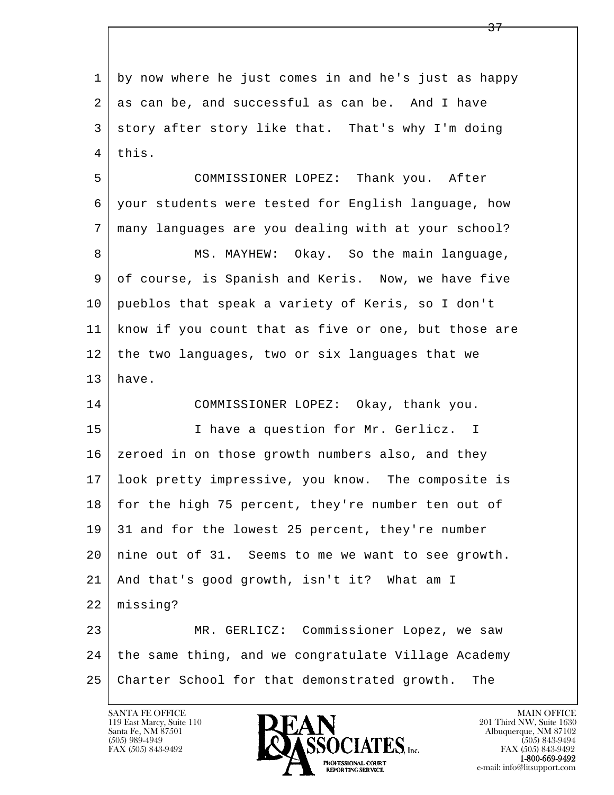l  $\overline{\phantom{a}}$  1 by now where he just comes in and he's just as happy 2 as can be, and successful as can be. And I have 3 story after story like that. That's why I'm doing 4 this. 5 COMMISSIONER LOPEZ: Thank you. After 6 your students were tested for English language, how 7 many languages are you dealing with at your school? 8 MS. MAYHEW: Okay. So the main language, 9 of course, is Spanish and Keris. Now, we have five 10 pueblos that speak a variety of Keris, so I don't 11 know if you count that as five or one, but those are 12 | the two languages, two or six languages that we  $13$  have. 14 COMMISSIONER LOPEZ: Okay, thank you. 15 | I have a question for Mr. Gerlicz. I 16 | zeroed in on those growth numbers also, and they 17 look pretty impressive, you know. The composite is 18 for the high 75 percent, they're number ten out of 19 31 and for the lowest 25 percent, they're number  $20$  nine out of 31. Seems to me we want to see growth. 21 And that's good growth, isn't it? What am I 22 missing? 23 MR. GERLICZ: Commissioner Lopez, we saw 24 the same thing, and we congratulate Village Academy 25 Charter School for that demonstrated growth. The

119 East Marcy, Suite 110<br>Santa Fe, NM 87501

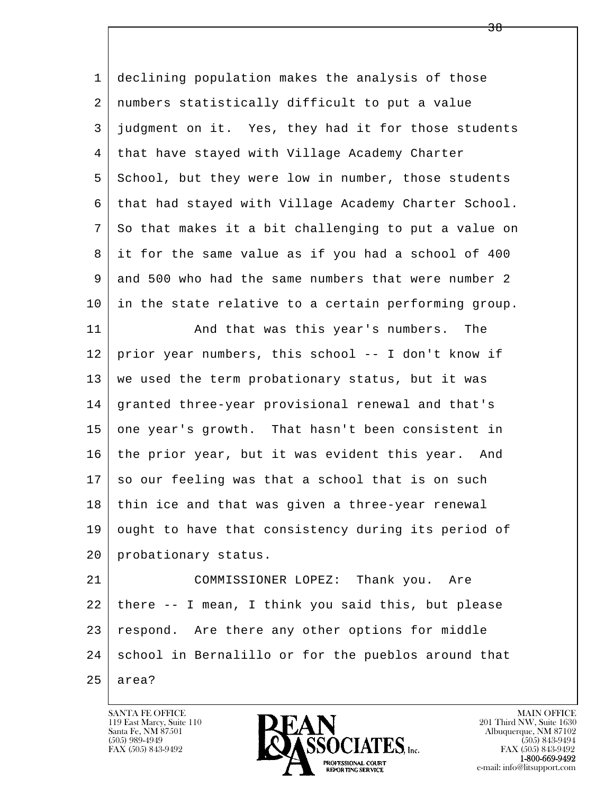l  $\overline{\phantom{a}}$  1 declining population makes the analysis of those 2 numbers statistically difficult to put a value 3 judgment on it. Yes, they had it for those students 4 that have stayed with Village Academy Charter 5 School, but they were low in number, those students 6 that had stayed with Village Academy Charter School. 7 So that makes it a bit challenging to put a value on 8 it for the same value as if you had a school of 400 9 and 500 who had the same numbers that were number 2 10 in the state relative to a certain performing group. 11 | And that was this year's numbers. The 12 prior year numbers, this school -- I don't know if 13 we used the term probationary status, but it was 14 granted three-year provisional renewal and that's 15 one year's growth. That hasn't been consistent in 16 the prior year, but it was evident this year. And 17 so our feeling was that a school that is on such 18 thin ice and that was given a three-year renewal 19 ought to have that consistency during its period of 20 probationary status. 21 COMMISSIONER LOPEZ: Thank you. Are 22 there -- I mean, I think you said this, but please 23 respond. Are there any other options for middle 24 school in Bernalillo or for the pueblos around that  $25$  area?

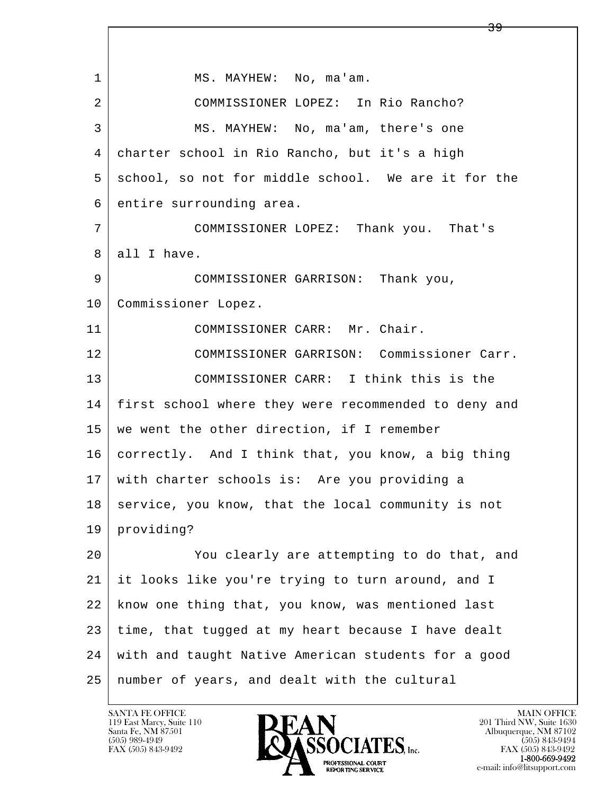l  $\overline{\phantom{a}}$ 1 | MS. MAYHEW: No, ma'am. 2 COMMISSIONER LOPEZ: In Rio Rancho? 3 MS. MAYHEW: No, ma'am, there's one 4 charter school in Rio Rancho, but it's a high 5 school, so not for middle school. We are it for the 6 entire surrounding area. 7 COMMISSIONER LOPEZ: Thank you. That's 8 all I have. 9 COMMISSIONER GARRISON: Thank you, 10 | Commissioner Lopez. 11 COMMISSIONER CARR: Mr. Chair. 12 COMMISSIONER GARRISON: Commissioner Carr. 13 COMMISSIONER CARR: I think this is the 14 | first school where they were recommended to deny and 15 we went the other direction, if I remember 16 correctly. And I think that, you know, a big thing 17 with charter schools is: Are you providing a  $18$  service, you know, that the local community is not 19 providing? 20 You clearly are attempting to do that, and 21 it looks like you're trying to turn around, and I 22 know one thing that, you know, was mentioned last  $23$  time, that tugged at my heart because I have dealt 24 with and taught Native American students for a good 25 number of years, and dealt with the cultural

 $\overline{39}$ 

119 East Marcy, Suite 110<br>Santa Fe, NM 87501



FAX (505) 843-9492 FAX (505) 843-9492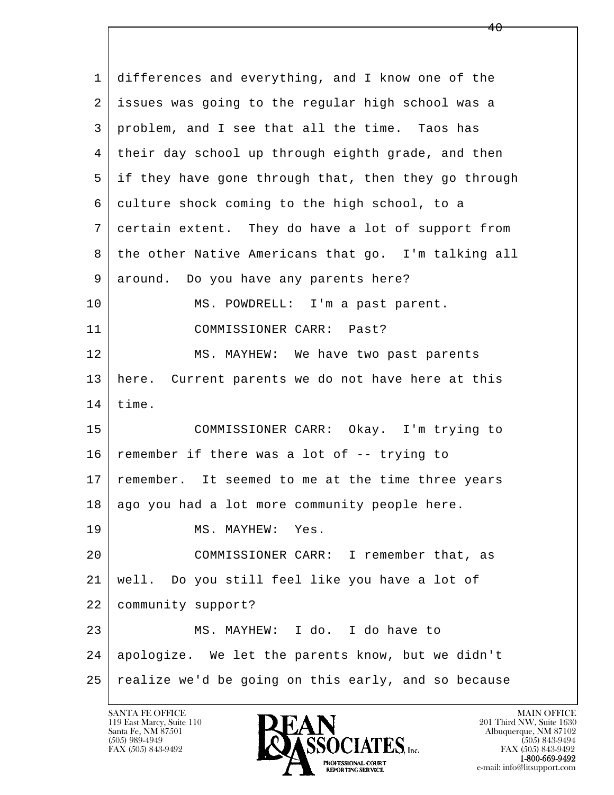l  $\overline{\phantom{a}}$  1 differences and everything, and I know one of the 2 issues was going to the regular high school was a 3 problem, and I see that all the time. Taos has 4 their day school up through eighth grade, and then 5 if they have gone through that, then they go through 6 culture shock coming to the high school, to a 7 certain extent. They do have a lot of support from 8 the other Native Americans that go. I'm talking all 9 around. Do you have any parents here? 10 | MS. POWDRELL: I'm a past parent. 11 COMMISSIONER CARR: Past? 12 MS. MAYHEW: We have two past parents 13 here. Current parents we do not have here at this  $14$  time. 15 COMMISSIONER CARR: Okay. I'm trying to  $16$  remember if there was a lot of  $-$  trying to 17 remember. It seemed to me at the time three years 18 | ago you had a lot more community people here. 19 MS. MAYHEW: Yes. 20 COMMISSIONER CARR: I remember that, as 21 well. Do you still feel like you have a lot of 22 community support? 23 MS. MAYHEW: I do. I do have to 24 apologize. We let the parents know, but we didn't 25 realize we'd be going on this early, and so because

 $40$ 

119 East Marcy, Suite 110<br>Santa Fe, NM 87501

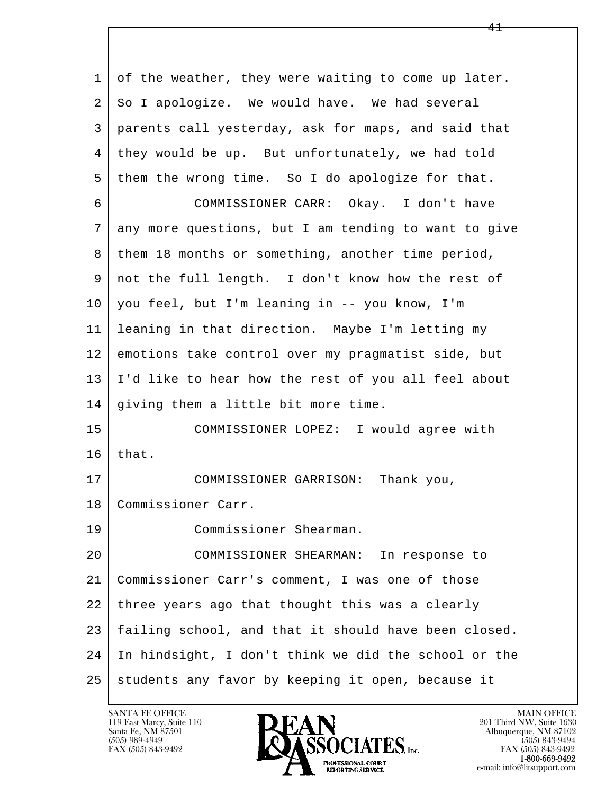l  $\overline{\phantom{a}}$  1 of the weather, they were waiting to come up later. 2 So I apologize. We would have. We had several 3 parents call yesterday, ask for maps, and said that 4 they would be up. But unfortunately, we had told 5 them the wrong time. So I do apologize for that. 6 COMMISSIONER CARR: Okay. I don't have 7 any more questions, but I am tending to want to give 8 | them 18 months or something, another time period, 9 not the full length. I don't know how the rest of 10 you feel, but I'm leaning in -- you know, I'm 11 leaning in that direction. Maybe I'm letting my 12 emotions take control over my pragmatist side, but 13 I'd like to hear how the rest of you all feel about 14 giving them a little bit more time. 15 COMMISSIONER LOPEZ: I would agree with  $16$  that. 17 COMMISSIONER GARRISON: Thank you, 18 Commissioner Carr. 19 Commissioner Shearman. 20 COMMISSIONER SHEARMAN: In response to 21 Commissioner Carr's comment, I was one of those 22 three years ago that thought this was a clearly 23 failing school, and that it should have been closed. 24 In hindsight, I don't think we did the school or the 25 students any favor by keeping it open, because it

119 East Marcy, Suite 110<br>Santa Fe, NM 87501

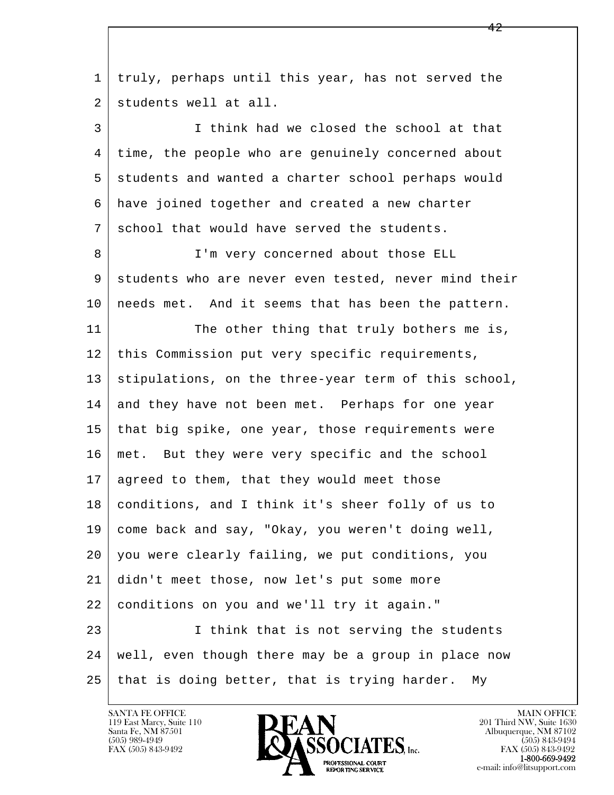l  $\overline{\phantom{a}}$  1 truly, perhaps until this year, has not served the 2 students well at all. 3 I think had we closed the school at that 4 time, the people who are genuinely concerned about 5 students and wanted a charter school perhaps would 6 have joined together and created a new charter 7 school that would have served the students. 8 | I'm very concerned about those ELL 9 students who are never even tested, never mind their 10 | needs met. And it seems that has been the pattern. 11 The other thing that truly bothers me is, 12 | this Commission put very specific requirements, 13 | stipulations, on the three-year term of this school, 14 and they have not been met. Perhaps for one year 15 | that big spike, one year, those requirements were 16 met. But they were very specific and the school 17 | agreed to them, that they would meet those 18 conditions, and I think it's sheer folly of us to 19 come back and say, "Okay, you weren't doing well, 20 you were clearly failing, we put conditions, you 21 didn't meet those, now let's put some more 22 conditions on you and we'll try it again." 23 I think that is not serving the students 24 well, even though there may be a group in place now 25 that is doing better, that is trying harder. My

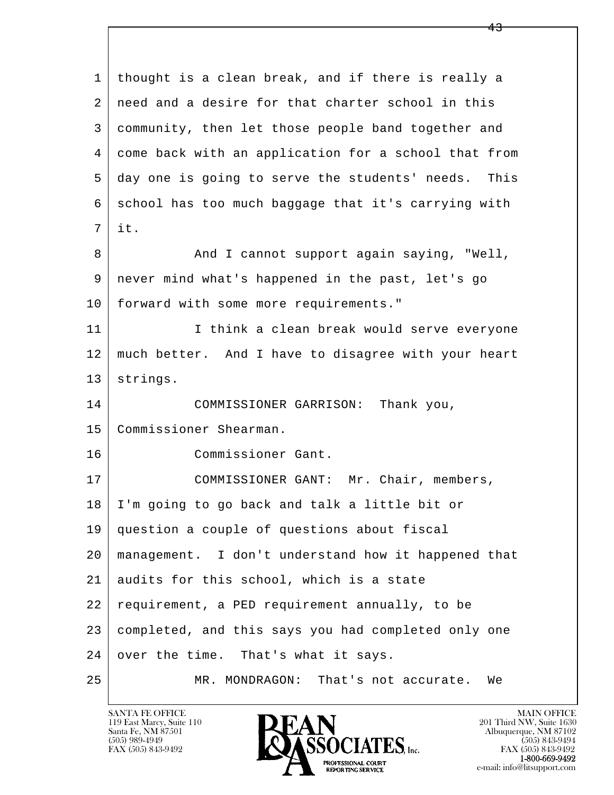l  $\overline{\phantom{a}}$  1 thought is a clean break, and if there is really a 2 need and a desire for that charter school in this 3 community, then let those people band together and 4 come back with an application for a school that from 5 day one is going to serve the students' needs. This 6 school has too much baggage that it's carrying with 7 it. 8 And I cannot support again saying, "Well, 9 never mind what's happened in the past, let's go 10 forward with some more requirements." 11 | I think a clean break would serve everyone 12 much better. And I have to disagree with your heart 13 strings. 14 COMMISSIONER GARRISON: Thank you, 15 Commissioner Shearman. 16 Commissioner Gant. 17 | COMMISSIONER GANT: Mr. Chair, members, 18 I'm going to go back and talk a little bit or 19 question a couple of questions about fiscal 20 management. I don't understand how it happened that 21 audits for this school, which is a state 22 requirement, a PED requirement annually, to be 23 completed, and this says you had completed only one  $24$  over the time. That's what it says. 25 MR. MONDRAGON: That's not accurate. We

119 East Marcy, Suite 110<br>Santa Fe, NM 87501

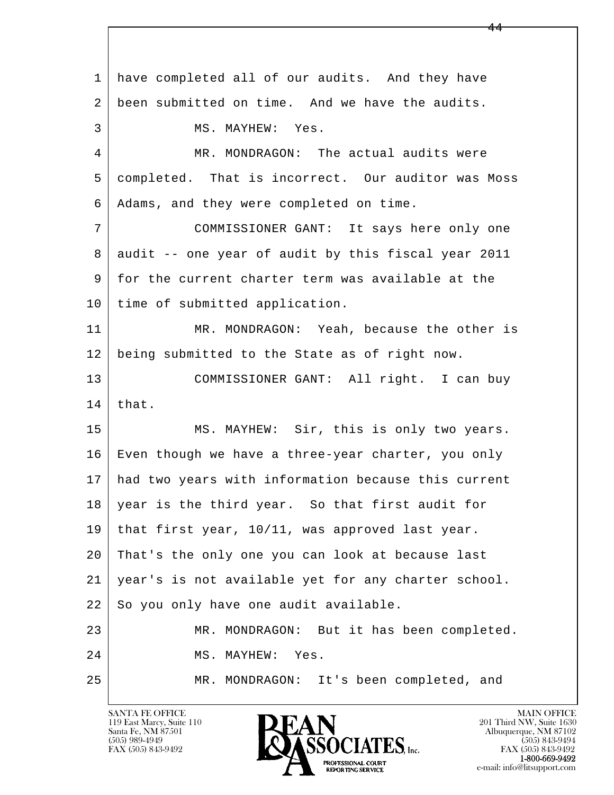l  $\overline{\phantom{a}}$  1 have completed all of our audits. And they have 2 been submitted on time. And we have the audits. 3 MS. MAYHEW: Yes. 4 MR. MONDRAGON: The actual audits were 5 completed. That is incorrect. Our auditor was Moss 6 Adams, and they were completed on time. 7 COMMISSIONER GANT: It says here only one 8 | audit -- one year of audit by this fiscal year 2011 9 for the current charter term was available at the 10 | time of submitted application. 11 MR. MONDRAGON: Yeah, because the other is 12 being submitted to the State as of right now. 13 COMMISSIONER GANT: All right. I can buy  $14$  that. 15 | MS. MAYHEW: Sir, this is only two years. 16 Even though we have a three-year charter, you only 17 had two years with information because this current 18 year is the third year. So that first audit for 19 that first year, 10/11, was approved last year. 20 That's the only one you can look at because last 21 year's is not available yet for any charter school.  $22$  So you only have one audit available. 23 MR. MONDRAGON: But it has been completed. 24 MS. MAYHEW: Yes. 25 MR. MONDRAGON: It's been completed, and

119 East Marcy, Suite 110<br>Santa Fe, NM 87501

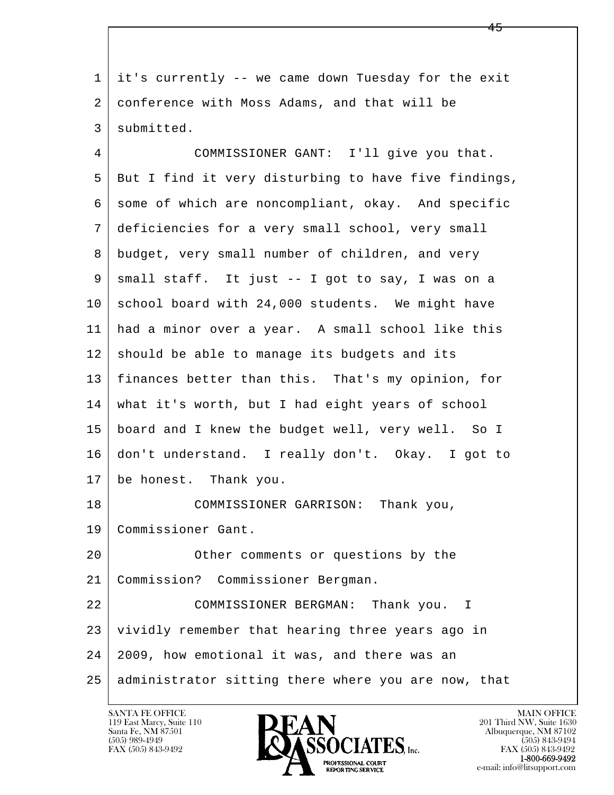l  $\overline{\phantom{a}}$  1 it's currently -- we came down Tuesday for the exit 2 conference with Moss Adams, and that will be 3 submitted. 4 COMMISSIONER GANT: I'll give you that. 5 But I find it very disturbing to have five findings, 6 some of which are noncompliant, okay. And specific 7 deficiencies for a very small school, very small 8 budget, very small number of children, and very 9 small staff. It just -- I got to say, I was on a 10 school board with 24,000 students. We might have 11 had a minor over a year. A small school like this  $12$  should be able to manage its budgets and its 13 finances better than this. That's my opinion, for 14 what it's worth, but I had eight years of school 15 board and I knew the budget well, very well. So I 16 don't understand. I really don't. Okay. I got to 17 be honest. Thank you. 18 COMMISSIONER GARRISON: Thank you, 19 Commissioner Gant. 20 | Cher comments or questions by the 21 Commission? Commissioner Bergman. 22 COMMISSIONER BERGMAN: Thank you. I 23 vividly remember that hearing three years ago in 24 2009, how emotional it was, and there was an 25 administrator sitting there where you are now, that

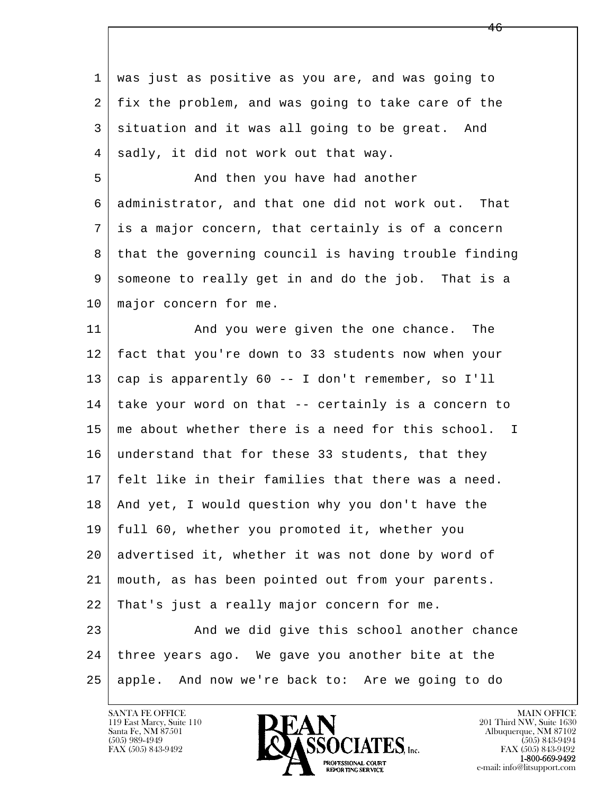l  $\overline{\phantom{a}}$  1 was just as positive as you are, and was going to 2 fix the problem, and was going to take care of the 3 situation and it was all going to be great. And 4 sadly, it did not work out that way. 5 | The Rand then you have had another 6 administrator, and that one did not work out. That 7 is a major concern, that certainly is of a concern 8 that the governing council is having trouble finding 9 someone to really get in and do the job. That is a 10 | major concern for me. 11 And you were given the one chance. The 12 fact that you're down to 33 students now when your 13 cap is apparently 60 -- I don't remember, so I'll 14 take your word on that -- certainly is a concern to 15 me about whether there is a need for this school. I 16 understand that for these 33 students, that they 17 felt like in their families that there was a need. 18 And yet, I would question why you don't have the 19 full 60, whether you promoted it, whether you 20 advertised it, whether it was not done by word of 21 mouth, as has been pointed out from your parents. 22 That's just a really major concern for me. 23 And we did give this school another chance 24 three years ago. We gave you another bite at the 25 apple. And now we're back to: Are we going to do

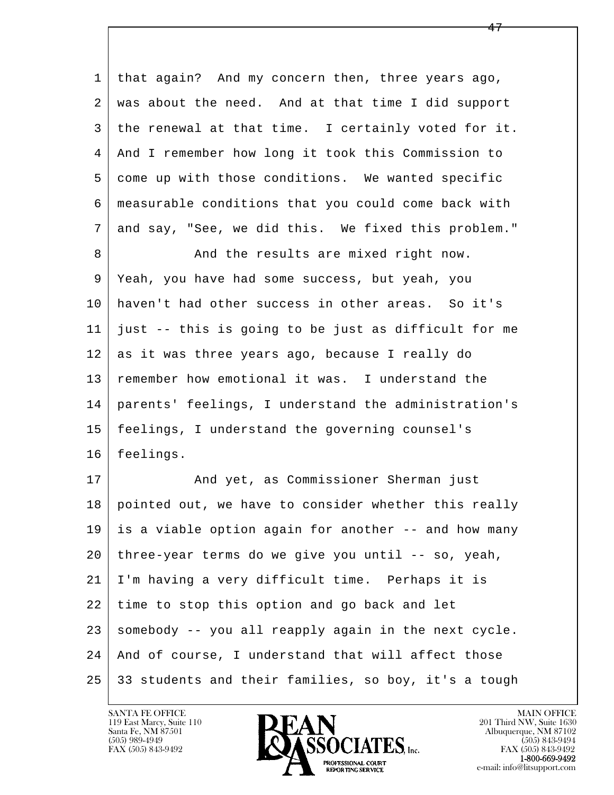| 1  | that again? And my concern then, three years ago,    |
|----|------------------------------------------------------|
| 2  | was about the need. And at that time I did support   |
| 3  | the renewal at that time. I certainly voted for it.  |
| 4  | And I remember how long it took this Commission to   |
| 5  | come up with those conditions. We wanted specific    |
| 6  | measurable conditions that you could come back with  |
| 7  | and say, "See, we did this. We fixed this problem."  |
| 8  | And the results are mixed right now.                 |
| 9  | Yeah, you have had some success, but yeah, you       |
| 10 | haven't had other success in other areas. So it's    |
| 11 | just -- this is going to be just as difficult for me |
| 12 | as it was three years ago, because I really do       |
| 13 | remember how emotional it was. I understand the      |
| 14 | parents' feelings, I understand the administration's |
| 15 | feelings, I understand the governing counsel's       |
| 16 | feelings.                                            |
| 17 | And yet, as Commissioner Sherman just                |
| 18 | pointed out, we have to consider whether this really |
| 19 | is a viable option again for another -- and how many |
| 20 | three-year terms do we give you until -- so, yeah,   |
| 21 | I'm having a very difficult time. Perhaps it is      |
| 22 | time to stop this option and go back and let         |
| 23 | somebody -- you all reapply again in the next cycle. |
| 24 | And of course, I understand that will affect those   |
| 25 | 33 students and their families, so boy, it's a tough |

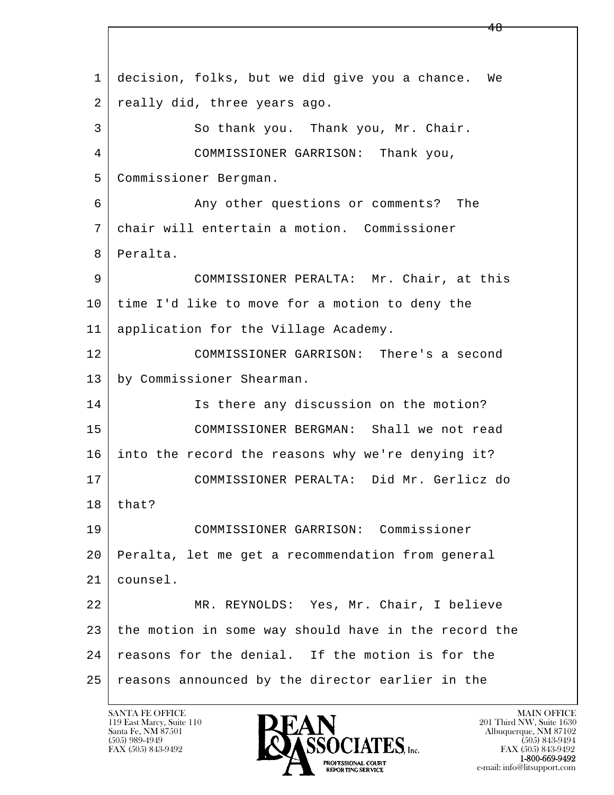l  $\overline{\phantom{a}}$  1 decision, folks, but we did give you a chance. We 2 | really did, three years ago. 3 So thank you. Thank you, Mr. Chair. 4 COMMISSIONER GARRISON: Thank you, 5 Commissioner Bergman. 6 Any other questions or comments? The 7 chair will entertain a motion. Commissioner 8 Peralta. 9 COMMISSIONER PERALTA: Mr. Chair, at this 10 time I'd like to move for a motion to deny the 11 application for the Village Academy. 12 COMMISSIONER GARRISON: There's a second 13 by Commissioner Shearman. 14 Is there any discussion on the motion? 15 COMMISSIONER BERGMAN: Shall we not read 16 into the record the reasons why we're denying it? 17 COMMISSIONER PERALTA: Did Mr. Gerlicz do  $18$  | that? 19 COMMISSIONER GARRISON: Commissioner 20 Peralta, let me get a recommendation from general 21 counsel. 22 MR. REYNOLDS: Yes, Mr. Chair, I believe 23 the motion in some way should have in the record the 24 reasons for the denial. If the motion is for the 25 reasons announced by the director earlier in the

48

119 East Marcy, Suite 110<br>Santa Fe, NM 87501



FAX (505) 843-9492 FAX (505) 843-9492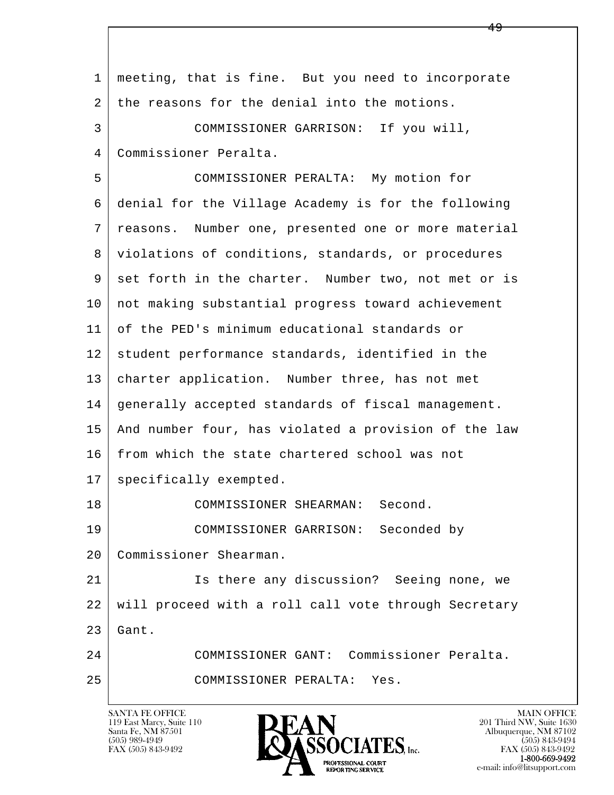| 1  | meeting, that is fine. But you need to incorporate   |
|----|------------------------------------------------------|
| 2  | the reasons for the denial into the motions.         |
| 3  | COMMISSIONER GARRISON: If you will,                  |
| 4  | Commissioner Peralta.                                |
| 5  | COMMISSIONER PERALTA: My motion for                  |
| 6  | denial for the Village Academy is for the following  |
| 7  | reasons. Number one, presented one or more material  |
| 8  | violations of conditions, standards, or procedures   |
| 9  | set forth in the charter. Number two, not met or is  |
| 10 | not making substantial progress toward achievement   |
| 11 | of the PED's minimum educational standards or        |
| 12 | student performance standards, identified in the     |
| 13 | charter application. Number three, has not met       |
| 14 | generally accepted standards of fiscal management.   |
| 15 | And number four, has violated a provision of the law |
| 16 | from which the state chartered school was not        |
| 17 | specifically exempted.                               |
| 18 | COMMISSIONER SHEARMAN:<br>Second.                    |
| 19 | COMMISSIONER GARRISON:<br>Seconded by                |
| 20 | Commissioner Shearman.                               |
| 21 | Is there any discussion? Seeing none, we             |
| 22 | will proceed with a roll call vote through Secretary |
| 23 | Gant.                                                |
| 24 | COMMISSIONER GANT: Commissioner Peralta.             |
| 25 | COMMISSIONER PERALTA:<br>Yes.                        |
|    |                                                      |

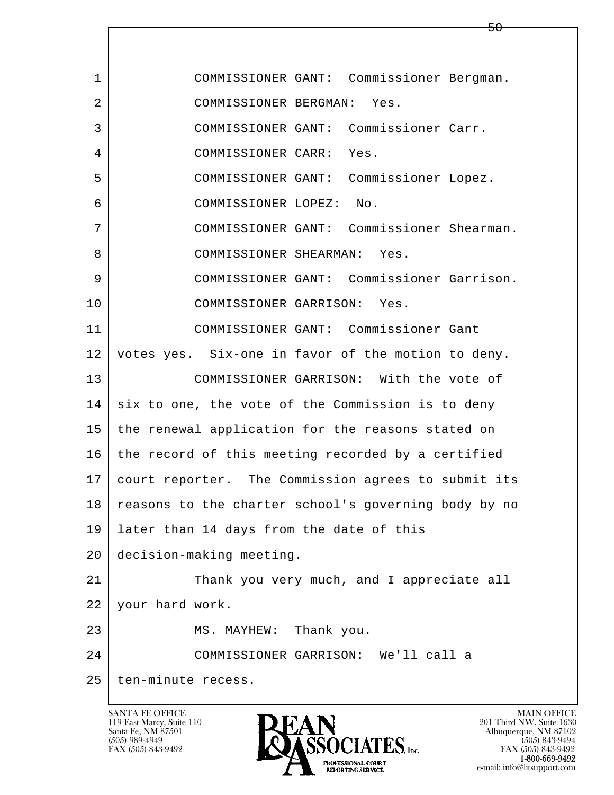l  $\overline{\phantom{a}}$  1 COMMISSIONER GANT: Commissioner Bergman. 2 COMMISSIONER BERGMAN: Yes. 3 COMMISSIONER GANT: Commissioner Carr. 4 COMMISSIONER CARR: Yes. 5 COMMISSIONER GANT: Commissioner Lopez. 6 COMMISSIONER LOPEZ: No. 7 COMMISSIONER GANT: Commissioner Shearman. 8 | COMMISSIONER SHEARMAN: Yes. 9 COMMISSIONER GANT: Commissioner Garrison. 10 COMMISSIONER GARRISON: Yes. 11 COMMISSIONER GANT: Commissioner Gant 12 votes yes. Six-one in favor of the motion to deny. 13 COMMISSIONER GARRISON: With the vote of  $14$  six to one, the vote of the Commission is to deny 15 the renewal application for the reasons stated on  $16$  | the record of this meeting recorded by a certified 17 court reporter. The Commission agrees to submit its 18 reasons to the charter school's governing body by no 19 later than 14 days from the date of this 20 decision-making meeting. 21 Thank you very much, and I appreciate all 22 your hard work. 23 MS. MAYHEW: Thank you. 24 COMMISSIONER GARRISON: We'll call a 25 | ten-minute recess.

119 East Marcy, Suite 110<br>Santa Fe, NM 87501

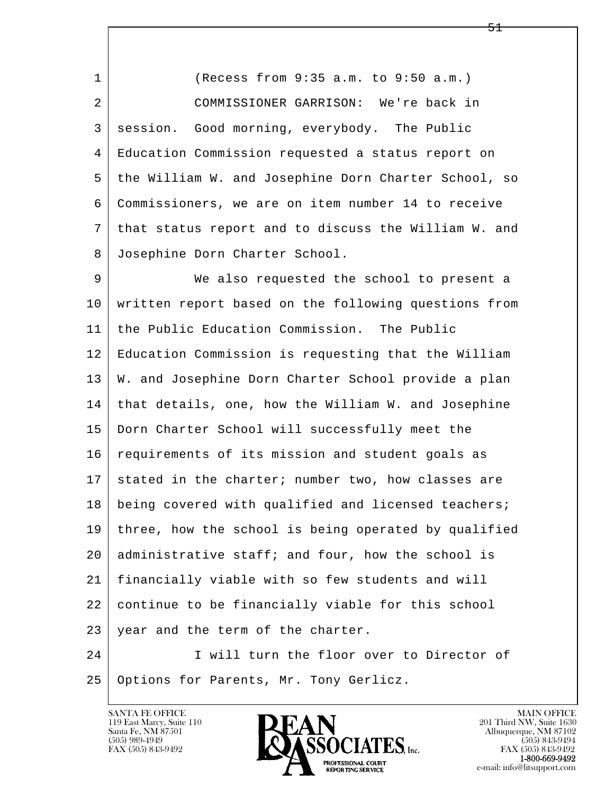1 (Recess from 9:35 a.m. to 9:50 a.m.) 2 COMMISSIONER GARRISON: We're back in 3 session. Good morning, everybody. The Public 4 Education Commission requested a status report on 5 the William W. and Josephine Dorn Charter School, so 6 Commissioners, we are on item number 14 to receive 7 that status report and to discuss the William W. and 8 Josephine Dorn Charter School.

l 9 We also requested the school to present a 10 written report based on the following questions from 11 the Public Education Commission. The Public 12 Education Commission is requesting that the William 13 | W. and Josephine Dorn Charter School provide a plan 14 that details, one, how the William W. and Josephine 15 Dorn Charter School will successfully meet the 16 requirements of its mission and student goals as 17 stated in the charter; number two, how classes are 18 being covered with qualified and licensed teachers; 19 three, how the school is being operated by qualified 20 administrative staff; and four, how the school is 21 financially viable with so few students and will 22 continue to be financially viable for this school 23 year and the term of the charter.

 $\overline{\phantom{a}}$ 24 I will turn the floor over to Director of 25 | Options for Parents, Mr. Tony Gerlicz.

119 East Marcy, Suite 110<br>Santa Fe, NM 87501



FAX (505) 843-9492<br>**1-800-669-9492**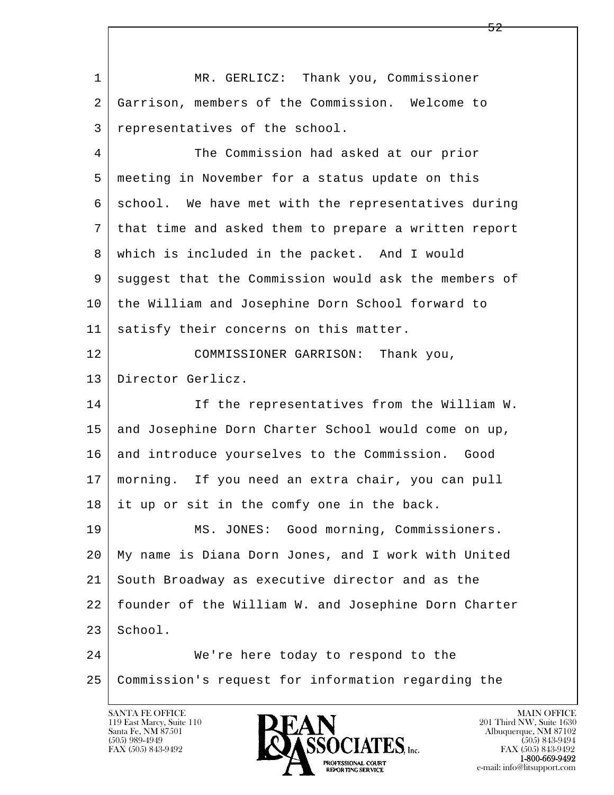l  $\overline{\phantom{a}}$ 1 | MR. GERLICZ: Thank you, Commissioner 2 Garrison, members of the Commission. Welcome to 3 representatives of the school. 4 The Commission had asked at our prior 5 meeting in November for a status update on this 6 | school. We have met with the representatives during 7 that time and asked them to prepare a written report 8 which is included in the packet. And I would 9 suggest that the Commission would ask the members of 10 the William and Josephine Dorn School forward to 11 | satisfy their concerns on this matter. 12 COMMISSIONER GARRISON: Thank you, 13 Director Gerlicz. 14 If the representatives from the William W. 15 and Josephine Dorn Charter School would come on up, 16 and introduce yourselves to the Commission. Good 17 morning. If you need an extra chair, you can pull 18 it up or sit in the comfy one in the back. 19 MS. JONES: Good morning, Commissioners. 20 My name is Diana Dorn Jones, and I work with United 21 South Broadway as executive director and as the 22 founder of the William W. and Josephine Dorn Charter  $23$  School. 24 We're here today to respond to the 25 Commission's request for information regarding the

119 East Marcy, Suite 110<br>Santa Fe, NM 87501

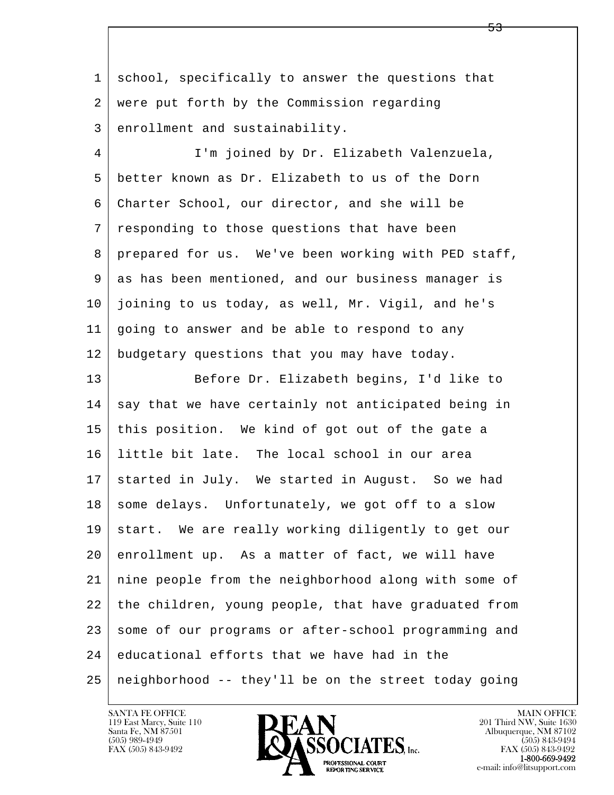l  $\overline{\phantom{a}}$  1 school, specifically to answer the questions that 2 were put forth by the Commission regarding 3 enrollment and sustainability. 4 I'm joined by Dr. Elizabeth Valenzuela, 5 better known as Dr. Elizabeth to us of the Dorn 6 Charter School, our director, and she will be 7 responding to those questions that have been 8 prepared for us. We've been working with PED staff, 9 as has been mentioned, and our business manager is 10 joining to us today, as well, Mr. Vigil, and he's 11 going to answer and be able to respond to any 12 budgetary questions that you may have today. 13 Before Dr. Elizabeth begins, I'd like to 14 | say that we have certainly not anticipated being in 15 this position. We kind of got out of the gate a 16 little bit late. The local school in our area 17 started in July. We started in August. So we had 18 some delays. Unfortunately, we got off to a slow 19 start. We are really working diligently to get our 20 enrollment up. As a matter of fact, we will have 21 nine people from the neighborhood along with some of 22 the children, young people, that have graduated from 23 some of our programs or after-school programming and  $24$  educational efforts that we have had in the  $25$  neighborhood  $-$  they'll be on the street today going

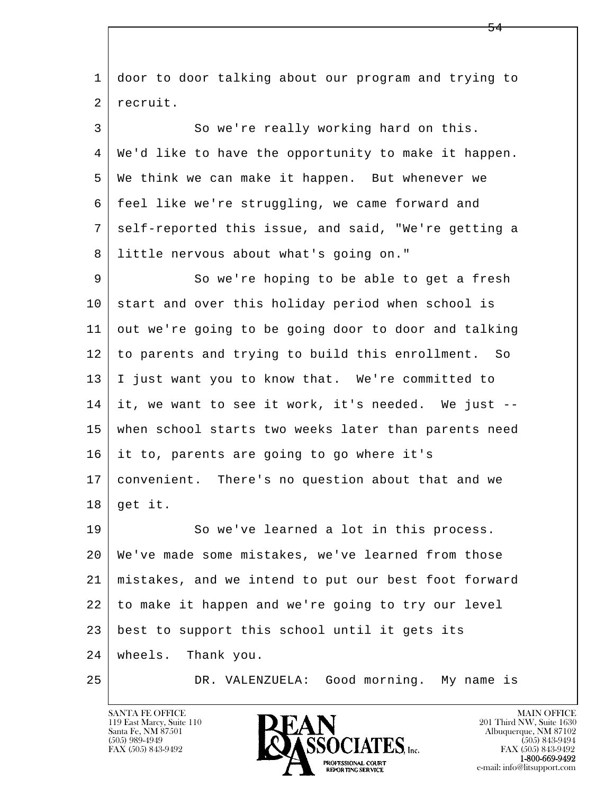l  $\overline{\phantom{a}}$  1 door to door talking about our program and trying to 2 recruit. 3 So we're really working hard on this. 4 We'd like to have the opportunity to make it happen. 5 We think we can make it happen. But whenever we 6 feel like we're struggling, we came forward and 7 self-reported this issue, and said, "We're getting a 8 little nervous about what's going on." 9 So we're hoping to be able to get a fresh 10 start and over this holiday period when school is 11 out we're going to be going door to door and talking 12 to parents and trying to build this enrollment. So 13 I just want you to know that. We're committed to 14 it, we want to see it work, it's needed. We just -- 15 when school starts two weeks later than parents need 16 it to, parents are going to go where it's 17 convenient. There's no question about that and we  $18 \mid$  get it. 19 So we've learned a lot in this process. 20 We've made some mistakes, we've learned from those 21 mistakes, and we intend to put our best foot forward 22 to make it happen and we're going to try our level 23 best to support this school until it gets its 24 wheels. Thank you. 25 DR. VALENZUELA: Good morning. My name is

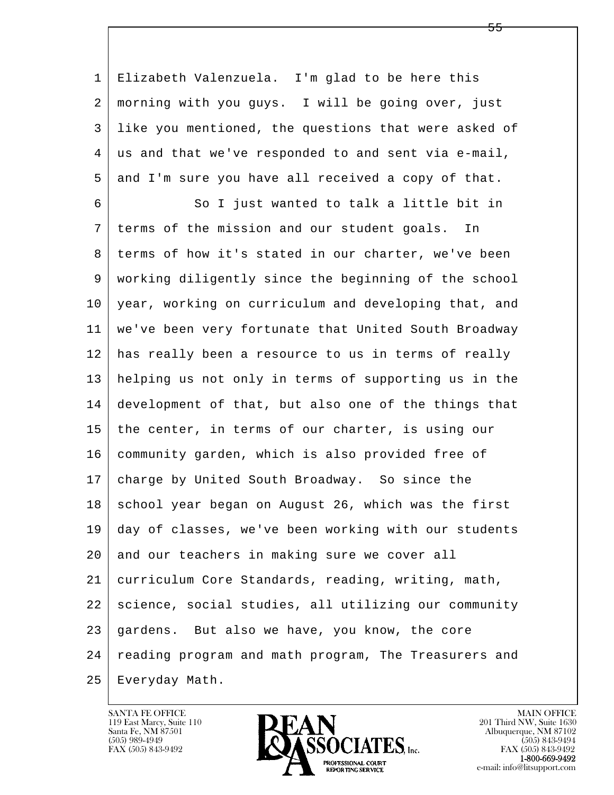l  $\overline{\phantom{a}}$  1 Elizabeth Valenzuela. I'm glad to be here this 2 morning with you guys. I will be going over, just 3 like you mentioned, the questions that were asked of 4 us and that we've responded to and sent via e-mail, 5 and I'm sure you have all received a copy of that. 6 So I just wanted to talk a little bit in 7 terms of the mission and our student goals. In 8 | terms of how it's stated in our charter, we've been 9 working diligently since the beginning of the school 10 year, working on curriculum and developing that, and 11 we've been very fortunate that United South Broadway 12 has really been a resource to us in terms of really 13 helping us not only in terms of supporting us in the 14 development of that, but also one of the things that 15 | the center, in terms of our charter, is using our 16 community garden, which is also provided free of 17 charge by United South Broadway. So since the 18 school year began on August 26, which was the first 19 day of classes, we've been working with our students 20 and our teachers in making sure we cover all 21 curriculum Core Standards, reading, writing, math, 22 science, social studies, all utilizing our community 23 gardens. But also we have, you know, the core 24 reading program and math program, The Treasurers and 25 Everyday Math.

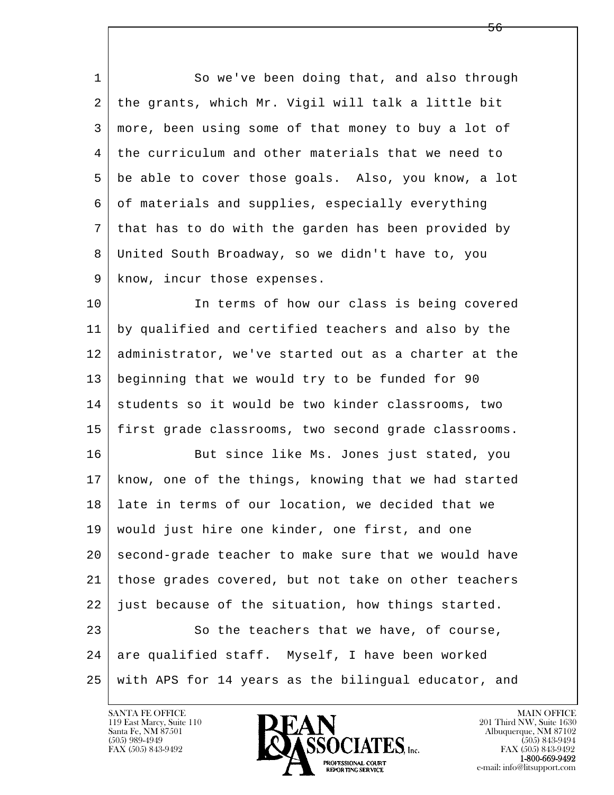1 So we've been doing that, and also through 2 the grants, which Mr. Vigil will talk a little bit 3 more, been using some of that money to buy a lot of 4 the curriculum and other materials that we need to 5 be able to cover those goals. Also, you know, a lot 6 of materials and supplies, especially everything 7 that has to do with the garden has been provided by 8 United South Broadway, so we didn't have to, you 9 | know, incur those expenses.

10 In terms of how our class is being covered 11 by qualified and certified teachers and also by the 12 administrator, we've started out as a charter at the 13 beginning that we would try to be funded for 90 14 students so it would be two kinder classrooms, two 15 | first grade classrooms, two second grade classrooms.

l  $\overline{\phantom{a}}$ 16 But since like Ms. Jones just stated, you 17 know, one of the things, knowing that we had started 18 late in terms of our location, we decided that we 19 would just hire one kinder, one first, and one 20 second-grade teacher to make sure that we would have 21 those grades covered, but not take on other teachers  $22$  just because of the situation, how things started. 23 So the teachers that we have, of course, 24 are qualified staff. Myself, I have been worked 25 with APS for 14 years as the bilingual educator, and

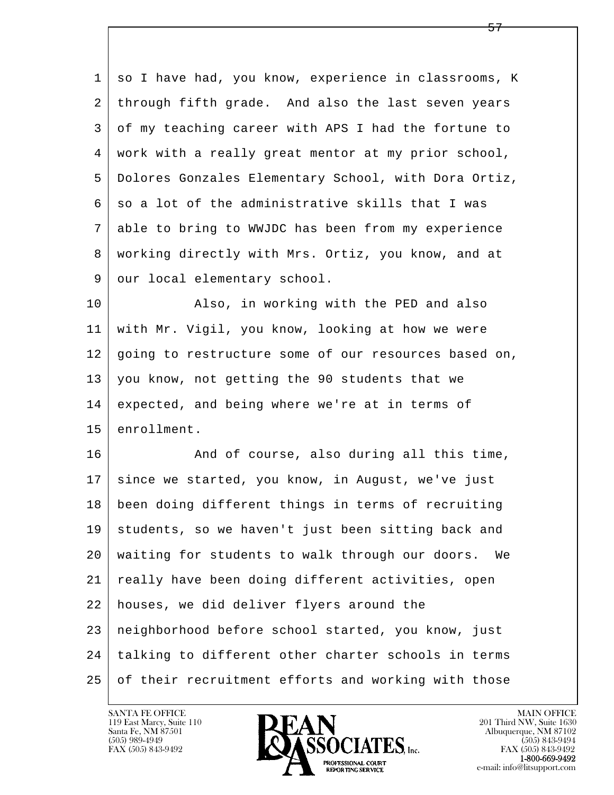1 so I have had, you know, experience in classrooms, K 2 | through fifth grade. And also the last seven years 3 of my teaching career with APS I had the fortune to 4 work with a really great mentor at my prior school, 5 Dolores Gonzales Elementary School, with Dora Ortiz,  $6 \mid$  so a lot of the administrative skills that I was 7 able to bring to WWJDC has been from my experience 8 working directly with Mrs. Ortiz, you know, and at 9 our local elementary school. 10 | Also, in working with the PED and also 11 with Mr. Vigil, you know, looking at how we were 12 | going to restructure some of our resources based on, 13 you know, not getting the 90 students that we 14 expected, and being where we're at in terms of 15 enrollment. 16 And of course, also during all this time, 17 since we started, you know, in August, we've just 18 been doing different things in terms of recruiting 19 students, so we haven't just been sitting back and 20 waiting for students to walk through our doors. We 21 really have been doing different activities, open 22 houses, we did deliver flyers around the 23 neighborhood before school started, you know, just

l  $\overline{\phantom{a}}$  24 talking to different other charter schools in terms 25 of their recruitment efforts and working with those

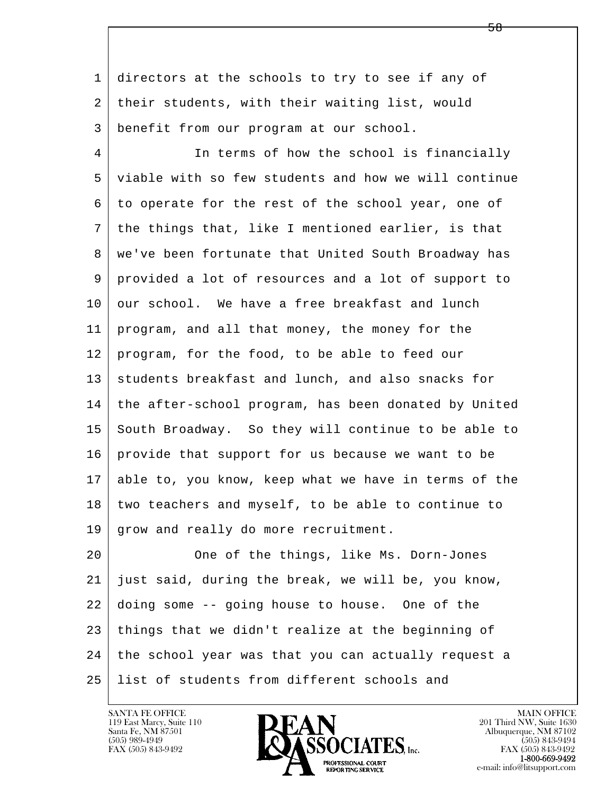1 directors at the schools to try to see if any of 2 their students, with their waiting list, would 3 benefit from our program at our school.

4 In terms of how the school is financially 5 viable with so few students and how we will continue 6 to operate for the rest of the school year, one of 7 the things that, like I mentioned earlier, is that 8 | we've been fortunate that United South Broadway has 9 provided a lot of resources and a lot of support to 10 our school. We have a free breakfast and lunch 11 program, and all that money, the money for the 12 program, for the food, to be able to feed our 13 students breakfast and lunch, and also snacks for 14 the after-school program, has been donated by United 15 South Broadway. So they will continue to be able to 16 provide that support for us because we want to be 17 able to, you know, keep what we have in terms of the 18 two teachers and myself, to be able to continue to 19 grow and really do more recruitment.

l  $\overline{\phantom{a}}$ 20 One of the things, like Ms. Dorn-Jones 21 just said, during the break, we will be, you know, 22 doing some -- going house to house. One of the 23 things that we didn't realize at the beginning of 24 the school year was that you can actually request a 25 list of students from different schools and

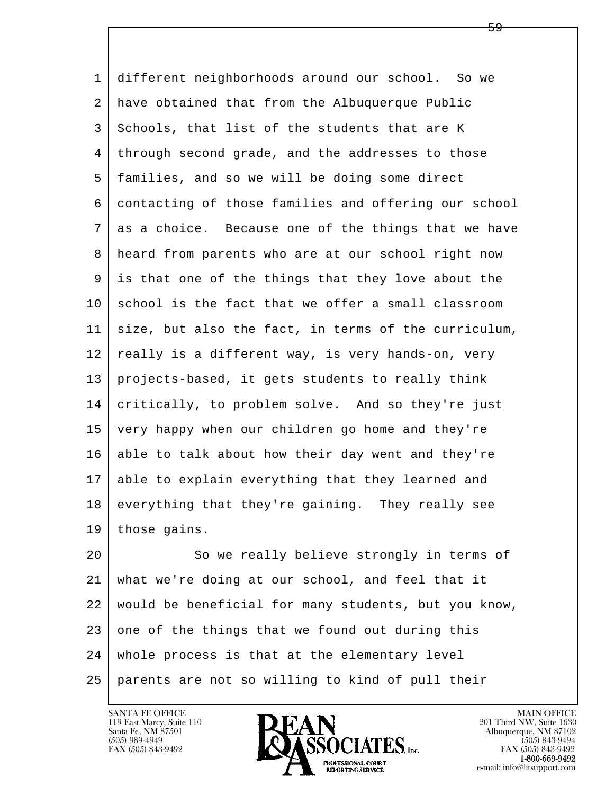1 different neighborhoods around our school. So we 2 have obtained that from the Albuquerque Public 3 Schools, that list of the students that are K 4 through second grade, and the addresses to those 5 families, and so we will be doing some direct 6 contacting of those families and offering our school 7 as a choice. Because one of the things that we have 8 heard from parents who are at our school right now 9 is that one of the things that they love about the  $10$  school is the fact that we offer a small classroom 11 size, but also the fact, in terms of the curriculum, 12 really is a different way, is very hands-on, very 13 projects-based, it gets students to really think 14 critically, to problem solve. And so they're just 15 very happy when our children go home and they're 16 able to talk about how their day went and they're 17 able to explain everything that they learned and 18 everything that they're gaining. They really see 19 those gains.

l  $\overline{\phantom{a}}$ 20 So we really believe strongly in terms of 21 what we're doing at our school, and feel that it 22 would be beneficial for many students, but you know,  $23$  one of the things that we found out during this 24 whole process is that at the elementary level 25 parents are not so willing to kind of pull their

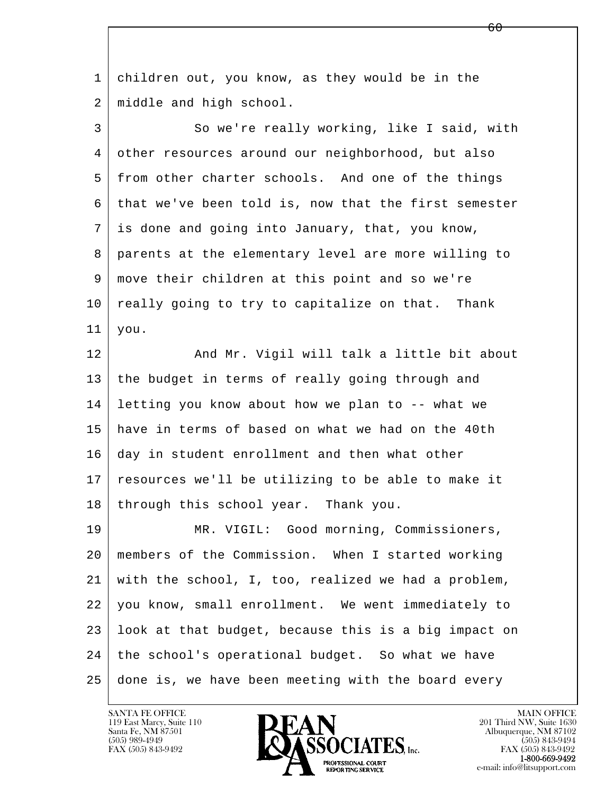l  $\overline{\phantom{a}}$  1 children out, you know, as they would be in the 2 middle and high school. 3 So we're really working, like I said, with 4 other resources around our neighborhood, but also 5 from other charter schools. And one of the things 6 that we've been told is, now that the first semester 7 is done and going into January, that, you know, 8 parents at the elementary level are more willing to 9 move their children at this point and so we're 10 really going to try to capitalize on that. Thank 11 you. 12 | And Mr. Vigil will talk a little bit about 13 the budget in terms of really going through and 14 letting you know about how we plan to -- what we 15 have in terms of based on what we had on the 40th 16 day in student enrollment and then what other 17 resources we'll be utilizing to be able to make it 18 through this school year. Thank you. 19 | MR. VIGIL: Good morning, Commissioners, 20 members of the Commission. When I started working 21 with the school, I, too, realized we had a problem, 22 you know, small enrollment. We went immediately to 23 look at that budget, because this is a big impact on 24 the school's operational budget. So what we have 25 done is, we have been meeting with the board every

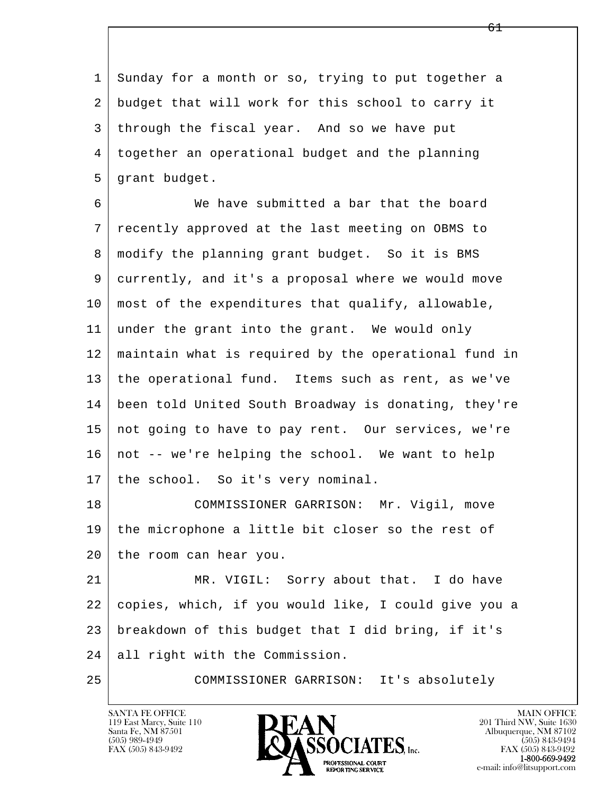l  $\overline{\phantom{a}}$  1 Sunday for a month or so, trying to put together a 2 budget that will work for this school to carry it 3 through the fiscal year. And so we have put 4 together an operational budget and the planning 5 grant budget. 6 We have submitted a bar that the board 7 recently approved at the last meeting on OBMS to 8 modify the planning grant budget. So it is BMS 9 currently, and it's a proposal where we would move 10 most of the expenditures that qualify, allowable, 11 under the grant into the grant. We would only 12 maintain what is required by the operational fund in 13 the operational fund. Items such as rent, as we've 14 been told United South Broadway is donating, they're 15 not going to have to pay rent. Our services, we're 16 not -- we're helping the school. We want to help 17 | the school. So it's very nominal. 18 COMMISSIONER GARRISON: Mr. Vigil, move 19 the microphone a little bit closer so the rest of 20 the room can hear you. 21 MR. VIGIL: Sorry about that. I do have 22 copies, which, if you would like, I could give you a 23 breakdown of this budget that I did bring, if it's 24 all right with the Commission. 25 COMMISSIONER GARRISON: It's absolutely

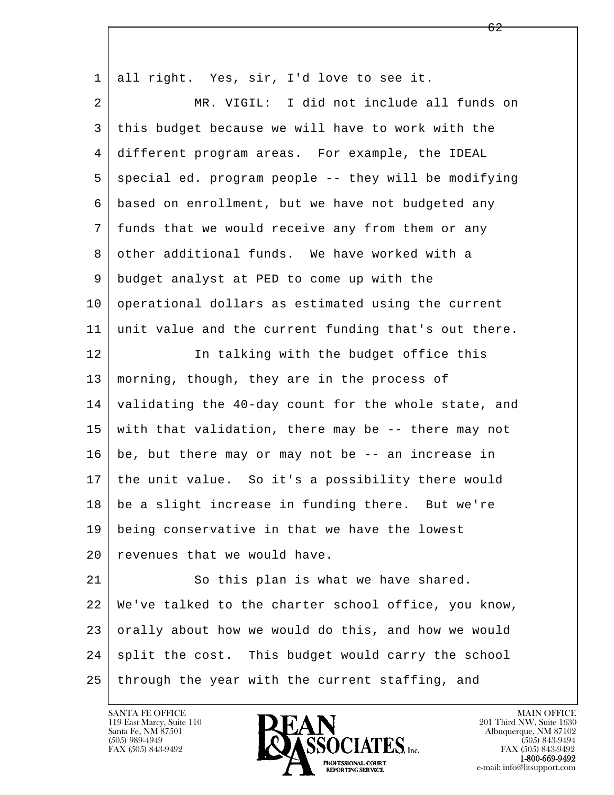| $\mathbf{1}$ | all right. Yes, sir, I'd love to see it.             |
|--------------|------------------------------------------------------|
| 2            | MR. VIGIL: I did not include all funds on            |
| 3            | this budget because we will have to work with the    |
| 4            | different program areas. For example, the IDEAL      |
| 5            | special ed. program people -- they will be modifying |
| 6            | based on enrollment, but we have not budgeted any    |
| 7            | funds that we would receive any from them or any     |
| 8            | other additional funds. We have worked with a        |
| 9            | budget analyst at PED to come up with the            |
| 10           | operational dollars as estimated using the current   |
| 11           | unit value and the current funding that's out there. |
| 12           | In talking with the budget office this               |
| 13           | morning, though, they are in the process of          |
| 14           | validating the 40-day count for the whole state, and |
| 15           | with that validation, there may be -- there may not  |
| 16           | be, but there may or may not be -- an increase in    |
| 17           | the unit value. So it's a possibility there would    |
| 18           | be a slight increase in funding there. But we're     |
| 19           | being conservative in that we have the lowest        |
| 20           | revenues that we would have.                         |
| 21           | So this plan is what we have shared.                 |
| 22           | We've talked to the charter school office, you know, |
| 23           | orally about how we would do this, and how we would  |
| 24           | split the cost. This budget would carry the school   |
| 25           | through the year with the current staffing, and      |

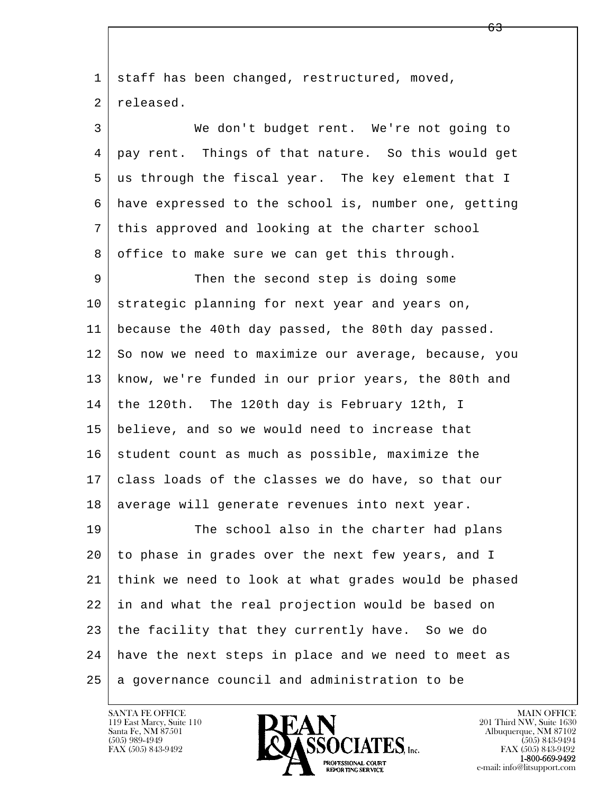l  $\overline{\phantom{a}}$ 1 staff has been changed, restructured, moved, 2 released. 3 We don't budget rent. We're not going to 4 pay rent. Things of that nature. So this would get 5 us through the fiscal year. The key element that I 6 have expressed to the school is, number one, getting 7 this approved and looking at the charter school 8 office to make sure we can get this through. 9 Then the second step is doing some 10 strategic planning for next year and years on, 11 because the 40th day passed, the 80th day passed. 12 So now we need to maximize our average, because, you 13 know, we're funded in our prior years, the 80th and 14 the 120th. The 120th day is February 12th, I 15 believe, and so we would need to increase that  $16$  student count as much as possible, maximize the 17 class loads of the classes we do have, so that our 18 | average will generate revenues into next year. 19 The school also in the charter had plans 20 to phase in grades over the next few years, and I 21 think we need to look at what grades would be phased 22 in and what the real projection would be based on 23 the facility that they currently have. So we do 24 have the next steps in place and we need to meet as  $25$  a governance council and administration to be

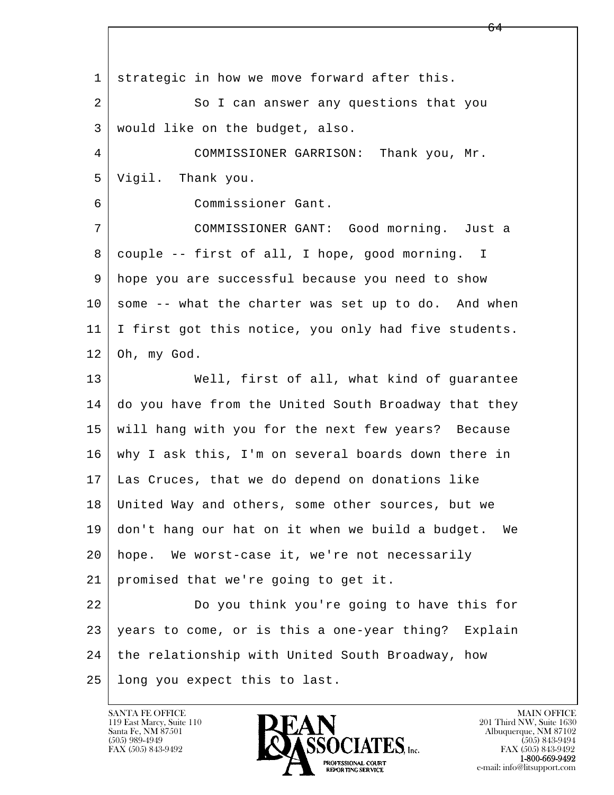l  $\overline{\phantom{a}}$  1 strategic in how we move forward after this. 2 So I can answer any questions that you 3 would like on the budget, also. 4 COMMISSIONER GARRISON: Thank you, Mr. 5 Vigil. Thank you. 6 Commissioner Gant. 7 COMMISSIONER GANT: Good morning. Just a 8 couple -- first of all, I hope, good morning. I 9 hope you are successful because you need to show  $10$  some  $-$ - what the charter was set up to do. And when 11 I first got this notice, you only had five students.  $12$  Oh, my God. 13 | Well, first of all, what kind of guarantee 14 do you have from the United South Broadway that they 15 will hang with you for the next few years? Because 16 why I ask this, I'm on several boards down there in 17 Las Cruces, that we do depend on donations like 18 United Way and others, some other sources, but we 19 don't hang our hat on it when we build a budget. We 20 hope. We worst-case it, we're not necessarily 21 promised that we're going to get it. 22 Do you think you're going to have this for 23 | years to come, or is this a one-year thing? Explain 24 the relationship with United South Broadway, how 25 long you expect this to last.



FAX (505) 843-9492<br>1-800-669-9492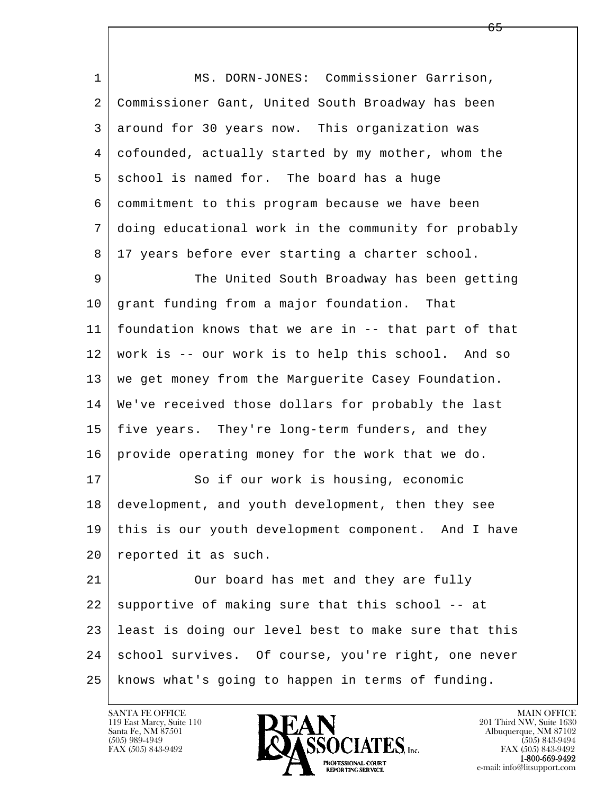| $\mathbf 1$ | MS. DORN-JONES: Commissioner Garrison,               |
|-------------|------------------------------------------------------|
| 2           | Commissioner Gant, United South Broadway has been    |
| 3           | around for 30 years now. This organization was       |
| 4           | cofounded, actually started by my mother, whom the   |
| 5           | school is named for. The board has a huge            |
| 6           | commitment to this program because we have been      |
| 7           | doing educational work in the community for probably |
| 8           | 17 years before ever starting a charter school.      |
| 9           | The United South Broadway has been getting           |
| 10          | grant funding from a major foundation. That          |
| 11          | foundation knows that we are in -- that part of that |
| 12          | work is -- our work is to help this school. And so   |
| 13          | we get money from the Marguerite Casey Foundation.   |
| 14          | We've received those dollars for probably the last   |
| 15          | five years. They're long-term funders, and they      |
| 16          | provide operating money for the work that we do.     |
| 17          | So if our work is housing, economic                  |
| 18          | development, and youth development, then they see    |
| 19          | this is our youth development component. And I have  |
| 20          | reported it as such.                                 |
| 21          | Our board has met and they are fully                 |
| 22          | supportive of making sure that this school -- at     |
| 23          | least is doing our level best to make sure that this |
| 24          | school survives. Of course, you're right, one never  |
| 25          | knows what's going to happen in terms of funding.    |

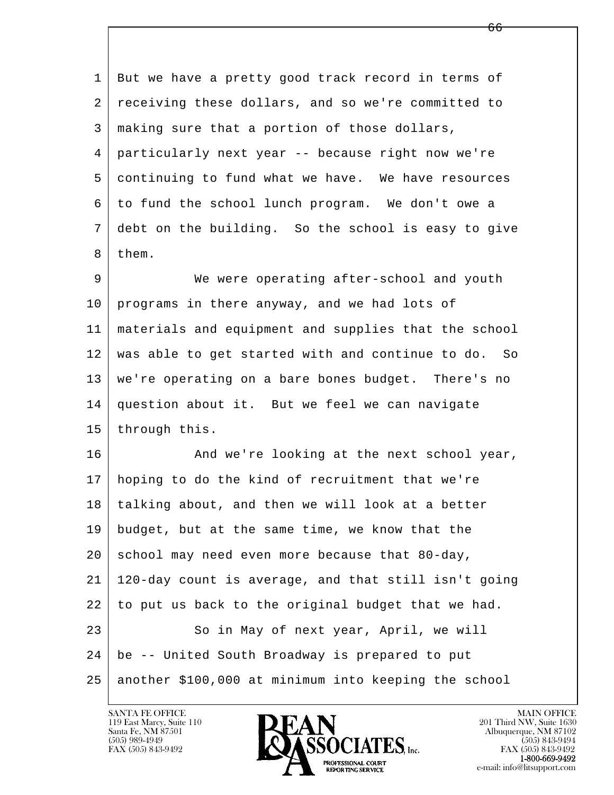l  $\overline{\phantom{a}}$  1 But we have a pretty good track record in terms of 2 receiving these dollars, and so we're committed to 3 making sure that a portion of those dollars, 4 particularly next year -- because right now we're 5 continuing to fund what we have. We have resources 6 to fund the school lunch program. We don't owe a 7 debt on the building. So the school is easy to give 8 | them. 9 We were operating after-school and youth 10 programs in there anyway, and we had lots of 11 materials and equipment and supplies that the school 12 was able to get started with and continue to do. So 13 we're operating on a bare bones budget. There's no 14 question about it. But we feel we can navigate 15 through this. 16 And we're looking at the next school year, 17 hoping to do the kind of recruitment that we're 18 talking about, and then we will look at a better 19 budget, but at the same time, we know that the  $20$  school may need even more because that 80-day, 21 120-day count is average, and that still isn't going 22 to put us back to the original budget that we had. 23 So in May of next year, April, we will 24 be -- United South Broadway is prepared to put 25 another \$100,000 at minimum into keeping the school

 $\overline{66}$ 

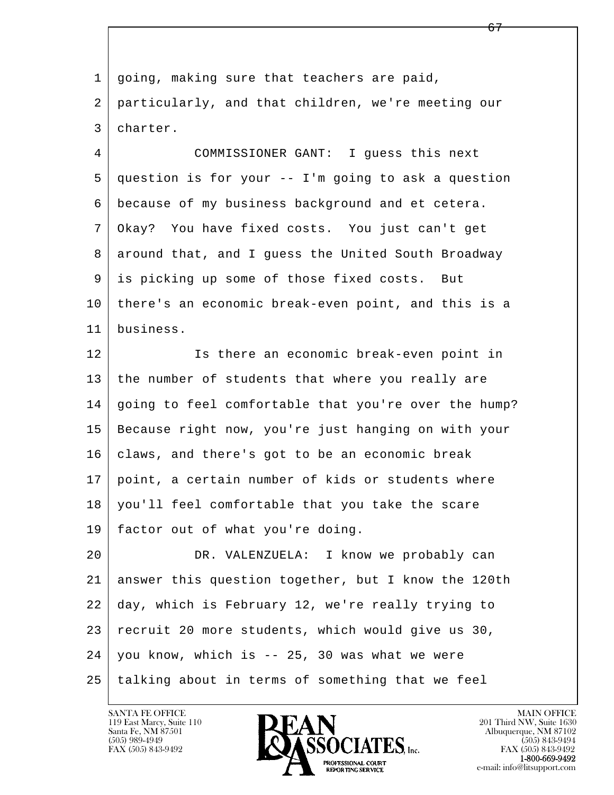l  $\overline{\phantom{a}}$ 1 | going, making sure that teachers are paid, 2 particularly, and that children, we're meeting our 3 charter. 4 COMMISSIONER GANT: I guess this next 5 question is for your -- I'm going to ask a question 6 because of my business background and et cetera. 7 Okay? You have fixed costs. You just can't get 8 around that, and I guess the United South Broadway 9 is picking up some of those fixed costs. But 10 there's an economic break-even point, and this is a 11 business. 12 Is there an economic break-even point in 13 the number of students that where you really are 14 going to feel comfortable that you're over the hump? 15 Because right now, you're just hanging on with your 16 claws, and there's got to be an economic break 17 point, a certain number of kids or students where 18 you'll feel comfortable that you take the scare 19 factor out of what you're doing. 20 DR. VALENZUELA: I know we probably can 21 answer this question together, but I know the 120th 22 day, which is February 12, we're really trying to 23 recruit 20 more students, which would give us 30, 24 you know, which is -- 25, 30 was what we were 25 talking about in terms of something that we feel

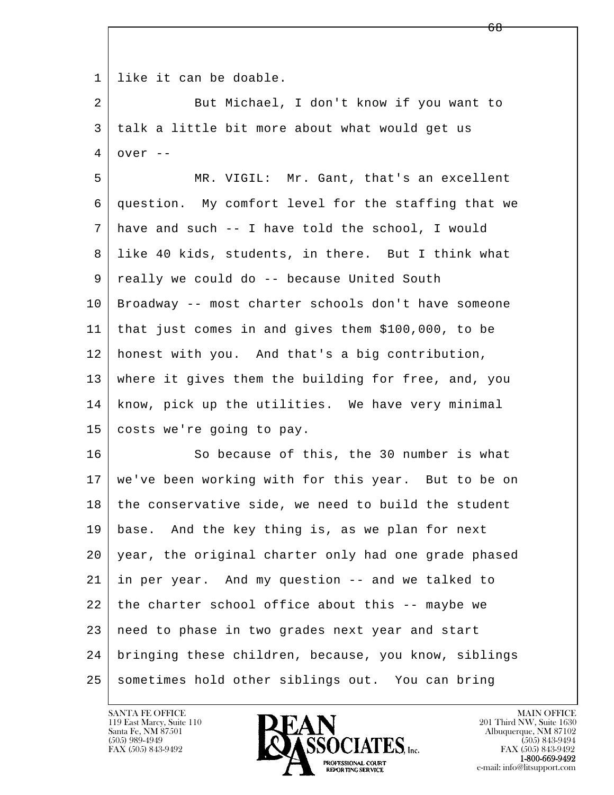l  $\overline{\phantom{a}}$  1 like it can be doable. 2 But Michael, I don't know if you want to 3 talk a little bit more about what would get us  $4 \mid over --$  5 MR. VIGIL: Mr. Gant, that's an excellent 6 question. My comfort level for the staffing that we 7 have and such -- I have told the school, I would 8 like 40 kids, students, in there. But I think what 9 really we could do -- because United South 10 Broadway -- most charter schools don't have someone 11 that just comes in and gives them \$100,000, to be 12 honest with you. And that's a big contribution, 13 where it gives them the building for free, and, you 14 know, pick up the utilities. We have very minimal 15 costs we're going to pay. 16 So because of this, the 30 number is what 17 we've been working with for this year. But to be on 18 the conservative side, we need to build the student 19 base. And the key thing is, as we plan for next 20 year, the original charter only had one grade phased 21 in per year. And my question -- and we talked to  $22$  the charter school office about this  $-$ - maybe we 23 | need to phase in two grades next year and start 24 bringing these children, because, you know, siblings 25 sometimes hold other siblings out. You can bring

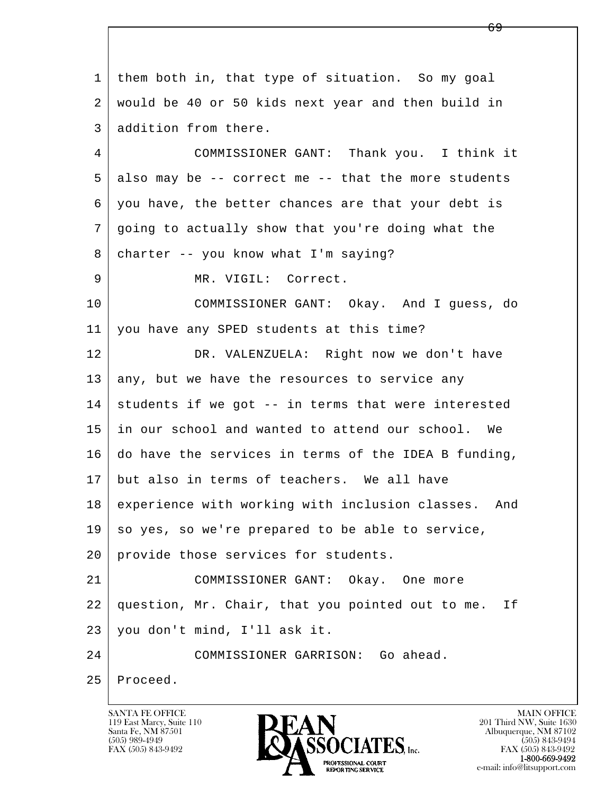l  $\overline{\phantom{a}}$  1 them both in, that type of situation. So my goal 2 would be 40 or 50 kids next year and then build in 3 addition from there. 4 COMMISSIONER GANT: Thank you. I think it  $5$  also may be  $-$ - correct me  $-$ - that the more students 6 you have, the better chances are that your debt is 7 going to actually show that you're doing what the 8 | charter -- you know what I'm saying? 9 | MR. VIGIL: Correct. 10 COMMISSIONER GANT: Okay. And I guess, do 11 you have any SPED students at this time? 12 DR. VALENZUELA: Right now we don't have  $13$  any, but we have the resources to service any  $14$  students if we got  $-$ - in terms that were interested 15 in our school and wanted to attend our school. We 16 do have the services in terms of the IDEA B funding, 17 but also in terms of teachers. We all have 18 experience with working with inclusion classes. And  $19$  so yes, so we're prepared to be able to service, 20 provide those services for students. 21 COMMISSIONER GANT: Okay. One more 22 question, Mr. Chair, that you pointed out to me. If 23 you don't mind, I'll ask it. 24 COMMISSIONER GARRISON: Go ahead. 25 Proceed.

119 East Marcy, Suite 110<br>Santa Fe, NM 87501

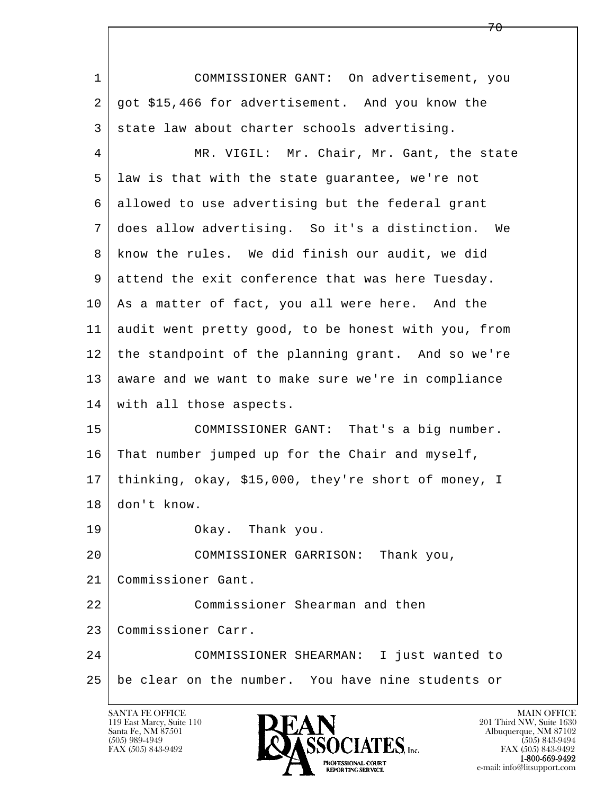| $\mathbf{1}$ | COMMISSIONER GANT: On advertisement, you            |
|--------------|-----------------------------------------------------|
| 2            | got \$15,466 for advertisement. And you know the    |
| 3            | state law about charter schools advertising.        |
| 4            | MR. VIGIL: Mr. Chair, Mr. Gant, the state           |
| 5            | law is that with the state guarantee, we're not     |
| 6            | allowed to use advertising but the federal grant    |
| 7            | does allow advertising. So it's a distinction. We   |
| 8            | know the rules. We did finish our audit, we did     |
| 9            | attend the exit conference that was here Tuesday.   |
| 10           | As a matter of fact, you all were here. And the     |
| 11           | audit went pretty good, to be honest with you, from |
| 12           | the standpoint of the planning grant. And so we're  |
| 13           | aware and we want to make sure we're in compliance  |
| 14           | with all those aspects.                             |
| 15           | COMMISSIONER GANT: That's a big number.             |
| 16           | That number jumped up for the Chair and myself,     |
| 17           | thinking, okay, \$15,000, they're short of money, I |
| 18           | don't know.                                         |
| 19           | Okay. Thank you.                                    |
| 20           | COMMISSIONER GARRISON: Thank you,                   |
| 21           | Commissioner Gant.                                  |
| 22           | Commissioner Shearman and then                      |
| 23           | Commissioner Carr.                                  |
| 24           | COMMISSIONER SHEARMAN: I just wanted to             |
| 25           | be clear on the number. You have nine students or   |
|              |                                                     |

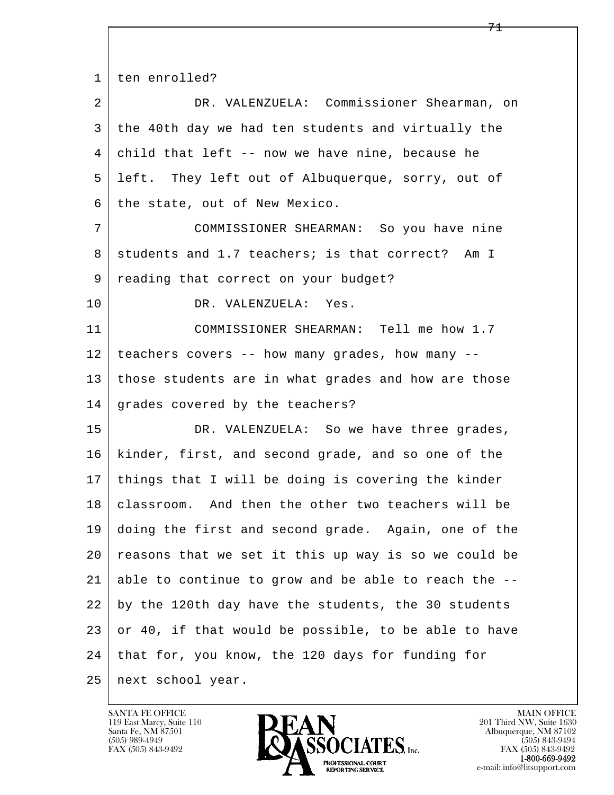l  $\overline{\phantom{a}}$  1 ten enrolled? 2 DR. VALENZUELA: Commissioner Shearman, on 3 the 40th day we had ten students and virtually the 4 child that left -- now we have nine, because he 5 left. They left out of Albuquerque, sorry, out of  $6$  the state, out of New Mexico. 7 COMMISSIONER SHEARMAN: So you have nine 8 students and 1.7 teachers; is that correct? Am I 9 reading that correct on your budget? 10 DR. VALENZUELA: Yes. 11 COMMISSIONER SHEARMAN: Tell me how 1.7  $12$  | teachers covers -- how many grades, how many -- 13 those students are in what grades and how are those 14 grades covered by the teachers? 15 DR. VALENZUELA: So we have three grades, 16 kinder, first, and second grade, and so one of the 17 things that I will be doing is covering the kinder 18 classroom. And then the other two teachers will be 19 doing the first and second grade. Again, one of the 20 reasons that we set it this up way is so we could be 21 able to continue to grow and be able to reach the -- 22 by the 120th day have the students, the 30 students  $23$  or 40, if that would be possible, to be able to have 24 that for, you know, the 120 days for funding for 25 next school year.

119 East Marcy, Suite 110<br>Santa Fe, NM 87501

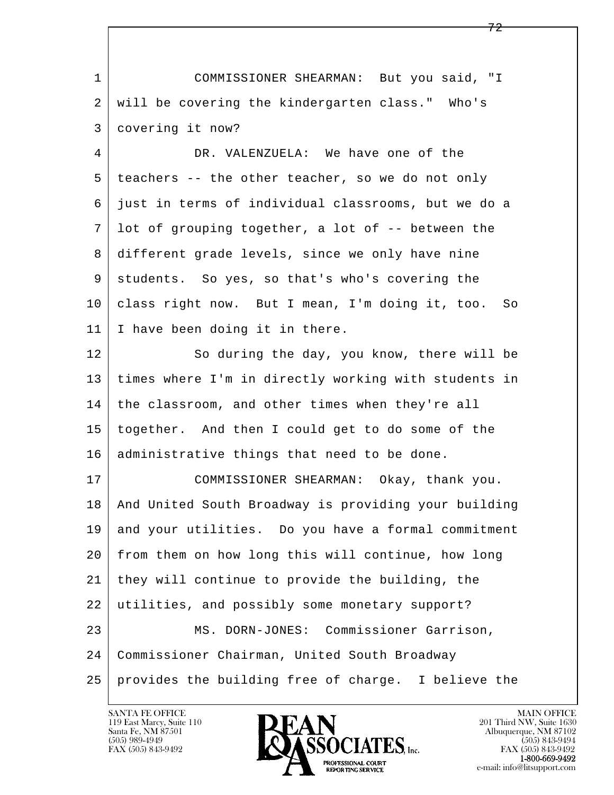| $\mathbf{1}$ | COMMISSIONER SHEARMAN: But you said, "I                |
|--------------|--------------------------------------------------------|
| 2            | will be covering the kindergarten class." Who's        |
| 3            | covering it now?                                       |
| 4            | DR. VALENZUELA: We have one of the                     |
| 5            | teachers -- the other teacher, so we do not only       |
| 6            | just in terms of individual classrooms, but we do a    |
| 7            | lot of grouping together, a lot of -- between the      |
| 8            | different grade levels, since we only have nine        |
| 9            | students. So yes, so that's who's covering the         |
| 10           | class right now. But I mean, I'm doing it, too. So     |
| 11           | I have been doing it in there.                         |
| 12           | So during the day, you know, there will be             |
| 13           | times where I'm in directly working with students in   |
| 14           | the classroom, and other times when they're all        |
| 15           | together. And then I could get to do some of the       |
| 16           | administrative things that need to be done.            |
| 17           | COMMISSIONER SHEARMAN: Okay, thank you.                |
| 18           | And United South Broadway is providing your building   |
| 19           | and your utilities. Do you have a formal commitment    |
| 20           | from them on how long this will continue, how long     |
| 21           | they will continue to provide the building, the        |
| 22           | utilities, and possibly some monetary support?         |
| 23           | MS. DORN-JONES: Commissioner Garrison,                 |
| 24           | Commissioner Chairman, United South Broadway           |
| 25           | provides the building free of charge.<br>I believe the |

 $\lceil$ 

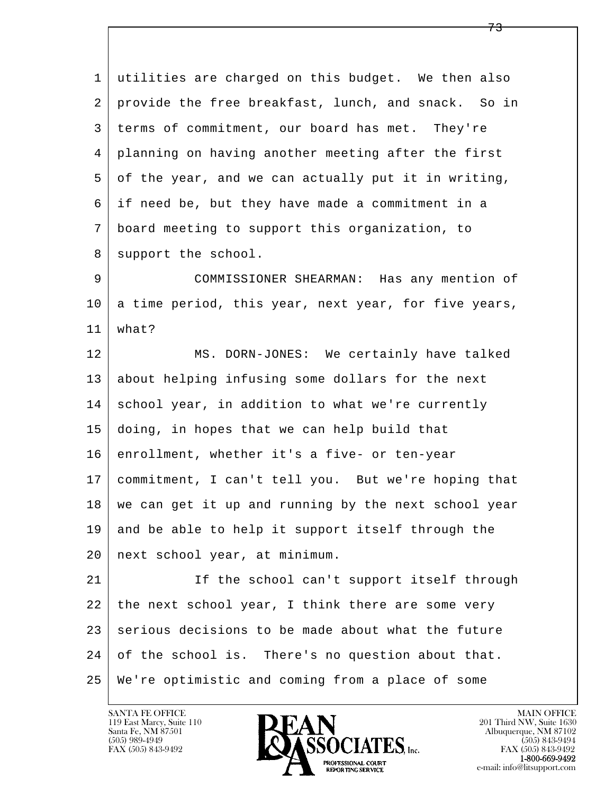l  $\overline{\phantom{a}}$  1 utilities are charged on this budget. We then also 2 provide the free breakfast, lunch, and snack. So in 3 terms of commitment, our board has met. They're 4 planning on having another meeting after the first 5 of the year, and we can actually put it in writing, 6 if need be, but they have made a commitment in a 7 board meeting to support this organization, to 8 support the school. 9 COMMISSIONER SHEARMAN: Has any mention of 10 a time period, this year, next year, for five years, 11 what? 12 MS. DORN-JONES: We certainly have talked 13 about helping infusing some dollars for the next 14 school year, in addition to what we're currently 15 doing, in hopes that we can help build that 16 enrollment, whether it's a five- or ten-year 17 commitment, I can't tell you. But we're hoping that  $18$  we can get it up and running by the next school year 19 and be able to help it support itself through the 20 next school year, at minimum. 21 | If the school can't support itself through 22 the next school year, I think there are some very 23 serious decisions to be made about what the future 24 of the school is. There's no question about that. 25 We're optimistic and coming from a place of some

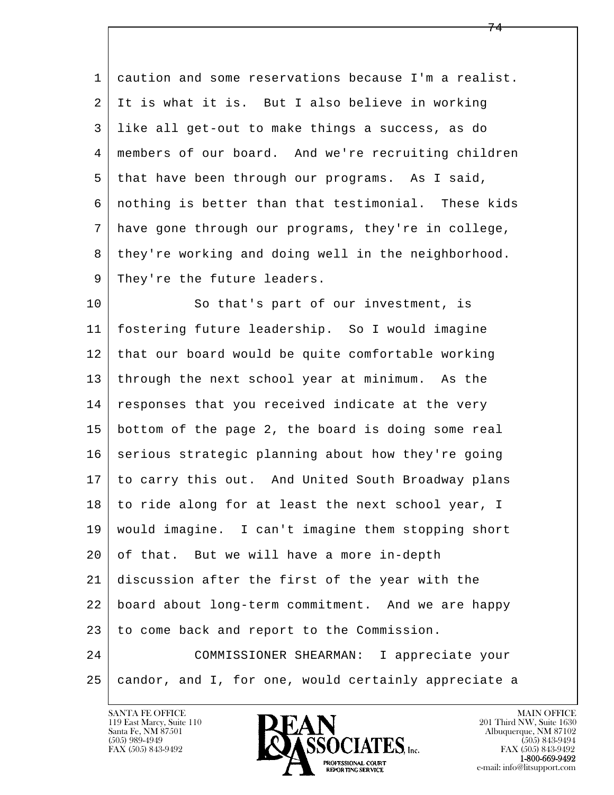1 caution and some reservations because I'm a realist. 2 It is what it is. But I also believe in working 3 like all get-out to make things a success, as do 4 members of our board. And we're recruiting children 5 that have been through our programs. As I said, 6 nothing is better than that testimonial. These kids 7 have gone through our programs, they're in college, 8 they're working and doing well in the neighborhood. 9 | They're the future leaders.

l  $\overline{\phantom{a}}$ 10 So that's part of our investment, is 11 fostering future leadership. So I would imagine 12 that our board would be quite comfortable working 13 through the next school year at minimum. As the 14 responses that you received indicate at the very 15 bottom of the page 2, the board is doing some real 16 serious strategic planning about how they're going 17 to carry this out. And United South Broadway plans 18 to ride along for at least the next school year, I 19 would imagine. I can't imagine them stopping short 20 of that. But we will have a more in-depth 21 discussion after the first of the year with the 22 board about long-term commitment. And we are happy 23 to come back and report to the Commission. 24 COMMISSIONER SHEARMAN: I appreciate your 25 candor, and I, for one, would certainly appreciate a

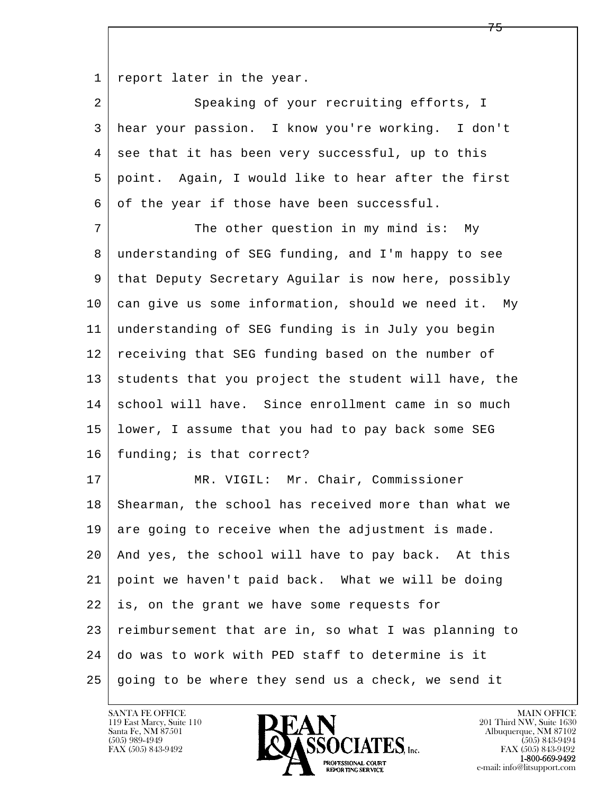1 report later in the year.

2 Speaking of your recruiting efforts, I 3 hear your passion. I know you're working. I don't  $4 \mid$  see that it has been very successful, up to this 5 point. Again, I would like to hear after the first 6 of the year if those have been successful.

7 The other question in my mind is: My 8 understanding of SEG funding, and I'm happy to see 9 that Deputy Secretary Aguilar is now here, possibly 10 can give us some information, should we need it. My 11 understanding of SEG funding is in July you begin 12 receiving that SEG funding based on the number of 13 students that you project the student will have, the 14 school will have. Since enrollment came in so much 15 lower, I assume that you had to pay back some SEG 16 | funding; is that correct?

l  $\overline{\phantom{a}}$ 17 | MR. VIGIL: Mr. Chair, Commissioner 18 Shearman, the school has received more than what we 19 are going to receive when the adjustment is made. 20 And yes, the school will have to pay back. At this 21 point we haven't paid back. What we will be doing 22 is, on the grant we have some requests for 23 reimbursement that are in, so what I was planning to 24 do was to work with PED staff to determine is it  $25$  going to be where they send us a check, we send it



FAX (505) 843-9492<br>1-800-669-9492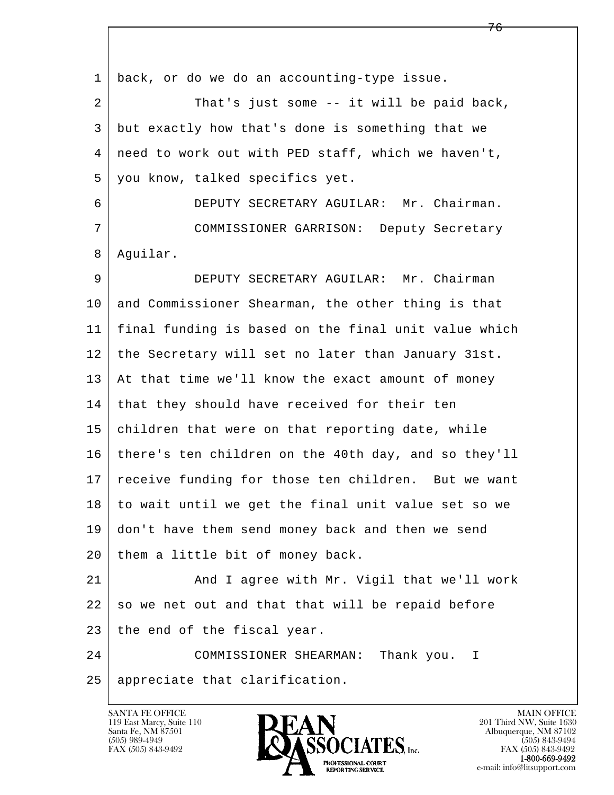l  $\overline{\phantom{a}}$  1 back, or do we do an accounting-type issue. 2 That's just some -- it will be paid back, 3 but exactly how that's done is something that we 4 need to work out with PED staff, which we haven't, 5 you know, talked specifics yet. 6 DEPUTY SECRETARY AGUILAR: Mr. Chairman. 7 COMMISSIONER GARRISON: Deputy Secretary 8 Aguilar. 9 DEPUTY SECRETARY AGUILAR: Mr. Chairman 10 and Commissioner Shearman, the other thing is that 11 final funding is based on the final unit value which 12 the Secretary will set no later than January 31st. 13 | At that time we'll know the exact amount of money 14 that they should have received for their ten 15 children that were on that reporting date, while 16 there's ten children on the 40th day, and so they'll 17 | receive funding for those ten children. But we want 18 to wait until we get the final unit value set so we 19 don't have them send money back and then we send 20 them a little bit of money back. 21 | And I agree with Mr. Vigil that we'll work  $22$  so we net out and that that will be repaid before 23 | the end of the fiscal year. 24 COMMISSIONER SHEARMAN: Thank you. I 25 appreciate that clarification.

119 East Marcy, Suite 110<br>Santa Fe, NM 87501

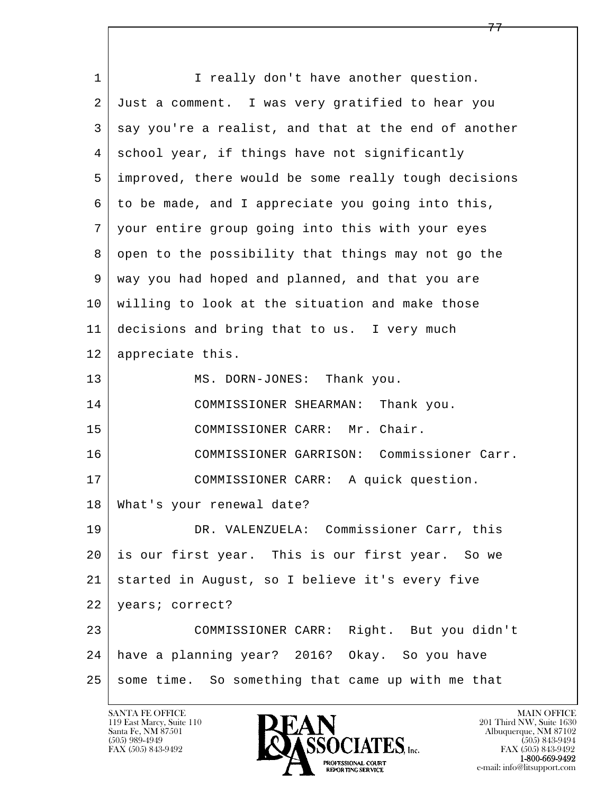l  $\overline{\phantom{a}}$ 1 I really don't have another question. 2 Just a comment. I was very gratified to hear you  $3 \mid$  say you're a realist, and that at the end of another 4 school year, if things have not significantly 5 improved, there would be some really tough decisions 6 to be made, and I appreciate you going into this, 7 your entire group going into this with your eyes 8 open to the possibility that things may not go the 9 way you had hoped and planned, and that you are 10 willing to look at the situation and make those 11 decisions and bring that to us. I very much 12 appreciate this. 13 MS. DORN-JONES: Thank you. 14 COMMISSIONER SHEARMAN: Thank you. 15 COMMISSIONER CARR: Mr. Chair. 16 COMMISSIONER GARRISON: Commissioner Carr. 17 | COMMISSIONER CARR: A quick question. 18 What's your renewal date? 19 DR. VALENZUELA: Commissioner Carr, this 20 is our first year. This is our first year. So we 21 started in August, so I believe it's every five 22 years; correct? 23 COMMISSIONER CARR: Right. But you didn't 24 have a planning year? 2016? Okay. So you have  $25$  some time. So something that came up with me that

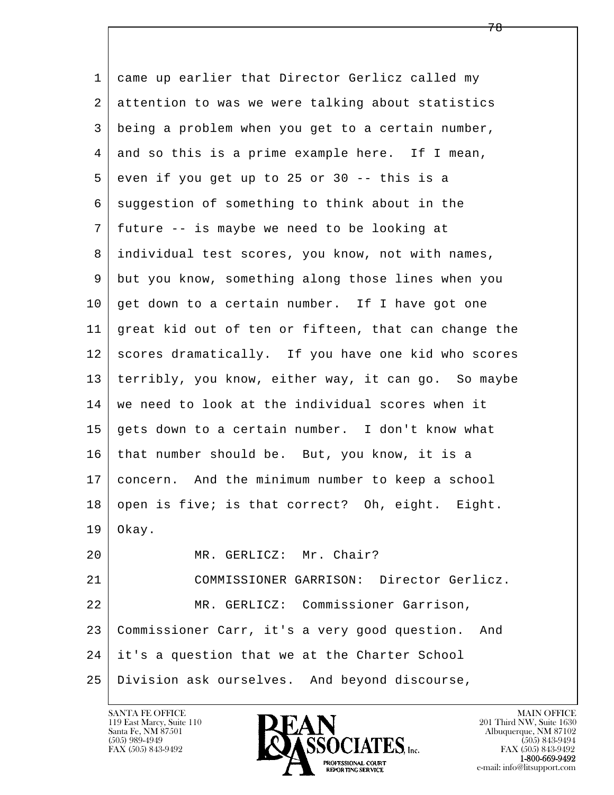l  $\overline{\phantom{a}}$  1 came up earlier that Director Gerlicz called my 2 attention to was we were talking about statistics 3 being a problem when you get to a certain number, 4 and so this is a prime example here. If I mean,  $5$  even if you get up to 25 or 30 -- this is a 6 suggestion of something to think about in the 7 future -- is maybe we need to be looking at 8 individual test scores, you know, not with names, 9 but you know, something along those lines when you 10 get down to a certain number. If I have got one 11 great kid out of ten or fifteen, that can change the 12 scores dramatically. If you have one kid who scores 13 terribly, you know, either way, it can go. So maybe 14 we need to look at the individual scores when it 15 gets down to a certain number. I don't know what 16 | that number should be. But, you know, it is a 17 concern. And the minimum number to keep a school 18 open is five; is that correct? Oh, eight. Eight.  $19 \mid$  Okay. 20 MR. GERLICZ: Mr. Chair? 21 COMMISSIONER GARRISON: Director Gerlicz. 22 MR. GERLICZ: Commissioner Garrison, 23 Commissioner Carr, it's a very good question. And 24 it's a question that we at the Charter School 25 Division ask ourselves. And beyond discourse,

119 East Marcy, Suite 110<br>Santa Fe, NM 87501

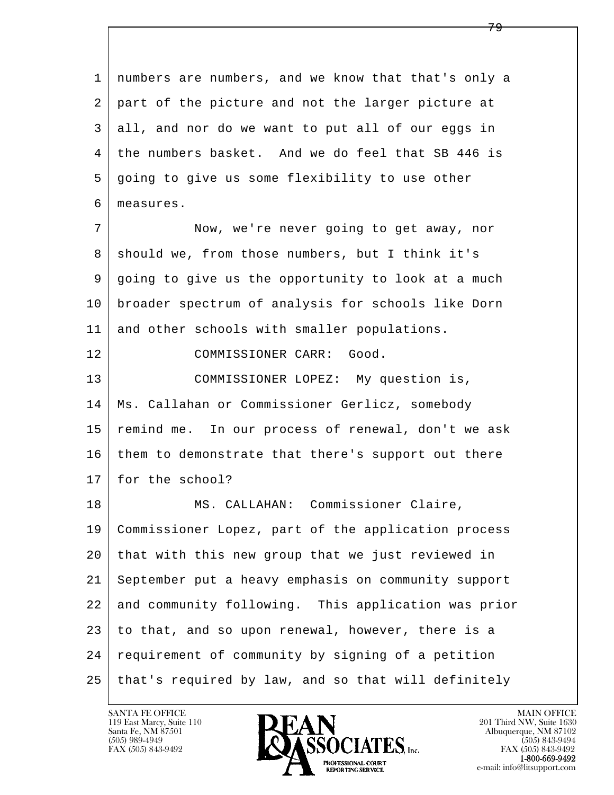l  $\overline{\phantom{a}}$  1 numbers are numbers, and we know that that's only a 2 part of the picture and not the larger picture at 3 all, and nor do we want to put all of our eggs in 4 the numbers basket. And we do feel that SB 446 is 5 going to give us some flexibility to use other 6 measures. 7 Now, we're never going to get away, nor 8 | should we, from those numbers, but I think it's 9 going to give us the opportunity to look at a much 10 broader spectrum of analysis for schools like Dorn 11 and other schools with smaller populations. 12 COMMISSIONER CARR: Good. 13 COMMISSIONER LOPEZ: My question is, 14 Ms. Callahan or Commissioner Gerlicz, somebody 15 remind me. In our process of renewal, don't we ask 16 them to demonstrate that there's support out there 17 for the school? 18 | MS. CALLAHAN: Commissioner Claire, 19 Commissioner Lopez, part of the application process 20 that with this new group that we just reviewed in 21 September put a heavy emphasis on community support 22 and community following. This application was prior 23 to that, and so upon renewal, however, there is a 24 requirement of community by signing of a petition 25 that's required by law, and so that will definitely

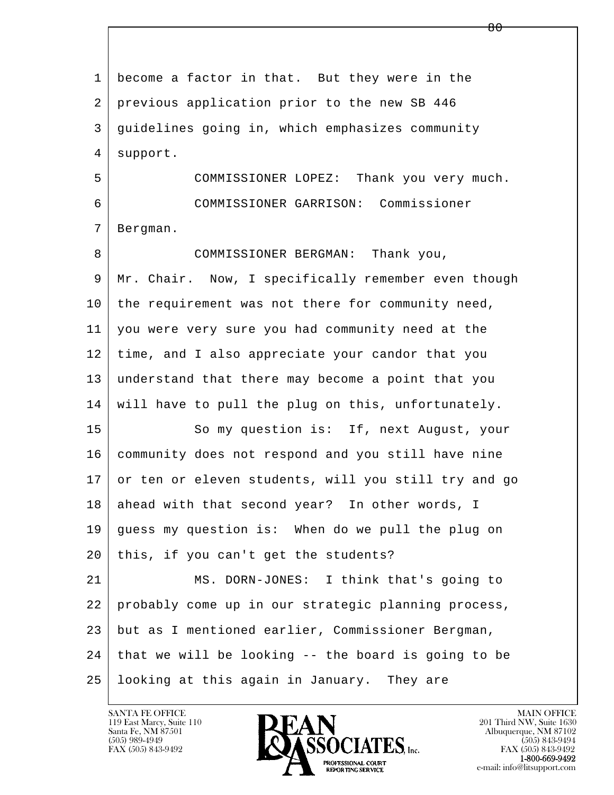l  $\overline{\phantom{a}}$  1 become a factor in that. But they were in the 2 previous application prior to the new SB 446 3 guidelines going in, which emphasizes community 4 | support. 5 COMMISSIONER LOPEZ: Thank you very much. 6 COMMISSIONER GARRISON: Commissioner 7 Bergman. 8 COMMISSIONER BERGMAN: Thank you, 9 Mr. Chair. Now, I specifically remember even though 10 the requirement was not there for community need, 11 you were very sure you had community need at the 12 time, and I also appreciate your candor that you 13 understand that there may become a point that you 14 will have to pull the plug on this, unfortunately. 15 So my question is: If, next August, your 16 community does not respond and you still have nine 17 or ten or eleven students, will you still try and go 18 ahead with that second year? In other words, I 19 guess my question is: When do we pull the plug on  $20$  this, if you can't get the students? 21 MS. DORN-JONES: I think that's going to 22 probably come up in our strategic planning process, 23 but as I mentioned earlier, Commissioner Bergman, 24 that we will be looking -- the board is going to be 25 looking at this again in January. They are

 $\overline{80}$ 

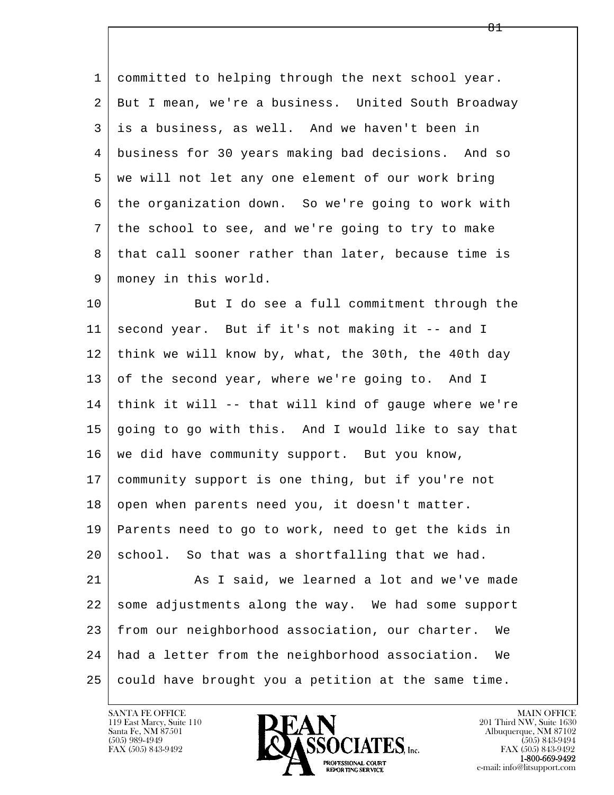1 committed to helping through the next school year. 2 But I mean, we're a business. United South Broadway 3 is a business, as well. And we haven't been in 4 business for 30 years making bad decisions. And so 5 we will not let any one element of our work bring 6 the organization down. So we're going to work with 7 the school to see, and we're going to try to make 8 | that call sooner rather than later, because time is 9 money in this world.

10 But I do see a full commitment through the 11 second year. But if it's not making it -- and I 12 think we will know by, what, the 30th, the 40th day 13 of the second year, where we're going to. And I 14 think it will -- that will kind of gauge where we're 15 going to go with this. And I would like to say that 16 we did have community support. But you know, 17 community support is one thing, but if you're not 18 open when parents need you, it doesn't matter. 19 Parents need to go to work, need to get the kids in  $20$  school. So that was a shortfalling that we had. 21 As I said, we learned a lot and we've made 22 some adjustments along the way. We had some support

l  $\overline{\phantom{a}}$  24 had a letter from the neighborhood association. We  $25$  could have brought you a petition at the same time.

23 from our neighborhood association, our charter. We

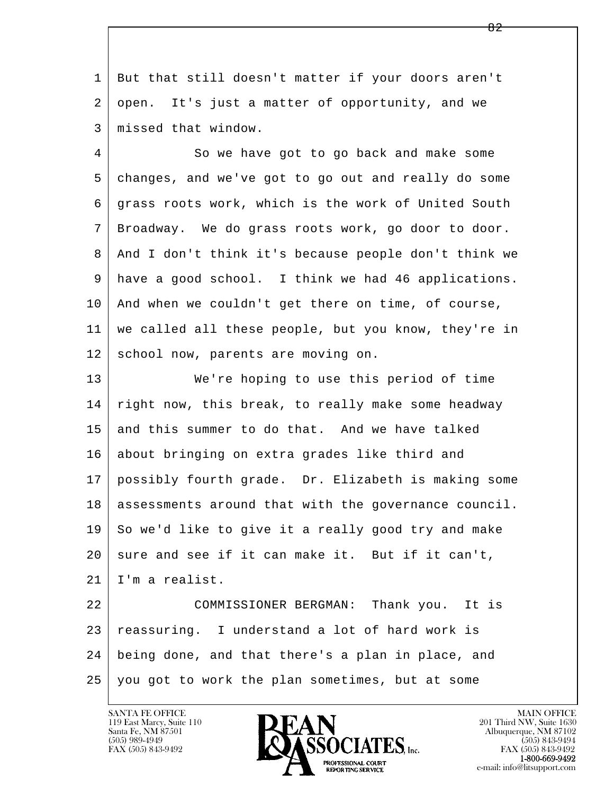1 But that still doesn't matter if your doors aren't 2 open. It's just a matter of opportunity, and we 3 missed that window.

4 So we have got to go back and make some 5 changes, and we've got to go out and really do some 6 grass roots work, which is the work of United South 7 Broadway. We do grass roots work, go door to door. 8 And I don't think it's because people don't think we 9 have a good school. I think we had 46 applications. 10 And when we couldn't get there on time, of course, 11 we called all these people, but you know, they're in 12 school now, parents are moving on.

13 We're hoping to use this period of time 14 right now, this break, to really make some headway  $15$  and this summer to do that. And we have talked 16 about bringing on extra grades like third and 17 possibly fourth grade. Dr. Elizabeth is making some 18 assessments around that with the governance council. 19 So we'd like to give it a really good try and make  $20$  sure and see if it can make it. But if it can't, 21 I'm a realist.

l  $\overline{\phantom{a}}$  22 COMMISSIONER BERGMAN: Thank you. It is 23 reassuring. I understand a lot of hard work is 24 being done, and that there's a plan in place, and 25 you got to work the plan sometimes, but at some

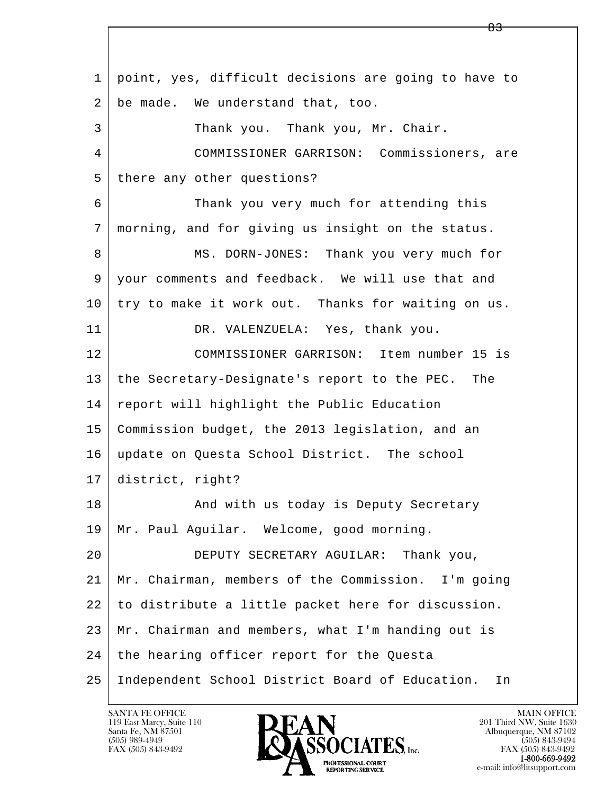l  $\overline{\phantom{a}}$  1 point, yes, difficult decisions are going to have to 2 be made. We understand that, too. 3 Thank you. Thank you, Mr. Chair. 4 COMMISSIONER GARRISON: Commissioners, are 5 there any other questions? 6 Thank you very much for attending this 7 morning, and for giving us insight on the status. 8 MS. DORN-JONES: Thank you very much for 9 | your comments and feedback. We will use that and 10 try to make it work out. Thanks for waiting on us. 11 DR. VALENZUELA: Yes, thank you. 12 COMMISSIONER GARRISON: Item number 15 is 13 the Secretary-Designate's report to the PEC. The 14 report will highlight the Public Education 15 Commission budget, the 2013 legislation, and an 16 update on Questa School District. The school 17 district, right? 18 | The Mand with us today is Deputy Secretary 19 | Mr. Paul Aguilar. Welcome, good morning. 20 DEPUTY SECRETARY AGUILAR: Thank you, 21 Mr. Chairman, members of the Commission. I'm going 22 to distribute a little packet here for discussion. 23 Mr. Chairman and members, what I'm handing out is 24 the hearing officer report for the Questa 25 Independent School District Board of Education. In

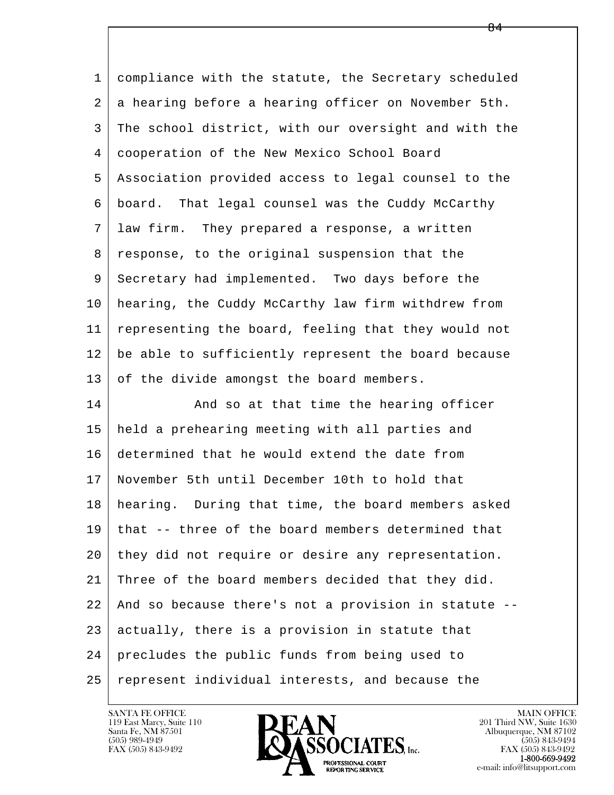l  $\overline{\phantom{a}}$  1 compliance with the statute, the Secretary scheduled 2 | a hearing before a hearing officer on November 5th. 3 The school district, with our oversight and with the 4 cooperation of the New Mexico School Board 5 Association provided access to legal counsel to the 6 board. That legal counsel was the Cuddy McCarthy 7 law firm. They prepared a response, a written 8 response, to the original suspension that the 9 Secretary had implemented. Two days before the 10 hearing, the Cuddy McCarthy law firm withdrew from 11 representing the board, feeling that they would not 12 be able to sufficiently represent the board because 13 of the divide amongst the board members. 14 And so at that time the hearing officer 15 held a prehearing meeting with all parties and 16 determined that he would extend the date from 17 November 5th until December 10th to hold that 18 hearing. During that time, the board members asked 19 that -- three of the board members determined that 20 they did not require or desire any representation. 21 Three of the board members decided that they did. 22 And so because there's not a provision in statute -- 23 actually, there is a provision in statute that 24 precludes the public funds from being used to 25 represent individual interests, and because the

 $\overline{84}$ 

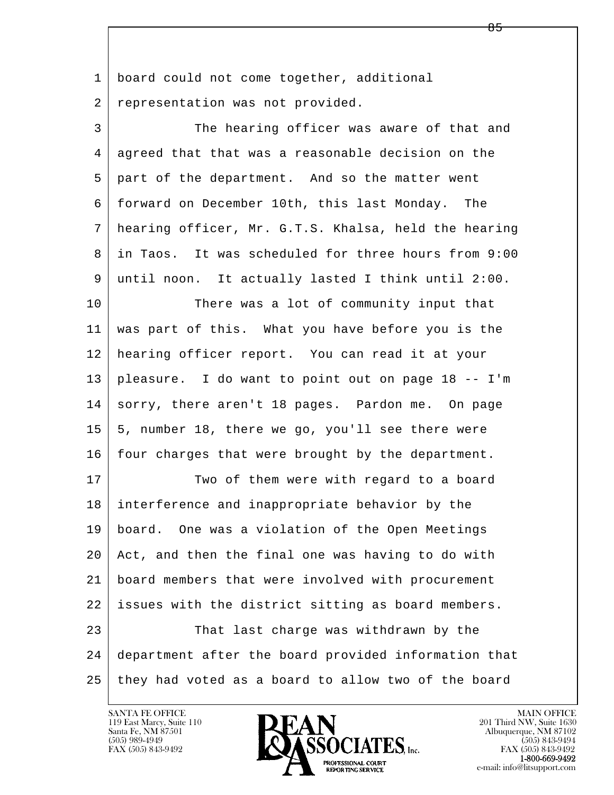l  $\overline{\phantom{a}}$ 1 | board could not come together, additional 2 representation was not provided. 3 The hearing officer was aware of that and 4 agreed that that was a reasonable decision on the 5 part of the department. And so the matter went 6 forward on December 10th, this last Monday. The 7 hearing officer, Mr. G.T.S. Khalsa, held the hearing 8 in Taos. It was scheduled for three hours from 9:00 9 until noon. It actually lasted I think until 2:00. 10 There was a lot of community input that 11 was part of this. What you have before you is the 12 hearing officer report. You can read it at your 13 pleasure. I do want to point out on page 18 -- I'm 14 sorry, there aren't 18 pages. Pardon me. On page 15 5, number 18, there we go, you'll see there were  $16$  four charges that were brought by the department. 17 Two of them were with regard to a board 18 interference and inappropriate behavior by the 19 board. One was a violation of the Open Meetings 20 Act, and then the final one was having to do with 21 board members that were involved with procurement 22 issues with the district sitting as board members. 23 That last charge was withdrawn by the 24 department after the board provided information that 25 they had voted as a board to allow two of the board



FAX (505) 843-9492<br>**1-800-669-9492**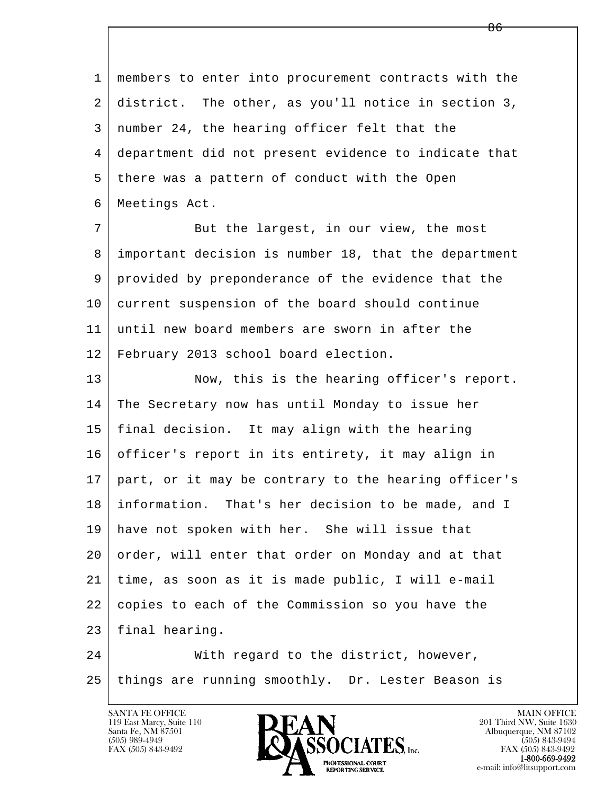l  $\overline{\phantom{a}}$  1 members to enter into procurement contracts with the 2 district. The other, as you'll notice in section 3, 3 number 24, the hearing officer felt that the 4 department did not present evidence to indicate that 5 there was a pattern of conduct with the Open 6 Meetings Act. 7 But the largest, in our view, the most 8 important decision is number 18, that the department 9 provided by preponderance of the evidence that the 10 current suspension of the board should continue 11 until new board members are sworn in after the 12 February 2013 school board election. 13 Now, this is the hearing officer's report. 14 The Secretary now has until Monday to issue her 15 final decision. It may align with the hearing 16 officer's report in its entirety, it may align in 17 part, or it may be contrary to the hearing officer's 18 information. That's her decision to be made, and I 19 have not spoken with her. She will issue that 20 order, will enter that order on Monday and at that 21 time, as soon as it is made public, I will e-mail 22 copies to each of the Commission so you have the 23 final hearing. 24 With regard to the district, however,

25 things are running smoothly. Dr. Lester Beason is

119 East Marcy, Suite 110<br>Santa Fe, NM 87501

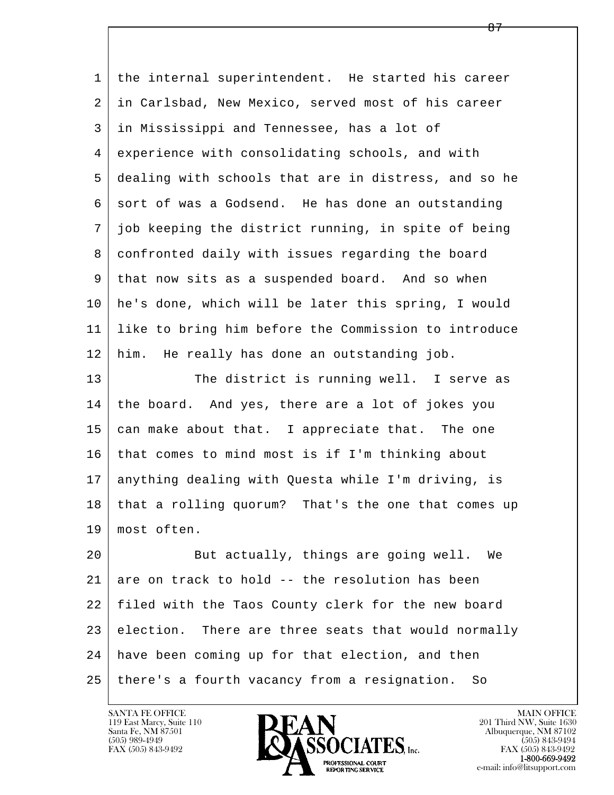| 1  | the internal superintendent. He started his career   |
|----|------------------------------------------------------|
| 2  | in Carlsbad, New Mexico, served most of his career   |
| 3  | in Mississippi and Tennessee, has a lot of           |
| 4  | experience with consolidating schools, and with      |
| 5  | dealing with schools that are in distress, and so he |
| 6  | sort of was a Godsend. He has done an outstanding    |
| 7  | job keeping the district running, in spite of being  |
| 8  | confronted daily with issues regarding the board     |
| 9  | that now sits as a suspended board. And so when      |
| 10 | he's done, which will be later this spring, I would  |
| 11 | like to bring him before the Commission to introduce |
| 12 | him. He really has done an outstanding job.          |
| 13 | The district is running well. I serve as             |
| 14 | the board. And yes, there are a lot of jokes you     |
| 15 | can make about that. I appreciate that. The one      |
| 16 | that comes to mind most is if I'm thinking about     |
| 17 | anything dealing with Questa while I'm driving, is   |
| 18 | that a rolling quorum? That's the one that comes up  |
| 19 | most often.                                          |
| 20 | But actually, things are going well. We              |
| 21 | are on track to hold -- the resolution has been      |
| 22 | filed with the Taos County clerk for the new board   |
| 23 | election. There are three seats that would normally  |
| 24 | have been coming up for that election, and then      |
| 25 | there's a fourth vacancy from a resignation.<br>So   |

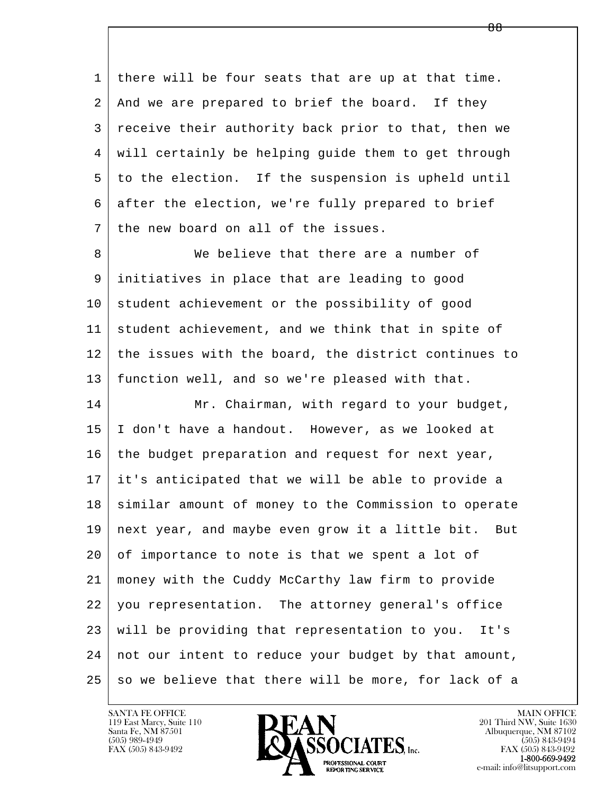1 there will be four seats that are up at that time. 2 | And we are prepared to brief the board. If they 3 receive their authority back prior to that, then we 4 will certainly be helping guide them to get through 5 to the election. If the suspension is upheld until 6 after the election, we're fully prepared to brief 7 the new board on all of the issues.

8 We believe that there are a number of 9 initiatives in place that are leading to good 10 student achievement or the possibility of good 11 student achievement, and we think that in spite of 12 the issues with the board, the district continues to 13 function well, and so we're pleased with that.

l  $\overline{\phantom{a}}$ 14 Mr. Chairman, with regard to your budget, 15 I don't have a handout. However, as we looked at 16 the budget preparation and request for next year, 17 it's anticipated that we will be able to provide a 18 | similar amount of money to the Commission to operate 19 next year, and maybe even grow it a little bit. But 20 of importance to note is that we spent a lot of 21 money with the Cuddy McCarthy law firm to provide 22 you representation. The attorney general's office 23 will be providing that representation to you. It's 24 | not our intent to reduce your budget by that amount,  $25$  so we believe that there will be more, for lack of a

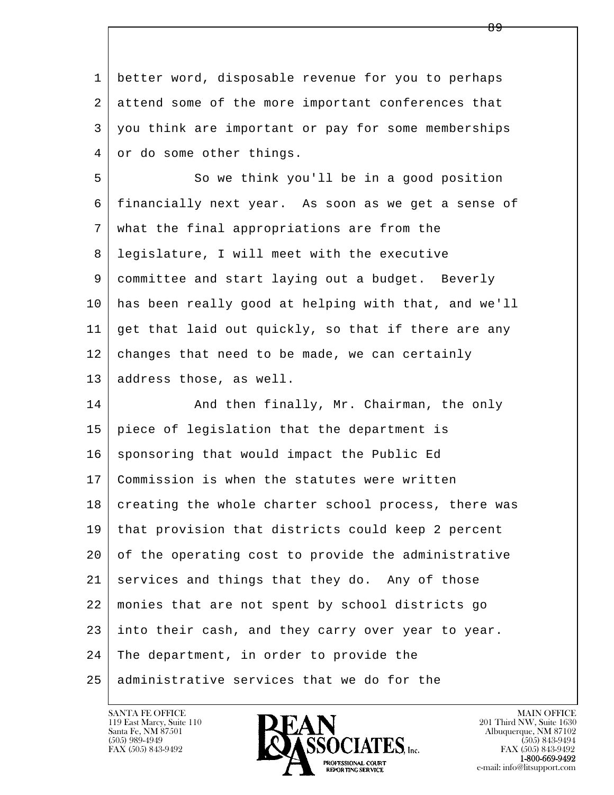l  $\overline{\phantom{a}}$  1 better word, disposable revenue for you to perhaps 2 attend some of the more important conferences that 3 you think are important or pay for some memberships 4 or do some other things. 5 So we think you'll be in a good position 6 financially next year. As soon as we get a sense of 7 what the final appropriations are from the 8 legislature, I will meet with the executive 9 committee and start laying out a budget. Beverly 10 has been really good at helping with that, and we'll 11 get that laid out quickly, so that if there are any  $12$  changes that need to be made, we can certainly 13 address those, as well. 14 And then finally, Mr. Chairman, the only 15 piece of legislation that the department is  $16$  sponsoring that would impact the Public Ed 17 Commission is when the statutes were written 18 creating the whole charter school process, there was 19 that provision that districts could keep 2 percent 20 of the operating cost to provide the administrative 21 services and things that they do. Any of those 22 monies that are not spent by school districts go 23 into their cash, and they carry over year to year. 24 The department, in order to provide the 25 administrative services that we do for the

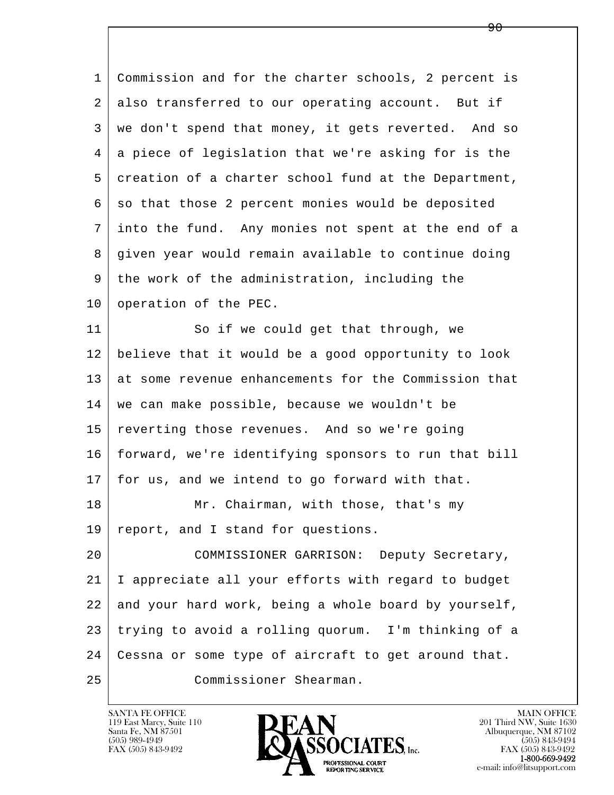l  $\overline{\phantom{a}}$  1 Commission and for the charter schools, 2 percent is 2 also transferred to our operating account. But if 3 we don't spend that money, it gets reverted. And so 4 a piece of legislation that we're asking for is the 5 creation of a charter school fund at the Department, 6 so that those 2 percent monies would be deposited 7 into the fund. Any monies not spent at the end of a 8 given year would remain available to continue doing 9 the work of the administration, including the 10 operation of the PEC. 11 So if we could get that through, we 12 believe that it would be a good opportunity to look 13 at some revenue enhancements for the Commission that 14 we can make possible, because we wouldn't be 15 reverting those revenues. And so we're going 16 | forward, we're identifying sponsors to run that bill 17 for us, and we intend to go forward with that. 18 Mr. Chairman, with those, that's my 19 report, and I stand for questions. 20 COMMISSIONER GARRISON: Deputy Secretary, 21 I appreciate all your efforts with regard to budget 22 and your hard work, being a whole board by yourself, 23 trying to avoid a rolling quorum. I'm thinking of a 24 Cessna or some type of aircraft to get around that. 25 Commissioner Shearman.

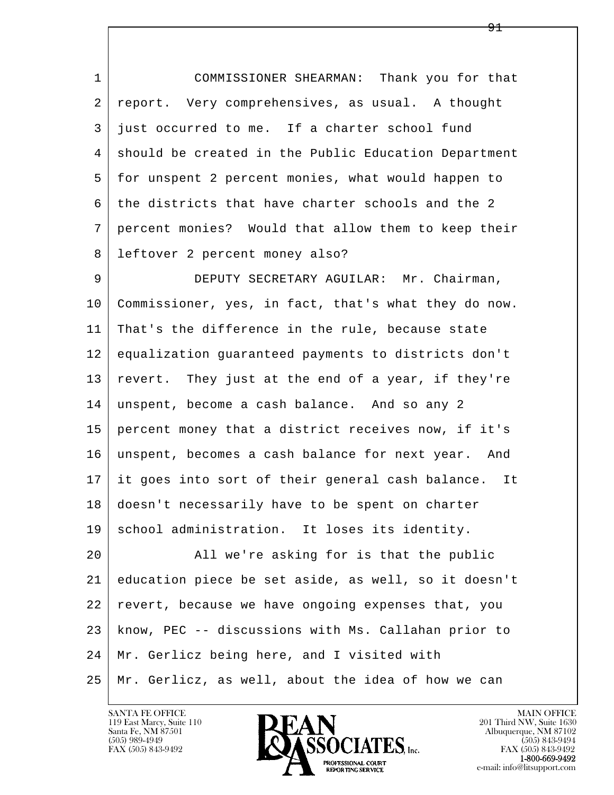1 COMMISSIONER SHEARMAN: Thank you for that 2 report. Very comprehensives, as usual. A thought 3 just occurred to me. If a charter school fund 4 | should be created in the Public Education Department 5 for unspent 2 percent monies, what would happen to 6 the districts that have charter schools and the 2 7 percent monies? Would that allow them to keep their 8 leftover 2 percent money also?

 9 DEPUTY SECRETARY AGUILAR: Mr. Chairman, 10 Commissioner, yes, in fact, that's what they do now. 11 That's the difference in the rule, because state 12 equalization guaranteed payments to districts don't 13 revert. They just at the end of a year, if they're 14 unspent, become a cash balance. And so any 2 15 percent money that a district receives now, if it's 16 unspent, becomes a cash balance for next year. And 17 it goes into sort of their general cash balance. It 18 doesn't necessarily have to be spent on charter 19 school administration. It loses its identity.

l  $\overline{\phantom{a}}$  20 All we're asking for is that the public 21 education piece be set aside, as well, so it doesn't 22 revert, because we have ongoing expenses that, you 23 know, PEC -- discussions with Ms. Callahan prior to 24 Mr. Gerlicz being here, and I visited with 25 Mr. Gerlicz, as well, about the idea of how we can

119 East Marcy, Suite 110<br>Santa Fe, NM 87501



FAX (505) 843-9492<br>1-800-669-9492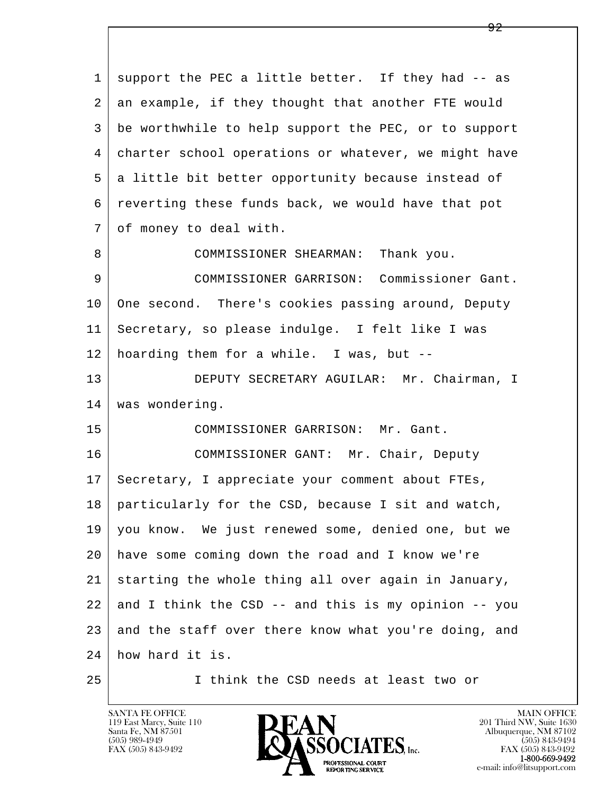l  $\overline{\phantom{a}}$  1 support the PEC a little better. If they had -- as 2 an example, if they thought that another FTE would 3 be worthwhile to help support the PEC, or to support 4 charter school operations or whatever, we might have 5 a little bit better opportunity because instead of 6 reverting these funds back, we would have that pot 7 of money to deal with. 8 COMMISSIONER SHEARMAN: Thank you. 9 COMMISSIONER GARRISON: Commissioner Gant. 10 One second. There's cookies passing around, Deputy 11 Secretary, so please indulge. I felt like I was 12 hoarding them for a while. I was, but -- 13 DEPUTY SECRETARY AGUILAR: Mr. Chairman, I 14 | was wondering. 15 COMMISSIONER GARRISON: Mr. Gant. 16 COMMISSIONER GANT: Mr. Chair, Deputy 17 | Secretary, I appreciate your comment about FTEs, 18 particularly for the CSD, because I sit and watch, 19 you know. We just renewed some, denied one, but we 20 have some coming down the road and I know we're 21 starting the whole thing all over again in January,  $22$  and I think the CSD -- and this is my opinion -- you 23 and the staff over there know what you're doing, and 24 how hard it is.

25 I think the CSD needs at least two or

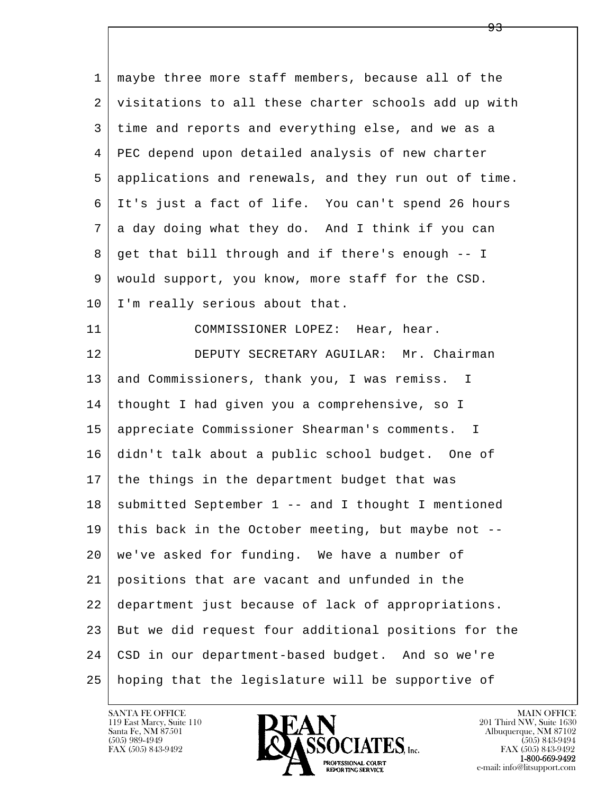l  $\overline{\phantom{a}}$  1 maybe three more staff members, because all of the 2 visitations to all these charter schools add up with 3 time and reports and everything else, and we as a 4 PEC depend upon detailed analysis of new charter 5 applications and renewals, and they run out of time. 6 It's just a fact of life. You can't spend 26 hours 7 a day doing what they do. And I think if you can 8 get that bill through and if there's enough -- I 9 would support, you know, more staff for the CSD. 10 | I'm really serious about that. 11 COMMISSIONER LOPEZ: Hear, hear. 12 DEPUTY SECRETARY AGUILAR: Mr. Chairman 13 and Commissioners, thank you, I was remiss. I 14 thought I had given you a comprehensive, so I 15 appreciate Commissioner Shearman's comments. I 16 didn't talk about a public school budget. One of 17 | the things in the department budget that was  $18$  submitted September 1 -- and I thought I mentioned 19 this back in the October meeting, but maybe not -- 20 we've asked for funding. We have a number of 21 positions that are vacant and unfunded in the 22 department just because of lack of appropriations. 23 But we did request four additional positions for the 24 CSD in our department-based budget. And so we're 25 hoping that the legislature will be supportive of

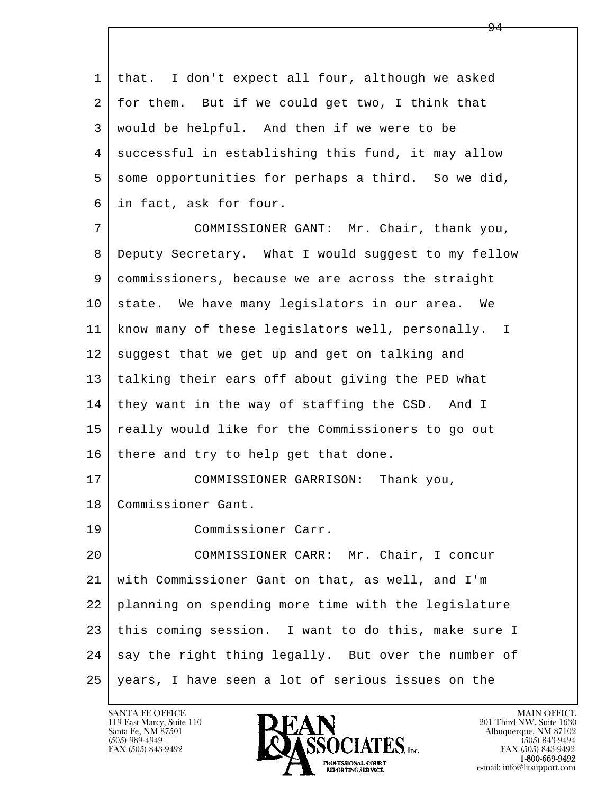l  $\overline{\phantom{a}}$  1 that. I don't expect all four, although we asked 2 for them. But if we could get two, I think that 3 would be helpful. And then if we were to be 4 | successful in establishing this fund, it may allow 5 some opportunities for perhaps a third. So we did, 6 in fact, ask for four. 7 COMMISSIONER GANT: Mr. Chair, thank you, 8 Deputy Secretary. What I would suggest to my fellow 9 commissioners, because we are across the straight 10 state. We have many legislators in our area. We 11 know many of these legislators well, personally. I  $12$  suggest that we get up and get on talking and 13 talking their ears off about giving the PED what 14 they want in the way of staffing the CSD. And I 15 | really would like for the Commissioners to go out 16 there and try to help get that done. 17 COMMISSIONER GARRISON: Thank you, 18 Commissioner Gant. 19 Commissioner Carr. 20 COMMISSIONER CARR: Mr. Chair, I concur 21 with Commissioner Gant on that, as well, and I'm 22 planning on spending more time with the legislature 23 this coming session. I want to do this, make sure I 24 say the right thing legally. But over the number of 25 years, I have seen a lot of serious issues on the

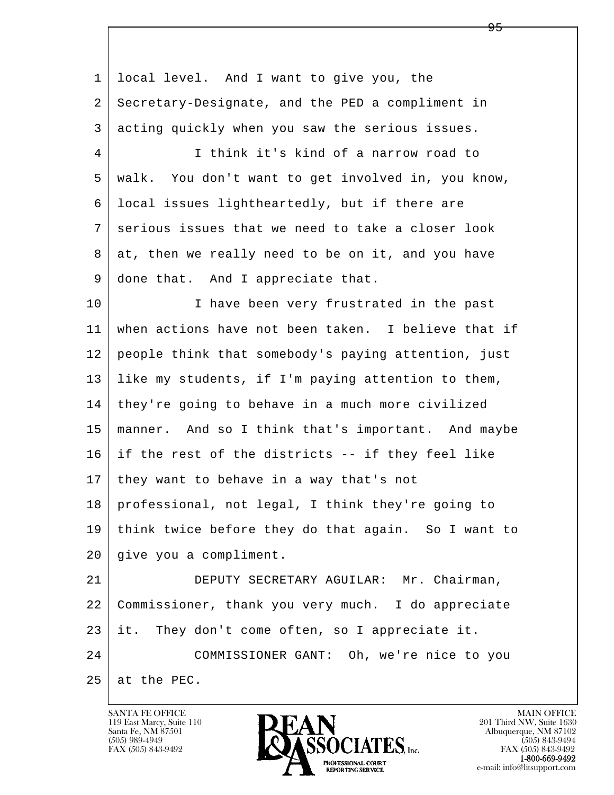l  $\overline{\phantom{a}}$  1 local level. And I want to give you, the 2 Secretary-Designate, and the PED a compliment in 3 acting quickly when you saw the serious issues. 4 I think it's kind of a narrow road to 5 walk. You don't want to get involved in, you know, 6 local issues lightheartedly, but if there are 7 serious issues that we need to take a closer look 8 at, then we really need to be on it, and you have 9 done that. And I appreciate that. 10 I have been very frustrated in the past 11 when actions have not been taken. I believe that if 12 people think that somebody's paying attention, just 13 like my students, if I'm paying attention to them, 14 they're going to behave in a much more civilized 15 manner. And so I think that's important. And maybe 16 if the rest of the districts -- if they feel like 17 | they want to behave in a way that's not 18 professional, not legal, I think they're going to 19 think twice before they do that again. So I want to 20 give you a compliment. 21 DEPUTY SECRETARY AGUILAR: Mr. Chairman, 22 Commissioner, thank you very much. I do appreciate 23 it. They don't come often, so I appreciate it. 24 COMMISSIONER GANT: Oh, we're nice to you  $25$  at the PEC.

119 East Marcy, Suite 110<br>Santa Fe, NM 87501

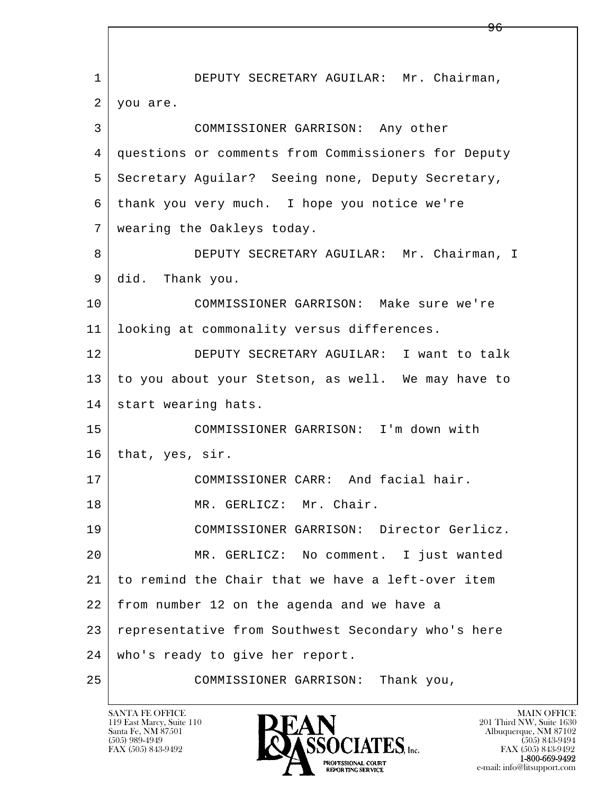l  $\overline{\phantom{a}}$  1 DEPUTY SECRETARY AGUILAR: Mr. Chairman, 2 you are. 3 COMMISSIONER GARRISON: Any other 4 questions or comments from Commissioners for Deputy 5 Secretary Aguilar? Seeing none, Deputy Secretary, 6 thank you very much. I hope you notice we're 7 wearing the Oakleys today. 8 DEPUTY SECRETARY AGUILAR: Mr. Chairman, I 9 did. Thank you. 10 COMMISSIONER GARRISON: Make sure we're 11 looking at commonality versus differences. 12 DEPUTY SECRETARY AGUILAR: I want to talk 13 to you about your Stetson, as well. We may have to 14 start wearing hats. 15 COMMISSIONER GARRISON: I'm down with 16 that, yes, sir. 17 COMMISSIONER CARR: And facial hair. 18 MR. GERLICZ: Mr. Chair. 19 COMMISSIONER GARRISON: Director Gerlicz. 20 MR. GERLICZ: No comment. I just wanted 21 to remind the Chair that we have a left-over item 22 from number 12 on the agenda and we have a 23 representative from Southwest Secondary who's here 24 who's ready to give her report. 25 COMMISSIONER GARRISON: Thank you,

119 East Marcy, Suite 110<br>Santa Fe, NM 87501

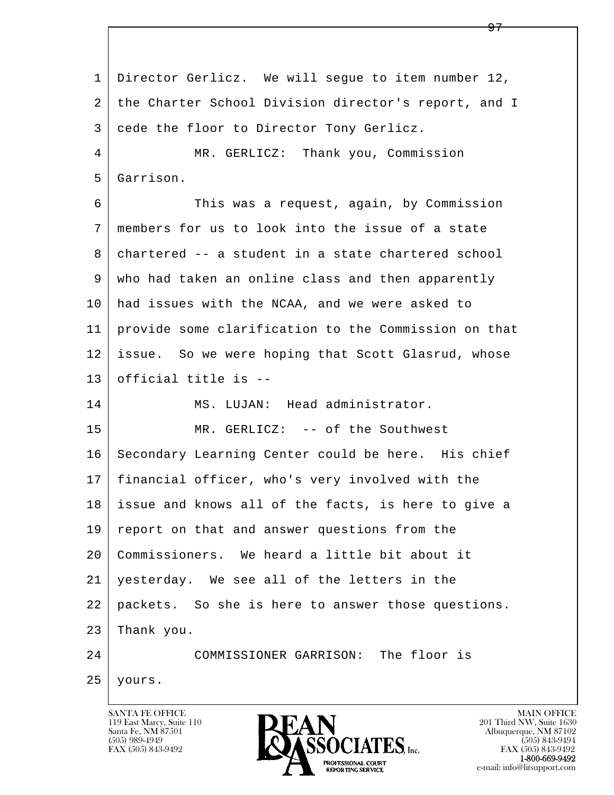l  $\overline{\phantom{a}}$  1 Director Gerlicz. We will segue to item number 12, 2 the Charter School Division director's report, and I 3 cede the floor to Director Tony Gerlicz. 4 | MR. GERLICZ: Thank you, Commission 5 Garrison. 6 This was a request, again, by Commission 7 members for us to look into the issue of a state 8 chartered -- a student in a state chartered school 9 who had taken an online class and then apparently 10 had issues with the NCAA, and we were asked to 11 provide some clarification to the Commission on that 12 issue. So we were hoping that Scott Glasrud, whose 13 official title is -- 14 MS. LUJAN: Head administrator. 15 MR. GERLICZ: -- of the Southwest 16 Secondary Learning Center could be here. His chief 17 financial officer, who's very involved with the 18 issue and knows all of the facts, is here to give a 19 report on that and answer questions from the 20 Commissioners. We heard a little bit about it 21 yesterday. We see all of the letters in the 22 packets. So she is here to answer those questions.  $23$  Thank you. 24 COMMISSIONER GARRISON: The floor is 25 yours.

119 East Marcy, Suite 110<br>Santa Fe, NM 87501

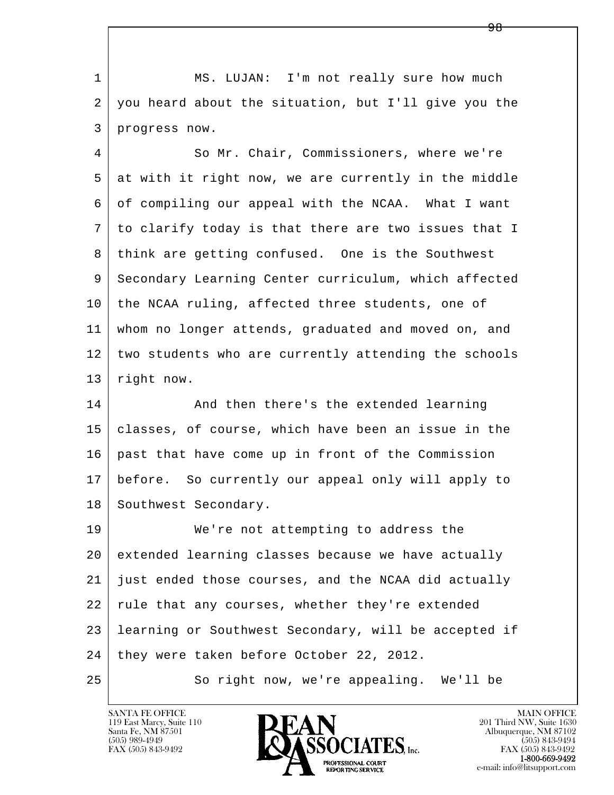1 MS. LUJAN: I'm not really sure how much 2 you heard about the situation, but I'll give you the 3 progress now.

 4 So Mr. Chair, Commissioners, where we're 5 at with it right now, we are currently in the middle 6 of compiling our appeal with the NCAA. What I want 7 to clarify today is that there are two issues that I 8 think are getting confused. One is the Southwest 9 Secondary Learning Center curriculum, which affected 10 the NCAA ruling, affected three students, one of 11 whom no longer attends, graduated and moved on, and 12 two students who are currently attending the schools 13 right now.

14 And then there's the extended learning 15 classes, of course, which have been an issue in the 16 past that have come up in front of the Commission 17 before. So currently our appeal only will apply to 18 | Southwest Secondary.

l  $\overline{\phantom{a}}$ 19 We're not attempting to address the 20 extended learning classes because we have actually 21 just ended those courses, and the NCAA did actually 22 rule that any courses, whether they're extended 23 learning or Southwest Secondary, will be accepted if 24 they were taken before October 22, 2012. 25 So right now, we're appealing. We'll be

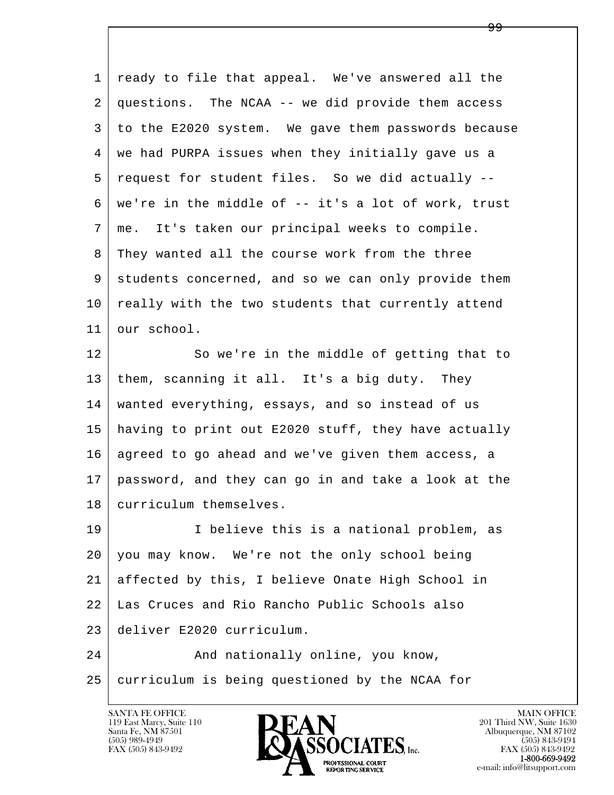| ready to file that appeal. We've answered all the   |
|-----------------------------------------------------|
| questions. The NCAA -- we did provide them access   |
| to the E2020 system. We gave them passwords because |
| we had PURPA issues when they initially gave us a   |
| request for student files. So we did actually --    |
| we're in the middle of -- it's a lot of work, trust |
| me. It's taken our principal weeks to compile.      |
| They wanted all the course work from the three      |
| students concerned, and so we can only provide them |
| really with the two students that currently attend  |
| our school.                                         |
| So we're in the middle of getting that to           |
| them, scanning it all. It's a big duty. They        |
| wanted everything, essays, and so instead of us     |
| having to print out E2020 stuff, they have actually |
| agreed to go ahead and we've given them access, a   |
| password, and they can go in and take a look at the |
| curriculum themselves.                              |
| I believe this is a national problem, as            |
| you may know. We're not the only school being       |
| affected by this, I believe Onate High School in    |
| Las Cruces and Rio Rancho Public Schools also       |
| deliver E2020 curriculum.                           |
| And nationally online, you know,                    |
| curriculum is being questioned by the NCAA for      |
|                                                     |

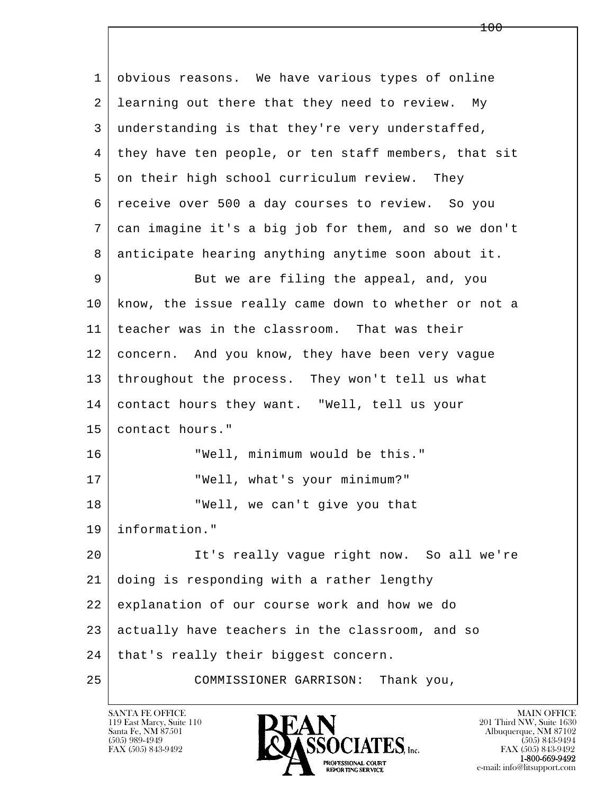l  $\overline{\phantom{a}}$  1 obvious reasons. We have various types of online 2 learning out there that they need to review. My 3 understanding is that they're very understaffed, 4 they have ten people, or ten staff members, that sit 5 on their high school curriculum review. They 6 receive over 500 a day courses to review. So you 7 can imagine it's a big job for them, and so we don't 8 anticipate hearing anything anytime soon about it. 9 But we are filing the appeal, and, you 10 know, the issue really came down to whether or not a 11 teacher was in the classroom. That was their 12 concern. And you know, they have been very vague 13 throughout the process. They won't tell us what 14 contact hours they want. "Well, tell us your 15 contact hours." 16 "Well, minimum would be this." 17 | TWell, what's your minimum?" 18 "Well, we can't give you that 19 information." 20 It's really vague right now. So all we're 21 doing is responding with a rather lengthy 22 explanation of our course work and how we do 23 actually have teachers in the classroom, and so 24 | that's really their biggest concern. 25 COMMISSIONER GARRISON: Thank you,

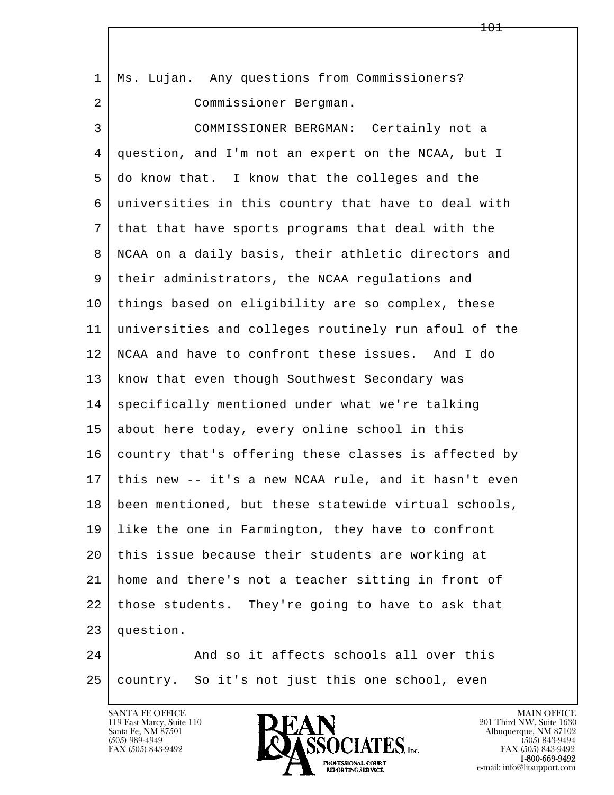| $\mathbf{1}$ | Ms. Lujan. Any questions from Commissioners?         |
|--------------|------------------------------------------------------|
| 2            | Commissioner Bergman.                                |
| 3            | COMMISSIONER BERGMAN: Certainly not a                |
| 4            | question, and I'm not an expert on the NCAA, but I   |
| 5            | do know that. I know that the colleges and the       |
| 6            | universities in this country that have to deal with  |
| 7            | that that have sports programs that deal with the    |
| 8            | NCAA on a daily basis, their athletic directors and  |
| 9            | their administrators, the NCAA regulations and       |
| 10           | things based on eligibility are so complex, these    |
| 11           | universities and colleges routinely run afoul of the |
| 12           | NCAA and have to confront these issues. And I do     |
| 13           | know that even though Southwest Secondary was        |
| 14           | specifically mentioned under what we're talking      |
| 15           | about here today, every online school in this        |
| 16           | country that's offering these classes is affected by |
| 17           | this new -- it's a new NCAA rule, and it hasn't even |
| 18           | been mentioned, but these statewide virtual schools, |
| 19           | like the one in Farmington, they have to confront    |
| 20           | this issue because their students are working at     |
| 21           | home and there's not a teacher sitting in front of   |
| 22           | those students. They're going to have to ask that    |
| 23           | question.                                            |
| 24           | And so it affects schools all over this              |
| 25           | country. So it's not just this one school, even      |

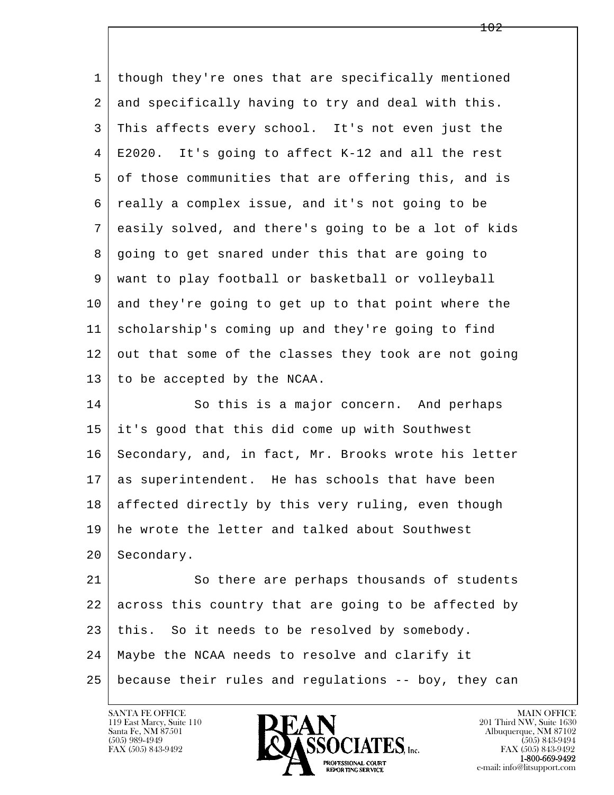| 1  | though they're ones that are specifically mentioned  |
|----|------------------------------------------------------|
| 2  | and specifically having to try and deal with this.   |
| 3  | This affects every school. It's not even just the    |
| 4  | E2020. It's going to affect K-12 and all the rest    |
| 5  | of those communities that are offering this, and is  |
| 6  | really a complex issue, and it's not going to be     |
| 7  | easily solved, and there's going to be a lot of kids |
| 8  | going to get snared under this that are going to     |
| 9  | want to play football or basketball or volleyball    |
| 10 | and they're going to get up to that point where the  |
| 11 | scholarship's coming up and they're going to find    |
| 12 | out that some of the classes they took are not going |
| 13 | to be accepted by the NCAA.                          |
| 14 | So this is a major concern. And perhaps              |
| 15 | it's good that this did come up with Southwest       |
| 16 | Secondary, and, in fact, Mr. Brooks wrote his letter |
| 17 | as superintendent. He has schools that have been     |
| 18 | affected directly by this very ruling, even though   |
| 19 | he wrote the letter and talked about Southwest       |
| 20 | Secondary.                                           |
| 21 | So there are perhaps thousands of students           |
| 22 | across this country that are going to be affected by |
| 23 | this. So it needs to be resolved by somebody.        |
| 24 | Maybe the NCAA needs to resolve and clarify it       |
| 25 | because their rules and regulations -- boy, they can |
|    |                                                      |

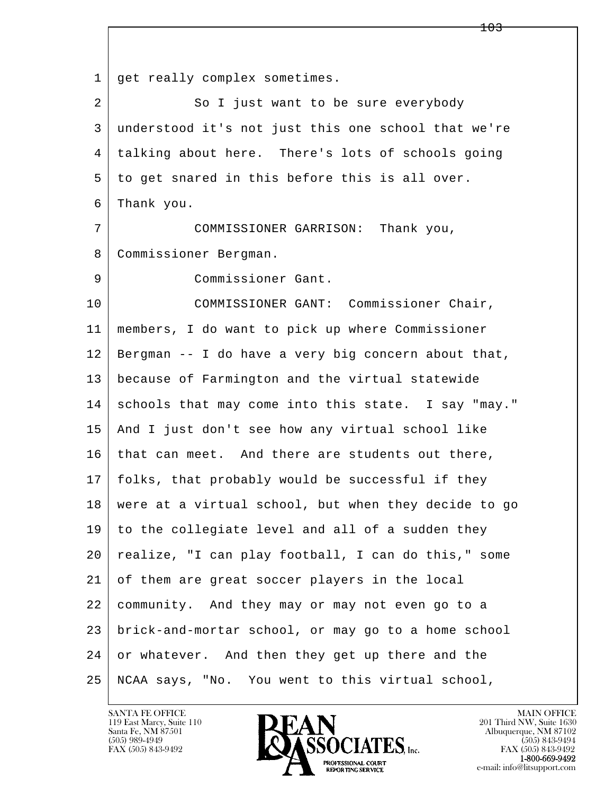l  $\overline{\phantom{a}}$ 1 | get really complex sometimes. 2 So I just want to be sure everybody 3 understood it's not just this one school that we're 4 talking about here. There's lots of schools going 5 to get snared in this before this is all over. 6 Thank you. 7 COMMISSIONER GARRISON: Thank you, 8 Commissioner Bergman. 9 Commissioner Gant. 10 COMMISSIONER GANT: Commissioner Chair, 11 members, I do want to pick up where Commissioner 12 Bergman -- I do have a very big concern about that, 13 because of Farmington and the virtual statewide 14 schools that may come into this state. I say "may." 15 And I just don't see how any virtual school like 16 | that can meet. And there are students out there, 17 folks, that probably would be successful if they 18 were at a virtual school, but when they decide to go 19 to the collegiate level and all of a sudden they 20 realize, "I can play football, I can do this," some 21 of them are great soccer players in the local 22 community. And they may or may not even go to a 23 brick-and-mortar school, or may go to a home school 24 or whatever. And then they get up there and the 25 NCAA says, "No. You went to this virtual school,

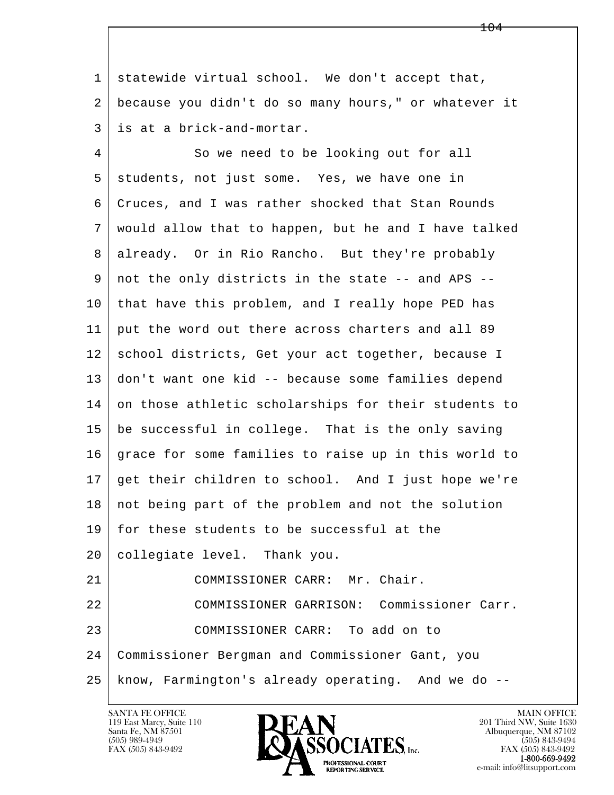1 statewide virtual school. We don't accept that, 2 because you didn't do so many hours," or whatever it 3 is at a brick-and-mortar.

l  $\overline{\phantom{a}}$ 4 So we need to be looking out for all 5 students, not just some. Yes, we have one in 6 Cruces, and I was rather shocked that Stan Rounds 7 would allow that to happen, but he and I have talked 8 already. Or in Rio Rancho. But they're probably 9 not the only districts in the state -- and APS -- 10 that have this problem, and I really hope PED has 11 put the word out there across charters and all 89 12 school districts, Get your act together, because I 13 don't want one kid -- because some families depend 14 on those athletic scholarships for their students to 15 be successful in college. That is the only saving 16 grace for some families to raise up in this world to 17 get their children to school. And I just hope we're 18 not being part of the problem and not the solution 19 for these students to be successful at the 20 | collegiate level. Thank you. 21 | COMMISSIONER CARR: Mr. Chair. 22 COMMISSIONER GARRISON: Commissioner Carr. 23 | COMMISSIONER CARR: To add on to 24 Commissioner Bergman and Commissioner Gant, you 25 know, Farmington's already operating. And we do --

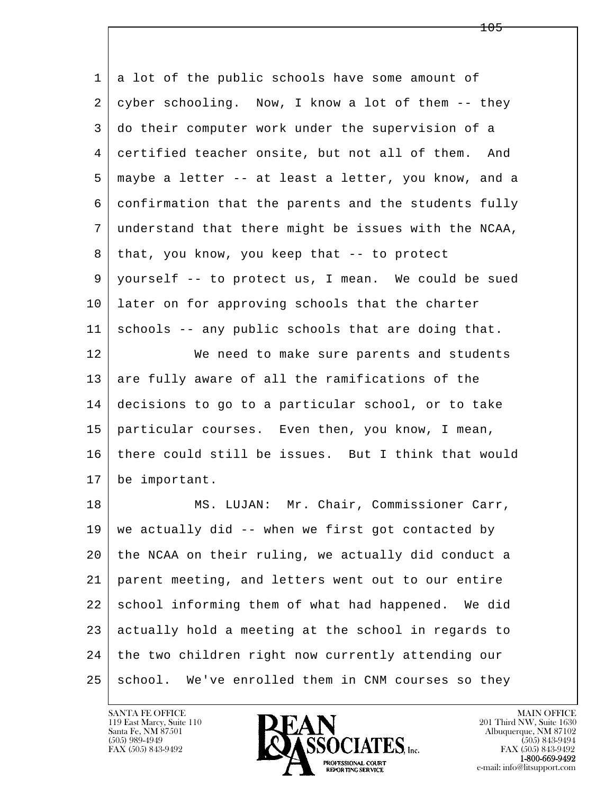l  $\overline{\phantom{a}}$ 1 a lot of the public schools have some amount of  $2 \mid$  cyber schooling. Now, I know a lot of them  $-$ - they 3 do their computer work under the supervision of a 4 certified teacher onsite, but not all of them. And 5 maybe a letter -- at least a letter, you know, and a 6 confirmation that the parents and the students fully 7 understand that there might be issues with the NCAA,  $8$  that, you know, you keep that  $-$ - to protect 9 yourself -- to protect us, I mean. We could be sued 10 later on for approving schools that the charter 11 schools -- any public schools that are doing that. 12 We need to make sure parents and students 13 are fully aware of all the ramifications of the 14 decisions to go to a particular school, or to take 15 particular courses. Even then, you know, I mean, 16 there could still be issues. But I think that would 17 be important. 18 | MS. LUJAN: Mr. Chair, Commissioner Carr,  $19$  we actually did -- when we first got contacted by 20 the NCAA on their ruling, we actually did conduct a 21 parent meeting, and letters went out to our entire 22 school informing them of what had happened. We did 23 actually hold a meeting at the school in regards to 24 the two children right now currently attending our 25 school. We've enrolled them in CNM courses so they

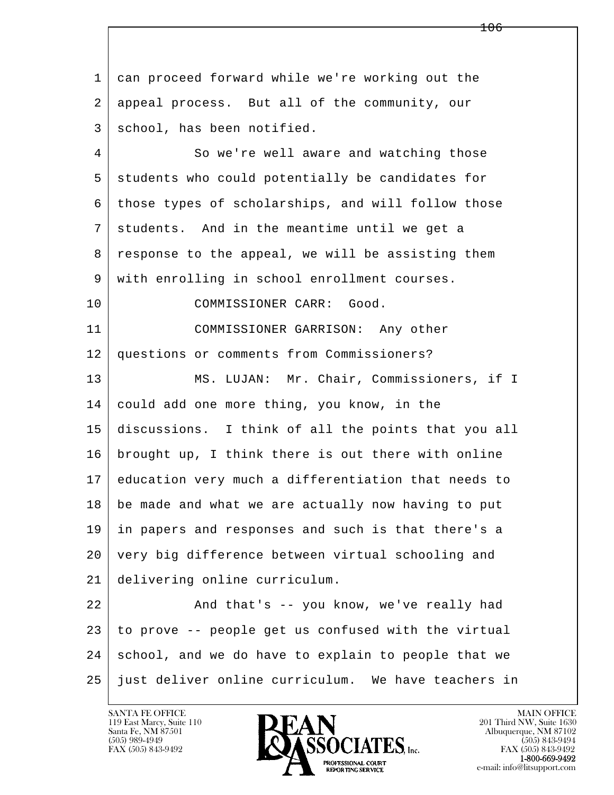l  $\overline{\phantom{a}}$  1 can proceed forward while we're working out the 2 appeal process. But all of the community, our 3 school, has been notified. 4 So we're well aware and watching those 5 students who could potentially be candidates for 6 those types of scholarships, and will follow those 7 students. And in the meantime until we get a 8 response to the appeal, we will be assisting them 9 with enrolling in school enrollment courses. 10 COMMISSIONER CARR: Good. 11 COMMISSIONER GARRISON: Any other 12 questions or comments from Commissioners? 13 | MS. LUJAN: Mr. Chair, Commissioners, if I 14 could add one more thing, you know, in the 15 discussions. I think of all the points that you all 16 brought up, I think there is out there with online 17 education very much a differentiation that needs to 18 be made and what we are actually now having to put 19 in papers and responses and such is that there's a 20 very big difference between virtual schooling and 21 delivering online curriculum. 22 | And that's -- you know, we've really had  $23$  to prove  $-$ - people get us confused with the virtual 24 school, and we do have to explain to people that we 25 just deliver online curriculum. We have teachers in

106

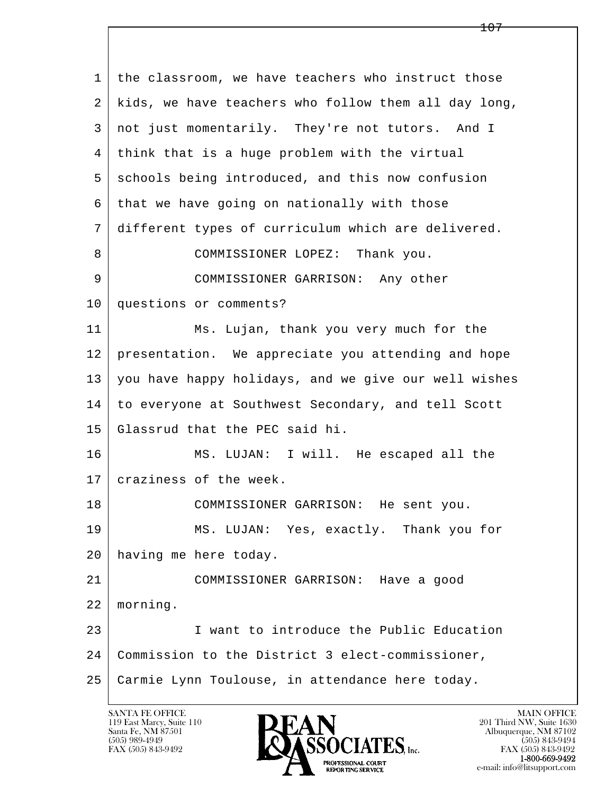l  $\overline{\phantom{a}}$  1 the classroom, we have teachers who instruct those 2 kids, we have teachers who follow them all day long, 3 not just momentarily. They're not tutors. And I 4 think that is a huge problem with the virtual 5 schools being introduced, and this now confusion 6 that we have going on nationally with those 7 different types of curriculum which are delivered. 8 | COMMISSIONER LOPEZ: Thank you. 9 COMMISSIONER GARRISON: Any other 10 questions or comments? 11 Ms. Lujan, thank you very much for the 12 presentation. We appreciate you attending and hope 13 you have happy holidays, and we give our well wishes 14 to everyone at Southwest Secondary, and tell Scott 15 Glassrud that the PEC said hi. 16 MS. LUJAN: I will. He escaped all the 17 | craziness of the week. 18 COMMISSIONER GARRISON: He sent you. 19 MS. LUJAN: Yes, exactly. Thank you for 20 having me here today. 21 COMMISSIONER GARRISON: Have a good 22 morning. 23 I want to introduce the Public Education 24 Commission to the District 3 elect-commissioner, 25 Carmie Lynn Toulouse, in attendance here today.

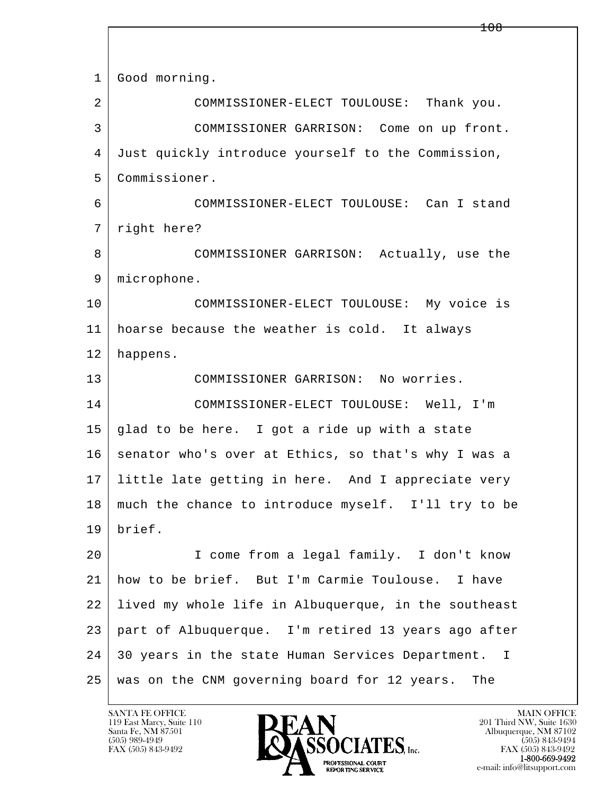| $\mathbf 1$ | Good morning.                                        |
|-------------|------------------------------------------------------|
| 2           | COMMISSIONER-ELECT TOULOUSE: Thank you.              |
| 3           | COMMISSIONER GARRISON: Come on up front.             |
| 4           | Just quickly introduce yourself to the Commission,   |
| 5           | Commissioner.                                        |
| 6           | COMMISSIONER-ELECT TOULOUSE: Can I stand             |
| 7           | right here?                                          |
| 8           | COMMISSIONER GARRISON: Actually, use the             |
| 9           | microphone.                                          |
| 10          | COMMISSIONER-ELECT TOULOUSE: My voice is             |
| 11          | hoarse because the weather is cold. It always        |
| 12          | happens.                                             |
| 13          | COMMISSIONER GARRISON: No worries.                   |
| 14          | COMMISSIONER-ELECT TOULOUSE: Well, I'm               |
| 15          | glad to be here. I got a ride up with a state        |
| 16          | senator who's over at Ethics, so that's why I was a  |
| 17          | little late getting in here. And I appreciate very   |
| 18          | much the chance to introduce myself. I'll try to be  |
| 19          | brief.                                               |
| 20          | I come from a legal family. I don't know             |
| 21          | how to be brief. But I'm Carmie Toulouse. I have     |
| 22          | lived my whole life in Albuquerque, in the southeast |
| 23          | part of Albuquerque. I'm retired 13 years ago after  |
| 24          | 30 years in the state Human Services Department. I   |
| 25          | was on the CNM governing board for 12 years.<br>The  |

 $\overline{\phantom{a}}$ 

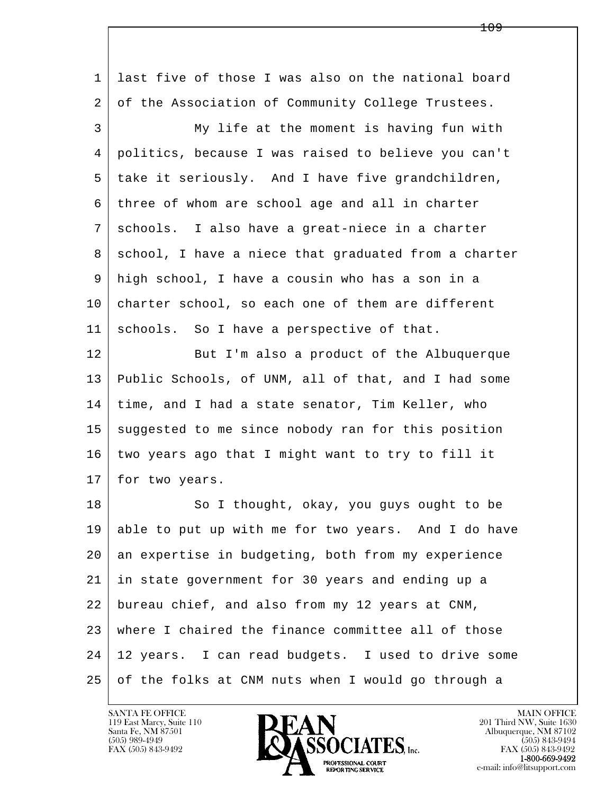l  $\overline{\phantom{a}}$  1 last five of those I was also on the national board 2 of the Association of Community College Trustees. 3 My life at the moment is having fun with 4 politics, because I was raised to believe you can't 5 take it seriously. And I have five grandchildren, 6 three of whom are school age and all in charter 7 schools. I also have a great-niece in a charter 8 | school, I have a niece that graduated from a charter 9 high school, I have a cousin who has a son in a 10 charter school, so each one of them are different 11 schools. So I have a perspective of that. 12 But I'm also a product of the Albuquerque 13 Public Schools, of UNM, all of that, and I had some 14 time, and I had a state senator, Tim Keller, who 15 suggested to me since nobody ran for this position 16 two years ago that I might want to try to fill it 17 | for two years. 18 | So I thought, okay, you guys ought to be 19 able to put up with me for two years. And I do have 20 an expertise in budgeting, both from my experience 21 in state government for 30 years and ending up a 22 bureau chief, and also from my 12 years at CNM, 23 where I chaired the finance committee all of those 24 12 years. I can read budgets. I used to drive some 25 of the folks at CNM nuts when I would go through a

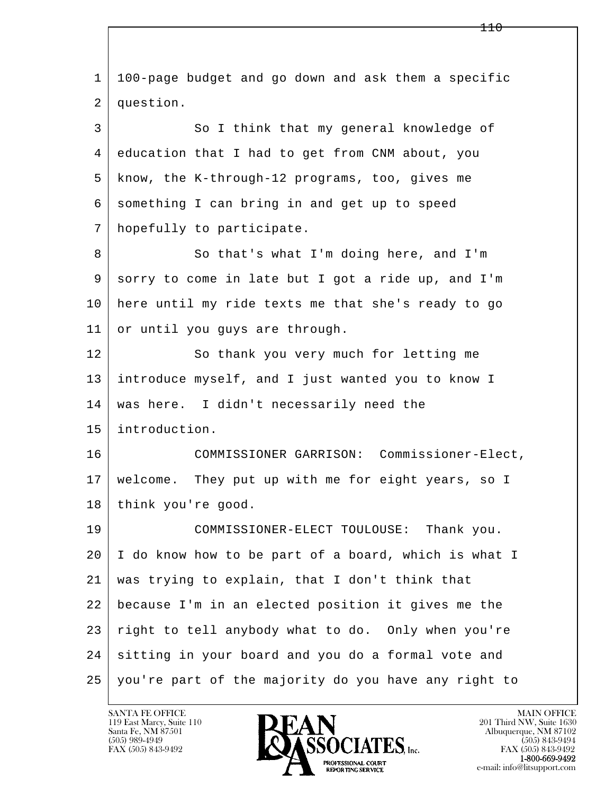l  $\overline{\phantom{a}}$  1 100-page budget and go down and ask them a specific 2 question. 3 So I think that my general knowledge of 4 education that I had to get from CNM about, you 5 know, the K-through-12 programs, too, gives me 6 something I can bring in and get up to speed 7 hopefully to participate. 8 So that's what I'm doing here, and I'm 9 sorry to come in late but I got a ride up, and I'm 10 here until my ride texts me that she's ready to go 11 or until you guys are through. 12 So thank you very much for letting me 13 introduce myself, and I just wanted you to know I 14 was here. I didn't necessarily need the 15 introduction. 16 COMMISSIONER GARRISON: Commissioner-Elect, 17 welcome. They put up with me for eight years, so I 18 | think you're good. 19 COMMISSIONER-ELECT TOULOUSE: Thank you. 20 I do know how to be part of a board, which is what I 21 was trying to explain, that I don't think that 22 because I'm in an elected position it gives me the 23 right to tell anybody what to do. Only when you're 24 sitting in your board and you do a formal vote and 25 | you're part of the majority do you have any right to

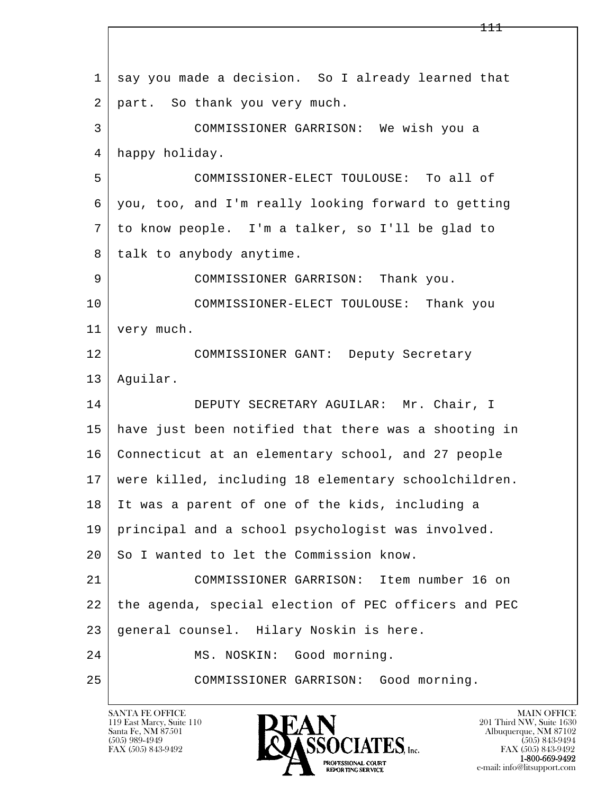l  $\overline{\phantom{a}}$ 1 say you made a decision. So I already learned that 2 part. So thank you very much. 3 COMMISSIONER GARRISON: We wish you a 4 happy holiday. 5 COMMISSIONER-ELECT TOULOUSE: To all of 6 you, too, and I'm really looking forward to getting 7 to know people. I'm a talker, so I'll be glad to 8 | talk to anybody anytime. 9 COMMISSIONER GARRISON: Thank you. 10 COMMISSIONER-ELECT TOULOUSE: Thank you 11 very much. 12 COMMISSIONER GANT: Deputy Secretary 13 Aguilar. 14 DEPUTY SECRETARY AGUILAR: Mr. Chair, I 15 have just been notified that there was a shooting in 16 Connecticut at an elementary school, and 27 people 17 were killed, including 18 elementary schoolchildren. 18 It was a parent of one of the kids, including a 19 principal and a school psychologist was involved. 20 So I wanted to let the Commission know. 21 COMMISSIONER GARRISON: Item number 16 on 22 the agenda, special election of PEC officers and PEC 23 | general counsel. Hilary Noskin is here. 24 | MS. NOSKIN: Good morning. 25 COMMISSIONER GARRISON: Good morning.

119 East Marcy, Suite 110<br>Santa Fe, NM 87501

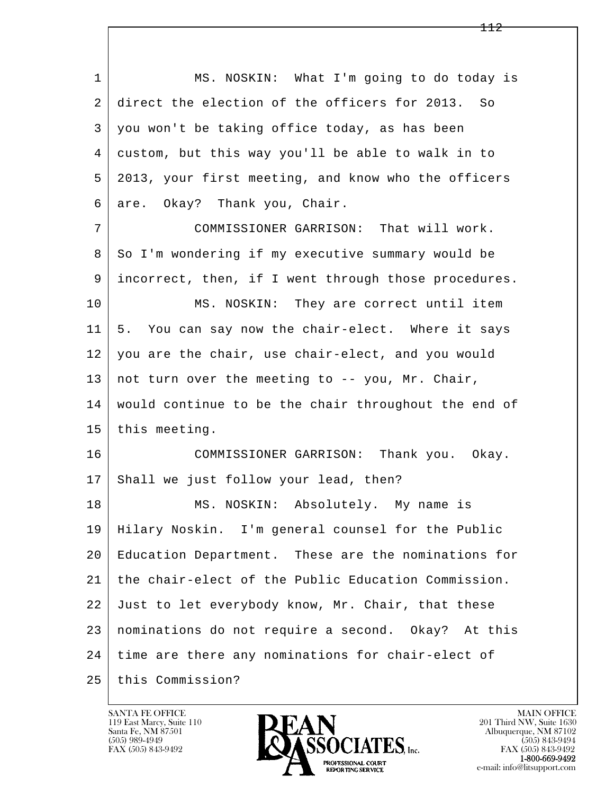l  $\overline{\phantom{a}}$ 1 MS. NOSKIN: What I'm going to do today is 2 direct the election of the officers for 2013. So 3 you won't be taking office today, as has been 4 custom, but this way you'll be able to walk in to 5 2013, your first meeting, and know who the officers 6 are. Okay? Thank you, Chair. 7 COMMISSIONER GARRISON: That will work. 8 So I'm wondering if my executive summary would be 9 incorrect, then, if I went through those procedures. 10 MS. NOSKIN: They are correct until item 11 5. You can say now the chair-elect. Where it says 12 you are the chair, use chair-elect, and you would 13 | not turn over the meeting to  $-$ - you, Mr. Chair, 14 would continue to be the chair throughout the end of 15 this meeting. 16 COMMISSIONER GARRISON: Thank you. Okay. 17 Shall we just follow your lead, then? 18 | MS. NOSKIN: Absolutely. My name is 19 Hilary Noskin. I'm general counsel for the Public 20 Education Department. These are the nominations for 21 the chair-elect of the Public Education Commission. 22 Just to let everybody know, Mr. Chair, that these 23 nominations do not require a second. Okay? At this 24 time are there any nominations for chair-elect of 25 this Commission?

119 East Marcy, Suite 110<br>Santa Fe, NM 87501



FAX (505) 843-9492<br>1-800-669-9492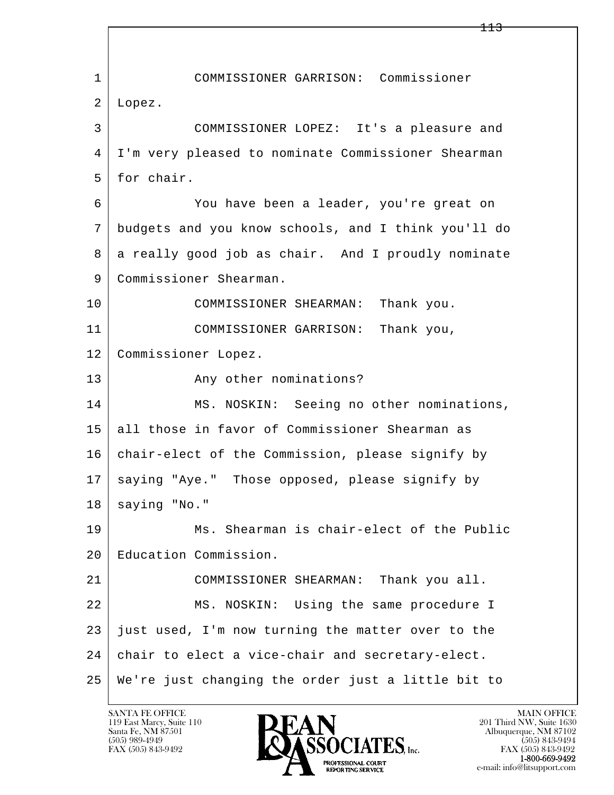l  $\overline{\phantom{a}}$  1 COMMISSIONER GARRISON: Commissioner 2 Lopez. 3 COMMISSIONER LOPEZ: It's a pleasure and 4 I'm very pleased to nominate Commissioner Shearman 5 for chair. 6 You have been a leader, you're great on 7 budgets and you know schools, and I think you'll do 8 a really good job as chair. And I proudly nominate 9 | Commissioner Shearman. 10 COMMISSIONER SHEARMAN: Thank you. 11 COMMISSIONER GARRISON: Thank you, 12 Commissioner Lopez. 13 Any other nominations? 14 MS. NOSKIN: Seeing no other nominations, 15 all those in favor of Commissioner Shearman as 16 chair-elect of the Commission, please signify by 17 | saying "Aye." Those opposed, please signify by  $18$  saying "No." 19 Ms. Shearman is chair-elect of the Public 20 Education Commission. 21 COMMISSIONER SHEARMAN: Thank you all. 22 MS. NOSKIN: Using the same procedure I  $23$  just used, I'm now turning the matter over to the 24 chair to elect a vice-chair and secretary-elect. 25 We're just changing the order just a little bit to

113

119 East Marcy, Suite 110<br>Santa Fe, NM 87501

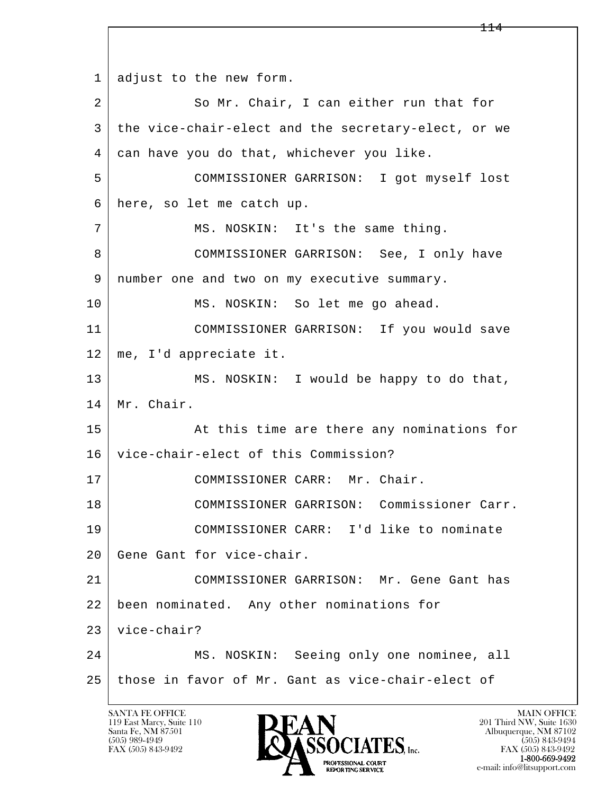l  $\overline{\phantom{a}}$ 1 adjust to the new form. 2 So Mr. Chair, I can either run that for 3 the vice-chair-elect and the secretary-elect, or we 4 can have you do that, whichever you like. 5 COMMISSIONER GARRISON: I got myself lost 6 here, so let me catch up. 7 MS. NOSKIN: It's the same thing. 8 COMMISSIONER GARRISON: See, I only have 9 | number one and two on my executive summary. 10 MS. NOSKIN: So let me go ahead. 11 COMMISSIONER GARRISON: If you would save 12 me, I'd appreciate it. 13 MS. NOSKIN: I would be happy to do that, 14 | Mr. Chair. 15 | At this time are there any nominations for 16 vice-chair-elect of this Commission? 17 COMMISSIONER CARR: Mr. Chair. 18 | COMMISSIONER GARRISON: Commissioner Carr. 19 COMMISSIONER CARR: I'd like to nominate 20 Gene Gant for vice-chair. 21 COMMISSIONER GARRISON: Mr. Gene Gant has 22 been nominated. Any other nominations for 23 vice-chair? 24 MS. NOSKIN: Seeing only one nominee, all 25 those in favor of Mr. Gant as vice-chair-elect of

119 East Marcy, Suite 110<br>Santa Fe, NM 87501

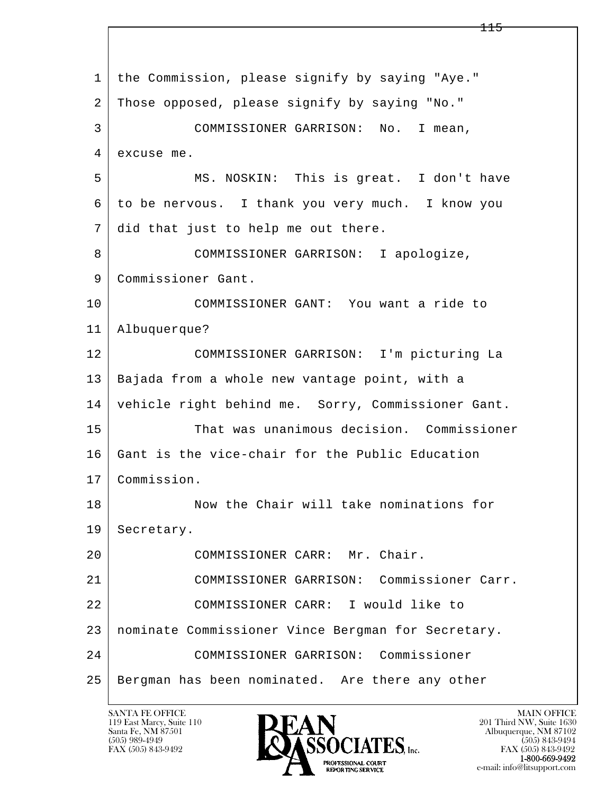l  $\overline{\phantom{a}}$  1 the Commission, please signify by saying "Aye." 2 Those opposed, please signify by saying "No." 3 COMMISSIONER GARRISON: No. I mean, 4 excuse me. 5 MS. NOSKIN: This is great. I don't have 6 to be nervous. I thank you very much. I know you 7 did that just to help me out there. 8 COMMISSIONER GARRISON: I apologize, 9 Commissioner Gant. 10 COMMISSIONER GANT: You want a ride to 11 Albuquerque? 12 COMMISSIONER GARRISON: I'm picturing La 13 | Bajada from a whole new vantage point, with a 14 vehicle right behind me. Sorry, Commissioner Gant. 15 That was unanimous decision. Commissioner 16 Gant is the vice-chair for the Public Education 17 Commission. 18 Now the Chair will take nominations for 19 Secretary. 20 COMMISSIONER CARR: Mr. Chair. 21 COMMISSIONER GARRISON: Commissioner Carr. 22 COMMISSIONER CARR: I would like to 23 nominate Commissioner Vince Bergman for Secretary. 24 COMMISSIONER GARRISON: Commissioner 25 Bergman has been nominated. Are there any other

119 East Marcy, Suite 110<br>Santa Fe, NM 87501

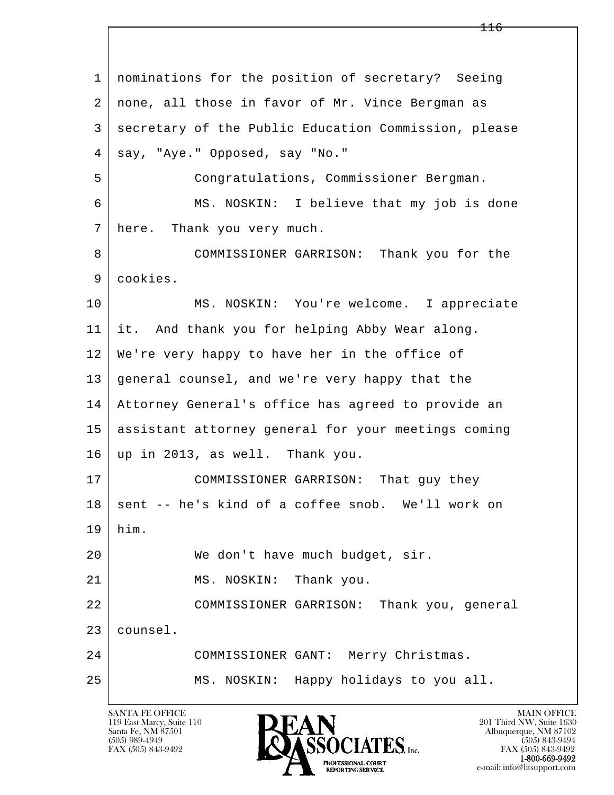l  $\overline{\phantom{a}}$  1 nominations for the position of secretary? Seeing 2 none, all those in favor of Mr. Vince Bergman as 3 secretary of the Public Education Commission, please 4 say, "Aye." Opposed, say "No." 5 Congratulations, Commissioner Bergman. 6 MS. NOSKIN: I believe that my job is done 7 here. Thank you very much. 8 COMMISSIONER GARRISON: Thank you for the 9 cookies. 10 | MS. NOSKIN: You're welcome. I appreciate 11 it. And thank you for helping Abby Wear along. 12 We're very happy to have her in the office of 13 general counsel, and we're very happy that the 14 Attorney General's office has agreed to provide an 15 assistant attorney general for your meetings coming 16 up in 2013, as well. Thank you. 17 | COMMISSIONER GARRISON: That guy they 18 sent -- he's kind of a coffee snob. We'll work on 19 him. 20 We don't have much budget, sir. 21 MS. NOSKIN: Thank you. 22 COMMISSIONER GARRISON: Thank you, general 23 counsel. 24 COMMISSIONER GANT: Merry Christmas. 25 MS. NOSKIN: Happy holidays to you all.

116

119 East Marcy, Suite 110<br>Santa Fe, NM 87501

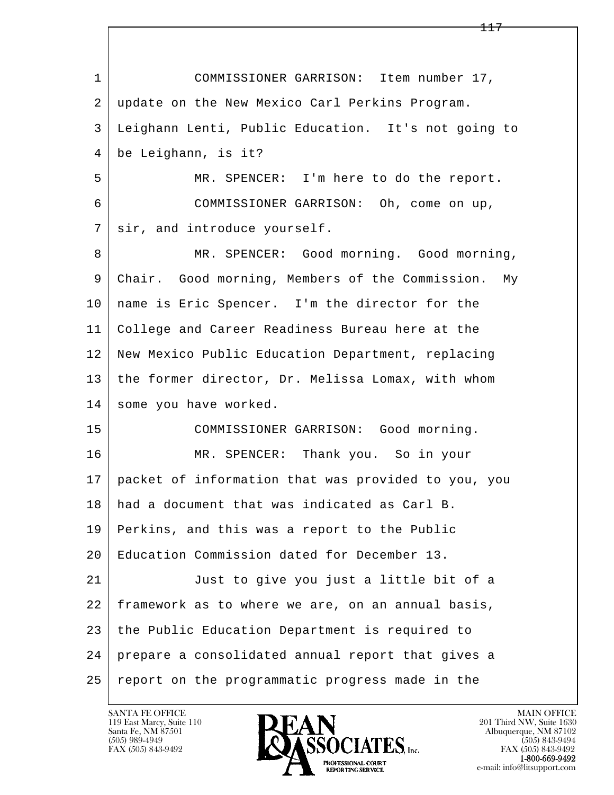l  $\overline{\phantom{a}}$  1 COMMISSIONER GARRISON: Item number 17, 2 update on the New Mexico Carl Perkins Program. 3 Leighann Lenti, Public Education. It's not going to 4 be Leighann, is it? 5 MR. SPENCER: I'm here to do the report. 6 COMMISSIONER GARRISON: Oh, come on up, 7 sir, and introduce yourself. 8 MR. SPENCER: Good morning. Good morning, 9 Chair. Good morning, Members of the Commission. My 10 | name is Eric Spencer. I'm the director for the 11 College and Career Readiness Bureau here at the 12 New Mexico Public Education Department, replacing 13 the former director, Dr. Melissa Lomax, with whom 14 some you have worked. 15 COMMISSIONER GARRISON: Good morning. 16 MR. SPENCER: Thank you. So in your 17 packet of information that was provided to you, you 18 had a document that was indicated as Carl B. 19 Perkins, and this was a report to the Public 20 Education Commission dated for December 13. 21 Just to give you just a little bit of a 22 framework as to where we are, on an annual basis, 23 the Public Education Department is required to 24 prepare a consolidated annual report that gives a 25 report on the programmatic progress made in the

119 East Marcy, Suite 110<br>Santa Fe, NM 87501



FAX (505) 843-9492<br>**1-800-669-9492**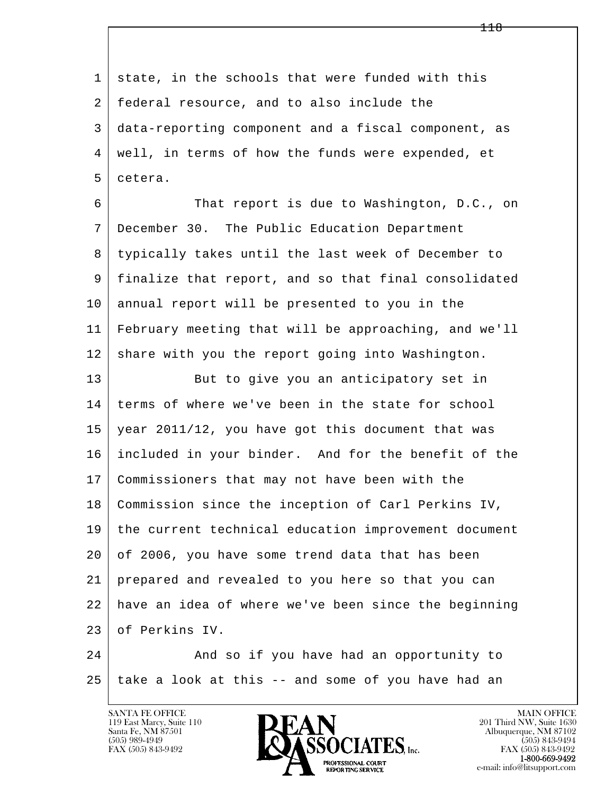l  $\overline{\phantom{a}}$ 1 state, in the schools that were funded with this 2 federal resource, and to also include the 3 data-reporting component and a fiscal component, as 4 well, in terms of how the funds were expended, et 5 cetera. 6 That report is due to Washington, D.C., on 7 December 30. The Public Education Department 8 typically takes until the last week of December to 9 finalize that report, and so that final consolidated 10 annual report will be presented to you in the 11 February meeting that will be approaching, and we'll 12 share with you the report going into Washington. 13 But to give you an anticipatory set in 14 terms of where we've been in the state for school 15 year 2011/12, you have got this document that was 16 included in your binder. And for the benefit of the 17 Commissioners that may not have been with the 18 Commission since the inception of Carl Perkins IV, 19 the current technical education improvement document 20 of 2006, you have some trend data that has been 21 prepared and revealed to you here so that you can 22 have an idea of where we've been since the beginning 23 of Perkins IV. 24 And so if you have had an opportunity to  $25$  take a look at this  $-$  and some of you have had an

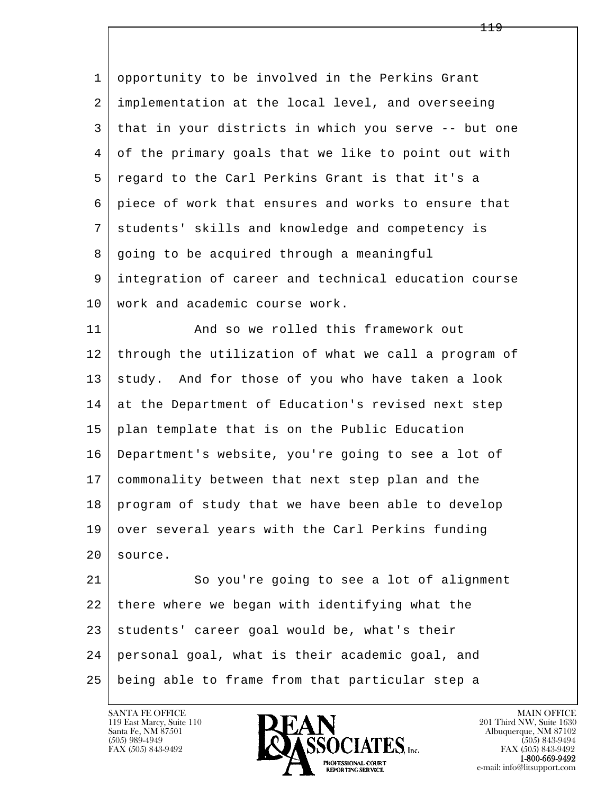l  $\overline{\phantom{a}}$  1 opportunity to be involved in the Perkins Grant 2 implementation at the local level, and overseeing 3 that in your districts in which you serve -- but one 4 of the primary goals that we like to point out with 5 regard to the Carl Perkins Grant is that it's a 6 piece of work that ensures and works to ensure that 7 students' skills and knowledge and competency is 8 going to be acquired through a meaningful 9 integration of career and technical education course 10 work and academic course work. 11 And so we rolled this framework out 12 through the utilization of what we call a program of 13 study. And for those of you who have taken a look 14 at the Department of Education's revised next step 15 plan template that is on the Public Education 16 Department's website, you're going to see a lot of 17 commonality between that next step plan and the 18 program of study that we have been able to develop 19 over several years with the Carl Perkins funding 20 source. 21 So you're going to see a lot of alignment 22 there where we began with identifying what the 23 | students' career goal would be, what's their 24 personal goal, what is their academic goal, and

25 being able to frame from that particular step a

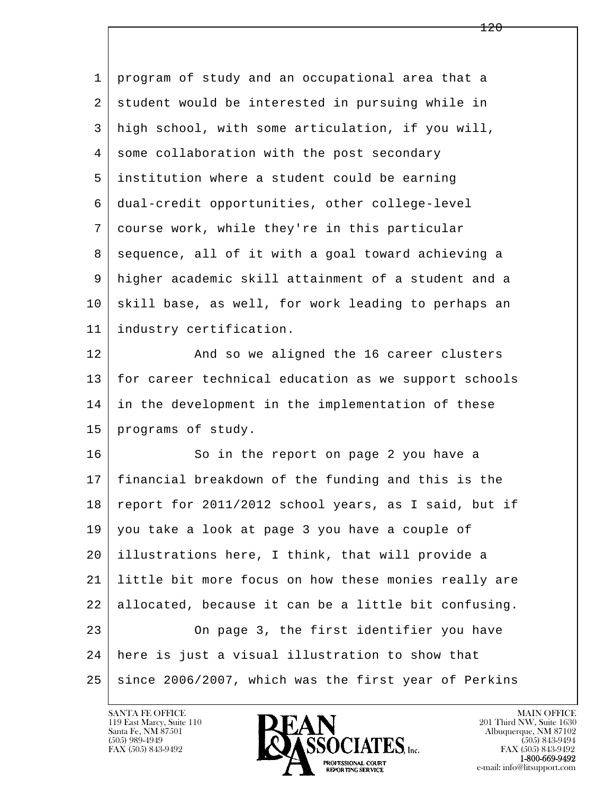| 1  | program of study and an occupational area that a     |
|----|------------------------------------------------------|
| 2  | student would be interested in pursuing while in     |
| 3  | high school, with some articulation, if you will,    |
| 4  | some collaboration with the post secondary           |
| 5  | institution where a student could be earning         |
| 6  | dual-credit opportunities, other college-level       |
| 7  | course work, while they're in this particular        |
| 8  | sequence, all of it with a goal toward achieving a   |
| 9  | higher academic skill attainment of a student and a  |
| 10 | skill base, as well, for work leading to perhaps an  |
| 11 | industry certification.                              |
| 12 | And so we aligned the 16 career clusters             |
| 13 | for career technical education as we support schools |
| 14 | in the development in the implementation of these    |
| 15 | programs of study.                                   |
| 16 | So in the report on page 2 you have a                |
| 17 | financial breakdown of the funding and this is the   |
| 18 | report for 2011/2012 school years, as I said, but if |
| 19 | you take a look at page 3 you have a couple of       |
| 20 | illustrations here, I think, that will provide a     |
| 21 | little bit more focus on how these monies really are |
| 22 | allocated, because it can be a little bit confusing. |
| 23 | On page 3, the first identifier you have             |
| 24 | here is just a visual illustration to show that      |
| 25 | since 2006/2007, which was the first year of Perkins |

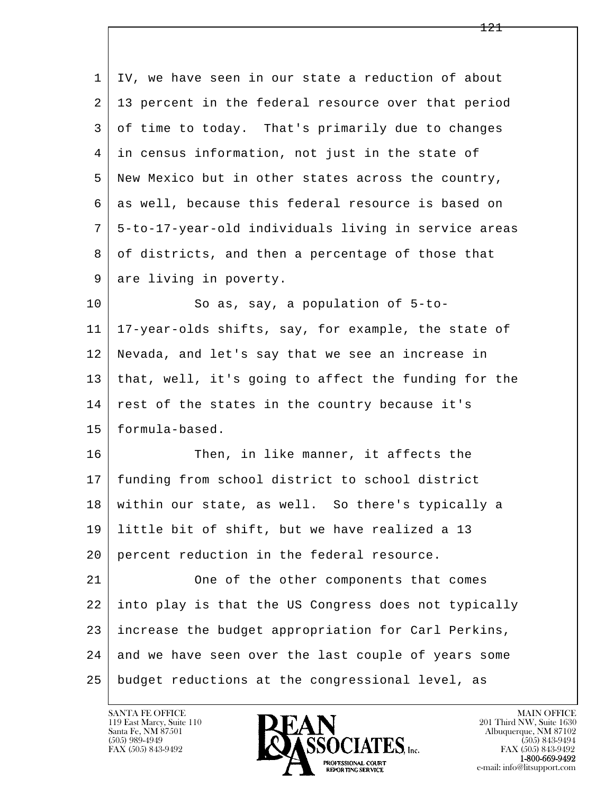| 1  | IV, we have seen in our state a reduction of about   |
|----|------------------------------------------------------|
| 2  | 13 percent in the federal resource over that period  |
| 3  | of time to today. That's primarily due to changes    |
| 4  | in census information, not just in the state of      |
| 5  | New Mexico but in other states across the country,   |
| 6  | as well, because this federal resource is based on   |
| 7  | 5-to-17-year-old individuals living in service areas |
| 8  | of districts, and then a percentage of those that    |
| 9  | are living in poverty.                               |
| 10 | So as, say, a population of 5-to-                    |
| 11 | 17-year-olds shifts, say, for example, the state of  |
| 12 | Nevada, and let's say that we see an increase in     |
| 13 | that, well, it's going to affect the funding for the |
| 14 | rest of the states in the country because it's       |
| 15 | formula-based.                                       |
| 16 | Then, in like manner, it affects the                 |
| 17 | funding from school district to school district      |
| 18 | within our state, as well. So there's typically a    |
| 19 | little bit of shift, but we have realized a 13       |
| 20 | percent reduction in the federal resource.           |
| 21 | One of the other components that comes               |
| 22 | into play is that the US Congress does not typically |
| 23 | increase the budget appropriation for Carl Perkins,  |
| 24 | and we have seen over the last couple of years some  |
| 25 | budget reductions at the congressional level, as     |

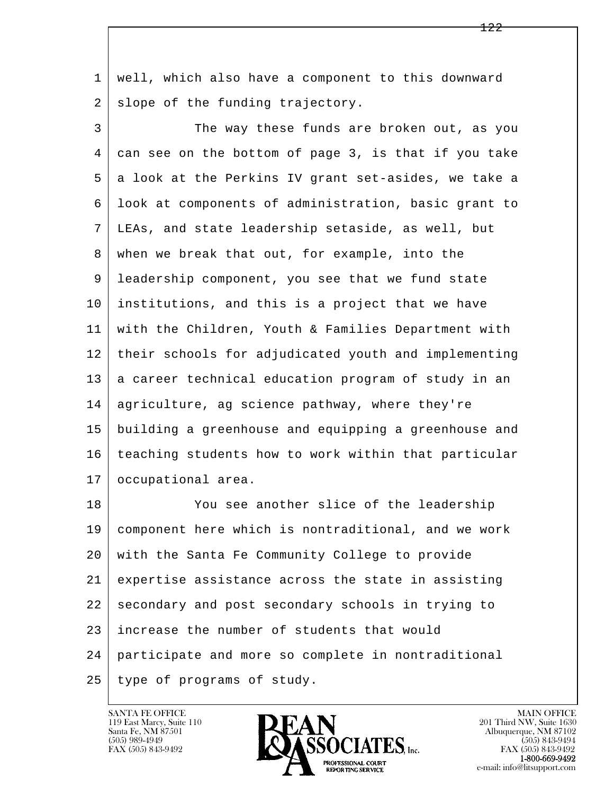1 well, which also have a component to this downward  $2$  slope of the funding trajectory.

3 The way these funds are broken out, as you 4 can see on the bottom of page 3, is that if you take 5 a look at the Perkins IV grant set-asides, we take a 6 look at components of administration, basic grant to 7 LEAs, and state leadership setaside, as well, but 8 when we break that out, for example, into the 9 leadership component, you see that we fund state 10 institutions, and this is a project that we have 11 with the Children, Youth & Families Department with 12 their schools for adjudicated youth and implementing 13 a career technical education program of study in an 14 agriculture, ag science pathway, where they're 15 building a greenhouse and equipping a greenhouse and 16 teaching students how to work within that particular 17 | occupational area.

l  $\overline{\phantom{a}}$ 18 You see another slice of the leadership 19 component here which is nontraditional, and we work 20 with the Santa Fe Community College to provide 21 expertise assistance across the state in assisting 22 secondary and post secondary schools in trying to 23 increase the number of students that would 24 participate and more so complete in nontraditional 25 type of programs of study.

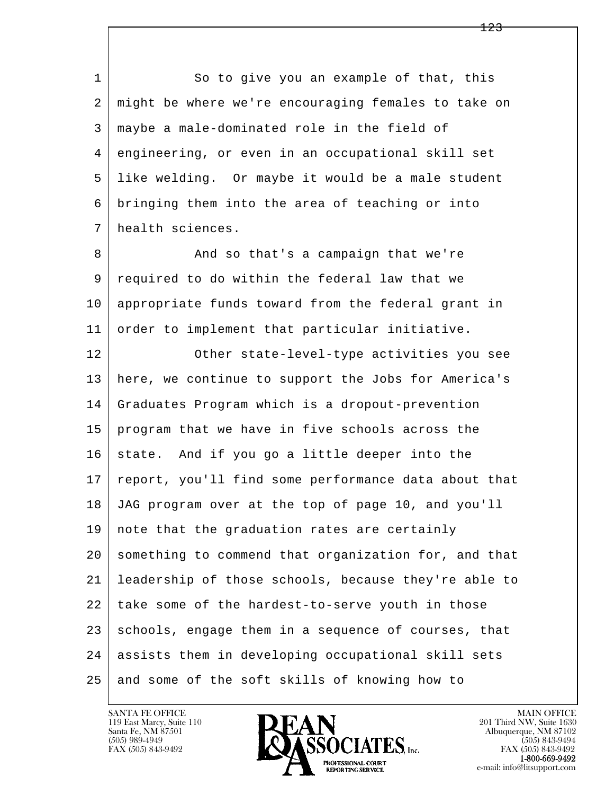1 So to give you an example of that, this 2 might be where we're encouraging females to take on 3 maybe a male-dominated role in the field of 4 engineering, or even in an occupational skill set 5 like welding. Or maybe it would be a male student 6 bringing them into the area of teaching or into 7 health sciences.

8 And so that's a campaign that we're 9 required to do within the federal law that we 10 appropriate funds toward from the federal grant in 11 order to implement that particular initiative.

l  $\overline{\phantom{a}}$  12 Other state-level-type activities you see 13 here, we continue to support the Jobs for America's 14 Graduates Program which is a dropout-prevention 15 program that we have in five schools across the  $16$  state. And if you go a little deeper into the 17 | report, you'll find some performance data about that 18 JAG program over at the top of page 10, and you'll 19 note that the graduation rates are certainly 20 something to commend that organization for, and that 21 leadership of those schools, because they're able to  $22$  take some of the hardest-to-serve youth in those 23 schools, engage them in a sequence of courses, that 24 assists them in developing occupational skill sets 25 and some of the soft skills of knowing how to



FAX (505) 843-9492<br>1-800-669-9492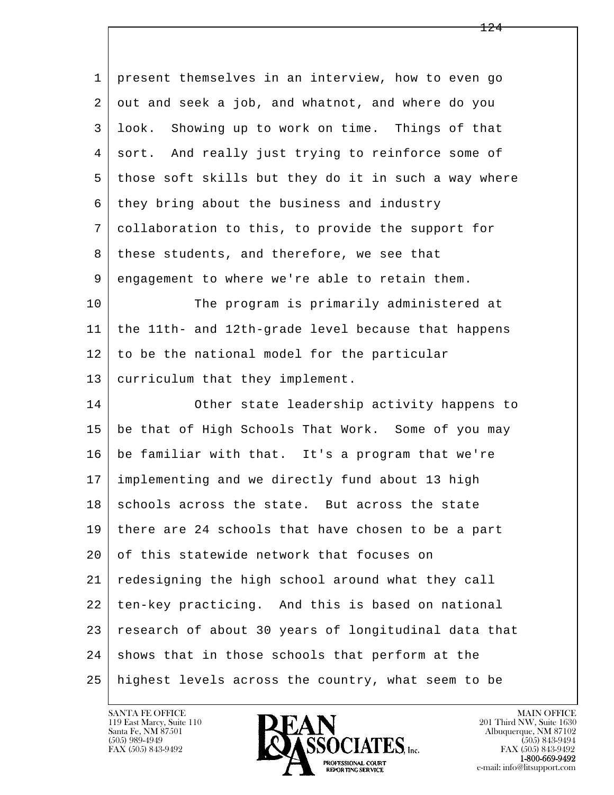| $\mathbf{1}$ | present themselves in an interview, how to even go   |
|--------------|------------------------------------------------------|
| 2            | out and seek a job, and whatnot, and where do you    |
| 3            | Showing up to work on time. Things of that<br>look.  |
| 4            | sort. And really just trying to reinforce some of    |
| 5            | those soft skills but they do it in such a way where |
| 6            | they bring about the business and industry           |
| 7            | collaboration to this, to provide the support for    |
| 8            | these students, and therefore, we see that           |
| 9            | engagement to where we're able to retain them.       |
| 10           | The program is primarily administered at             |
| 11           | the 11th- and 12th-grade level because that happens  |
| 12           | to be the national model for the particular          |
| 13           | curriculum that they implement.                      |
| 14           | Other state leadership activity happens to           |
| 15           | be that of High Schools That Work. Some of you may   |
| 16           | be familiar with that. It's a program that we're     |
| 17           | implementing and we directly fund about 13 high      |
| 18           | schools across the state. But across the state       |
| 19           | there are 24 schools that have chosen to be a part   |
| 20           | of this statewide network that focuses on            |
| 21           | redesigning the high school around what they call    |
| 22           | ten-key practicing. And this is based on national    |
| 23           | research of about 30 years of longitudinal data that |
| 24           | shows that in those schools that perform at the      |
| 25           | highest levels across the country, what seem to be   |

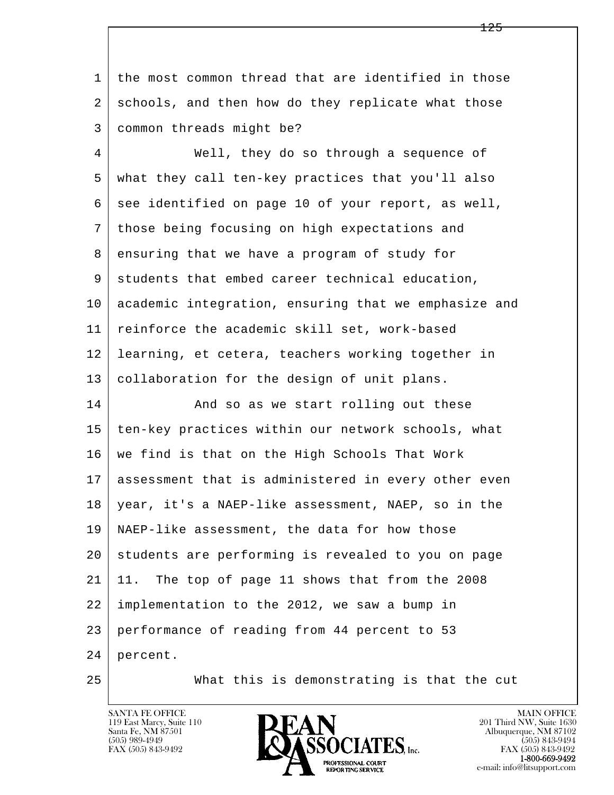l  $\overline{\phantom{a}}$  1 the most common thread that are identified in those 2 schools, and then how do they replicate what those 3 common threads might be? 4 Well, they do so through a sequence of 5 what they call ten-key practices that you'll also 6 see identified on page 10 of your report, as well, 7 those being focusing on high expectations and 8 ensuring that we have a program of study for 9 students that embed career technical education, 10 academic integration, ensuring that we emphasize and 11 reinforce the academic skill set, work-based 12 learning, et cetera, teachers working together in 13 collaboration for the design of unit plans. 14 And so as we start rolling out these 15 | ten-key practices within our network schools, what 16 we find is that on the High Schools That Work 17 assessment that is administered in every other even 18 year, it's a NAEP-like assessment, NAEP, so in the 19 NAEP-like assessment, the data for how those 20 students are performing is revealed to you on page 21 11. The top of page 11 shows that from the 2008 22 implementation to the 2012, we saw a bump in 23 performance of reading from 44 percent to 53 24 percent.

25 What this is demonstrating is that the cut

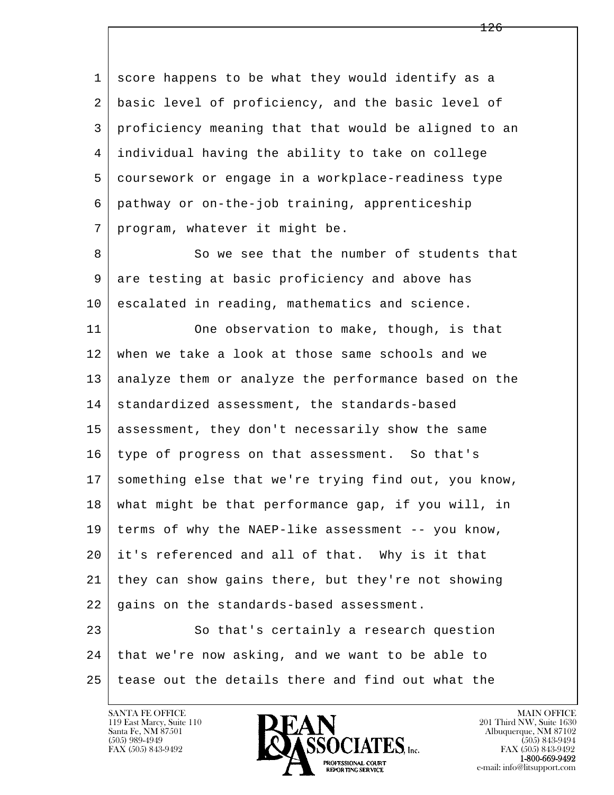1 score happens to be what they would identify as a 2 basic level of proficiency, and the basic level of 3 proficiency meaning that that would be aligned to an 4 individual having the ability to take on college 5 coursework or engage in a workplace-readiness type 6 pathway or on-the-job training, apprenticeship 7 | program, whatever it might be.

8 | So we see that the number of students that 9 are testing at basic proficiency and above has 10 escalated in reading, mathematics and science.

11 One observation to make, though, is that 12 when we take a look at those same schools and we 13 analyze them or analyze the performance based on the 14 standardized assessment, the standards-based 15 assessment, they don't necessarily show the same 16 type of progress on that assessment. So that's 17 something else that we're trying find out, you know, 18 what might be that performance gap, if you will, in 19 terms of why the NAEP-like assessment -- you know, 20 it's referenced and all of that. Why is it that 21 they can show gains there, but they're not showing 22 gains on the standards-based assessment.

l  $\overline{\phantom{a}}$ 23 So that's certainly a research question 24 that we're now asking, and we want to be able to 25 tease out the details there and find out what the

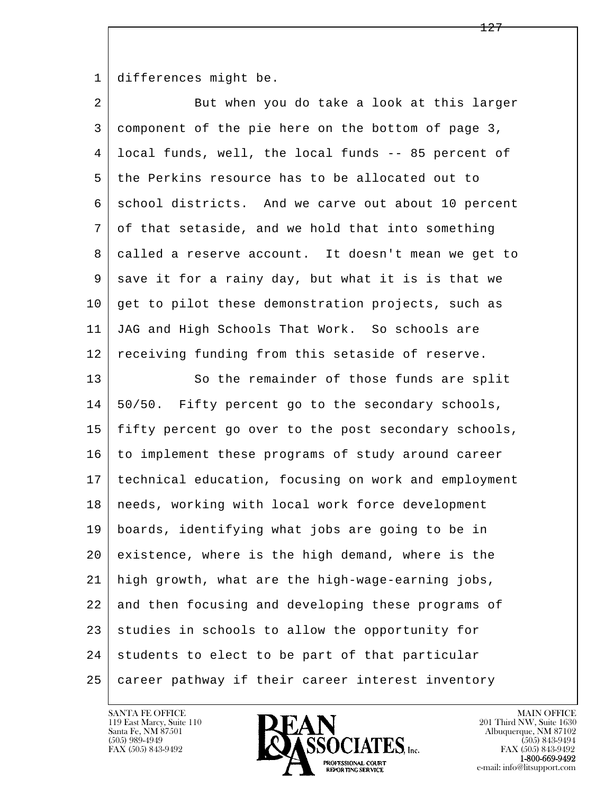1 differences might be.

| $\overline{2}$  | But when you do take a look at this larger           |
|-----------------|------------------------------------------------------|
| 3               | component of the pie here on the bottom of page 3,   |
| 4               | local funds, well, the local funds -- 85 percent of  |
| 5               | the Perkins resource has to be allocated out to      |
| 6               | school districts. And we carve out about 10 percent  |
| 7               | of that setaside, and we hold that into something    |
| 8               | called a reserve account. It doesn't mean we get to  |
| 9               | save it for a rainy day, but what it is is that we   |
| 10 <sub>o</sub> | get to pilot these demonstration projects, such as   |
| 11              | JAG and High Schools That Work. So schools are       |
| 12              | receiving funding from this setaside of reserve.     |
| 13              | So the remainder of those funds are split            |
| 14              | 50/50. Fifty percent go to the secondary schools,    |
| 15              | fifty percent go over to the post secondary schools, |
| 16              | to implement these programs of study around career   |
| 17              | technical education, focusing on work and employment |
| 18              | needs, working with local work force development     |
| 19              | boards, identifying what jobs are going to be in     |
| 20              | existence, where is the high demand, where is the    |
| 21              | high growth, what are the high-wage-earning jobs,    |
| 22              | and then focusing and developing these programs of   |
| 23              | studies in schools to allow the opportunity for      |
| 24              | students to elect to be part of that particular      |
| 25              | career pathway if their career interest inventory    |

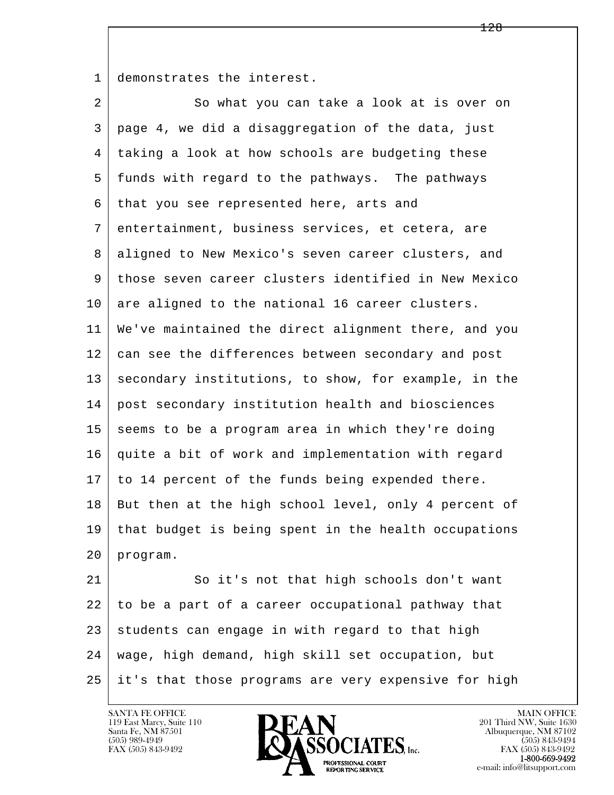1 demonstrates the interest.

2 So what you can take a look at is over on 3 page 4, we did a disaggregation of the data, just 4 taking a look at how schools are budgeting these 5 funds with regard to the pathways. The pathways 6 that you see represented here, arts and 7 entertainment, business services, et cetera, are 8 aligned to New Mexico's seven career clusters, and 9 those seven career clusters identified in New Mexico 10 are aligned to the national 16 career clusters. 11 We've maintained the direct alignment there, and you 12 can see the differences between secondary and post 13 secondary institutions, to show, for example, in the 14 post secondary institution health and biosciences 15 seems to be a program area in which they're doing 16 quite a bit of work and implementation with regard 17 to 14 percent of the funds being expended there. 18 But then at the high school level, only 4 percent of 19 that budget is being spent in the health occupations 20 program.

l  $\overline{\phantom{a}}$ 21 So it's not that high schools don't want 22 to be a part of a career occupational pathway that  $23$  students can engage in with regard to that high 24 wage, high demand, high skill set occupation, but 25 it's that those programs are very expensive for high

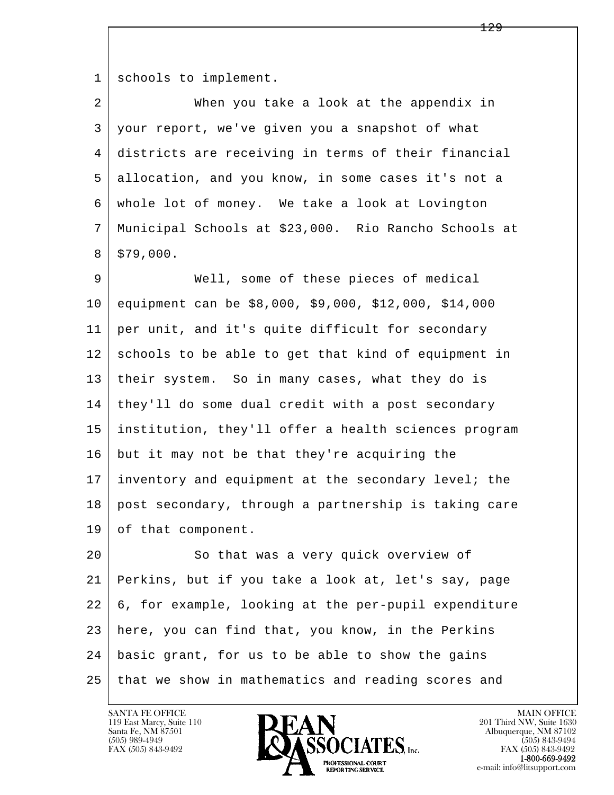1 schools to implement.

| 2  | When you take a look at the appendix in               |
|----|-------------------------------------------------------|
| 3  | your report, we've given you a snapshot of what       |
| 4  | districts are receiving in terms of their financial   |
| 5  | allocation, and you know, in some cases it's not a    |
| 6  | whole lot of money. We take a look at Lovington       |
| 7  | Municipal Schools at \$23,000. Rio Rancho Schools at  |
| 8  | \$79,000.                                             |
| 9  | Well, some of these pieces of medical                 |
| 10 | equipment can be \$8,000, \$9,000, \$12,000, \$14,000 |
| 11 | per unit, and it's quite difficult for secondary      |
| 12 | schools to be able to get that kind of equipment in   |
| 13 | their system. So in many cases, what they do is       |
| 14 | they'll do some dual credit with a post secondary     |
| 15 | institution, they'll offer a health sciences program  |
| 16 | but it may not be that they're acquiring the          |
| 17 | inventory and equipment at the secondary level; the   |
| 18 | post secondary, through a partnership is taking care  |
| 19 | of that component.                                    |
| 20 | So that was a very quick overview of                  |
| 21 | Perkins, but if you take a look at, let's say, page   |
| 22 | 6, for example, looking at the per-pupil expenditure  |
| 23 | here, you can find that, you know, in the Perkins     |
| 24 | basic grant, for us to be able to show the gains      |
| 25 | that we show in mathematics and reading scores and    |

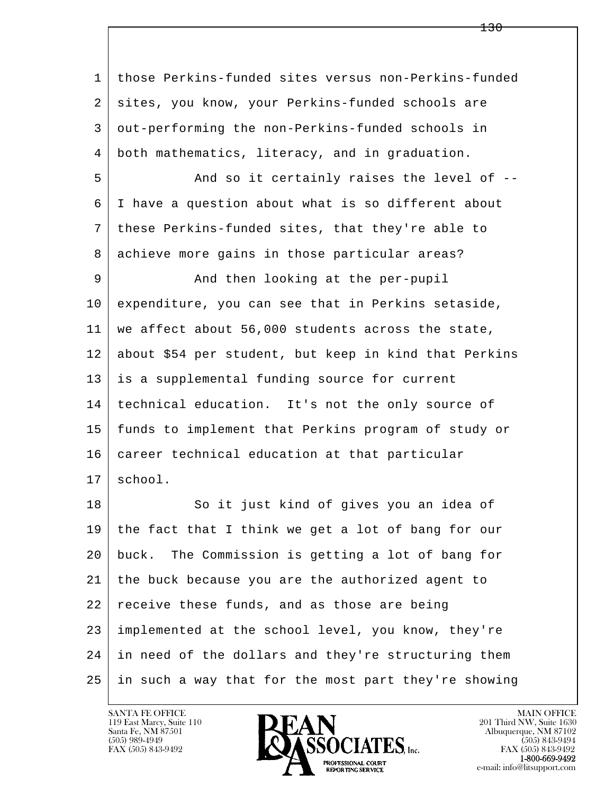l  $\overline{\phantom{a}}$  1 those Perkins-funded sites versus non-Perkins-funded 2 sites, you know, your Perkins-funded schools are 3 out-performing the non-Perkins-funded schools in 4 both mathematics, literacy, and in graduation. 5 And so it certainly raises the level of -- 6 I have a question about what is so different about 7 these Perkins-funded sites, that they're able to 8 achieve more gains in those particular areas? 9 and then looking at the per-pupil 10 expenditure, you can see that in Perkins setaside, 11 we affect about 56,000 students across the state, 12 about \$54 per student, but keep in kind that Perkins 13 is a supplemental funding source for current 14 technical education. It's not the only source of 15 funds to implement that Perkins program of study or 16 career technical education at that particular  $17 \mid$  school. 18 So it just kind of gives you an idea of 19 the fact that I think we get a lot of bang for our 20 buck. The Commission is getting a lot of bang for 21 the buck because you are the authorized agent to 22 receive these funds, and as those are being 23 implemented at the school level, you know, they're 24 in need of the dollars and they're structuring them 25 in such a way that for the most part they're showing

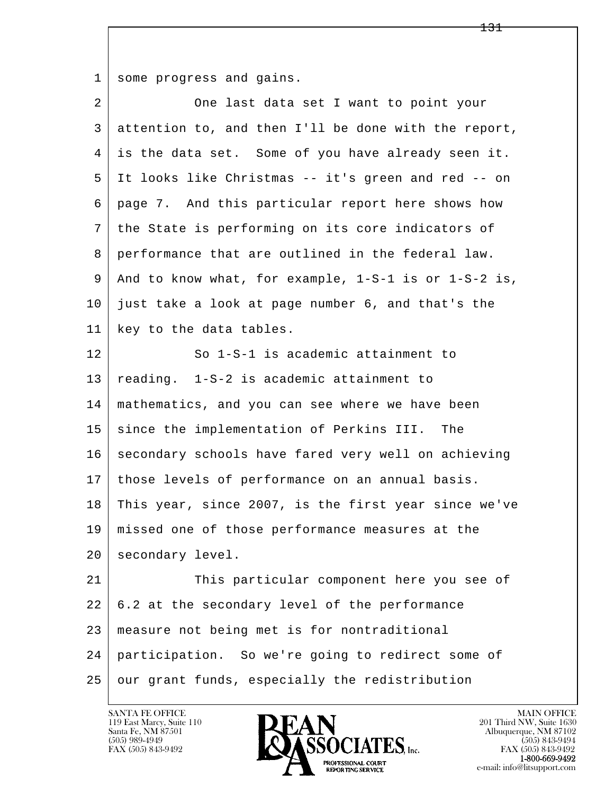1 some progress and gains.

| 2  | One last data set I want to point your                   |
|----|----------------------------------------------------------|
| 3  | attention to, and then I'll be done with the report,     |
| 4  | is the data set. Some of you have already seen it.       |
| 5  | It looks like Christmas -- it's green and red -- on      |
| 6  | page 7. And this particular report here shows how        |
| 7  | the State is performing on its core indicators of        |
| 8  | performance that are outlined in the federal law.        |
| 9  | And to know what, for example, $1-S-1$ is or $1-S-2$ is, |
| 10 | just take a look at page number 6, and that's the        |
| 11 | key to the data tables.                                  |
| 12 | So 1-S-1 is academic attainment to                       |
| 13 | reading. 1-S-2 is academic attainment to                 |
| 14 | mathematics, and you can see where we have been          |
| 15 | since the implementation of Perkins III.<br>The          |
| 16 | secondary schools have fared very well on achieving      |
| 17 | those levels of performance on an annual basis.          |
| 18 | This year, since 2007, is the first year since we've     |
| 19 | missed one of those performance measures at the          |
| 20 | secondary level.                                         |
| 21 | This particular component here you see of                |
| 22 | 6.2 at the secondary level of the performance            |
| 23 | measure not being met is for nontraditional              |
| 24 | participation. So we're going to redirect some of        |
| 25 | our grant funds, especially the redistribution           |

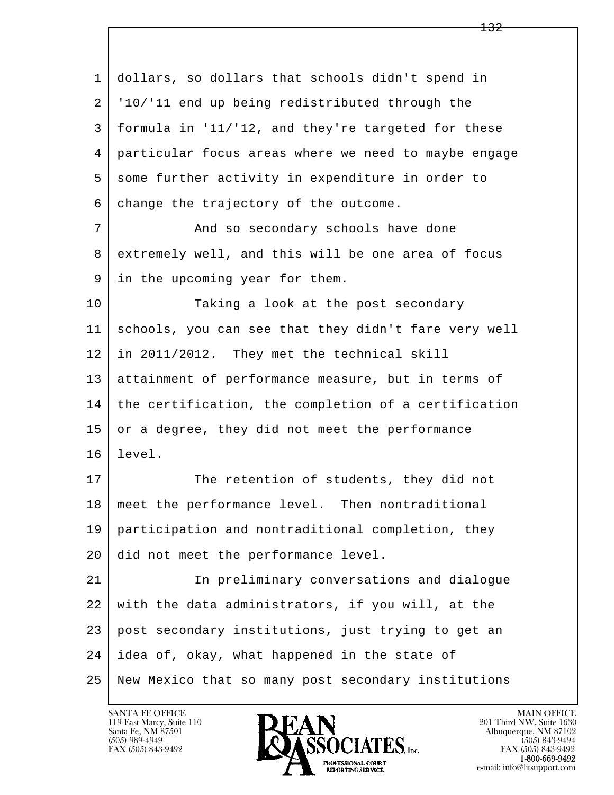| 1  | dollars, so dollars that schools didn't spend in     |
|----|------------------------------------------------------|
| 2  | '10/'11 end up being redistributed through the       |
| 3  | formula in '11/'12, and they're targeted for these   |
| 4  | particular focus areas where we need to maybe engage |
| 5  | some further activity in expenditure in order to     |
| 6  | change the trajectory of the outcome.                |
| 7  | And so secondary schools have done                   |
| 8  | extremely well, and this will be one area of focus   |
| 9  | in the upcoming year for them.                       |
| 10 | Taking a look at the post secondary                  |
| 11 | schools, you can see that they didn't fare very well |
| 12 | in 2011/2012. They met the technical skill           |
| 13 | attainment of performance measure, but in terms of   |
| 14 | the certification, the completion of a certification |
| 15 | or a degree, they did not meet the performance       |
| 16 | level.                                               |
| 17 | The retention of students, they did not              |
| 18 | meet the performance level. Then nontraditional      |
| 19 | participation and nontraditional completion, they    |
| 20 | did not meet the performance level.                  |
| 21 | In preliminary conversations and dialogue            |
| 22 | with the data administrators, if you will, at the    |
| 23 | post secondary institutions, just trying to get an   |
| 24 | idea of, okay, what happened in the state of         |
| 25 | New Mexico that so many post secondary institutions  |

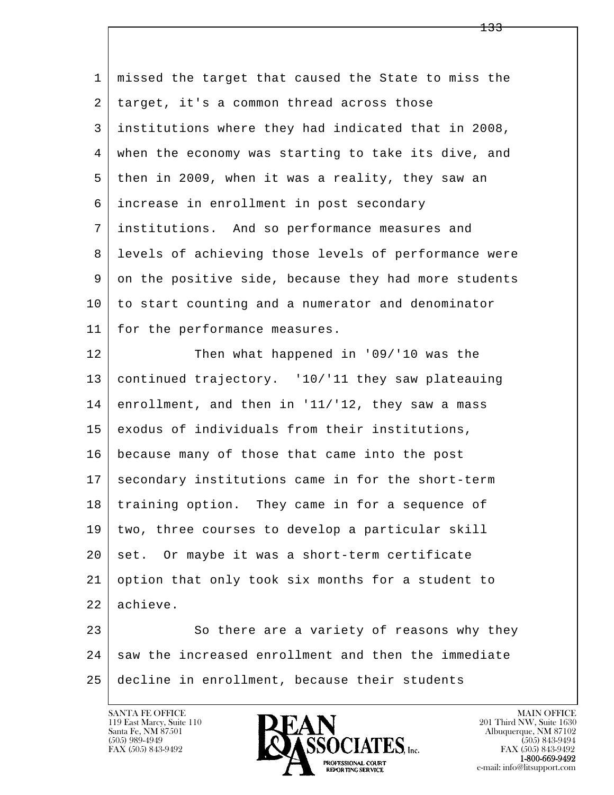l  $\overline{\phantom{a}}$  1 missed the target that caused the State to miss the 2 | target, it's a common thread across those 3 institutions where they had indicated that in 2008, 4 when the economy was starting to take its dive, and 5 then in 2009, when it was a reality, they saw an 6 increase in enrollment in post secondary 7 institutions. And so performance measures and 8 levels of achieving those levels of performance were 9 on the positive side, because they had more students 10 to start counting and a numerator and denominator 11 for the performance measures. 12 Then what happened in '09/'10 was the 13 continued trajectory. '10/'11 they saw plateauing  $14$  enrollment, and then in '11/'12, they saw a mass 15 exodus of individuals from their institutions, 16 because many of those that came into the post 17 secondary institutions came in for the short-term 18 | training option. They came in for a sequence of 19 two, three courses to develop a particular skill  $20$  set. Or maybe it was a short-term certificate 21 option that only took six months for a student to 22 achieve. 23 So there are a variety of reasons why they 24 saw the increased enrollment and then the immediate 25 decline in enrollment, because their students

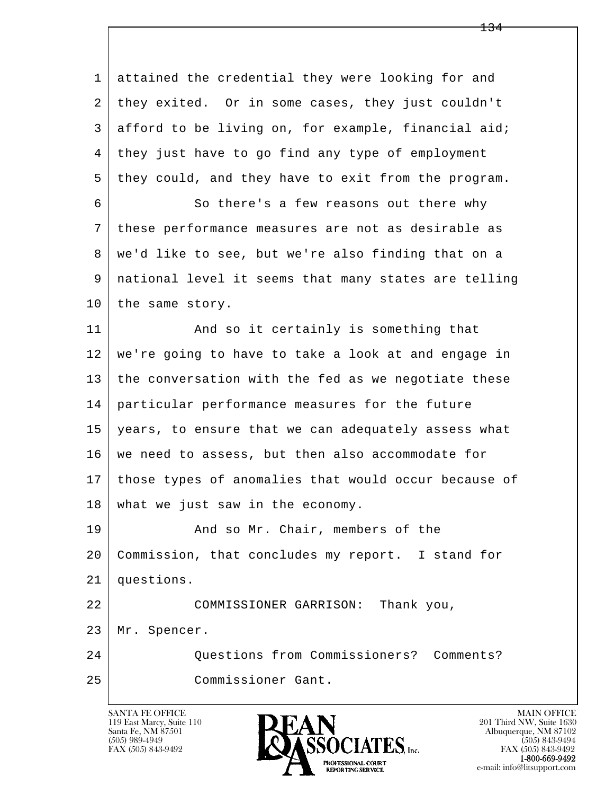l  $\overline{\phantom{a}}$  1 attained the credential they were looking for and 2 they exited. Or in some cases, they just couldn't 3 afford to be living on, for example, financial aid; 4 they just have to go find any type of employment 5 they could, and they have to exit from the program. 6 So there's a few reasons out there why 7 these performance measures are not as desirable as 8 we'd like to see, but we're also finding that on a 9 national level it seems that many states are telling 10 the same story. 11 | And so it certainly is something that 12 we're going to have to take a look at and engage in 13 the conversation with the fed as we negotiate these 14 particular performance measures for the future 15 years, to ensure that we can adequately assess what 16 we need to assess, but then also accommodate for 17 those types of anomalies that would occur because of 18 what we just saw in the economy. 19 And so Mr. Chair, members of the 20 Commission, that concludes my report. I stand for 21 questions. 22 COMMISSIONER GARRISON: Thank you, 23 Mr. Spencer. 24 Questions from Commissioners? Comments? 25 Commissioner Gant.

134

119 East Marcy, Suite 110<br>Santa Fe, NM 87501



FAX (505) 843-9492<br>**1-800-669-9492**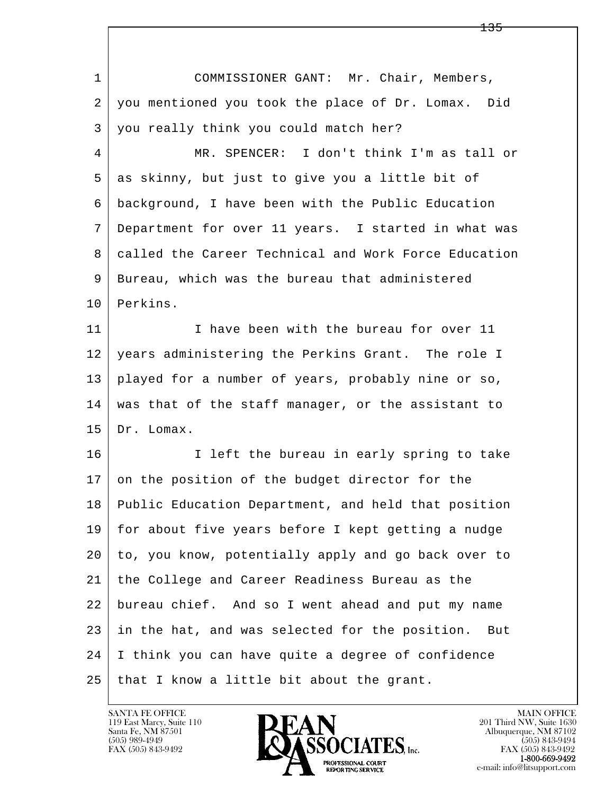| $\mathbf 1$ | COMMISSIONER GANT: Mr. Chair, Members,                |
|-------------|-------------------------------------------------------|
| 2           | you mentioned you took the place of Dr. Lomax. Did    |
| 3           | you really think you could match her?                 |
| 4           | MR. SPENCER: I don't think I'm as tall or             |
| 5           | as skinny, but just to give you a little bit of       |
| 6           | background, I have been with the Public Education     |
| 7           | Department for over 11 years. I started in what was   |
| 8           | called the Career Technical and Work Force Education  |
| 9           | Bureau, which was the bureau that administered        |
| 10          | Perkins.                                              |
| 11          | I have been with the bureau for over 11               |
| 12          | years administering the Perkins Grant. The role I     |
| 13          | played for a number of years, probably nine or so,    |
| 14          | was that of the staff manager, or the assistant to    |
| 15          | Dr. Lomax.                                            |
| 16          | I left the bureau in early spring to take             |
| 17          | on the position of the budget director for the        |
| 18          | Public Education Department, and held that position   |
| 19          | for about five years before I kept getting a nudge    |
| 20          | to, you know, potentially apply and go back over to   |
| 21          | the College and Career Readiness Bureau as the        |
| 22          | bureau chief. And so I went ahead and put my name     |
| 23          | in the hat, and was selected for the position.<br>But |
| 24          | I think you can have quite a degree of confidence     |
| 25          | that I know a little bit about the grant.             |

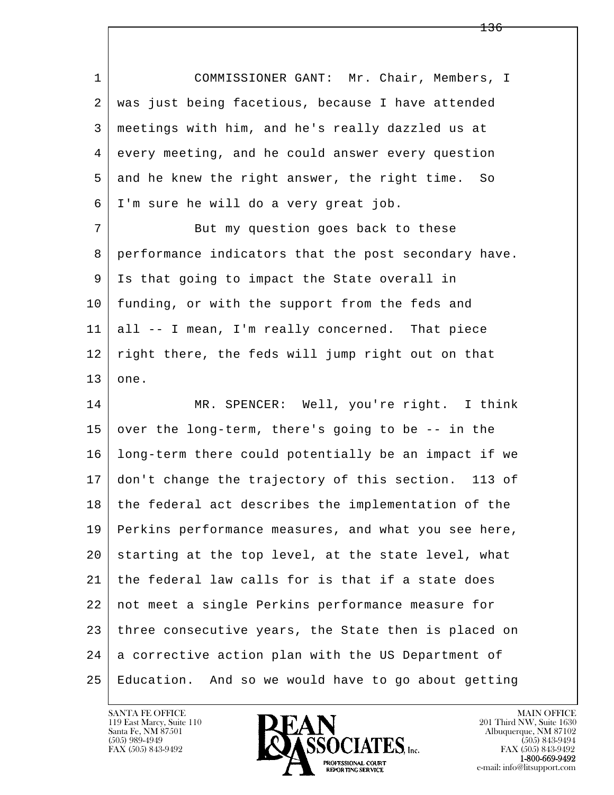1 COMMISSIONER GANT: Mr. Chair, Members, I 2 | was just being facetious, because I have attended 3 meetings with him, and he's really dazzled us at 4 every meeting, and he could answer every question 5 and he knew the right answer, the right time. So 6 I'm sure he will do a very great job. 7 But my question goes back to these 8 performance indicators that the post secondary have. 9 Is that going to impact the State overall in 10 | funding, or with the support from the feds and 11 all -- I mean, I'm really concerned. That piece 12 right there, the feds will jump right out on that  $13$  one. 14 MR. SPENCER: Well, you're right. I think 15 over the long-term, there's going to be  $-$ - in the

l  $\overline{\phantom{a}}$  16 long-term there could potentially be an impact if we 17 don't change the trajectory of this section. 113 of 18 the federal act describes the implementation of the 19 Perkins performance measures, and what you see here,  $20$  starting at the top level, at the state level, what 21 the federal law calls for is that if a state does 22 not meet a single Perkins performance measure for 23 three consecutive years, the State then is placed on 24 a corrective action plan with the US Department of 25 Education. And so we would have to go about getting

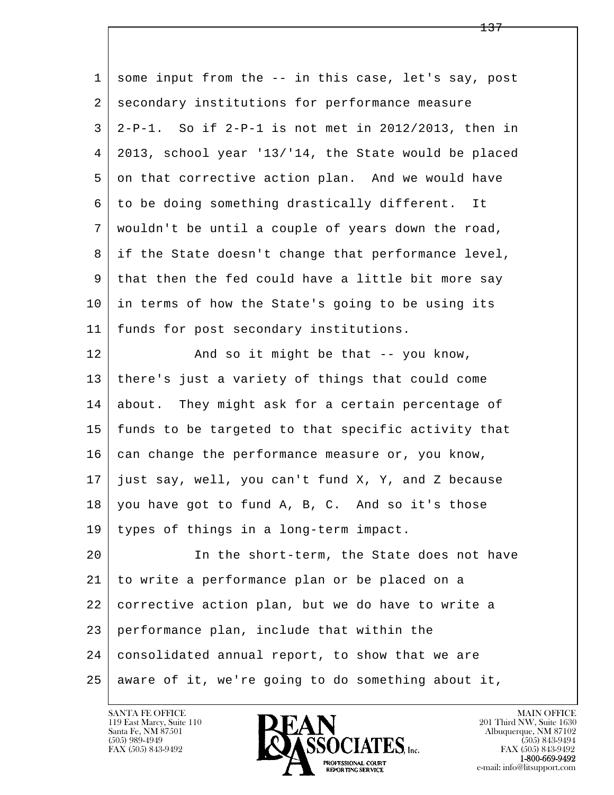| $\mathbf{1}$    | some input from the -- in this case, let's say, post     |
|-----------------|----------------------------------------------------------|
| 2               | secondary institutions for performance measure           |
| 3               | $2-P-1$ . So if $2-P-1$ is not met in 2012/2013, then in |
| $\overline{4}$  | 2013, school year '13/'14, the State would be placed     |
| 5               | on that corrective action plan. And we would have        |
| 6               | to be doing something drastically different. It          |
| 7               | wouldn't be until a couple of years down the road,       |
| 8               | if the State doesn't change that performance level,      |
| 9               | that then the fed could have a little bit more say       |
| 10              | in terms of how the State's going to be using its        |
| 11              | funds for post secondary institutions.                   |
| 12              | And so it might be that -- you know,                     |
| 13              | there's just a variety of things that could come         |
| 14              | about. They might ask for a certain percentage of        |
| 15              | funds to be targeted to that specific activity that      |
| 16              | can change the performance measure or, you know,         |
| 17              | just say, well, you can't fund X, Y, and Z because       |
| 18 <sup>1</sup> | you have got to fund A, B, C. And so it's those          |
| 19              | types of things in a long-term impact.                   |
| 20              | In the short-term, the State does not have               |
| 21              | to write a performance plan or be placed on a            |
| 22              | corrective action plan, but we do have to write a        |
| 23              | performance plan, include that within the                |
| 24              | consolidated annual report, to show that we are          |
| 25              | aware of it, we're going to do something about it,       |

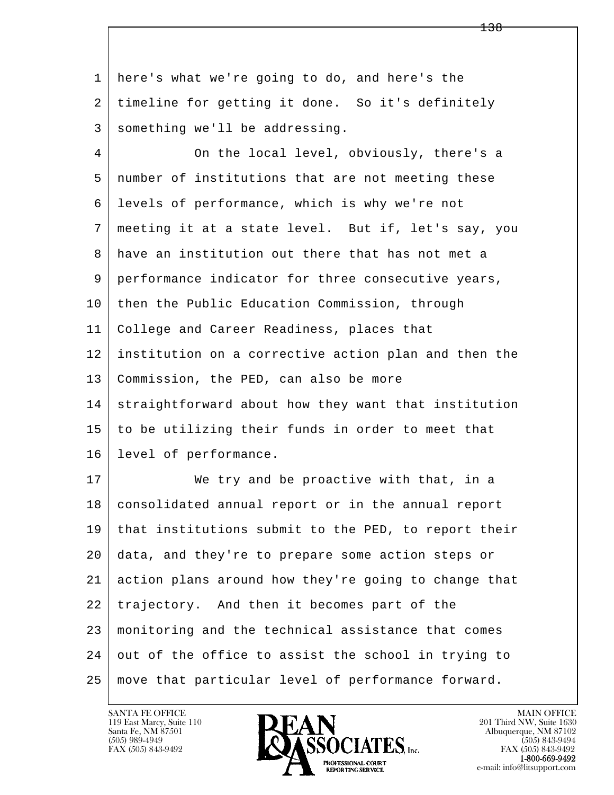l  $\overline{\phantom{a}}$  1 here's what we're going to do, and here's the 2 timeline for getting it done. So it's definitely 3 something we'll be addressing. 4 On the local level, obviously, there's a 5 number of institutions that are not meeting these 6 levels of performance, which is why we're not 7 meeting it at a state level. But if, let's say, you 8 have an institution out there that has not met a 9 performance indicator for three consecutive years, 10 then the Public Education Commission, through 11 College and Career Readiness, places that 12 institution on a corrective action plan and then the 13 Commission, the PED, can also be more 14 straightforward about how they want that institution 15 to be utilizing their funds in order to meet that 16 level of performance. 17 We try and be proactive with that, in a 18 consolidated annual report or in the annual report 19 that institutions submit to the PED, to report their 20 data, and they're to prepare some action steps or 21 action plans around how they're going to change that 22 trajectory. And then it becomes part of the 23 monitoring and the technical assistance that comes 24 out of the office to assist the school in trying to 25 move that particular level of performance forward.

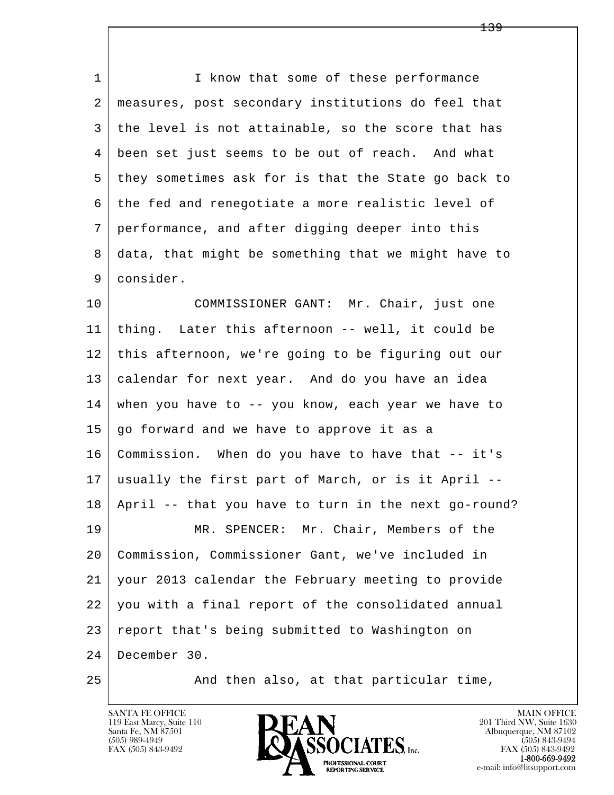1 I know that some of these performance 2 measures, post secondary institutions do feel that 3 the level is not attainable, so the score that has 4 been set just seems to be out of reach. And what 5 they sometimes ask for is that the State go back to 6 the fed and renegotiate a more realistic level of 7 performance, and after digging deeper into this 8 data, that might be something that we might have to 9 consider.

l  $\overline{\phantom{a}}$ 10 | COMMISSIONER GANT: Mr. Chair, just one 11 thing. Later this afternoon -- well, it could be 12 this afternoon, we're going to be figuring out our 13 calendar for next year. And do you have an idea 14 when you have to -- you know, each year we have to 15 go forward and we have to approve it as a 16 Commission. When do you have to have that -- it's 17 usually the first part of March, or is it April -- 18 April -- that you have to turn in the next go-round? 19 MR. SPENCER: Mr. Chair, Members of the 20 Commission, Commissioner Gant, we've included in 21 your 2013 calendar the February meeting to provide 22 you with a final report of the consolidated annual 23 report that's being submitted to Washington on 24 December 30.

25 And then also, at that particular time,

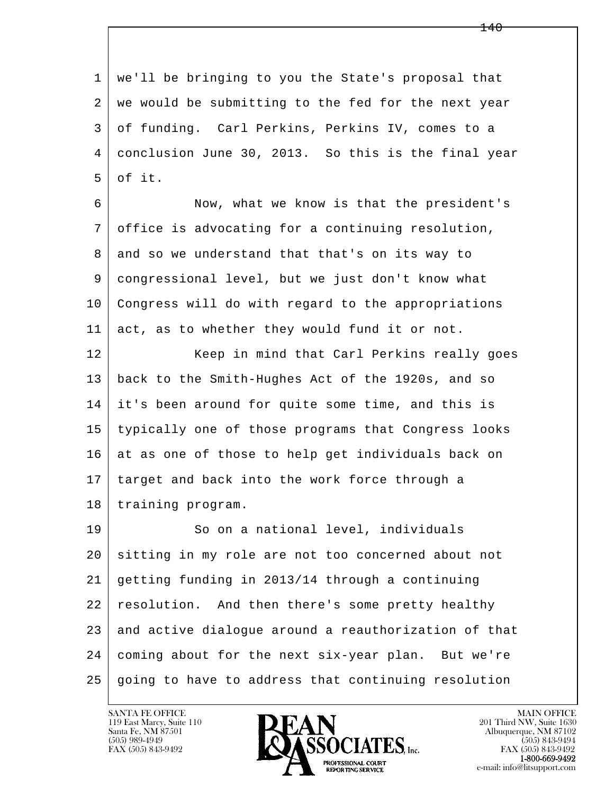l  $\overline{\phantom{a}}$  1 we'll be bringing to you the State's proposal that 2 | we would be submitting to the fed for the next year 3 of funding. Carl Perkins, Perkins IV, comes to a 4 conclusion June 30, 2013. So this is the final year  $5$  of it. 6 Now, what we know is that the president's 7 office is advocating for a continuing resolution, 8 and so we understand that that's on its way to 9 congressional level, but we just don't know what 10 Congress will do with regard to the appropriations 11 act, as to whether they would fund it or not. 12 | Keep in mind that Carl Perkins really goes 13 back to the Smith-Hughes Act of the 1920s, and so 14 it's been around for quite some time, and this is 15 typically one of those programs that Congress looks 16 at as one of those to help get individuals back on 17 | target and back into the work force through a 18 | training program. 19 | So on a national level, individuals 20 sitting in my role are not too concerned about not 21 getting funding in 2013/14 through a continuing 22 resolution. And then there's some pretty healthy 23 and active dialoque around a reauthorization of that 24 coming about for the next six-year plan. But we're  $25$  going to have to address that continuing resolution

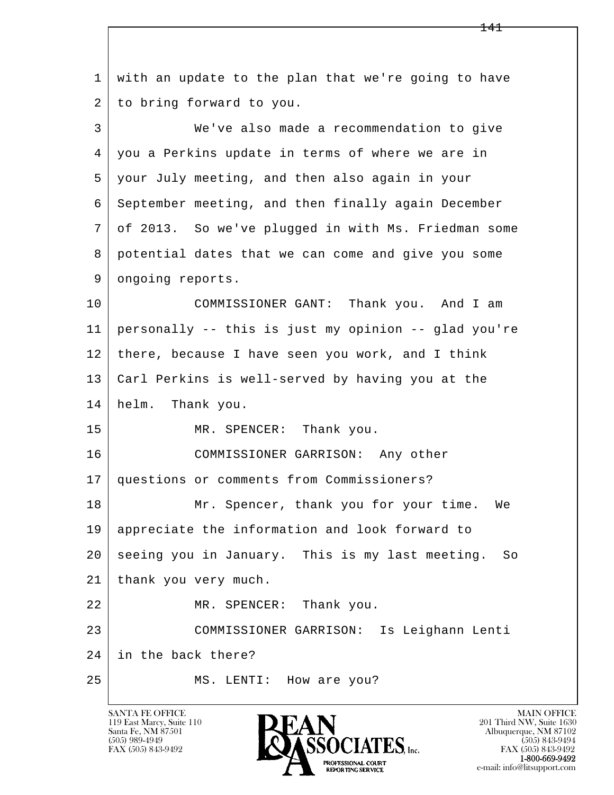| $\mathbf{1}$ | with an update to the plan that we're going to have   |
|--------------|-------------------------------------------------------|
| 2            | to bring forward to you.                              |
| 3            | We've also made a recommendation to give              |
| 4            | you a Perkins update in terms of where we are in      |
| 5            | your July meeting, and then also again in your        |
| 6            | September meeting, and then finally again December    |
| 7            | of 2013. So we've plugged in with Ms. Friedman some   |
| 8            | potential dates that we can come and give you some    |
| 9            | ongoing reports.                                      |
| 10           | COMMISSIONER GANT: Thank you. And I am                |
| 11           | personally -- this is just my opinion -- glad you're  |
| 12           | there, because I have seen you work, and I think      |
| 13           | Carl Perkins is well-served by having you at the      |
| 14           | helm.<br>Thank you.                                   |
| 15           | MR. SPENCER: Thank you.                               |
| 16           | COMMISSIONER GARRISON: Any other                      |
| 17           | questions or comments from Commissioners?             |
| 18           | Mr. Spencer, thank you for your time.<br>We           |
| 19           | appreciate the information and look forward to        |
| 20           | seeing you in January. This is my last meeting.<br>So |
| 21           | thank you very much.                                  |
| 22           | MR. SPENCER: Thank you.                               |
| 23           | COMMISSIONER GARRISON: Is Leighann Lenti              |
| 24           | in the back there?                                    |
| 25           | How are you?<br>MS. LENTI:                            |

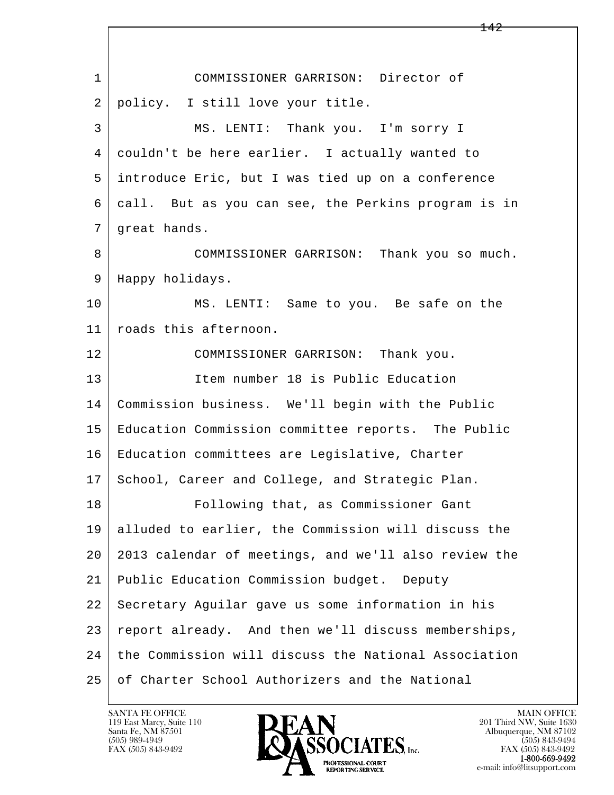| $\mathbf{1}$ | COMMISSIONER GARRISON: Director of                   |
|--------------|------------------------------------------------------|
| 2            | policy. I still love your title.                     |
| 3            | MS. LENTI: Thank you. I'm sorry I                    |
| 4            | couldn't be here earlier. I actually wanted to       |
| 5            | introduce Eric, but I was tied up on a conference    |
| 6            | call. But as you can see, the Perkins program is in  |
| 7            | great hands.                                         |
| 8            | COMMISSIONER GARRISON: Thank you so much.            |
| 9            | Happy holidays.                                      |
| 10           | MS. LENTI: Same to you. Be safe on the               |
| 11           | roads this afternoon.                                |
| 12           | COMMISSIONER GARRISON: Thank you.                    |
| 13           | Item number 18 is Public Education                   |
| 14           | Commission business. We'll begin with the Public     |
| 15           | Education Commission committee reports. The Public   |
| 16           | Education committees are Legislative, Charter        |
| 17           | School, Career and College, and Strategic Plan.      |
| 18           | Following that, as Commissioner Gant                 |
| 19           | alluded to earlier, the Commission will discuss the  |
| 20           | 2013 calendar of meetings, and we'll also review the |
| 21           | Public Education Commission budget. Deputy           |
| 22           | Secretary Aguilar gave us some information in his    |
| 23           | report already. And then we'll discuss memberships,  |
| 24           | the Commission will discuss the National Association |
| 25           | of Charter School Authorizers and the National       |

 $\overline{\phantom{a}}$ 

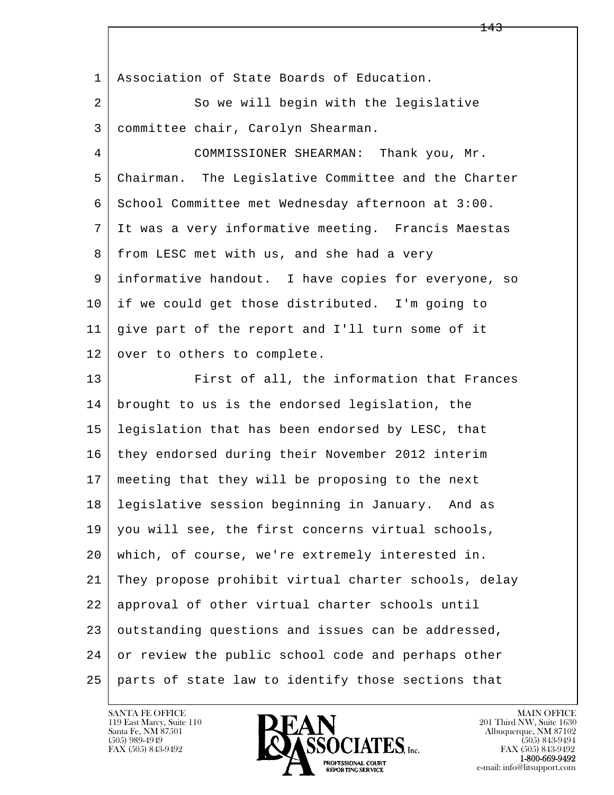l  $\overline{\phantom{a}}$  1 Association of State Boards of Education. 2 So we will begin with the legislative 3 committee chair, Carolyn Shearman. 4 COMMISSIONER SHEARMAN: Thank you, Mr. 5 Chairman. The Legislative Committee and the Charter 6 School Committee met Wednesday afternoon at 3:00. 7 It was a very informative meeting. Francis Maestas 8 from LESC met with us, and she had a very 9 informative handout. I have copies for everyone, so 10 if we could get those distributed. I'm going to 11 give part of the report and I'll turn some of it 12 | over to others to complete. 13 First of all, the information that Frances 14 brought to us is the endorsed legislation, the 15 legislation that has been endorsed by LESC, that 16 they endorsed during their November 2012 interim 17 meeting that they will be proposing to the next 18 legislative session beginning in January. And as 19 you will see, the first concerns virtual schools, 20 which, of course, we're extremely interested in. 21 They propose prohibit virtual charter schools, delay 22 approval of other virtual charter schools until 23 outstanding questions and issues can be addressed, 24 or review the public school code and perhaps other 25 parts of state law to identify those sections that

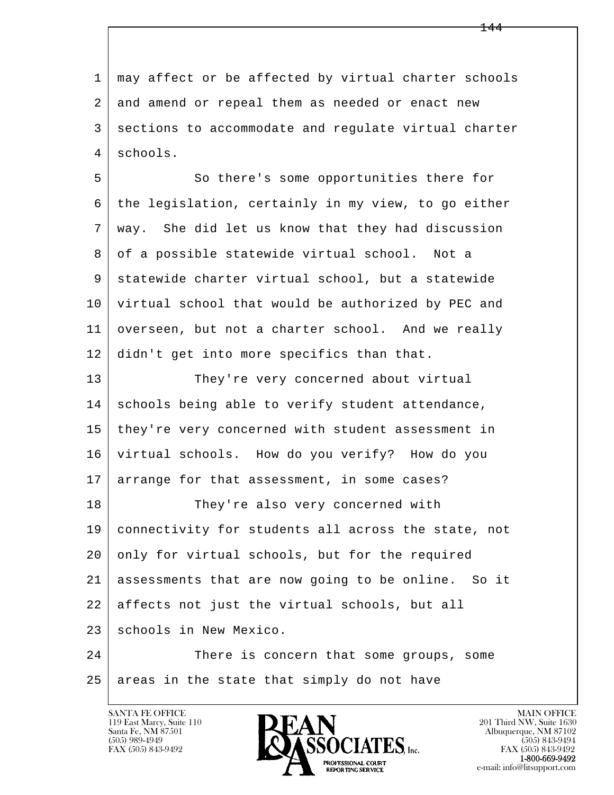l  $\overline{\phantom{a}}$  1 may affect or be affected by virtual charter schools 2 and amend or repeal them as needed or enact new 3 sections to accommodate and regulate virtual charter 4 schools. 5 So there's some opportunities there for 6 the legislation, certainly in my view, to go either 7 way. She did let us know that they had discussion 8 of a possible statewide virtual school. Not a 9 statewide charter virtual school, but a statewide 10 virtual school that would be authorized by PEC and 11 overseen, but not a charter school. And we really 12 didn't get into more specifics than that. 13 They're very concerned about virtual 14 schools being able to verify student attendance, 15 | they're very concerned with student assessment in 16 virtual schools. How do you verify? How do you 17 arrange for that assessment, in some cases? 18 | They're also very concerned with 19 connectivity for students all across the state, not 20 only for virtual schools, but for the required 21 assessments that are now going to be online. So it 22 affects not just the virtual schools, but all 23 | schools in New Mexico. 24 There is concern that some groups, some  $25$  areas in the state that simply do not have

119 East Marcy, Suite 110<br>Santa Fe, NM 87501

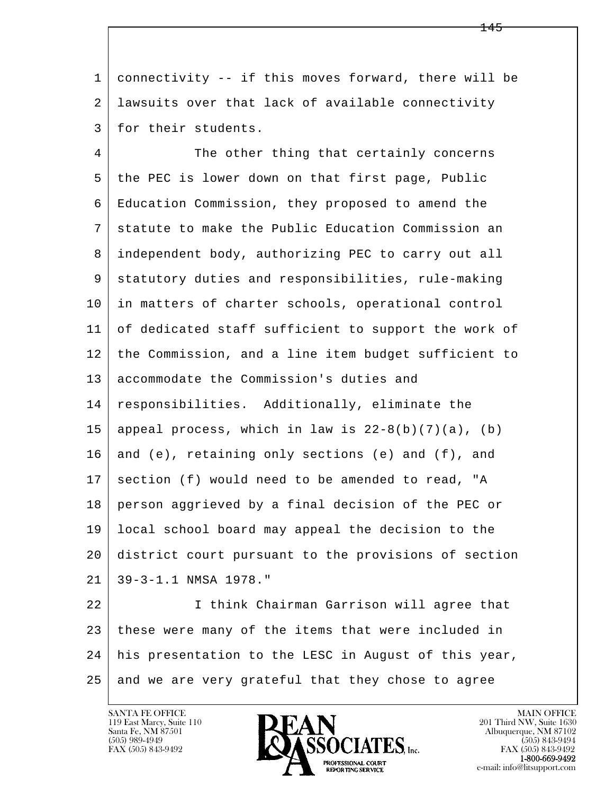1 connectivity -- if this moves forward, there will be 2 lawsuits over that lack of available connectivity 3 for their students.

4 The other thing that certainly concerns 5 the PEC is lower down on that first page, Public 6 Education Commission, they proposed to amend the 7 statute to make the Public Education Commission an 8 independent body, authorizing PEC to carry out all 9 statutory duties and responsibilities, rule-making 10 in matters of charter schools, operational control 11 of dedicated staff sufficient to support the work of 12 | the Commission, and a line item budget sufficient to 13 accommodate the Commission's duties and 14 responsibilities. Additionally, eliminate the 15 | appeal process, which in law is  $22-8(b)(7)(a)$ , (b) 16 and (e), retaining only sections (e) and  $(f)$ , and  $17$  section (f) would need to be amended to read, "A 18 person aggrieved by a final decision of the PEC or 19 local school board may appeal the decision to the 20 district court pursuant to the provisions of section 21 39-3-1.1 NMSA 1978."

l  $\overline{\phantom{a}}$  22 I think Chairman Garrison will agree that 23 these were many of the items that were included in 24 his presentation to the LESC in August of this year, 25 and we are very grateful that they chose to agree

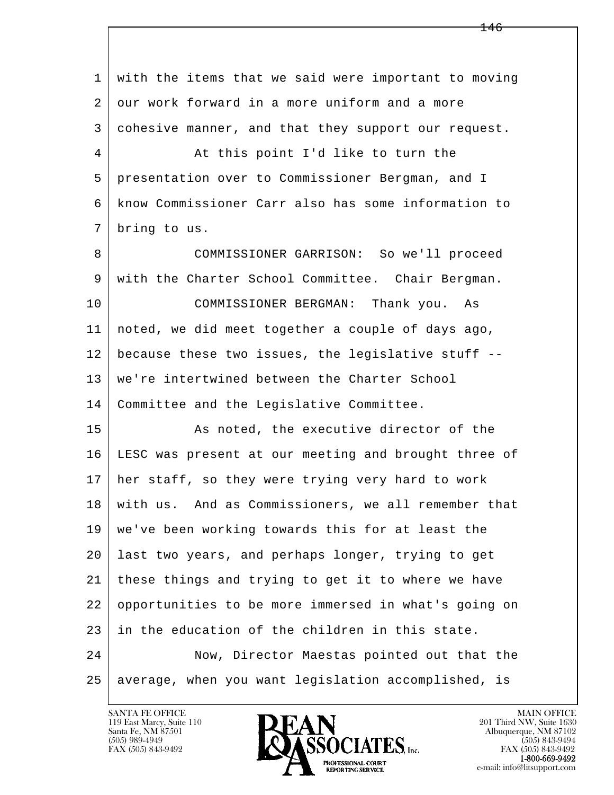l  $\overline{\phantom{a}}$  1 with the items that we said were important to moving 2 our work forward in a more uniform and a more 3 cohesive manner, and that they support our request. 4 At this point I'd like to turn the 5 presentation over to Commissioner Bergman, and I 6 know Commissioner Carr also has some information to 7 bring to us. 8 COMMISSIONER GARRISON: So we'll proceed 9 with the Charter School Committee. Chair Bergman. 10 COMMISSIONER BERGMAN: Thank you. As 11 noted, we did meet together a couple of days ago, 12 because these two issues, the legislative stuff -- 13 | we're intertwined between the Charter School 14 Committee and the Legislative Committee. 15 As noted, the executive director of the 16 LESC was present at our meeting and brought three of 17 her staff, so they were trying very hard to work 18 with us. And as Commissioners, we all remember that 19 we've been working towards this for at least the 20 last two years, and perhaps longer, trying to get 21 these things and trying to get it to where we have 22 opportunities to be more immersed in what's going on 23 in the education of the children in this state. 24 Now, Director Maestas pointed out that the 25 average, when you want legislation accomplished, is

146

119 East Marcy, Suite 110<br>Santa Fe, NM 87501

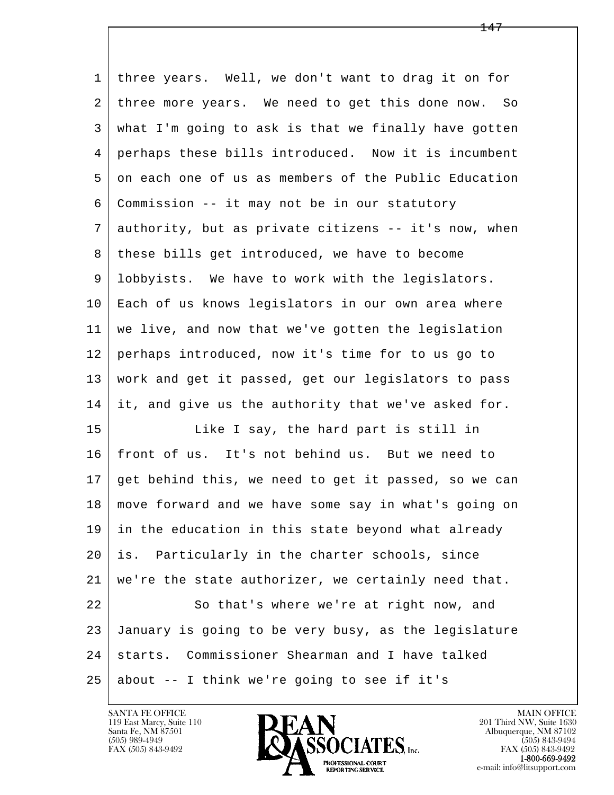| 1  | three years. Well, we don't want to drag it on for   |
|----|------------------------------------------------------|
| 2  | three more years. We need to get this done now. So   |
| 3  | what I'm going to ask is that we finally have gotten |
| 4  | perhaps these bills introduced. Now it is incumbent  |
| 5  | on each one of us as members of the Public Education |
| 6  | Commission -- it may not be in our statutory         |
| 7  | authority, but as private citizens -- it's now, when |
| 8  | these bills get introduced, we have to become        |
| 9  | lobbyists. We have to work with the legislators.     |
| 10 | Each of us knows legislators in our own area where   |
| 11 | we live, and now that we've gotten the legislation   |
| 12 | perhaps introduced, now it's time for to us go to    |
| 13 | work and get it passed, get our legislators to pass  |
| 14 | it, and give us the authority that we've asked for.  |
| 15 | Like I say, the hard part is still in                |
| 16 | front of us. It's not behind us. But we need to      |
| 17 | get behind this, we need to get it passed, so we can |
| 18 | move forward and we have some say in what's going on |
| 19 | in the education in this state beyond what already   |
| 20 | Particularly in the charter schools, since<br>is.    |
| 21 | we're the state authorizer, we certainly need that.  |
| 22 | So that's where we're at right now, and              |
| 23 | January is going to be very busy, as the legislature |
| 24 | starts. Commissioner Shearman and I have talked      |
| 25 | about -- I think we're going to see if it's          |

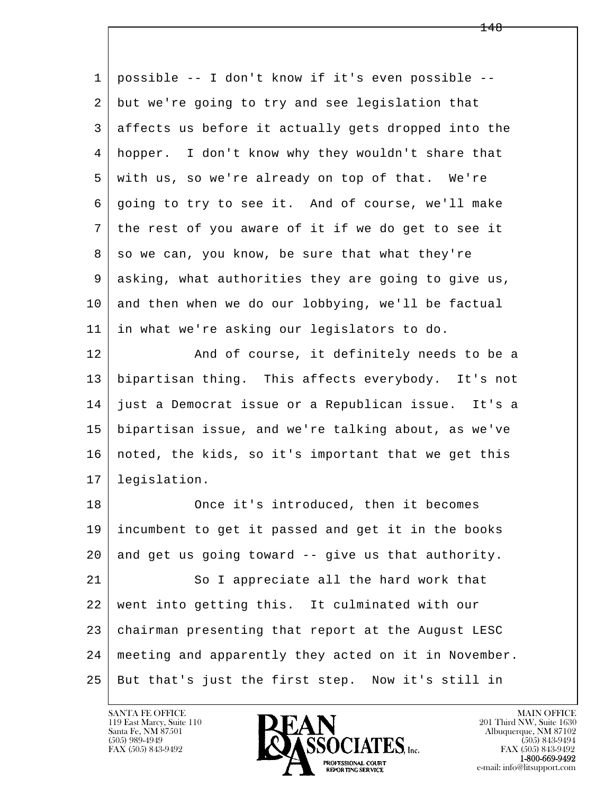| $\mathbf{1}$ | possible -- I don't know if it's even possible --    |
|--------------|------------------------------------------------------|
| 2            | but we're going to try and see legislation that      |
| 3            | affects us before it actually gets dropped into the  |
| 4            | hopper. I don't know why they wouldn't share that    |
| 5            | with us, so we're already on top of that. We're      |
| 6            | going to try to see it. And of course, we'll make    |
| 7            | the rest of you aware of it if we do get to see it   |
| 8            | so we can, you know, be sure that what they're       |
| 9            | asking, what authorities they are going to give us,  |
| 10           | and then when we do our lobbying, we'll be factual   |
| 11           | in what we're asking our legislators to do.          |
| 12           | And of course, it definitely needs to be a           |
| 13           | bipartisan thing. This affects everybody. It's not   |
| 14           | just a Democrat issue or a Republican issue. It's a  |
| 15           | bipartisan issue, and we're talking about, as we've  |
| 16           | noted, the kids, so it's important that we get this  |
| 17           | legislation.                                         |
| 18           | Once it's introduced, then it becomes                |
| 19           | incumbent to get it passed and get it in the books   |
| 20           | and get us going toward -- give us that authority.   |
| 21           | So I appreciate all the hard work that               |
| 22           | went into getting this. It culminated with our       |
| 23           | chairman presenting that report at the August LESC   |
| 24           | meeting and apparently they acted on it in November. |
| 25           | But that's just the first step. Now it's still in    |

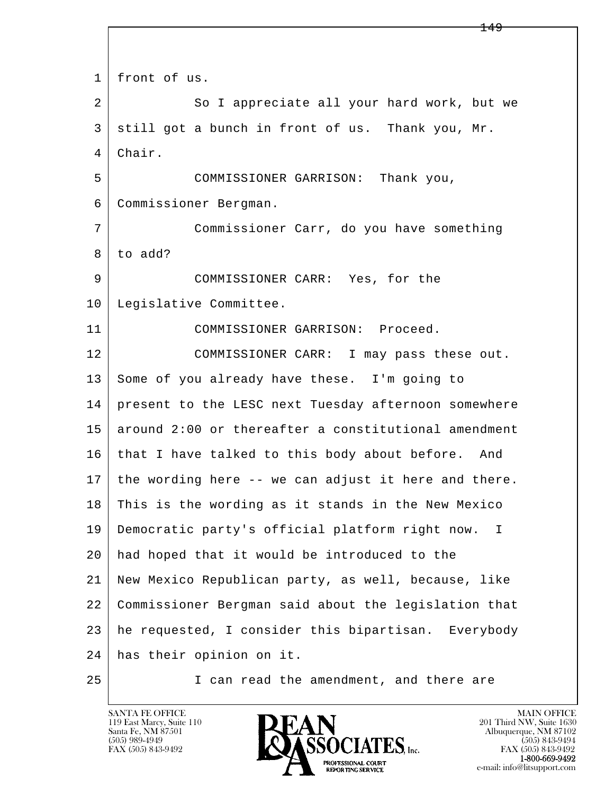l  $\overline{\phantom{a}}$ 1 front of us. 2 So I appreciate all your hard work, but we 3 still got a bunch in front of us. Thank you, Mr. 4 Chair. 5 COMMISSIONER GARRISON: Thank you, 6 Commissioner Bergman. 7 Commissioner Carr, do you have something  $8$  to add? 9 COMMISSIONER CARR: Yes, for the 10 | Legislative Committee. 11 COMMISSIONER GARRISON: Proceed. 12 COMMISSIONER CARR: I may pass these out. 13 Some of you already have these. I'm going to 14 present to the LESC next Tuesday afternoon somewhere  $15$  around 2:00 or thereafter a constitutional amendment 16 that I have talked to this body about before. And  $17$  the wording here -- we can adjust it here and there. 18 This is the wording as it stands in the New Mexico 19 Democratic party's official platform right now. I 20 had hoped that it would be introduced to the 21 New Mexico Republican party, as well, because, like 22 Commissioner Bergman said about the legislation that 23 he requested, I consider this bipartisan. Everybody 24 has their opinion on it. 25 I can read the amendment, and there are

119 East Marcy, Suite 110<br>Santa Fe, NM 87501

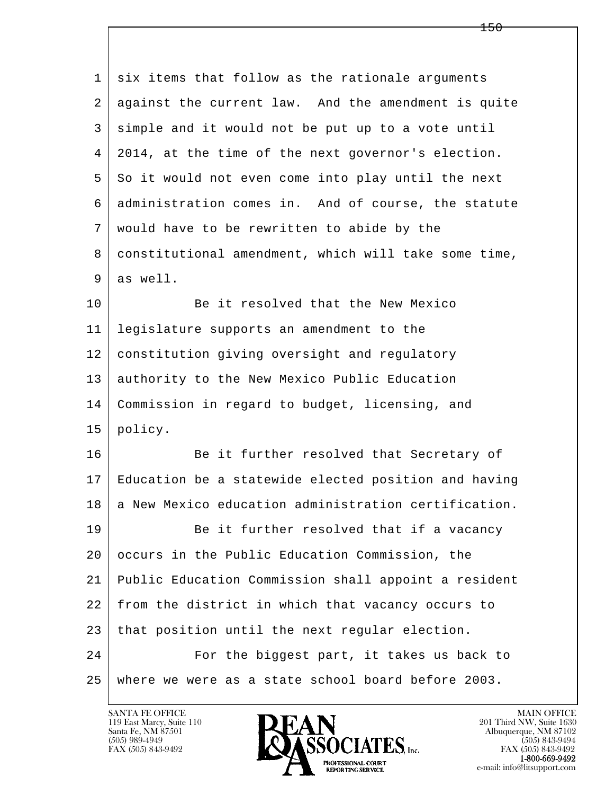| 1  | six items that follow as the rationale arguments     |
|----|------------------------------------------------------|
| 2  | against the current law. And the amendment is quite  |
| 3  | simple and it would not be put up to a vote until    |
| 4  | 2014, at the time of the next governor's election.   |
| 5  | So it would not even come into play until the next   |
| 6  | administration comes in. And of course, the statute  |
| 7  | would have to be rewritten to abide by the           |
| 8  | constitutional amendment, which will take some time, |
| 9  | as well.                                             |
| 10 | Be it resolved that the New Mexico                   |
| 11 | legislature supports an amendment to the             |
| 12 | constitution giving oversight and regulatory         |
| 13 | authority to the New Mexico Public Education         |
| 14 | Commission in regard to budget, licensing, and       |
| 15 | policy.                                              |
| 16 | Be it further resolved that Secretary of             |
| 17 | Education be a statewide elected position and having |
| 18 | a New Mexico education administration certification. |
| 19 | Be it further resolved that if a vacancy             |
| 20 | occurs in the Public Education Commission, the       |
| 21 | Public Education Commission shall appoint a resident |
| 22 | from the district in which that vacancy occurs to    |
| 23 | that position until the next regular election.       |
| 24 | For the biggest part, it takes us back to            |
| 25 | where we were as a state school board before 2003.   |

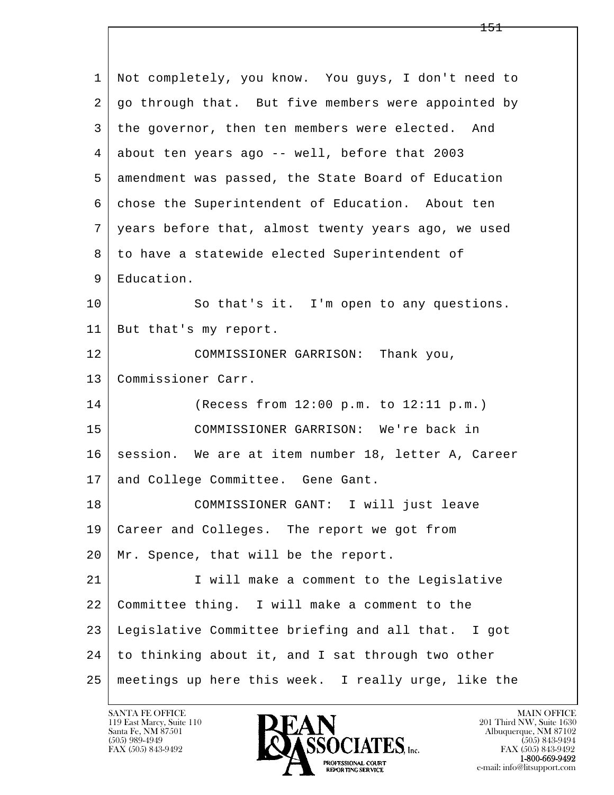| $\mathbf{1}$ | Not completely, you know. You guys, I don't need to |
|--------------|-----------------------------------------------------|
| 2            | go through that. But five members were appointed by |
| 3            | the governor, then ten members were elected. And    |
| 4            | about ten years ago -- well, before that 2003       |
| 5            | amendment was passed, the State Board of Education  |
| 6            | chose the Superintendent of Education. About ten    |
| 7            | years before that, almost twenty years ago, we used |
| 8            | to have a statewide elected Superintendent of       |
| 9            | Education.                                          |
| 10           | So that's it. I'm open to any questions.            |
| 11           | But that's my report.                               |
| 12           | COMMISSIONER GARRISON: Thank you,                   |
| 13           | Commissioner Carr.                                  |
| 14           | (Recess from 12:00 p.m. to 12:11 p.m.)              |
| 15           | COMMISSIONER GARRISON: We're back in                |
| 16           | session. We are at item number 18, letter A, Career |
| 17           | and College Committee. Gene Gant.                   |
| 18           | COMMISSIONER GANT: I will just leave                |
| 19           | Career and Colleges. The report we got from         |
| 20           | Mr. Spence, that will be the report.                |
| 21           | I will make a comment to the Legislative            |
| 22           | Committee thing. I will make a comment to the       |
| 23           | Legislative Committee briefing and all that. I got  |
| 24           | to thinking about it, and I sat through two other   |
| 25           | meetings up here this week. I really urge, like the |

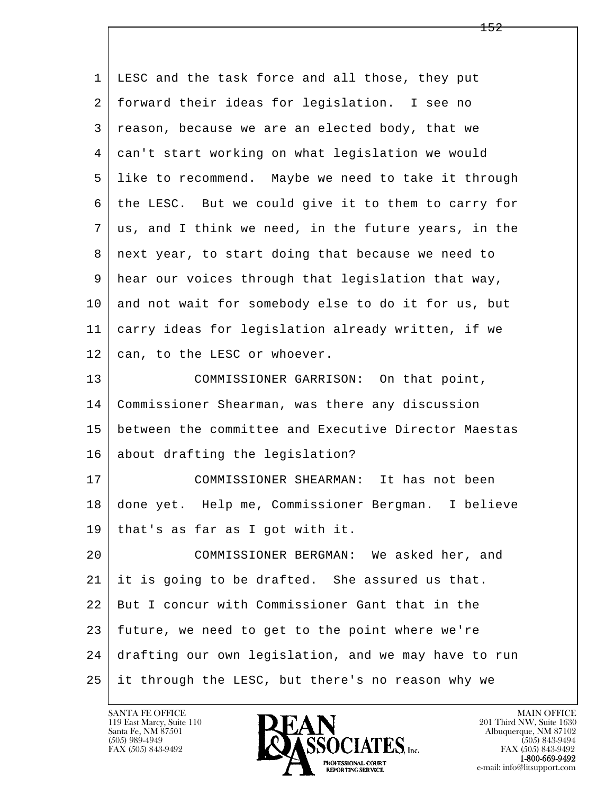| 1              | LESC and the task force and all those, they put       |
|----------------|-------------------------------------------------------|
| 2              | forward their ideas for legislation. I see no         |
| 3              | reason, because we are an elected body, that we       |
| $\overline{4}$ | can't start working on what legislation we would      |
| 5              | like to recommend. Maybe we need to take it through   |
| 6              | the LESC. But we could give it to them to carry for   |
| 7              | us, and I think we need, in the future years, in the  |
| 8              | next year, to start doing that because we need to     |
| 9              | hear our voices through that legislation that way,    |
| 10             | and not wait for somebody else to do it for us, but   |
| 11             | carry ideas for legislation already written, if we    |
| 12             | can, to the LESC or whoever.                          |
| 13             | COMMISSIONER GARRISON: On that point,                 |
| 14             | Commissioner Shearman, was there any discussion       |
| 15             | between the committee and Executive Director Maestas  |
| 16             | about drafting the legislation?                       |
| 17             | COMMISSIONER SHEARMAN: It has not been                |
| 18             | done yet. Help me, Commissioner Bergman.<br>I believe |
| 19             | that's as far as I got with it.                       |
| 20             | COMMISSIONER BERGMAN: We asked her, and               |
| 21             | it is going to be drafted. She assured us that.       |
| 22             | But I concur with Commissioner Gant that in the       |
| 23             | future, we need to get to the point where we're       |
| 24             | drafting our own legislation, and we may have to run  |
| 25             | it through the LESC, but there's no reason why we     |

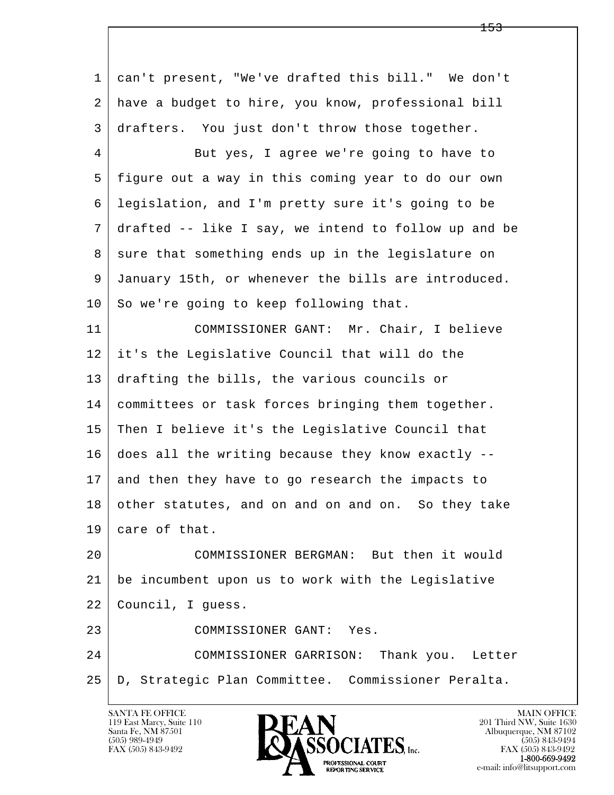l  $\overline{\phantom{a}}$  1 can't present, "We've drafted this bill." We don't 2 have a budget to hire, you know, professional bill 3 drafters. You just don't throw those together. 4 But yes, I agree we're going to have to 5 figure out a way in this coming year to do our own 6 legislation, and I'm pretty sure it's going to be 7 drafted -- like I say, we intend to follow up and be 8 sure that something ends up in the legislature on 9 January 15th, or whenever the bills are introduced.  $10$  So we're going to keep following that. 11 COMMISSIONER GANT: Mr. Chair, I believe 12 it's the Legislative Council that will do the 13 drafting the bills, the various councils or 14 committees or task forces bringing them together. 15 Then I believe it's the Legislative Council that 16 does all the writing because they know exactly -- 17 and then they have to go research the impacts to 18 other statutes, and on and on and on. So they take 19 care of that. 20 COMMISSIONER BERGMAN: But then it would 21 be incumbent upon us to work with the Legislative 22 Council, I guess. 23 COMMISSIONER GANT: Yes. 24 COMMISSIONER GARRISON: Thank you. Letter 25 D, Strategic Plan Committee. Commissioner Peralta.

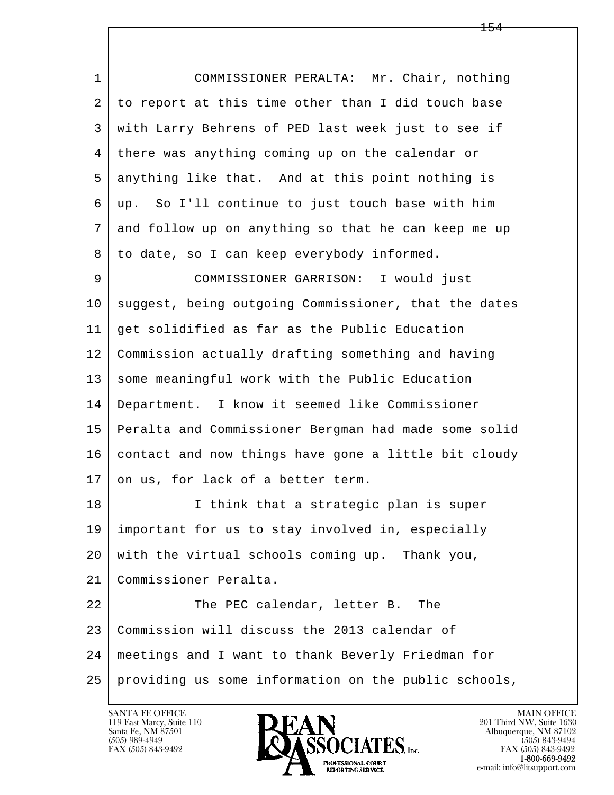| $\mathbf 1$ | COMMISSIONER PERALTA: Mr. Chair, nothing             |
|-------------|------------------------------------------------------|
| 2           | to report at this time other than I did touch base   |
| 3           | with Larry Behrens of PED last week just to see if   |
| 4           | there was anything coming up on the calendar or      |
| 5           | anything like that. And at this point nothing is     |
| 6           | up. So I'll continue to just touch base with him     |
| 7           | and follow up on anything so that he can keep me up  |
| 8           | to date, so I can keep everybody informed.           |
| 9           | COMMISSIONER GARRISON: I would just                  |
| 10          | suggest, being outgoing Commissioner, that the dates |
| 11          | get solidified as far as the Public Education        |
| 12          | Commission actually drafting something and having    |
| 13          | some meaningful work with the Public Education       |
| 14          | Department. I know it seemed like Commissioner       |
| 15          | Peralta and Commissioner Bergman had made some solid |
| 16          | contact and now things have gone a little bit cloudy |
| 17          | on us, for lack of a better term.                    |
| 18          | I think that a strategic plan is super               |
| 19          | important for us to stay involved in, especially     |
| 20          | with the virtual schools coming up. Thank you,       |
| 21          | Commissioner Peralta.                                |
| 22          | The PEC calendar, letter B. The                      |
| 23          | Commission will discuss the 2013 calendar of         |
| 24          | meetings and I want to thank Beverly Friedman for    |
| 25          | providing us some information on the public schools, |

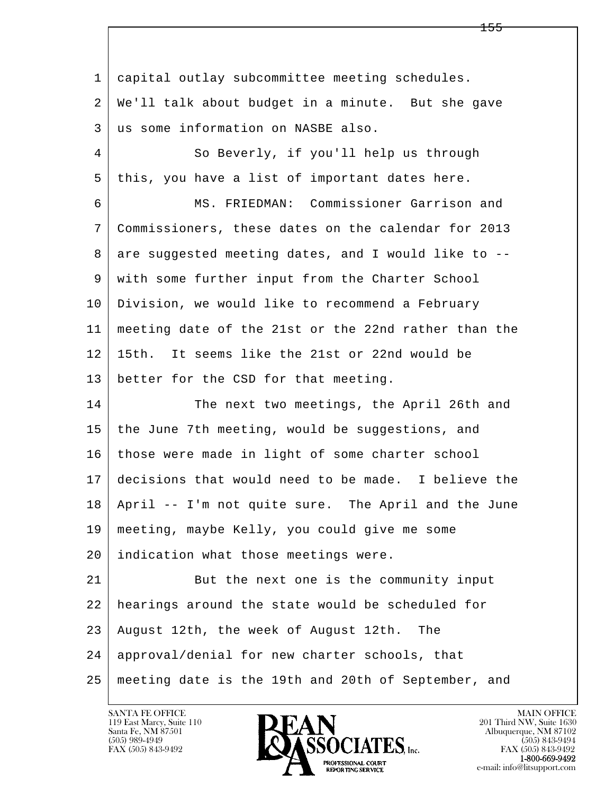l  $\overline{\phantom{a}}$  1 capital outlay subcommittee meeting schedules. 2 We'll talk about budget in a minute. But she gave 3 us some information on NASBE also. 4 So Beverly, if you'll help us through 5 | this, you have a list of important dates here. 6 MS. FRIEDMAN: Commissioner Garrison and 7 Commissioners, these dates on the calendar for 2013  $8$  are suggested meeting dates, and I would like to  $-$ - 9 with some further input from the Charter School 10 Division, we would like to recommend a February 11 meeting date of the 21st or the 22nd rather than the 12 15th. It seems like the 21st or 22nd would be 13 better for the CSD for that meeting. 14 The next two meetings, the April 26th and 15 | the June 7th meeting, would be suggestions, and 16 those were made in light of some charter school 17 decisions that would need to be made. I believe the 18 April -- I'm not quite sure. The April and the June 19 meeting, maybe Kelly, you could give me some 20 indication what those meetings were. 21 But the next one is the community input 22 hearings around the state would be scheduled for 23 August 12th, the week of August 12th. The 24 approval/denial for new charter schools, that 25 meeting date is the 19th and 20th of September, and

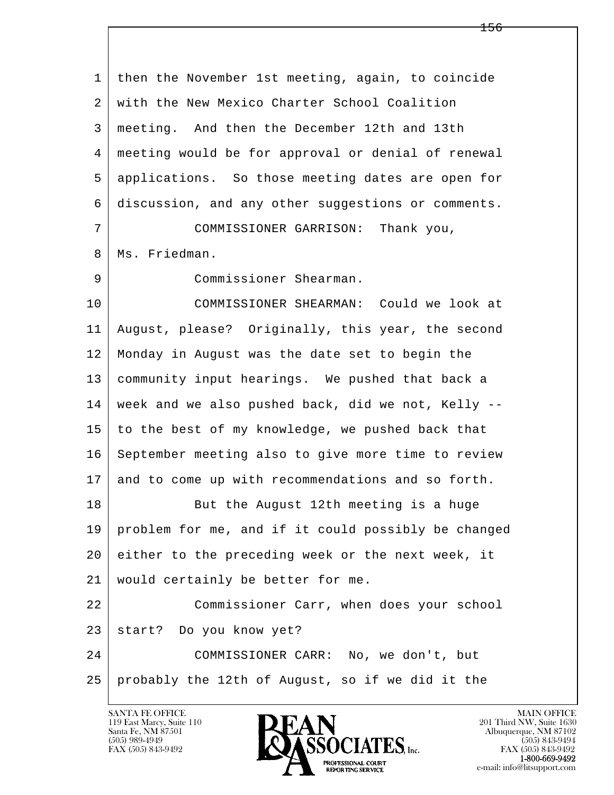l  $\overline{\phantom{a}}$  1 then the November 1st meeting, again, to coincide 2 with the New Mexico Charter School Coalition 3 meeting. And then the December 12th and 13th 4 meeting would be for approval or denial of renewal 5 applications. So those meeting dates are open for 6 discussion, and any other suggestions or comments. 7 COMMISSIONER GARRISON: Thank you, 8 | Ms. Friedman. 9 Commissioner Shearman. 10 COMMISSIONER SHEARMAN: Could we look at 11 August, please? Originally, this year, the second 12 Monday in August was the date set to begin the 13 community input hearings. We pushed that back a 14 week and we also pushed back, did we not, Kelly -- 15 to the best of my knowledge, we pushed back that 16 September meeting also to give more time to review 17 and to come up with recommendations and so forth. 18 But the August 12th meeting is a huge 19 problem for me, and if it could possibly be changed 20 either to the preceding week or the next week, it 21 would certainly be better for me. 22 Commissioner Carr, when does your school 23 start? Do you know yet? 24 COMMISSIONER CARR: No, we don't, but 25 probably the 12th of August, so if we did it the

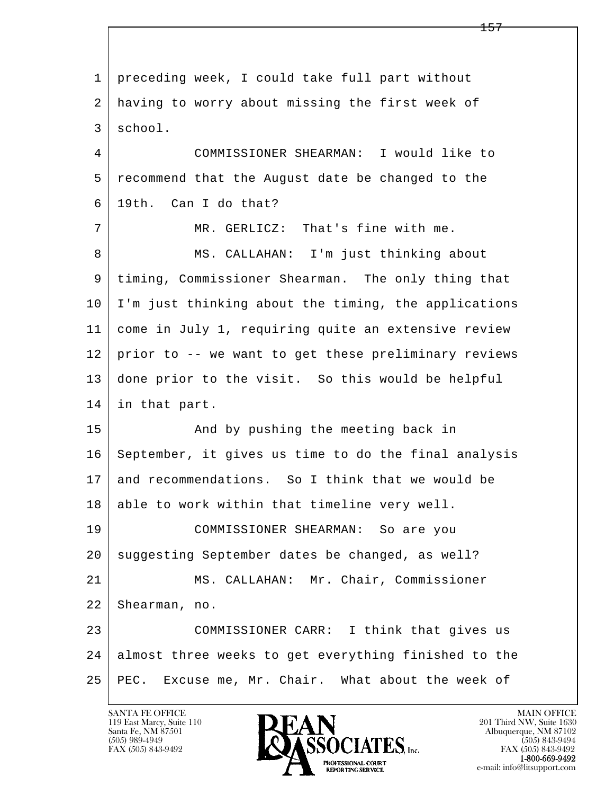l  $\overline{\phantom{a}}$  1 preceding week, I could take full part without 2 having to worry about missing the first week of 3 school. 4 COMMISSIONER SHEARMAN: I would like to 5 recommend that the August date be changed to the 6 19th. Can I do that? 7 MR. GERLICZ: That's fine with me. 8 | MS. CALLAHAN: I'm just thinking about 9 timing, Commissioner Shearman. The only thing that 10 I'm just thinking about the timing, the applications 11 come in July 1, requiring quite an extensive review 12 prior to -- we want to get these preliminary reviews 13 done prior to the visit. So this would be helpful 14 in that part. 15 | The Mand by pushing the meeting back in 16 September, it gives us time to do the final analysis 17 and recommendations. So I think that we would be 18 able to work within that timeline very well. 19 COMMISSIONER SHEARMAN: So are you 20 suggesting September dates be changed, as well? 21 | MS. CALLAHAN: Mr. Chair, Commissioner 22 Shearman, no. 23 COMMISSIONER CARR: I think that gives us 24 almost three weeks to get everything finished to the 25 PEC. Excuse me, Mr. Chair. What about the week of

119 East Marcy, Suite 110<br>Santa Fe, NM 87501

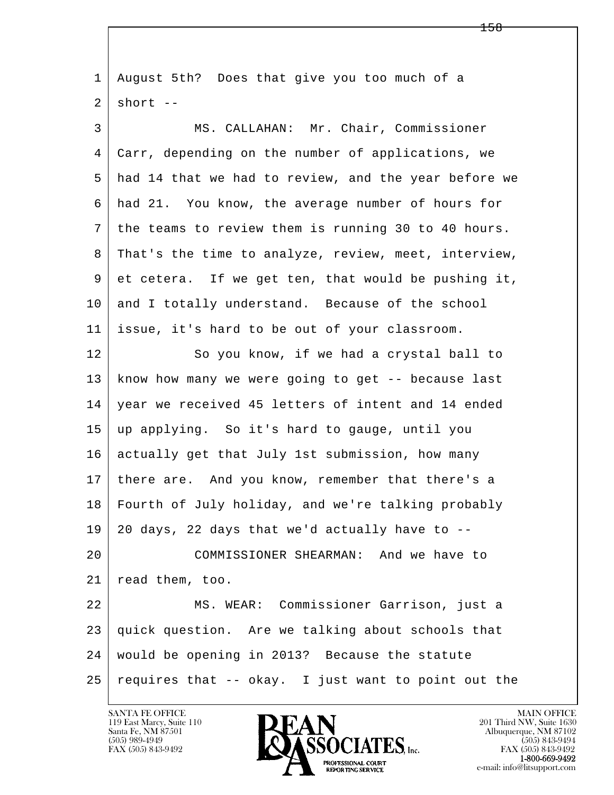l  $\overline{\phantom{a}}$  1 August 5th? Does that give you too much of a  $2$  short  $-$  3 MS. CALLAHAN: Mr. Chair, Commissioner 4 Carr, depending on the number of applications, we 5 had 14 that we had to review, and the year before we 6 had 21. You know, the average number of hours for 7 the teams to review them is running 30 to 40 hours. 8 | That's the time to analyze, review, meet, interview, 9 et cetera. If we get ten, that would be pushing it, 10 and I totally understand. Because of the school 11 issue, it's hard to be out of your classroom. 12 So you know, if we had a crystal ball to 13 know how many we were going to get -- because last 14 year we received 45 letters of intent and 14 ended 15 up applying. So it's hard to gauge, until you 16 actually get that July 1st submission, how many 17 | there are. And you know, remember that there's a 18 Fourth of July holiday, and we're talking probably  $19 \mid 20$  days, 22 days that we'd actually have to  $-$ - 20 COMMISSIONER SHEARMAN: And we have to 21 read them, too. 22 MS. WEAR: Commissioner Garrison, just a 23 quick question. Are we talking about schools that 24 would be opening in 2013? Because the statute  $25$  requires that  $-$  okay. I just want to point out the

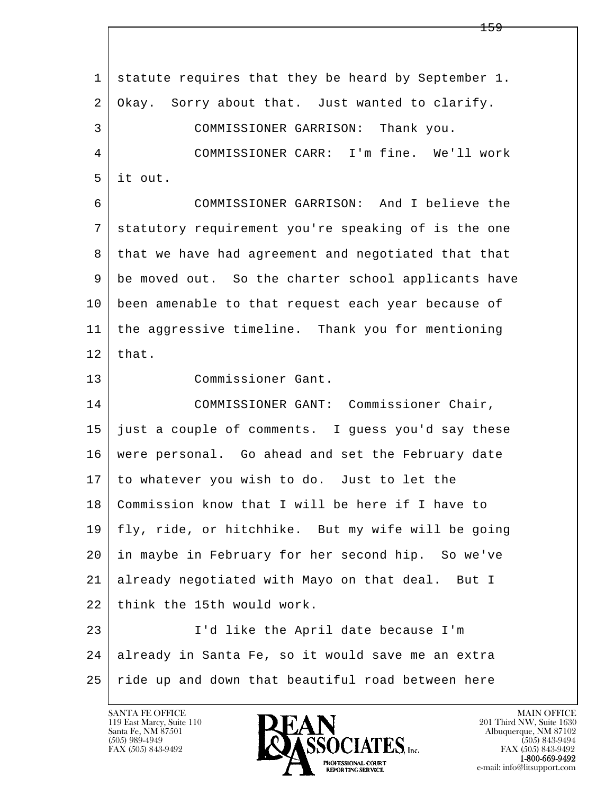l  $\overline{\phantom{a}}$  1 statute requires that they be heard by September 1. 2 Okay. Sorry about that. Just wanted to clarify. 3 COMMISSIONER GARRISON: Thank you. 4 COMMISSIONER CARR: I'm fine. We'll work 5 it out. 6 COMMISSIONER GARRISON: And I believe the 7 statutory requirement you're speaking of is the one 8 that we have had agreement and negotiated that that 9 be moved out. So the charter school applicants have 10 been amenable to that request each year because of 11 the aggressive timeline. Thank you for mentioning  $12$  that. 13 Commissioner Gant. 14 COMMISSIONER GANT: Commissioner Chair, 15 just a couple of comments. I guess you'd say these 16 were personal. Go ahead and set the February date 17 to whatever you wish to do. Just to let the 18 Commission know that I will be here if I have to 19 fly, ride, or hitchhike. But my wife will be going 20 in maybe in February for her second hip. So we've 21 already negotiated with Mayo on that deal. But I 22 think the 15th would work. 23 I'd like the April date because I'm 24 already in Santa Fe, so it would save me an extra 25 ride up and down that beautiful road between here

119 East Marcy, Suite 110<br>Santa Fe, NM 87501

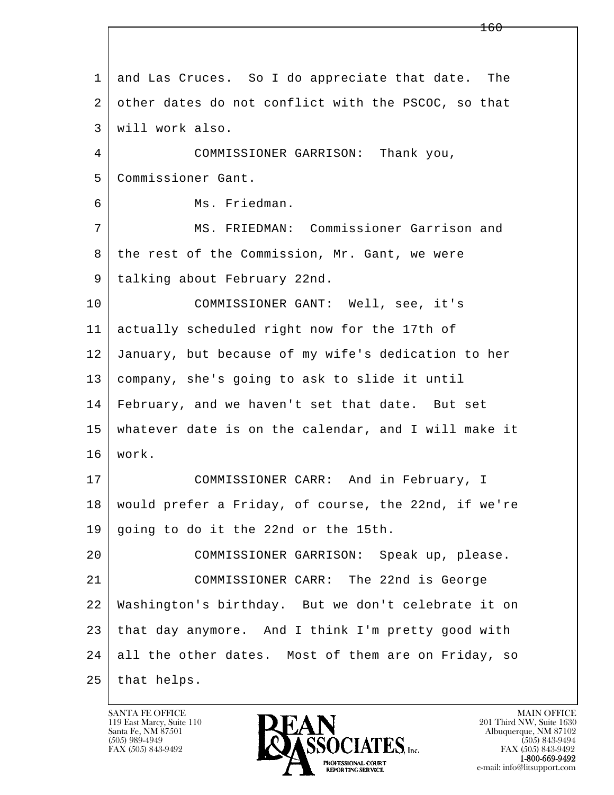| $\mathbf{1}$ | and Las Cruces. So I do appreciate that date. The    |
|--------------|------------------------------------------------------|
| 2            | other dates do not conflict with the PSCOC, so that  |
| 3            | will work also.                                      |
| 4            | COMMISSIONER GARRISON: Thank you,                    |
| 5            | Commissioner Gant.                                   |
| 6            | Ms. Friedman.                                        |
| 7            | MS. FRIEDMAN: Commissioner Garrison and              |
| 8            | the rest of the Commission, Mr. Gant, we were        |
| 9            | talking about February 22nd.                         |
| 10           | COMMISSIONER GANT: Well, see, it's                   |
| 11           | actually scheduled right now for the 17th of         |
| 12           | January, but because of my wife's dedication to her  |
| 13           | company, she's going to ask to slide it until        |
| 14           | February, and we haven't set that date. But set      |
| 15           | whatever date is on the calendar, and I will make it |
| 16           | work.                                                |
| 17           | COMMISSIONER CARR: And in February, I                |
| 18           | would prefer a Friday, of course, the 22nd, if we're |
| 19           | going to do it the 22nd or the 15th.                 |
| 20           | COMMISSIONER GARRISON: Speak up, please.             |
| 21           | COMMISSIONER CARR: The 22nd is George                |
| 22           | Washington's birthday. But we don't celebrate it on  |
| 23           | that day anymore. And I think I'm pretty good with   |
| 24           | all the other dates. Most of them are on Friday, so  |
| 25           | that helps.                                          |

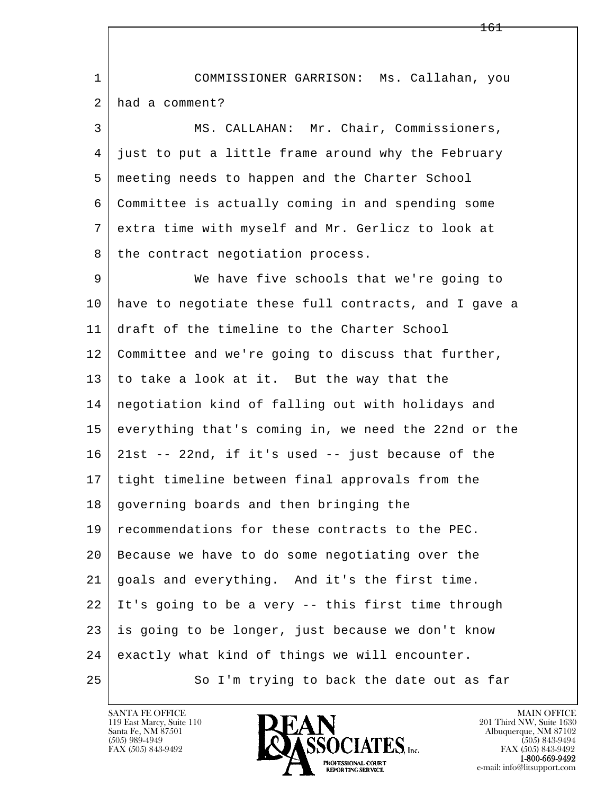l  $\overline{\phantom{a}}$  1 COMMISSIONER GARRISON: Ms. Callahan, you 2 had a comment? 3 MS. CALLAHAN: Mr. Chair, Commissioners, 4 just to put a little frame around why the February 5 meeting needs to happen and the Charter School 6 Committee is actually coming in and spending some 7 extra time with myself and Mr. Gerlicz to look at 8 | the contract negotiation process. 9 We have five schools that we're going to 10 have to negotiate these full contracts, and I gave a 11 draft of the timeline to the Charter School 12 Committee and we're going to discuss that further, 13 to take a look at it. But the way that the 14 negotiation kind of falling out with holidays and 15 everything that's coming in, we need the 22nd or the 16 21st -- 22nd, if it's used -- just because of the 17 tight timeline between final approvals from the 18 governing boards and then bringing the 19 recommendations for these contracts to the PEC. 20 Because we have to do some negotiating over the 21 goals and everything. And it's the first time. 22 It's going to be a very -- this first time through 23 is going to be longer, just because we don't know 24 exactly what kind of things we will encounter. 25 So I'm trying to back the date out as far

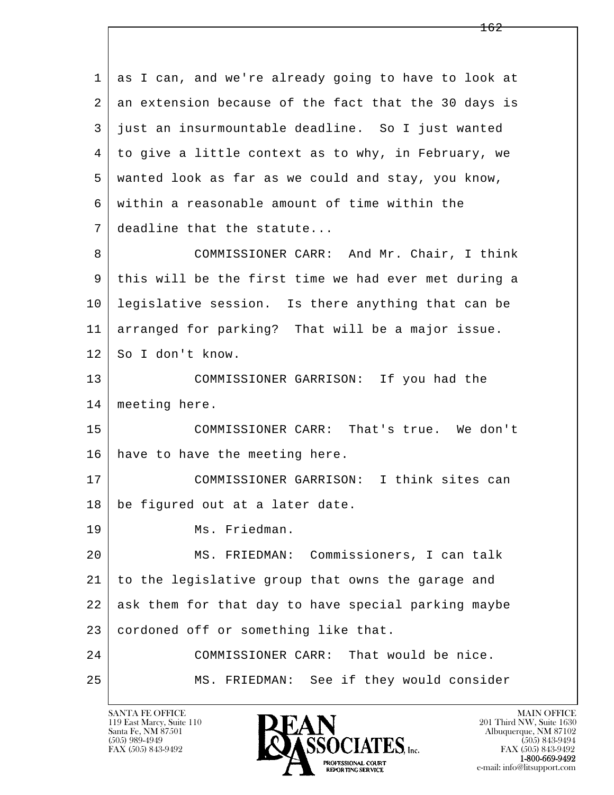l  $\overline{\phantom{a}}$  1 as I can, and we're already going to have to look at 2 an extension because of the fact that the 30 days is 3 just an insurmountable deadline. So I just wanted 4 to give a little context as to why, in February, we 5 wanted look as far as we could and stay, you know, 6 within a reasonable amount of time within the 7 deadline that the statute... 8 COMMISSIONER CARR: And Mr. Chair, I think 9 this will be the first time we had ever met during a 10 legislative session. Is there anything that can be 11 arranged for parking? That will be a major issue. 12 | So I don't know. 13 COMMISSIONER GARRISON: If you had the 14 meeting here. 15 COMMISSIONER CARR: That's true. We don't 16 have to have the meeting here. 17 COMMISSIONER GARRISON: I think sites can 18 be figured out at a later date. 19 Ms. Friedman. 20 MS. FRIEDMAN: Commissioners, I can talk 21 to the legislative group that owns the garage and 22 ask them for that day to have special parking maybe 23 cordoned off or something like that. 24 COMMISSIONER CARR: That would be nice. 25 MS. FRIEDMAN: See if they would consider

119 East Marcy, Suite 110<br>Santa Fe, NM 87501

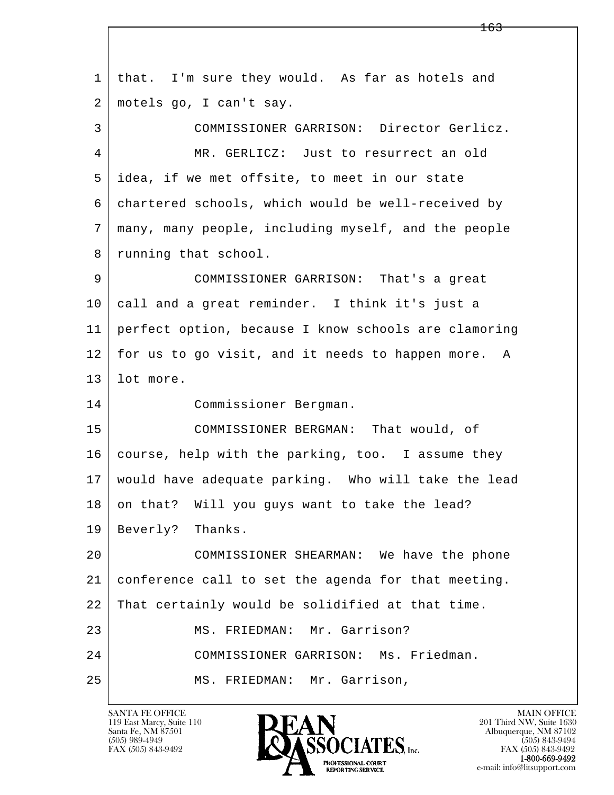l  $\overline{\phantom{a}}$  1 that. I'm sure they would. As far as hotels and 2 motels go, I can't say. 3 COMMISSIONER GARRISON: Director Gerlicz. 4 MR. GERLICZ: Just to resurrect an old 5 idea, if we met offsite, to meet in our state 6 chartered schools, which would be well-received by 7 many, many people, including myself, and the people 8 running that school. 9 COMMISSIONER GARRISON: That's a great 10 call and a great reminder. I think it's just a 11 perfect option, because I know schools are clamoring 12 for us to go visit, and it needs to happen more. A 13 lot more. 14 Commissioner Bergman. 15 COMMISSIONER BERGMAN: That would, of 16 | course, help with the parking, too. I assume they 17 would have adequate parking. Who will take the lead 18 on that? Will you guys want to take the lead? 19 Beverly? Thanks. 20 COMMISSIONER SHEARMAN: We have the phone 21 conference call to set the agenda for that meeting. 22 | That certainly would be solidified at that time. 23 MS. FRIEDMAN: Mr. Garrison? 24 COMMISSIONER GARRISON: Ms. Friedman. 25 MS. FRIEDMAN: Mr. Garrison,

119 East Marcy, Suite 110<br>Santa Fe, NM 87501

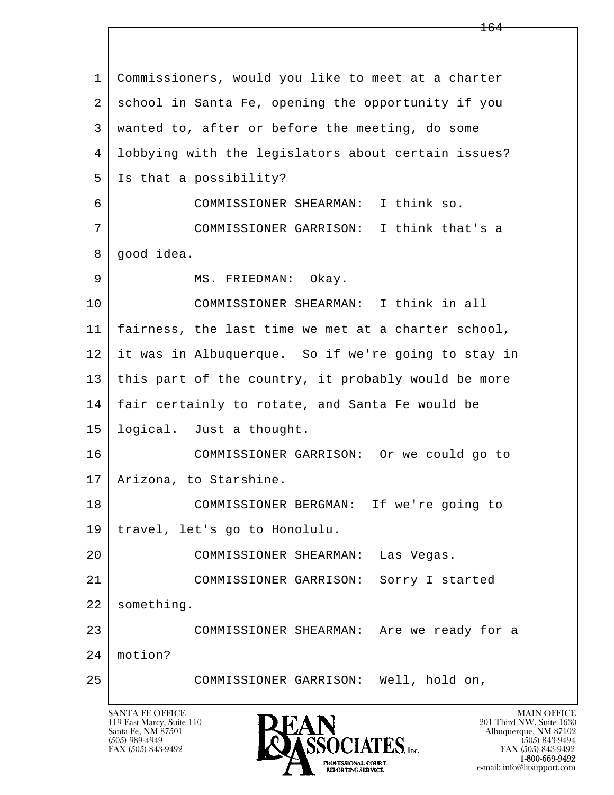| $\mathbf{1}$ | Commissioners, would you like to meet at a charter  |
|--------------|-----------------------------------------------------|
| 2            | school in Santa Fe, opening the opportunity if you  |
| 3            | wanted to, after or before the meeting, do some     |
| 4            | lobbying with the legislators about certain issues? |
| 5            | Is that a possibility?                              |
| 6            | COMMISSIONER SHEARMAN: I think so.                  |
| 7            | COMMISSIONER GARRISON: I think that's a             |
| 8            | good idea.                                          |
| 9            | MS. FRIEDMAN: Okay.                                 |
| 10           | COMMISSIONER SHEARMAN: I think in all               |
| 11           | fairness, the last time we met at a charter school, |
| 12           | it was in Albuquerque. So if we're going to stay in |
| 13           | this part of the country, it probably would be more |
| 14           | fair certainly to rotate, and Santa Fe would be     |
| 15           | logical. Just a thought.                            |
| 16           | COMMISSIONER GARRISON: Or we could go to            |
| 17           | Arizona, to Starshine.                              |
| 18           | COMMISSIONER BERGMAN: If we're going to             |
| 19           | travel, let's go to Honolulu.                       |
| 20           | COMMISSIONER SHEARMAN:<br>Las Vegas.                |
| 21           | Sorry I started<br>COMMISSIONER GARRISON:           |
| 22           | something.                                          |
| 23           | COMMISSIONER SHEARMAN: Are we ready for a           |
| 24           | motion?                                             |
| 25           | COMMISSIONER GARRISON: Well, hold on,               |
|              |                                                     |

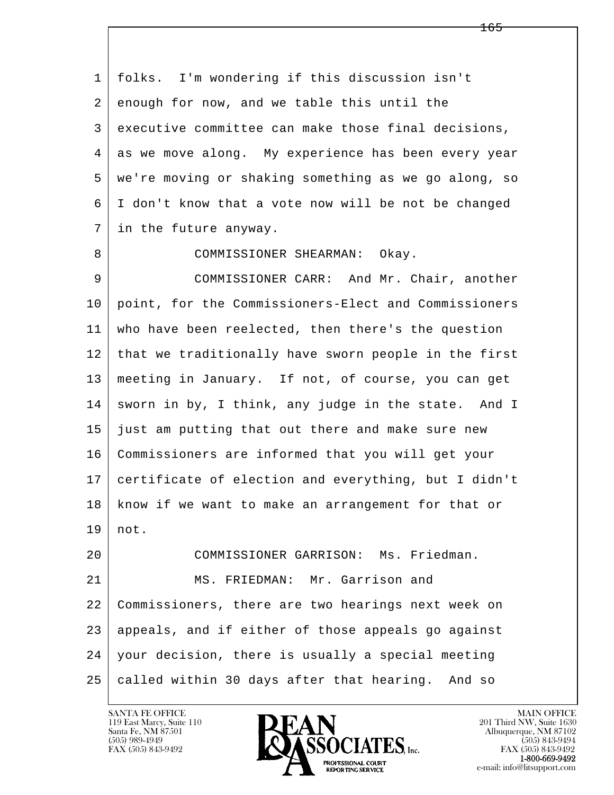l  $\overline{\phantom{a}}$  1 folks. I'm wondering if this discussion isn't 2 enough for now, and we table this until the 3 executive committee can make those final decisions, 4 as we move along. My experience has been every year 5 we're moving or shaking something as we go along, so 6 I don't know that a vote now will be not be changed 7 in the future anyway. 8 COMMISSIONER SHEARMAN: Okay. 9 COMMISSIONER CARR: And Mr. Chair, another 10 point, for the Commissioners-Elect and Commissioners 11 who have been reelected, then there's the question 12 that we traditionally have sworn people in the first 13 meeting in January. If not, of course, you can get 14 sworn in by, I think, any judge in the state. And I 15 just am putting that out there and make sure new 16 Commissioners are informed that you will get your 17 certificate of election and everything, but I didn't 18 know if we want to make an arrangement for that or 19 not. 20 COMMISSIONER GARRISON: Ms. Friedman. 21 MS. FRIEDMAN: Mr. Garrison and 22 Commissioners, there are two hearings next week on 23 appeals, and if either of those appeals go against 24 your decision, there is usually a special meeting 25 | called within 30 days after that hearing. And so

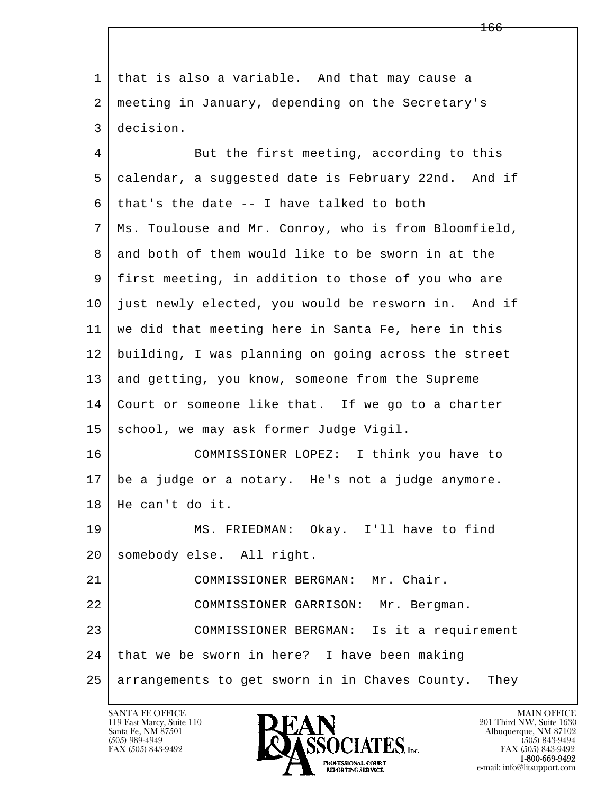l  $\overline{\phantom{a}}$  1 that is also a variable. And that may cause a 2 meeting in January, depending on the Secretary's 3 decision. 4 But the first meeting, according to this 5 calendar, a suggested date is February 22nd. And if  $6$  that's the date  $-$  I have talked to both 7 Ms. Toulouse and Mr. Conroy, who is from Bloomfield, 8 and both of them would like to be sworn in at the 9 first meeting, in addition to those of you who are 10 just newly elected, you would be resworn in. And if 11 we did that meeting here in Santa Fe, here in this 12 building, I was planning on going across the street 13 and getting, you know, someone from the Supreme 14 Court or someone like that. If we go to a charter 15 | school, we may ask former Judge Vigil. 16 COMMISSIONER LOPEZ: I think you have to 17 be a judge or a notary. He's not a judge anymore. 18 He can't do it. 19 MS. FRIEDMAN: Okay. I'll have to find 20 somebody else. All right. 21 COMMISSIONER BERGMAN: Mr. Chair. 22 COMMISSIONER GARRISON: Mr. Bergman. 23 | COMMISSIONER BERGMAN: Is it a requirement 24 that we be sworn in here? I have been making 25 arrangements to get sworn in in Chaves County. They

119 East Marcy, Suite 110<br>Santa Fe, NM 87501

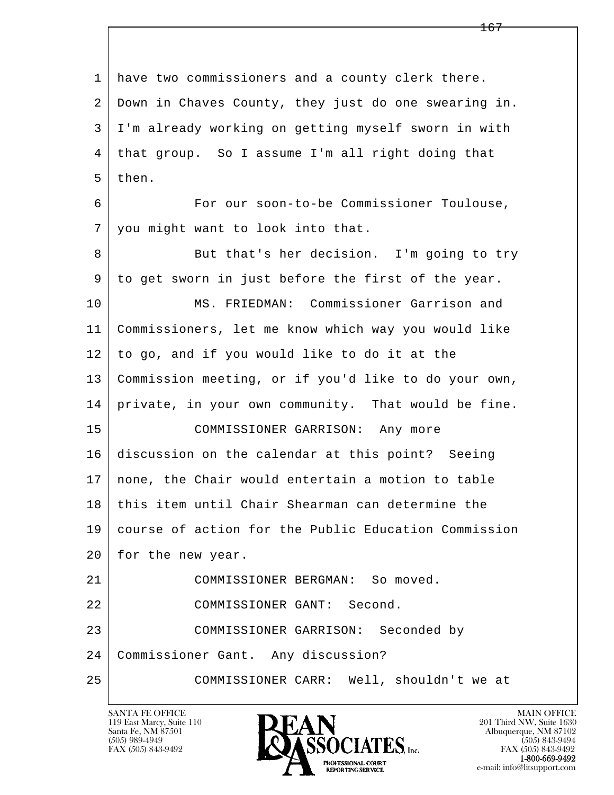l  $\overline{\phantom{a}}$  1 have two commissioners and a county clerk there. 2 Down in Chaves County, they just do one swearing in. 3 I'm already working on getting myself sworn in with 4 that group. So I assume I'm all right doing that 5 then. 6 For our soon-to-be Commissioner Toulouse, 7 you might want to look into that. 8 But that's her decision. I'm going to try 9 to get sworn in just before the first of the year. 10 MS. FRIEDMAN: Commissioner Garrison and 11 Commissioners, let me know which way you would like 12 to go, and if you would like to do it at the 13 Commission meeting, or if you'd like to do your own, 14 private, in your own community. That would be fine. 15 COMMISSIONER GARRISON: Any more 16 discussion on the calendar at this point? Seeing 17 none, the Chair would entertain a motion to table 18 this item until Chair Shearman can determine the 19 course of action for the Public Education Commission 20 | for the new year. 21 COMMISSIONER BERGMAN: So moved. 22 COMMISSIONER GANT: Second. 23 | COMMISSIONER GARRISON: Seconded by 24 Commissioner Gant. Any discussion? 25 COMMISSIONER CARR: Well, shouldn't we at

119 East Marcy, Suite 110<br>Santa Fe, NM 87501

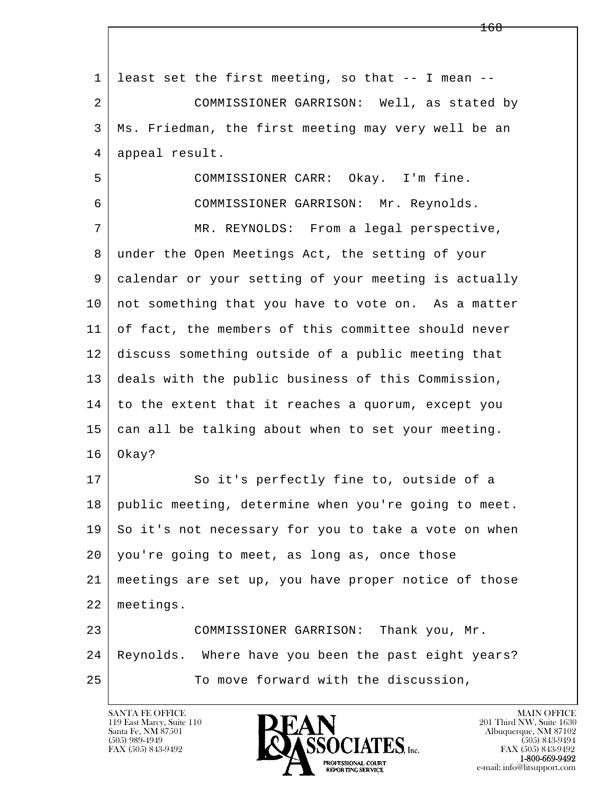l  $\overline{\phantom{a}}$  $1$  least set the first meeting, so that  $-$ - I mean  $-$  2 COMMISSIONER GARRISON: Well, as stated by 3 Ms. Friedman, the first meeting may very well be an 4 appeal result. 5 COMMISSIONER CARR: Okay. I'm fine. 6 COMMISSIONER GARRISON: Mr. Reynolds. 7 | MR. REYNOLDS: From a legal perspective, 8 under the Open Meetings Act, the setting of your 9 calendar or your setting of your meeting is actually 10 | not something that you have to vote on. As a matter 11 of fact, the members of this committee should never 12 discuss something outside of a public meeting that 13 deals with the public business of this Commission,  $14$  to the extent that it reaches a quorum, except you 15 can all be talking about when to set your meeting.  $16$  Okay? 17 So it's perfectly fine to, outside of a 18 public meeting, determine when you're going to meet. 19 So it's not necessary for you to take a vote on when 20 you're going to meet, as long as, once those 21 meetings are set up, you have proper notice of those 22 meetings. 23 COMMISSIONER GARRISON: Thank you, Mr. 24 Reynolds. Where have you been the past eight years? 25 To move forward with the discussion,

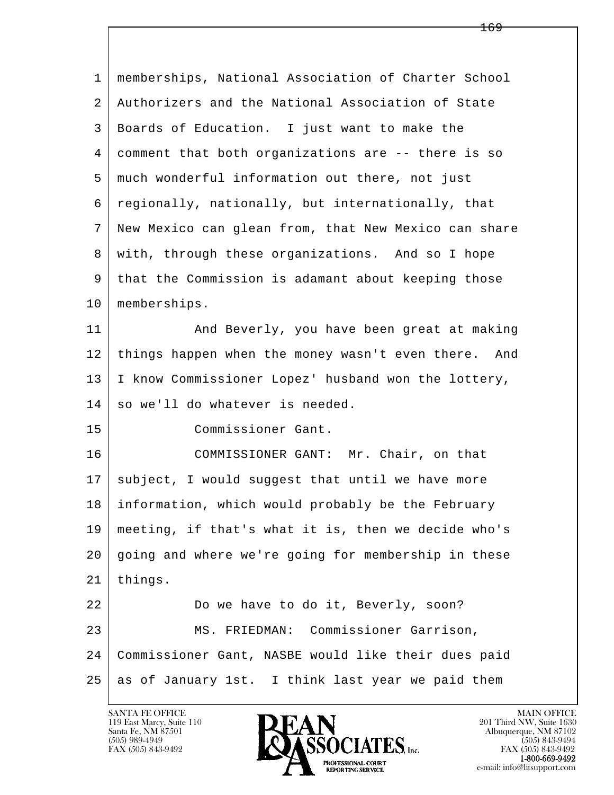| 1  | memberships, National Association of Charter School  |
|----|------------------------------------------------------|
| 2  | Authorizers and the National Association of State    |
| 3  | Boards of Education. I just want to make the         |
| 4  | comment that both organizations are -- there is so   |
| 5  | much wonderful information out there, not just       |
| 6  | regionally, nationally, but internationally, that    |
| 7  | New Mexico can glean from, that New Mexico can share |
| 8  | with, through these organizations. And so I hope     |
| 9  | that the Commission is adamant about keeping those   |
| 10 | memberships.                                         |
| 11 | And Beverly, you have been great at making           |
| 12 | things happen when the money wasn't even there. And  |
| 13 | I know Commissioner Lopez' husband won the lottery,  |
| 14 | so we'll do whatever is needed.                      |
| 15 | Commissioner Gant.                                   |
| 16 | COMMISSIONER GANT: Mr. Chair, on that                |
| 17 | subject, I would suggest that until we have more     |
| 18 | information, which would probably be the February    |
| 19 | meeting, if that's what it is, then we decide who's  |
| 20 | going and where we're going for membership in these  |
| 21 | things.                                              |
| 22 | Do we have to do it, Beverly, soon?                  |
| 23 | MS. FRIEDMAN: Commissioner Garrison,                 |
| 24 | Commissioner Gant, NASBE would like their dues paid  |
| 25 | as of January 1st. I think last year we paid them    |

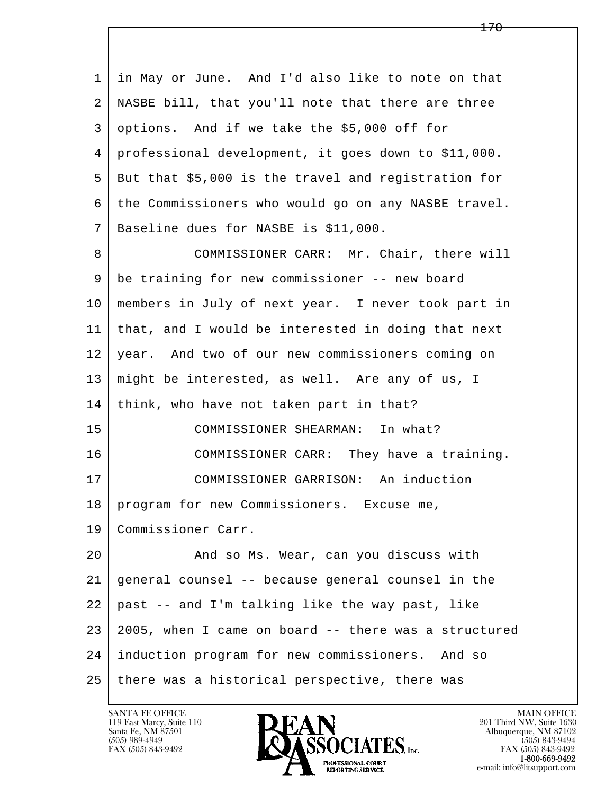l  $\overline{\phantom{a}}$  1 in May or June. And I'd also like to note on that 2 NASBE bill, that you'll note that there are three 3 options. And if we take the \$5,000 off for 4 professional development, it goes down to \$11,000. 5 But that \$5,000 is the travel and registration for 6 the Commissioners who would go on any NASBE travel. 7 Baseline dues for NASBE is \$11,000. 8 COMMISSIONER CARR: Mr. Chair, there will 9 be training for new commissioner -- new board 10 members in July of next year. I never took part in 11 that, and I would be interested in doing that next 12 year. And two of our new commissioners coming on 13 might be interested, as well. Are any of us, I 14 think, who have not taken part in that? 15 COMMISSIONER SHEARMAN: In what? 16 COMMISSIONER CARR: They have a training. 17 | COMMISSIONER GARRISON: An induction 18 | program for new Commissioners. Excuse me, 19 Commissioner Carr. 20 And so Ms. Wear, can you discuss with 21 general counsel -- because general counsel in the  $22$  past  $-$  and I'm talking like the way past, like 23 2005, when I came on board -- there was a structured 24 induction program for new commissioners. And so 25 there was a historical perspective, there was



FAX (505) 843-9492<br>**1-800-669-9492**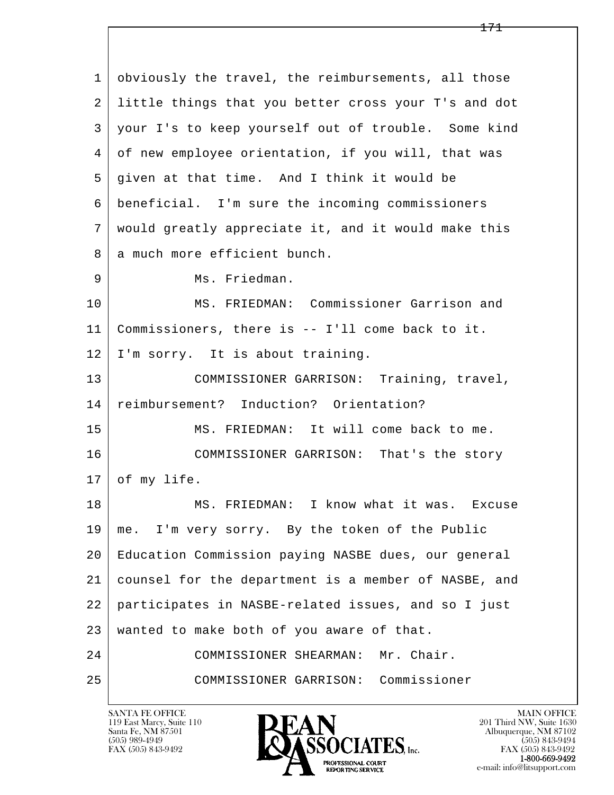l  $\overline{\phantom{a}}$  1 obviously the travel, the reimbursements, all those 2 little things that you better cross your T's and dot 3 your I's to keep yourself out of trouble. Some kind 4 of new employee orientation, if you will, that was 5 given at that time. And I think it would be 6 beneficial. I'm sure the incoming commissioners 7 would greatly appreciate it, and it would make this 8 a much more efficient bunch. 9 | Ms. Friedman. 10 MS. FRIEDMAN: Commissioner Garrison and 11 Commissioners, there is -- I'll come back to it. 12 I'm sorry. It is about training. 13 | COMMISSIONER GARRISON: Training, travel, 14 reimbursement? Induction? Orientation? 15 MS. FRIEDMAN: It will come back to me. 16 COMMISSIONER GARRISON: That's the story  $17$  of my life. 18 MS. FRIEDMAN: I know what it was. Excuse 19 me. I'm very sorry. By the token of the Public 20 Education Commission paying NASBE dues, our general 21 counsel for the department is a member of NASBE, and 22 participates in NASBE-related issues, and so I just 23 wanted to make both of you aware of that. 24 | COMMISSIONER SHEARMAN: Mr. Chair. 25 COMMISSIONER GARRISON: Commissioner

119 East Marcy, Suite 110<br>Santa Fe, NM 87501

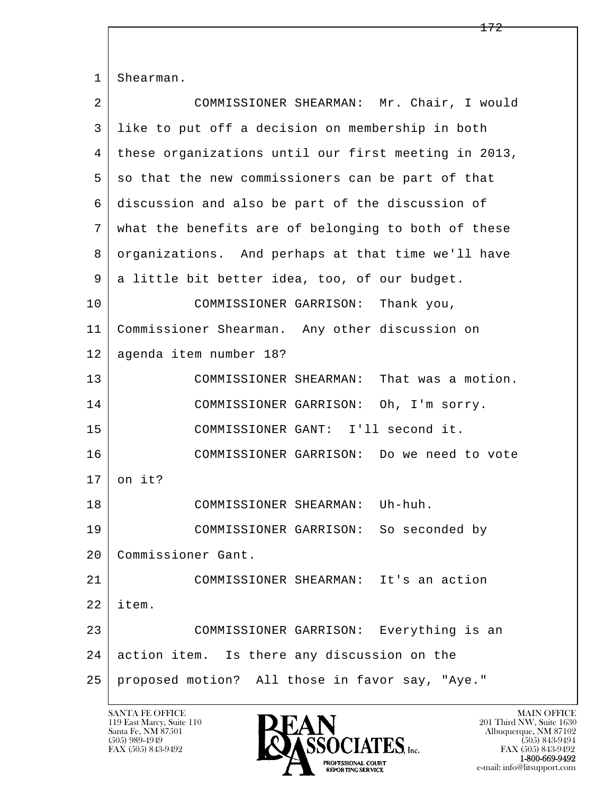l  $\overline{\phantom{a}}$ 1 | Shearman. 2 COMMISSIONER SHEARMAN: Mr. Chair, I would 3 like to put off a decision on membership in both 4 these organizations until our first meeting in 2013, 5 so that the new commissioners can be part of that 6 discussion and also be part of the discussion of 7 what the benefits are of belonging to both of these 8 organizations. And perhaps at that time we'll have 9 a little bit better idea, too, of our budget. 10 COMMISSIONER GARRISON: Thank you, 11 Commissioner Shearman. Any other discussion on 12 agenda item number 18? 13 COMMISSIONER SHEARMAN: That was a motion. 14 COMMISSIONER GARRISON: Oh, I'm sorry. 15 COMMISSIONER GANT: I'll second it. 16 COMMISSIONER GARRISON: Do we need to vote  $17$  on it? 18 COMMISSIONER SHEARMAN: Uh-huh. 19 COMMISSIONER GARRISON: So seconded by 20 Commissioner Gant. 21 COMMISSIONER SHEARMAN: It's an action 22 item. 23 COMMISSIONER GARRISON: Everything is an 24 action item. Is there any discussion on the 25 proposed motion? All those in favor say, "Aye."

119 East Marcy, Suite 110<br>Santa Fe, NM 87501

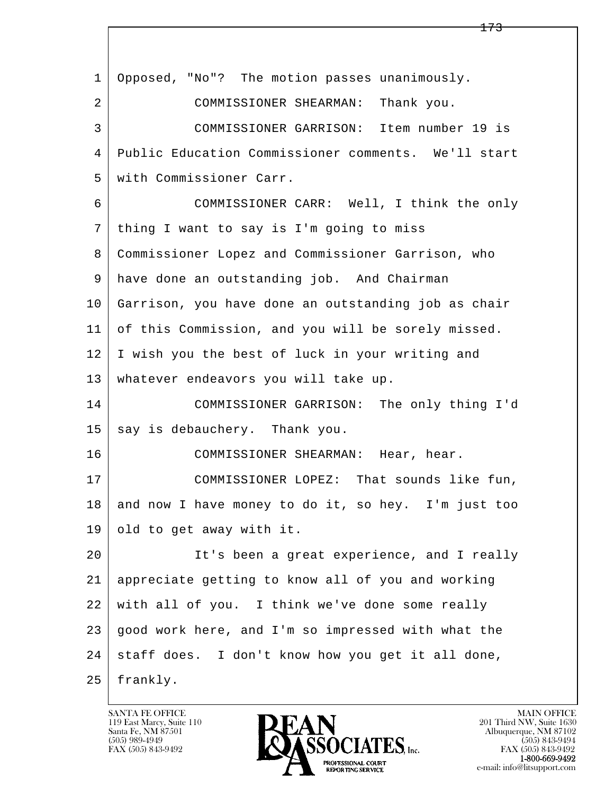| 1  | Opposed, "No"? The motion passes unanimously.       |
|----|-----------------------------------------------------|
| 2  | COMMISSIONER SHEARMAN:<br>Thank you.                |
| 3  | COMMISSIONER GARRISON: Item number 19 is            |
| 4  | Public Education Commissioner comments. We'll start |
| 5  | with Commissioner Carr.                             |
| 6  | COMMISSIONER CARR: Well, I think the only           |
| 7  | thing I want to say is I'm going to miss            |
| 8  | Commissioner Lopez and Commissioner Garrison, who   |
| 9  | have done an outstanding job. And Chairman          |
| 10 | Garrison, you have done an outstanding job as chair |
| 11 | of this Commission, and you will be sorely missed.  |
| 12 | I wish you the best of luck in your writing and     |
| 13 | whatever endeavors you will take up.                |
| 14 | COMMISSIONER GARRISON: The only thing I'd           |
| 15 | say is debauchery. Thank you.                       |
| 16 | COMMISSIONER SHEARMAN: Hear, hear.                  |
| 17 | COMMISSIONER LOPEZ: That sounds like fun,           |
| 18 | and now I have money to do it, so hey. I'm just too |
| 19 | old to get away with it.                            |
| 20 | It's been a great experience, and I really          |
| 21 | appreciate getting to know all of you and working   |
| 22 | with all of you. I think we've done some really     |
| 23 | good work here, and I'm so impressed with what the  |
| 24 | staff does. I don't know how you get it all done,   |
| 25 | frankly.                                            |

 $\lceil$ 

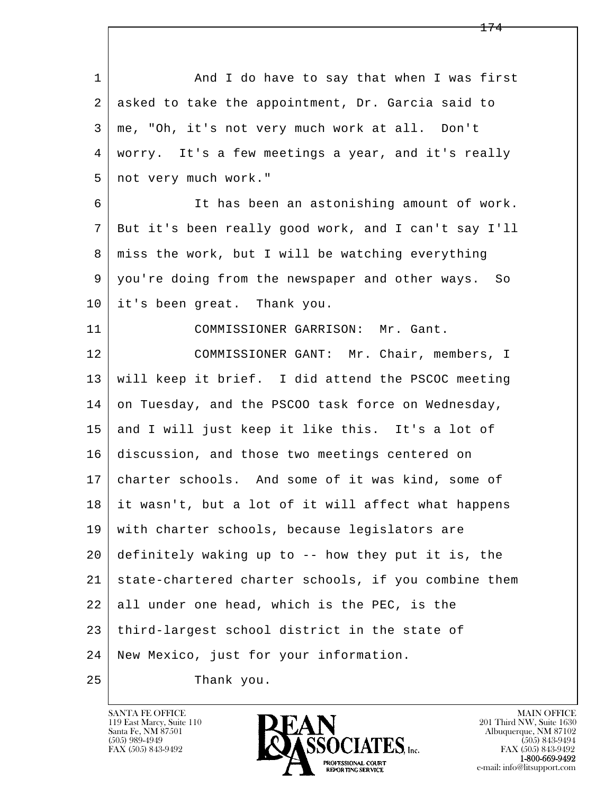l  $\overline{\phantom{a}}$ 1 And I do have to say that when I was first 2 asked to take the appointment, Dr. Garcia said to 3 me, "Oh, it's not very much work at all. Don't 4 worry. It's a few meetings a year, and it's really 5 | not very much work." 6 It has been an astonishing amount of work. 7 But it's been really good work, and I can't say I'll 8 miss the work, but I will be watching everything 9 you're doing from the newspaper and other ways. So 10 it's been great. Thank you. 11 COMMISSIONER GARRISON: Mr. Gant. 12 COMMISSIONER GANT: Mr. Chair, members, I 13 will keep it brief. I did attend the PSCOC meeting 14 on Tuesday, and the PSCOO task force on Wednesday, 15 and I will just keep it like this. It's a lot of 16 discussion, and those two meetings centered on 17 charter schools. And some of it was kind, some of 18 it wasn't, but a lot of it will affect what happens 19 with charter schools, because legislators are 20 definitely waking up to -- how they put it is, the 21 state-chartered charter schools, if you combine them 22 all under one head, which is the PEC, is the 23 third-largest school district in the state of 24 New Mexico, just for your information. 25 Thank you.

119 East Marcy, Suite 110<br>Santa Fe, NM 87501

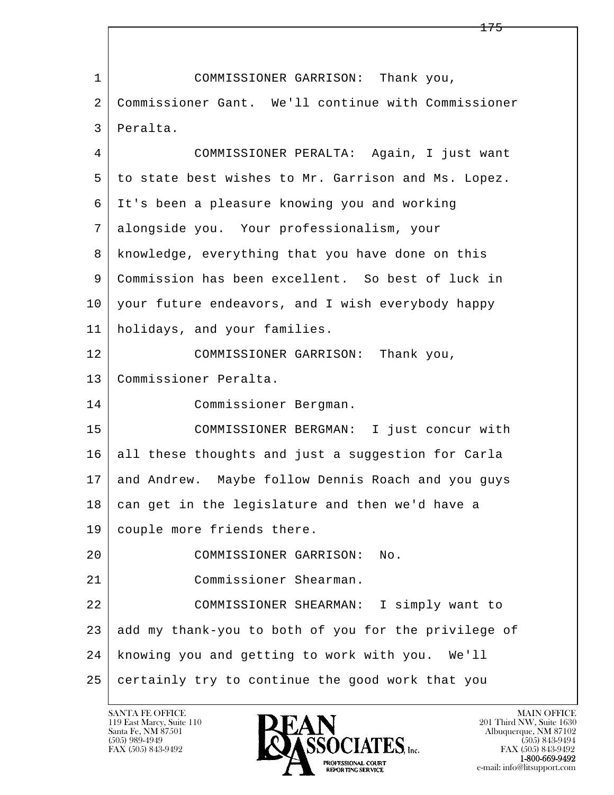l  $\overline{\phantom{a}}$  1 COMMISSIONER GARRISON: Thank you, 2 Commissioner Gant. We'll continue with Commissioner 3 Peralta. 4 COMMISSIONER PERALTA: Again, I just want 5 to state best wishes to Mr. Garrison and Ms. Lopez. 6 It's been a pleasure knowing you and working 7 alongside you. Your professionalism, your 8 knowledge, everything that you have done on this 9 Commission has been excellent. So best of luck in 10 your future endeavors, and I wish everybody happy 11 holidays, and your families. 12 | COMMISSIONER GARRISON: Thank you, 13 Commissioner Peralta. 14 Commissioner Bergman. 15 COMMISSIONER BERGMAN: I just concur with 16 all these thoughts and just a suggestion for Carla 17 and Andrew. Maybe follow Dennis Roach and you guys 18 can get in the legislature and then we'd have a 19 couple more friends there. 20 COMMISSIONER GARRISON: No. 21 Commissioner Shearman. 22 COMMISSIONER SHEARMAN: I simply want to 23 add my thank-you to both of you for the privilege of 24 knowing you and getting to work with you. We'll  $25$  certainly try to continue the good work that you

119 East Marcy, Suite 110<br>Santa Fe, NM 87501

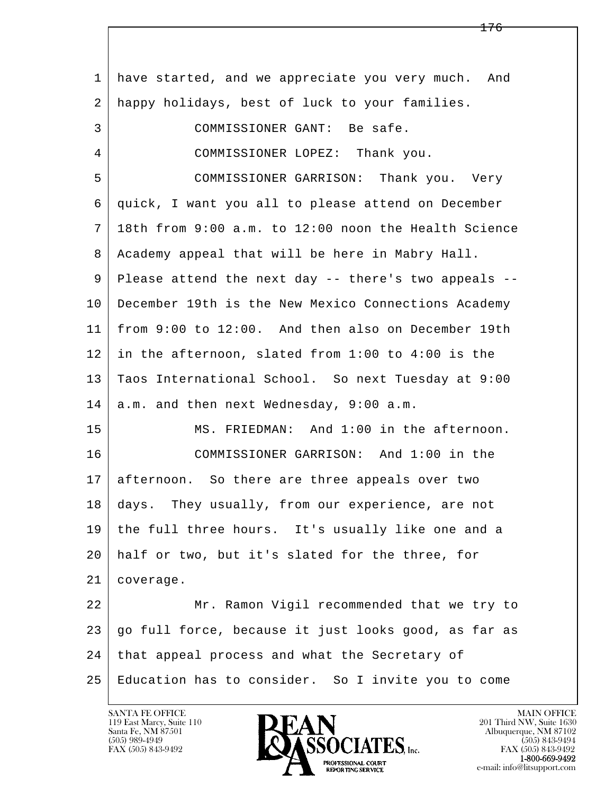l  $\overline{\phantom{a}}$  1 have started, and we appreciate you very much. And 2 happy holidays, best of luck to your families. 3 COMMISSIONER GANT: Be safe. 4 COMMISSIONER LOPEZ: Thank you. 5 COMMISSIONER GARRISON: Thank you. Very 6 quick, I want you all to please attend on December 7 18th from 9:00 a.m. to 12:00 noon the Health Science 8 Academy appeal that will be here in Mabry Hall. 9 | Please attend the next day -- there's two appeals -- 10 December 19th is the New Mexico Connections Academy 11 from 9:00 to 12:00. And then also on December 19th 12 in the afternoon, slated from 1:00 to 4:00 is the 13 Taos International School. So next Tuesday at 9:00  $14$  a.m. and then next Wednesday, 9:00 a.m. 15 MS. FRIEDMAN: And 1:00 in the afternoon. 16 COMMISSIONER GARRISON: And 1:00 in the 17 afternoon. So there are three appeals over two 18 | days. They usually, from our experience, are not 19 the full three hours. It's usually like one and a 20 half or two, but it's slated for the three, for 21 coverage. 22 Mr. Ramon Vigil recommended that we try to 23 go full force, because it just looks good, as far as 24 | that appeal process and what the Secretary of 25 Education has to consider. So I invite you to come

119 East Marcy, Suite 110<br>Santa Fe, NM 87501

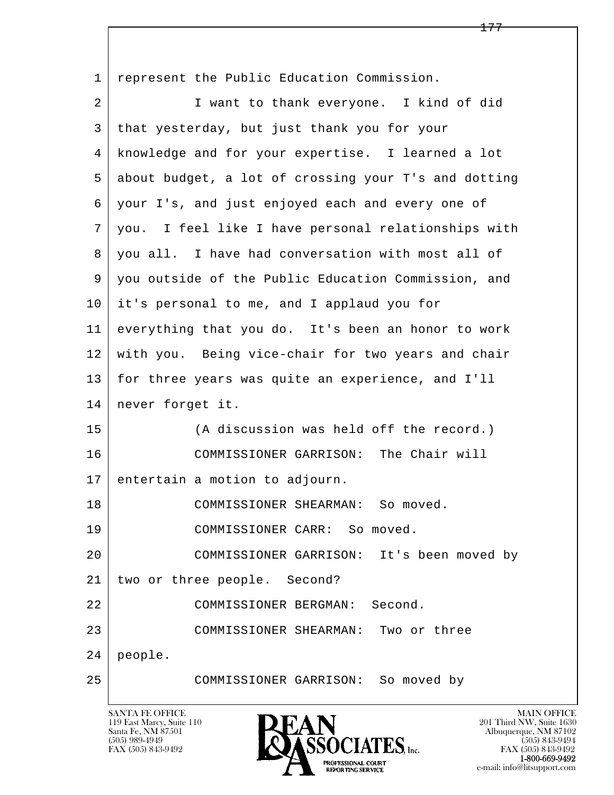l  $\overline{\phantom{a}}$ 1 represent the Public Education Commission. 2 I want to thank everyone. I kind of did 3 that yesterday, but just thank you for your 4 knowledge and for your expertise. I learned a lot 5 about budget, a lot of crossing your T's and dotting 6 your I's, and just enjoyed each and every one of 7 you. I feel like I have personal relationships with 8 you all. I have had conversation with most all of 9 you outside of the Public Education Commission, and 10 it's personal to me, and I applaud you for 11 everything that you do. It's been an honor to work 12 with you. Being vice-chair for two years and chair 13 for three years was quite an experience, and I'll 14 | never forget it. 15 (A discussion was held off the record.) 16 COMMISSIONER GARRISON: The Chair will 17 entertain a motion to adjourn. 18 COMMISSIONER SHEARMAN: So moved. 19 COMMISSIONER CARR: So moved. 20 COMMISSIONER GARRISON: It's been moved by 21 two or three people. Second? 22 COMMISSIONER BERGMAN: Second. 23 COMMISSIONER SHEARMAN: Two or three 24 people. 25 COMMISSIONER GARRISON: So moved by

119 East Marcy, Suite 110<br>Santa Fe, NM 87501

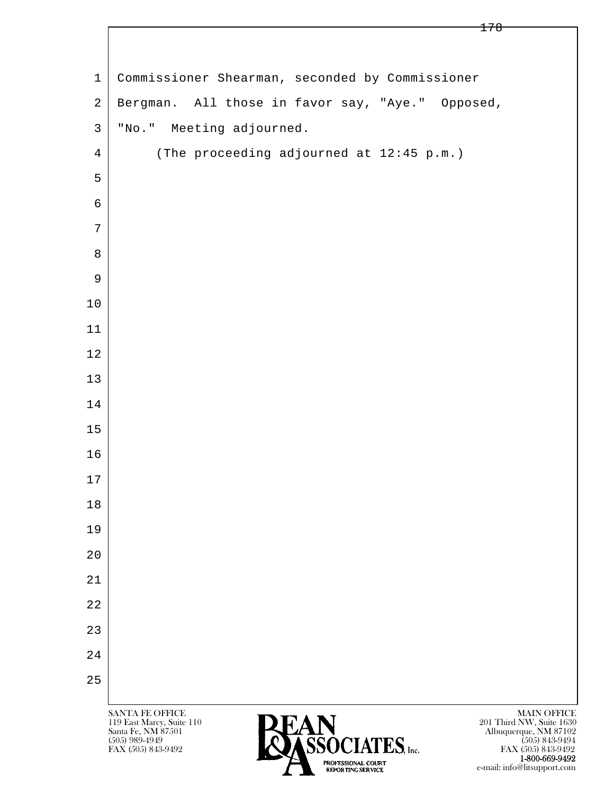| $\mathbf 1$    | Commissioner Shearman, seconded by Commissioner                                                 |
|----------------|-------------------------------------------------------------------------------------------------|
| $\overline{2}$ | Bergman. All those in favor say, "Aye." Opposed,                                                |
| $\mathfrak{Z}$ | "No." Meeting adjourned.                                                                        |
| $\overline{4}$ | (The proceeding adjourned at 12:45 p.m.)                                                        |
| 5              |                                                                                                 |
| $\epsilon$     |                                                                                                 |
| $\overline{7}$ |                                                                                                 |
| 8              |                                                                                                 |
| 9              |                                                                                                 |
| $10$           |                                                                                                 |
| 11             |                                                                                                 |
| 12             |                                                                                                 |
| 13             |                                                                                                 |
| 14             |                                                                                                 |
| 15             |                                                                                                 |
| 16             |                                                                                                 |
| $17$           |                                                                                                 |
| $1\,8$         |                                                                                                 |
| 19             |                                                                                                 |
| 20             |                                                                                                 |
| 21             |                                                                                                 |
| 22             |                                                                                                 |
| 23             |                                                                                                 |
| 24             |                                                                                                 |
| 25             |                                                                                                 |
|                | SANTA FE OFFICE<br>MAIN OFFICE<br>201 Third NW, Suite 1630<br>DEAN<br>119 East Marcy, Suite 110 |